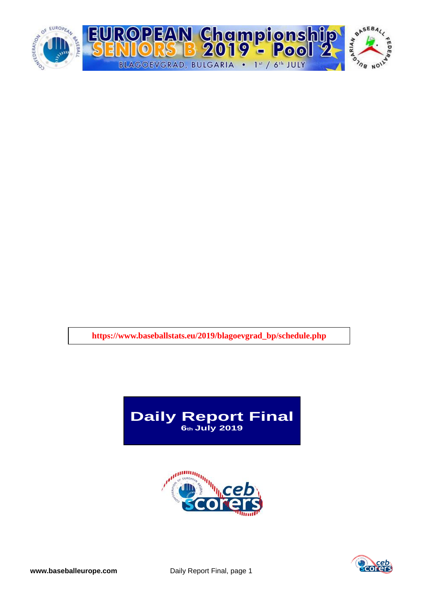

**https://www.baseballstats.eu/2019/blagoevgrad\_bp/schedule.php**





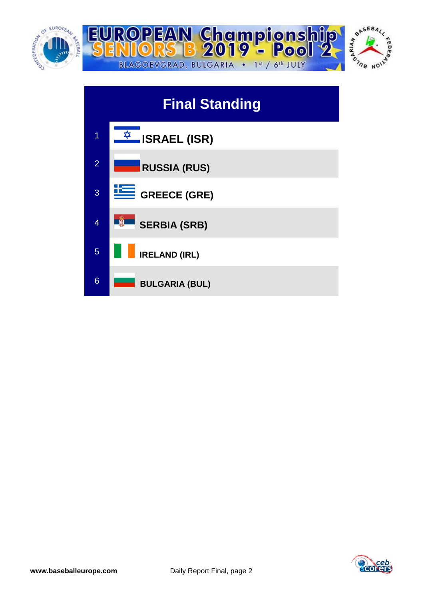





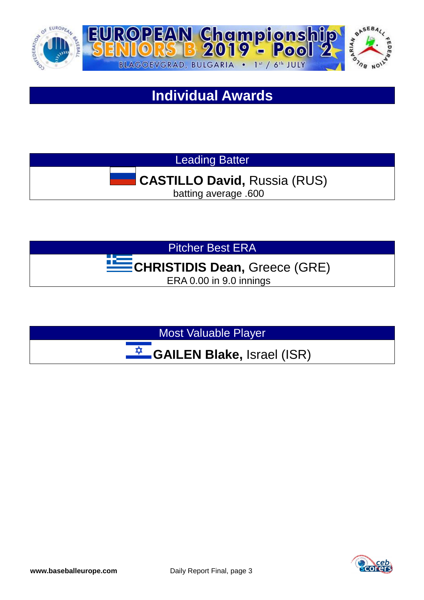

# **Individual Awards**

Leading Batter

# **CASTILLO David,** Russia (RUS)

batting average .600

Pitcher Best ERA

# **CHRISTIDIS Dean,** Greece (GRE)

ERA 0.00 in 9.0 innings

Most Valuable Player

</del> **GAILEN Blake,** Israel (ISR)

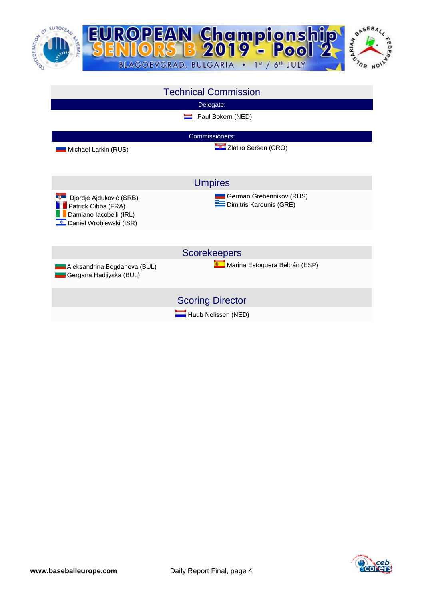



| <b>Technical Commission</b>                                                                          |                                                     |  |
|------------------------------------------------------------------------------------------------------|-----------------------------------------------------|--|
|                                                                                                      | Delegate:                                           |  |
|                                                                                                      | Paul Bokern (NED)                                   |  |
|                                                                                                      | Commissioners:                                      |  |
| Michael Larkin (RUS)                                                                                 | Zlatko Seršen (CRO)                                 |  |
|                                                                                                      | <b>Umpires</b>                                      |  |
| Djordje Ajduković (SRB)<br>Patrick Cibba (FRA)<br>Damiano lacobelli (IRL)<br>Daniel Wroblewski (ISR) | German Grebennikov (RUS)<br>Dimitris Karounis (GRE) |  |
|                                                                                                      | <b>Scorekeepers</b>                                 |  |
| Aleksandrina Bogdanova (BUL)<br>Gergana Hadjiyska (BUL)                                              | Marina Estoquera Beltrán (ESP)                      |  |
|                                                                                                      | <b>Scoring Director</b>                             |  |
|                                                                                                      | Huub Nelissen (NED)                                 |  |

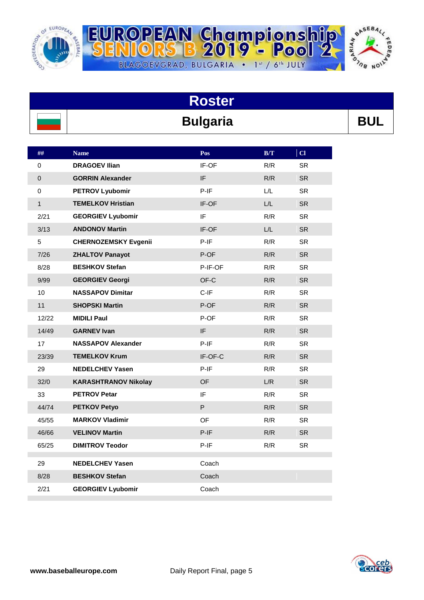

R



| <b>Roster</b>   |            |
|-----------------|------------|
| <b>Bulgaria</b> | <b>BUI</b> |

BLAGOEVGRAD, BULGARIA . 1st / 6th JULY

| ##             | <b>Name</b>                 | Pos     | $\mathbf{B}/\mathbf{T}$ | C1        |
|----------------|-----------------------------|---------|-------------------------|-----------|
| 0              | <b>DRAGOEV Ilian</b>        | IF-OF   | R/R                     | <b>SR</b> |
| $\pmb{0}$      | <b>GORRIN Alexander</b>     | IF      | R/R                     | <b>SR</b> |
| $\mathbf 0$    | <b>PETROV Lyubomir</b>      | $P-IF$  | L/L                     | <b>SR</b> |
| $\mathbf{1}$   | <b>TEMELKOV Hristian</b>    | IF-OF   | L/L                     | <b>SR</b> |
| 2/21           | <b>GEORGIEV Lyubomir</b>    | IF      | R/R                     | <b>SR</b> |
| 3/13           | <b>ANDONOV Martin</b>       | IF-OF   | L/L                     | <b>SR</b> |
| $\overline{5}$ | <b>CHERNOZEMSKY Evgenii</b> | $P-IF$  | R/R                     | <b>SR</b> |
| 7/26           | <b>ZHALTOV Panayot</b>      | P-OF    | R/R                     | <b>SR</b> |
| 8/28           | <b>BESHKOV Stefan</b>       | P-IF-OF | R/R                     | <b>SR</b> |
| 9/99           | <b>GEORGIEV Georgi</b>      | OF-C    | R/R                     | <b>SR</b> |
| 10             | <b>NASSAPOV Dimitar</b>     | C-IF    | R/R                     | <b>SR</b> |
| 11             | <b>SHOPSKI Martin</b>       | P-OF    | R/R                     | <b>SR</b> |
| 12/22          | <b>MIDILI Paul</b>          | P-OF    | R/R                     | <b>SR</b> |
| 14/49          | <b>GARNEV Ivan</b>          | IF      | R/R                     | <b>SR</b> |
| 17             | <b>NASSAPOV Alexander</b>   | $P-IF$  | R/R                     | <b>SR</b> |
| 23/39          | <b>TEMELKOV Krum</b>        | IF-OF-C | R/R                     | <b>SR</b> |
| 29             | <b>NEDELCHEV Yasen</b>      | $P-IF$  | R/R                     | <b>SR</b> |
| 32/0           | <b>KARASHTRANOV Nikolay</b> | OF      | L/R                     | <b>SR</b> |
| 33             | <b>PETROV Petar</b>         | IF      | R/R                     | <b>SR</b> |
| 44/74          | <b>PETKOV Petyo</b>         | P       | R/R                     | <b>SR</b> |
| 45/55          | <b>MARKOV Vladimir</b>      | OF.     | R/R                     | <b>SR</b> |
| 46/66          | <b>VELINOV Martin</b>       | $P-IF$  | R/R                     | <b>SR</b> |
| 65/25          | <b>DIMITROV Teodor</b>      | $P-IF$  | R/R                     | <b>SR</b> |
| 29             | <b>NEDELCHEV Yasen</b>      | Coach   |                         |           |
| 8/28           | <b>BESHKOV Stefan</b>       | Coach   |                         |           |
| 2/21           | <b>GEORGIEV Lyubomir</b>    | Coach   |                         |           |
|                |                             |         |                         |           |

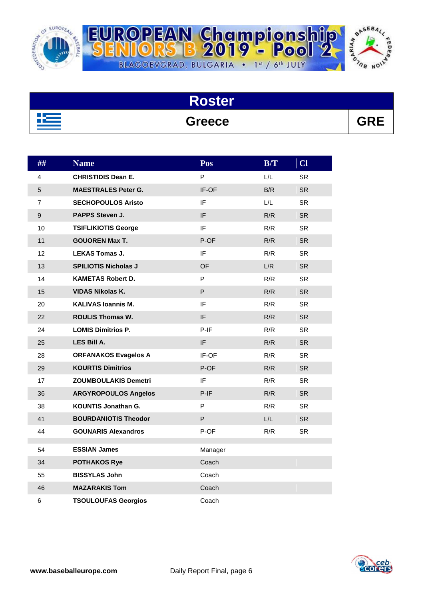

R



| <b>Roster</b> |            |
|---------------|------------|
| <b>Greece</b> | <b>GRE</b> |

BLAGOEVGRAD, BULGARIA . 1st / 6th JULY

| ##             | <b>Name</b>                 | Pos                        | B/T | Cl        |
|----------------|-----------------------------|----------------------------|-----|-----------|
| 4              | <b>CHRISTIDIS Dean E.</b>   | P                          | L/L | <b>SR</b> |
| 5              | <b>MAESTRALES Peter G.</b>  | IF-OF                      | B/R | <b>SR</b> |
| $\overline{7}$ | <b>SECHOPOULOS Aristo</b>   | IF                         | L/L | SR.       |
| $\mathsf g$    | PAPPS Steven J.             | IF.                        | R/R | <b>SR</b> |
| 10             | <b>TSIFLIKIOTIS George</b>  | IF                         | R/R | SR.       |
| 11             | <b>GOUOREN Max T.</b>       | P-OF                       | R/R | <b>SR</b> |
| 12             | <b>LEKAS Tomas J.</b>       | IF                         | R/R | <b>SR</b> |
| 13             | <b>SPILIOTIS Nicholas J</b> | <b>OF</b>                  | L/R | <b>SR</b> |
| 14             | <b>KAMETAS Robert D.</b>    | P                          | R/R | SR.       |
| 15             | <b>VIDAS Nikolas K.</b>     | P                          | R/R | <b>SR</b> |
| 20             | <b>KALIVAS Ioannis M.</b>   | IF                         | R/R | <b>SR</b> |
| 22             | <b>ROULIS Thomas W.</b>     | $\ensuremath{\mathsf{IF}}$ | R/R | <b>SR</b> |
| 24             | <b>LOMIS Dimitrios P.</b>   | $P-IF$                     | R/R | <b>SR</b> |
| 25             | LES Bill A.                 | IF                         | R/R | <b>SR</b> |
| 28             | <b>ORFANAKOS Evagelos A</b> | IF-OF                      | R/R | <b>SR</b> |
| 29             | <b>KOURTIS Dimitrios</b>    | P-OF                       | R/R | <b>SR</b> |
| 17             | ZOUMBOULAKIS Demetri        | IF.                        | R/R | SR.       |
| 36             | <b>ARGYROPOULOS Angelos</b> | $P-IF$                     | R/R | <b>SR</b> |
| 38             | <b>KOUNTIS Jonathan G.</b>  | P                          | R/R | <b>SR</b> |
| 41             | <b>BOURDANIOTIS Theodor</b> | P                          | L/L | <b>SR</b> |
| 44             | <b>GOUNARIS Alexandros</b>  | P-OF                       | R/R | <b>SR</b> |
| 54             | <b>ESSIAN James</b>         | Manager                    |     |           |
| 34             | <b>POTHAKOS Rye</b>         | Coach                      |     |           |
| 55             | <b>BISSYLAS John</b>        | Coach                      |     |           |
| 46             | <b>MAZARAKIS Tom</b>        | Coach                      |     |           |
| 6              | <b>TSOULOUFAS Georgios</b>  | Coach                      |     |           |

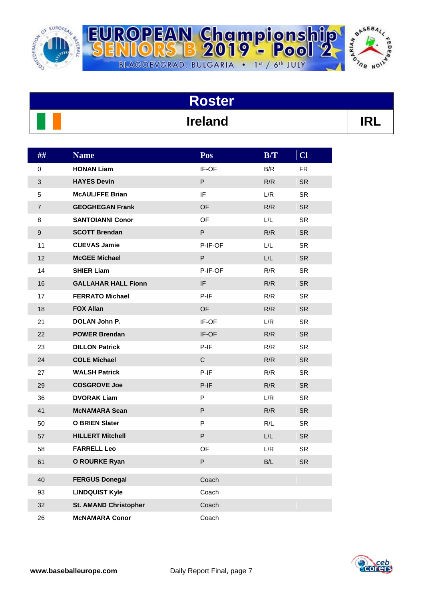

R



| <b>Roster</b> |                |  |
|---------------|----------------|--|
|               | <b>Ireland</b> |  |

BLAGOEVGRAD, BULGARIA . 1st / 6th JULY

OPEAN Championship<br>||ORS B 2019 - Pool 2,

| ##             | <b>Name</b>                  | Pos          | B/T | Cl        |
|----------------|------------------------------|--------------|-----|-----------|
| 0              | <b>HONAN Liam</b>            | IF-OF        | B/R | FR.       |
| 3              | <b>HAYES Devin</b>           | P            | R/R | <b>SR</b> |
| 5              | <b>McAULIFFE Brian</b>       | IF           | L/R | <b>SR</b> |
| $\overline{7}$ | <b>GEOGHEGAN Frank</b>       | <b>OF</b>    | R/R | <b>SR</b> |
| 8              | <b>SANTOIANNI Conor</b>      | <b>OF</b>    | L/L | <b>SR</b> |
| 9              | <b>SCOTT Brendan</b>         | P            | R/R | <b>SR</b> |
| 11             | <b>CUEVAS Jamie</b>          | P-IF-OF      | L/L | <b>SR</b> |
| 12             | <b>McGEE Michael</b>         | P            | L/L | <b>SR</b> |
| 14             | <b>SHIER Liam</b>            | P-IF-OF      | R/R | <b>SR</b> |
| 16             | <b>GALLAHAR HALL Fionn</b>   | IF           | R/R | <b>SR</b> |
| 17             | <b>FERRATO Michael</b>       | $P-IF$       | R/R | <b>SR</b> |
| 18             | <b>FOX Allan</b>             | OF           | R/R | <b>SR</b> |
| 21             | DOLAN John P.                | IF-OF        | L/R | <b>SR</b> |
| 22             | <b>POWER Brendan</b>         | IF-OF        | R/R | <b>SR</b> |
| 23             | <b>DILLON Patrick</b>        | P-IF         | R/R | <b>SR</b> |
| 24             | <b>COLE Michael</b>          | $\mathsf{C}$ | R/R | <b>SR</b> |
| 27             | <b>WALSH Patrick</b>         | P-IF         | R/R | <b>SR</b> |
| 29             | <b>COSGROVE Joe</b>          | $P-IF$       | R/R | <b>SR</b> |
| 36             | <b>DVORAK Liam</b>           | P            | L/R | <b>SR</b> |
| 41             | <b>McNAMARA Sean</b>         | P            | R/R | <b>SR</b> |
| 50             | <b>O BRIEN Slater</b>        | P            | R/L | <b>SR</b> |
| 57             | <b>HILLERT Mitchell</b>      | P            | L/L | <b>SR</b> |
| 58             | <b>FARRELL Leo</b>           | OF           | L/R | <b>SR</b> |
| 61             | <b>O ROURKE Ryan</b>         | P            | B/L | <b>SR</b> |
| 40             | <b>FERGUS Donegal</b>        | Coach        |     |           |
| 93             | <b>LINDQUIST Kyle</b>        | Coach        |     |           |
| 32             | <b>St. AMAND Christopher</b> | Coach        |     |           |
| 26             | <b>McNAMARA Conor</b>        | Coach        |     |           |

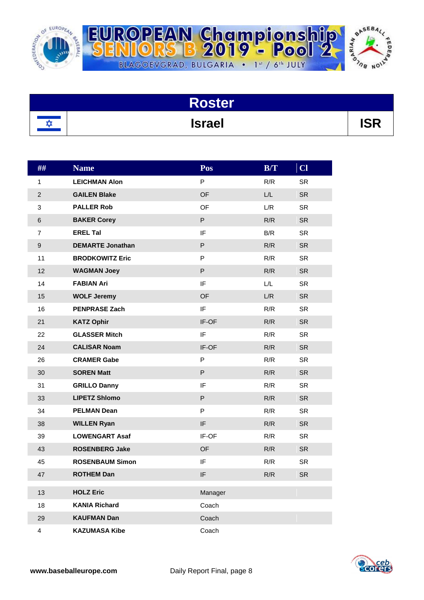

R



| Roster        |       |
|---------------|-------|
| <b>Israel</b> | 1 Q D |

BLAGOEVGRAD, BULGARIA . 1st / 6th JULY

OPEAN Championsh<br>||ORS B 2019 - Pool

| ##             | <b>Name</b>             | Pos       | B/T | $CI$      |
|----------------|-------------------------|-----------|-----|-----------|
| 1              | <b>LEICHMAN Alon</b>    | P         | R/R | <b>SR</b> |
| $\overline{2}$ | <b>GAILEN Blake</b>     | <b>OF</b> | L/L | <b>SR</b> |
| 3              | <b>PALLER Rob</b>       | OF        | L/R | <b>SR</b> |
| 6              | <b>BAKER Corey</b>      | P         | R/R | <b>SR</b> |
| $\overline{7}$ | <b>EREL Tal</b>         | IF        | B/R | <b>SR</b> |
| $\mathsf g$    | <b>DEMARTE Jonathan</b> | P         | R/R | <b>SR</b> |
| 11             | <b>BRODKOWITZ Eric</b>  | P         | R/R | <b>SR</b> |
| 12             | <b>WAGMAN Joey</b>      | P         | R/R | <b>SR</b> |
| 14             | <b>FABIAN Ari</b>       | IF        | L/L | <b>SR</b> |
| 15             | <b>WOLF Jeremy</b>      | <b>OF</b> | L/R | <b>SR</b> |
| 16             | <b>PENPRASE Zach</b>    | IF        | R/R | <b>SR</b> |
| 21             | <b>KATZ Ophir</b>       | IF-OF     | R/R | <b>SR</b> |
| 22             | <b>GLASSER Mitch</b>    | IF        | R/R | <b>SR</b> |
| 24             | <b>CALISAR Noam</b>     | IF-OF     | R/R | <b>SR</b> |
| 26             | <b>CRAMER Gabe</b>      | P         | R/R | <b>SR</b> |
| 30             | <b>SOREN Matt</b>       | P         | R/R | <b>SR</b> |
| 31             | <b>GRILLO Danny</b>     | IF        | R/R | <b>SR</b> |
| 33             | <b>LIPETZ Shlomo</b>    | P         | R/R | <b>SR</b> |
| 34             | <b>PELMAN Dean</b>      | P         | R/R | <b>SR</b> |
| 38             | <b>WILLEN Ryan</b>      | IF        | R/R | <b>SR</b> |
| 39             | <b>LOWENGART Asaf</b>   | IF-OF     | R/R | <b>SR</b> |
| 43             | <b>ROSENBERG Jake</b>   | <b>OF</b> | R/R | <b>SR</b> |
| 45             | <b>ROSENBAUM Simon</b>  | IF        | R/R | <b>SR</b> |
| 47             | <b>ROTHEM Dan</b>       | IF        | R/R | <b>SR</b> |
| 13             | <b>HOLZ Eric</b>        | Manager   |     |           |
| 18             | <b>KANIA Richard</b>    | Coach     |     |           |
| 29             | <b>KAUFMAN Dan</b>      | Coach     |     |           |
| 4              | <b>KAZUMASA Kibe</b>    | Coach     |     |           |

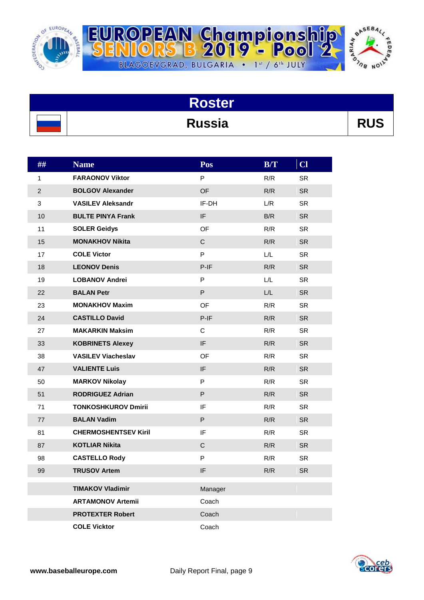

R



| <b>Roster</b> |            |
|---------------|------------|
| <b>Russia</b> | <b>RUS</b> |

BLAGOEVGRAD, BULGARIA . 1st / 6th JULY

| ##             | <b>Name</b>                 | Pos          | B/T | $CI$      |
|----------------|-----------------------------|--------------|-----|-----------|
| 1              | <b>FARAONOV Viktor</b>      | P            | R/R | <b>SR</b> |
| $\overline{2}$ | <b>BOLGOV Alexander</b>     | <b>OF</b>    | R/R | <b>SR</b> |
| 3              | <b>VASILEV Aleksandr</b>    | IF-DH        | L/R | <b>SR</b> |
| 10             | <b>BULTE PINYA Frank</b>    | IF           | B/R | <b>SR</b> |
| 11             | <b>SOLER Geidys</b>         | OF           | R/R | <b>SR</b> |
| 15             | <b>MONAKHOV Nikita</b>      | $\mathsf C$  | R/R | <b>SR</b> |
| 17             | <b>COLE Victor</b>          | P            | L/L | <b>SR</b> |
| 18             | <b>LEONOV Denis</b>         | $P-IF$       | R/R | <b>SR</b> |
| 19             | <b>LOBANOV Andrei</b>       | P            | L/L | <b>SR</b> |
| 22             | <b>BALAN Petr</b>           | P            | L/L | <b>SR</b> |
| 23             | <b>MONAKHOV Maxim</b>       | OF           | R/R | <b>SR</b> |
| 24             | <b>CASTILLO David</b>       | $P-IF$       | R/R | <b>SR</b> |
| 27             | <b>MAKARKIN Maksim</b>      | С            | R/R | <b>SR</b> |
| 33             | <b>KOBRINETS Alexey</b>     | IF.          | R/R | <b>SR</b> |
| 38             | <b>VASILEV Viacheslav</b>   | OF           | R/R | <b>SR</b> |
| 47             | <b>VALIENTE Luis</b>        | IF           | R/R | <b>SR</b> |
| 50             | <b>MARKOV Nikolay</b>       | P            | R/R | <b>SR</b> |
| 51             | <b>RODRIGUEZ Adrian</b>     | P            | R/R | <b>SR</b> |
| 71             | <b>TONKOSHKUROV Dmirii</b>  | IF           | R/R | <b>SR</b> |
| 77             | <b>BALAN Vadim</b>          | P            | R/R | <b>SR</b> |
| 81             | <b>CHERMOSHENTSEV Kiril</b> | IF           | R/R | <b>SR</b> |
| 87             | <b>KOTLIAR Nikita</b>       | $\mathsf{C}$ | R/R | <b>SR</b> |
| 98             | <b>CASTELLO Rody</b>        | P            | R/R | <b>SR</b> |
| 99             | <b>TRUSOV Artem</b>         | IF           | R/R | <b>SR</b> |
|                | <b>TIMAKOV Vladimir</b>     | Manager      |     |           |
|                | <b>ARTAMONOV Artemii</b>    | Coach        |     |           |
|                | <b>PROTEXTER Robert</b>     | Coach        |     |           |
|                | <b>COLE Vicktor</b>         | Coach        |     |           |

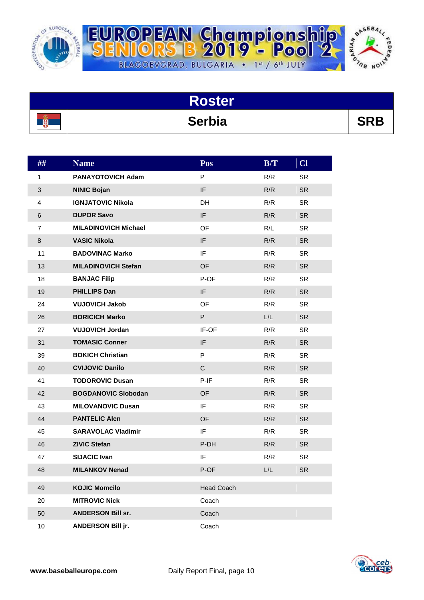

팈



|   | <b>Roster</b> |            |
|---|---------------|------------|
| 露 | <b>Serbia</b> | <b>SRB</b> |

BLAGOEVGRAD, BULGARIA . 1st / 6th JULY

| ## | <b>Name</b>                 | Pos               | B/T | $CI$      |
|----|-----------------------------|-------------------|-----|-----------|
| 1  | <b>PANAYOTOVICH Adam</b>    | P                 | R/R | <b>SR</b> |
| 3  | <b>NINIC Bojan</b>          | IF                | R/R | <b>SR</b> |
| 4  | <b>IGNJATOVIC Nikola</b>    | <b>DH</b>         | R/R | <b>SR</b> |
| 6  | <b>DUPOR Savo</b>           | IF                | R/R | <b>SR</b> |
| 7  | <b>MILADINOVICH Michael</b> | OF                | R/L | <b>SR</b> |
| 8  | <b>VASIC Nikola</b>         | IF                | R/R | <b>SR</b> |
| 11 | <b>BADOVINAC Marko</b>      | IF                | R/R | <b>SR</b> |
| 13 | <b>MILADINOVICH Stefan</b>  | <b>OF</b>         | R/R | <b>SR</b> |
| 18 | <b>BANJAC Filip</b>         | P-OF              | R/R | <b>SR</b> |
| 19 | <b>PHILLIPS Dan</b>         | IF                | R/R | <b>SR</b> |
| 24 | <b>VUJOVICH Jakob</b>       | OF                | R/R | <b>SR</b> |
| 26 | <b>BORICICH Marko</b>       | P                 | L/L | <b>SR</b> |
| 27 | <b>VUJOVICH Jordan</b>      | IF-OF             | R/R | <b>SR</b> |
| 31 | <b>TOMASIC Conner</b>       | IF                | R/R | <b>SR</b> |
| 39 | <b>BOKICH Christian</b>     | P                 | R/R | <b>SR</b> |
| 40 | <b>CVIJOVIC Danilo</b>      | $\mathsf C$       | R/R | <b>SR</b> |
| 41 | <b>TODOROVIC Dusan</b>      | $P-IF$            | R/R | <b>SR</b> |
| 42 | <b>BOGDANOVIC Slobodan</b>  | <b>OF</b>         | R/R | <b>SR</b> |
| 43 | <b>MILOVANOVIC Dusan</b>    | IF                | R/R | <b>SR</b> |
| 44 | <b>PANTELIC Alen</b>        | OF                | R/R | <b>SR</b> |
| 45 | <b>SARAVOLAC Vladimir</b>   | IF                | R/R | <b>SR</b> |
| 46 | <b>ZIVIC Stefan</b>         | P-DH              | R/R | <b>SR</b> |
| 47 | <b>SIJACIC Ivan</b>         | IF                | R/R | <b>SR</b> |
| 48 | <b>MILANKOV Nenad</b>       | P-OF              | L/L | <b>SR</b> |
| 49 | <b>KOJIC Momcilo</b>        | <b>Head Coach</b> |     |           |
| 20 | <b>MITROVIC Nick</b>        | Coach             |     |           |
| 50 | <b>ANDERSON Bill sr.</b>    | Coach             |     |           |
| 10 | ANDERSON Bill jr.           | Coach             |     |           |

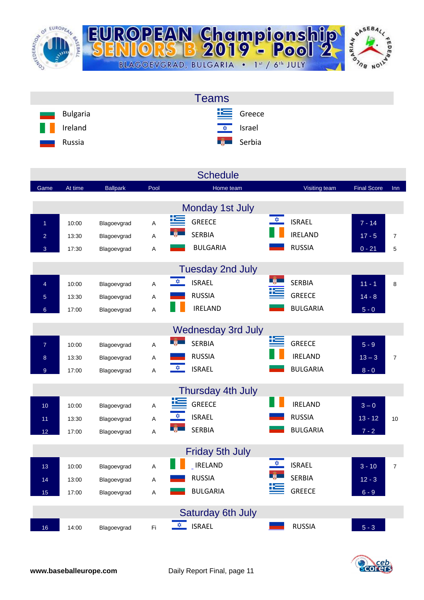

| <b>Teams</b>                              |  |
|-------------------------------------------|--|
| $E$ Greece<br>Bulgaria<br>and a           |  |
| H<br><u><del>↓</del> srael</u><br>Ireland |  |
| <b>Example Serbia</b><br>Russia<br>ـــ    |  |

|                 |         |                 |      | <b>Schedule</b>                       |                                       |                    |                |
|-----------------|---------|-----------------|------|---------------------------------------|---------------------------------------|--------------------|----------------|
| Game            | At time | <b>Ballpark</b> | Pool | Home team                             | Visiting team                         | <b>Final Score</b> | Inn            |
|                 |         |                 |      | Monday 1st July                       |                                       |                    |                |
| $\overline{1}$  | 10:00   | Blagoevgrad     | A    | 뜨<br><b>GREECE</b>                    | $\frac{1}{2}$<br><b>ISRAEL</b>        | $7 - 14$           |                |
| $\overline{2}$  | 13:30   | Blagoevgrad     | Α    | <b>SERBIA</b>                         | <b>IRELAND</b>                        | $17 - 5$           | $\overline{7}$ |
| 3               | 17:30   | Blagoevgrad     | Α    | <b>BULGARIA</b>                       | <b>RUSSIA</b>                         | $0 - 21$           | 5              |
|                 |         |                 |      | <b>Tuesday 2nd July</b>               |                                       |                    |                |
| $\overline{4}$  | 10:00   | Blagoevgrad     | A    | $\frac{1}{\sqrt{2}}$<br><b>ISRAEL</b> | <b>SERBIA</b>                         | $11 - 1$           | 8              |
| $\overline{5}$  | 13:30   | Blagoevgrad     | Α    | <b>RUSSIA</b>                         | <b>GREECE</b>                         | $14 - 8$           |                |
| 6 <sup>°</sup>  | 17:00   | Blagoevgrad     | A    | <b>IRELAND</b>                        | <b>BULGARIA</b>                       | $5 - 0$            |                |
|                 |         |                 |      | <b>Wednesday 3rd July</b>             |                                       |                    |                |
| $\overline{7}$  | 10:00   | Blagoevgrad     | A    | <u> 12 m</u><br><b>SERBIA</b>         | <b>GREECE</b>                         | $5 - 9$            |                |
| 8               | 13:30   | Blagoevgrad     | Α    | <b>RUSSIA</b>                         | <b>IRELAND</b>                        | $13 - 3$           | $\overline{7}$ |
| $\overline{9}$  | 17:00   | Blagoevgrad     | A    | $\frac{1}{\sqrt{2}}$<br><b>ISRAEL</b> | <b>BULGARIA</b>                       | $8 - 0$            |                |
|                 |         |                 |      | Thursday 4th July                     |                                       |                    |                |
| 10 <sup>1</sup> | 10:00   | Blagoevgrad     | Α    | <b>GREECE</b>                         | <b>IRELAND</b>                        | $3-0$              |                |
| 11              | 13:30   | Blagoevgrad     | Α    | <u>x</u><br><b>ISRAEL</b>             | <b>RUSSIA</b>                         | $13 - 12$          | 10             |
| 12              | 17:00   | Blagoevgrad     | Α    | <b>SERBIA</b>                         | <b>BULGARIA</b>                       | $7 - 2$            |                |
|                 |         |                 |      | <b>Friday 5th July</b>                |                                       |                    |                |
| 13              | 10:00   | Blagoevgrad     | A    | <b>IRELAND</b>                        | $\frac{1}{\sqrt{2}}$<br><b>ISRAEL</b> | $3 - 10$           | $\overline{7}$ |
| 14              | 13:00   | Blagoevgrad     | Α    | <b>RUSSIA</b>                         | <b>SERBIA</b>                         | $12 - 3$           |                |
| 15              | 17:00   | Blagoevgrad     | A    | <b>BULGARIA</b>                       | <b>GREECE</b>                         | $6 - 9$            |                |
|                 |         |                 |      | <b>Saturday 6th July</b>              |                                       |                    |                |
| 16              | 14:00   | Blagoevgrad     | Fi   | ✿<br><b>ISRAEL</b>                    | <b>RUSSIA</b>                         | $5 - 3$            |                |

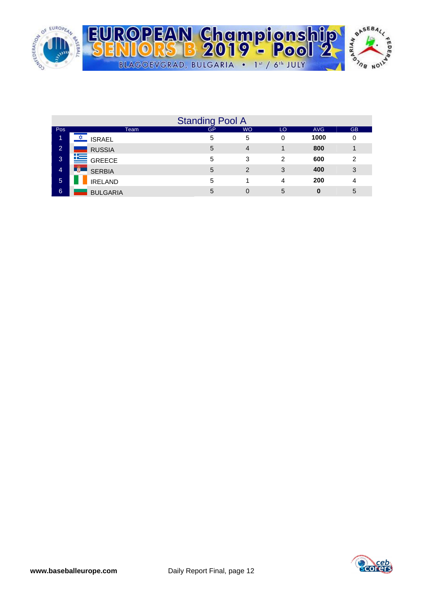

|                |                            | <b>Standing Pool A</b> |                |    |            |           |
|----------------|----------------------------|------------------------|----------------|----|------------|-----------|
| Pos            | Team                       | <b>GP</b>              | <b>WO</b>      | LO | <b>AVG</b> | <b>GB</b> |
| 1              | <b>ISRAEL</b>              | 5                      | 5              | 0  | 1000       | 0         |
| $\overline{2}$ | <b>RUSSIA</b>              | 5                      | $\overline{4}$ |    | 800        | и         |
| 3              | <b>SO GREECE</b>           | 5                      | 3              | 2  | 600        | 2         |
| $\overline{4}$ | <b>TW</b><br><b>SERBIA</b> | 5                      | $\overline{2}$ | 3  | 400        | 3         |
| $\sqrt{5}$     | <b>IRELAND</b>             | 5                      |                | 4  | 200        | 4         |
| 6              | <b>BULGARIA</b>            | 5                      | 0              | 5  | 0          | 5         |

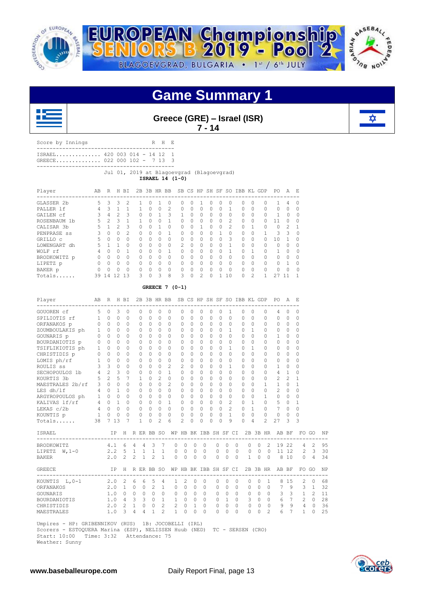





**Greece (GRE) – Israel (ISR) 7 - 14**



| ISRAEL 420 003 014 - 14 12 1<br>GREECE 022 000 102 - 7 13 3 |                                          |                 |  |                                                                         |                |                             |                 |             |                     |                    |              |                     |        |             |                             |                                         |             |          |
|-------------------------------------------------------------|------------------------------------------|-----------------|--|-------------------------------------------------------------------------|----------------|-----------------------------|-----------------|-------------|---------------------|--------------------|--------------|---------------------|--------|-------------|-----------------------------|-----------------------------------------|-------------|----------|
|                                                             |                                          |                 |  | --------------------------<br>Jul 01, 2019 at Blagoevgrad (Blagoevgrad) |                |                             | ISRAEL 14 (1-0) |             |                     |                    |              |                     |        |             |                             |                                         |             |          |
| Player                                                      | ABR HBI 2B3BHRBBSBCSHPSHSFSOIBBKLGDPPOAE |                 |  |                                                                         |                |                             |                 |             |                     |                    |              |                     |        |             |                             |                                         |             |          |
| GLASSER 2b                                                  |                                          |                 |  | 5 3 3 2 1 0 1 0                                                         |                |                             |                 |             | $0 \quad 0 \quad 1$ |                    |              | $0 \quad 0 \quad 0$ |        | $0 \quad 0$ |                             | $0 \t1 \t4$                             |             | $\Omega$ |
| PALLER 1f                                                   |                                          |                 |  |                                                                         |                |                             |                 |             |                     |                    |              |                     |        |             |                             |                                         |             | $\Omega$ |
| GAILEN cf                                                   |                                          |                 |  |                                                                         |                |                             |                 |             |                     |                    |              |                     |        |             |                             |                                         |             | $\Omega$ |
| ROSENBAUM 1b                                                |                                          |                 |  |                                                                         |                |                             |                 |             |                     |                    |              |                     |        |             |                             |                                         |             | $\Omega$ |
| CALISAR 3b                                                  |                                          |                 |  |                                                                         |                |                             |                 |             |                     |                    |              |                     |        |             |                             |                                         |             | 1        |
| PENPRASE ss                                                 | 3 0 0 2 0 0 0 1 0 0 0 0 1 0 0 0 1 3 3    |                 |  |                                                                         |                |                             |                 |             |                     |                    |              |                     |        |             |                             |                                         |             | $\Omega$ |
| GRILLO C                                                    |                                          |                 |  | 5 0 0 0 0 0 0 0 0 0 0 0 0 3                                             |                |                             |                 |             |                     |                    |              |                     |        |             | 0 0 0 10 1                  |                                         |             | $\Omega$ |
| LOWENGART dh                                                |                                          | $5 \t1 \t1 \t0$ |  |                                                                         |                | $0 \quad 0 \quad 0 \quad 0$ |                 | $2 \quad 0$ |                     | $0 \t 0 \t 0 \t 1$ |              |                     | $\cap$ | $\circ$     | $\cap$                      |                                         | $0 \quad 0$ | $\Omega$ |
| WOLF rf                                                     | 4 0 0 1 0 0 0 1 0 0                      |                 |  |                                                                         |                |                             |                 |             |                     | 0 0 0 1            |              |                     |        | $0\quad1$   |                             | $0\quad 1\quad 0$                       |             | $\Omega$ |
| BRODKOWITZ p                                                |                                          |                 |  |                                                                         |                |                             |                 |             |                     |                    |              |                     |        | $0 \quad 0$ |                             | $\begin{matrix} 0 & 0 & 0 \end{matrix}$ |             | $\Omega$ |
| LIPETZ p                                                    |                                          |                 |  |                                                                         |                |                             |                 |             |                     |                    |              |                     |        |             |                             |                                         |             | $\Omega$ |
| BAKER p                                                     |                                          |                 |  |                                                                         |                |                             |                 |             |                     |                    |              |                     |        |             |                             |                                         |             | $\Omega$ |
|                                                             | Totals                                   | 39 14 12 13     |  | $\mathcal{R}$                                                           | 0 <sup>3</sup> | 8                           | $\mathcal{L}$   |             | $0 \quad 2$         | $\cap$             | $\mathbf{1}$ | 10                  | $\cap$ |             | $\mathbf{1}$<br>$2^{\circ}$ |                                         | 27 11       |          |

| Player<br>____________________________                | AB             | R                       |              | H BI                  |                |                |                 |                | 2B 3B HR BB SB CS HP SH SF SO IBB KL GDP |                |              |          |          |           |                |                |              |                |              | PO.<br>------------------------                   | A              | - F.           |                |    |
|-------------------------------------------------------|----------------|-------------------------|--------------|-----------------------|----------------|----------------|-----------------|----------------|------------------------------------------|----------------|--------------|----------|----------|-----------|----------------|----------------|--------------|----------------|--------------|---------------------------------------------------|----------------|----------------|----------------|----|
| GOUOREN Cf                                            |                | 50                      | 3            | $\mathbf 0$           |                | 0              | 0               | $\circ$        | 0                                        | 0              | $\circ$      | 0        | 0        | 0         | 1              |                | 0            | $\Omega$       | 0            | 4                                                 | $\mathbf 0$    | 0              |                |    |
| SPILIOTIS rf                                          | $\overline{1}$ | $\Omega$                | $\Omega$     | $\Omega$              |                | 0              | $\Omega$        | $\Omega$       | $\Omega$                                 | $\Omega$       | $\Omega$     | $\Omega$ | $\Omega$ | $\Omega$  | $\Omega$       |                | $\Omega$     | $\Omega$       | $\cap$       | $\Omega$                                          | $\Omega$       | 0              |                |    |
| ORFANAKOS p                                           | $\Omega$       | $\bigcirc$              | $\Omega$     | $\Omega$              |                | $\Omega$       | $\Omega$        | $\Omega$       | $\Omega$                                 | $\Omega$       | $\Omega$     | $\Omega$ | $\Omega$ | $\Omega$  | $\Omega$       |                | $\Omega$     | $\Omega$       | $\Omega$     | $\Omega$                                          | $\circ$        | $\Omega$       |                |    |
| ZOUMBOULAKIS ph                                       | $\mathbf{1}$   | $\overline{0}$          | $\Omega$     | $\Omega$              |                | 0              | $\Omega$        | $\Omega$       | $\Omega$                                 | 0              | $\Omega$     | $\Omega$ | $\Omega$ | $\Omega$  | $\mathbf{1}$   |                | $\Omega$     | $\mathbf{1}$   | $\Omega$     | 0                                                 | $\Omega$       | $\Omega$       |                |    |
| GOUNARIS p                                            | $\Omega$       | $\bigcirc$              | $\Omega$     | $\Omega$              |                | $\Omega$       | $\Omega$        | $\Omega$       | $\Omega$                                 | $\Omega$       | $\Omega$     | $\Omega$ | $\Omega$ | $\Omega$  | $\Omega$       |                | $\Omega$     | $\Omega$       | $\Omega$     | $\mathbf{1}$                                      | $\Omega$       | $\Omega$       |                |    |
| BOURDANIOTIS p                                        | $\circ$        | $\bigcirc$              | $\Omega$     | $\Omega$              |                | $\Omega$       | $\Omega$        | $\Omega$       | $\Omega$                                 | 0              | $\Omega$     | $\Omega$ | $\Omega$ | $\Omega$  | $\Omega$       |                | $\Omega$     | $\Omega$       | $\Omega$     | $\Omega$                                          | $\Omega$       | 0              |                |    |
| TSIFLIKIOTIS ph                                       |                | $1 \quad 0$             | $\Omega$     | $\Omega$              |                | $\Omega$       | $\Omega$        | $\Omega$       | $\Omega$                                 | 0              | $\Omega$     | $\Omega$ | $\Omega$ | $\Omega$  | 1              |                | $\Omega$     | $\mathbf{1}$   | $\Omega$     | $\Omega$                                          | $\Omega$       | $\Omega$       |                |    |
| CHRISTIDIS p                                          |                | $0\quad 0$              | $\Omega$     | $\Omega$              |                | $\Omega$       | $\Omega$        | $\Omega$       | $\Omega$                                 | $\Omega$       | $\Omega$     | $\Omega$ | $\Omega$ | $\Omega$  | $\Omega$       |                | $\Omega$     | $\Omega$       | $\Omega$     | $\Omega$                                          | $\Omega$       | 0              |                |    |
| LOMIS ph/rf                                           |                | $1 \quad 0$             | $\Omega$     | $\Omega$              |                | $\Omega$       | $\Omega$        | $\Omega$       | $\Omega$                                 | 0              | $\Omega$     | $\Omega$ | $\Omega$ | $\Omega$  | $\Omega$       |                | $\Omega$     | $\Omega$       | $\Omega$     | 0                                                 | $\Omega$       | 0              |                |    |
| ROULIS SS                                             | $\mathbf{3}$   | $\overline{\mathbf{3}}$ | $\Omega$     | $\Omega$              |                | $\Omega$       | $\Omega$        | $\Omega$       | $\overline{c}$                           | 2              | $\Omega$     | $\Omega$ | $\cap$   | $\Omega$  | 1              |                | $\Omega$     | $\Omega$       | $\Omega$     | 1                                                 | $\Omega$       | O              |                |    |
| SECHOPOULOS 1b                                        | $4 \quad 2$    |                         | 3            | $\Omega$              |                | $\Omega$       | $\Omega$        | $\Omega$       | $\mathbf{1}$                             | $\Omega$       | $\Omega$     | $\Omega$ | $\Omega$ | $\Omega$  | $\Omega$       |                | $\Omega$     | $\Omega$       | $\Omega$     | 4                                                 | $\mathbf{1}$   | 0              |                |    |
| KOURTIS 3b                                            | $5\quad 2$     |                         | 5            | $\overline{7}$        |                | 1              | $\Omega$        | $\mathfrak{D}$ | $\Omega$                                 | $\Omega$       | $\Omega$     | $\Omega$ | $\cap$   | $\Omega$  | $\Omega$       |                | $\Omega$     | $\Omega$       | $\Omega$     | 2                                                 | $\mathfrak{D}$ | 1              |                |    |
| MAESTRALES 2b/rf 3 0                                  |                |                         | $\Omega$     | $\Omega$              |                | $\Omega$       | $\Omega$        | $\Omega$       | $\mathfrak{D}$                           | $\Omega$       | $\Omega$     | $\Omega$ | $\cap$   | $\Omega$  | $\Omega$       |                | $\Omega$     | $\Omega$       | $\mathbf{1}$ | $\mathbf{1}$                                      | $\Omega$       | 1              |                |    |
| LES dh/lf                                             | $4\quad 0$     |                         | $\mathbf{1}$ | $\Omega$              |                | $\Omega$       | $\cap$          | $\Omega$       | $\Omega$                                 | $\Omega$       | $\bigcap$    | $\Omega$ | $\cap$   | $\Omega$  | $\Omega$       |                | $\Omega$     | $\Omega$       | $\Omega$     | $\overline{c}$                                    | $\Omega$       | O              |                |    |
| ARGYROPOULOS ph 1 0                                   |                |                         | $\Omega$     | $\bigcap$             |                | $\Omega$       | $\Omega$        | $\Omega$       | $\Omega$                                 | $\Omega$       | $\Omega$     | $\Omega$ | $\cap$   | $\bigcap$ | $\Omega$       |                | $\Omega$     | $\Omega$       | $\mathbf{1}$ | $\Omega$                                          | $\Omega$       | $\Omega$       |                |    |
| KALIVAS lf/rf                                         |                | $4 \quad 0$             | $\mathbf{1}$ | $\Omega$              |                | $\Omega$       | $\Omega$        | $\Omega$       | $\mathbf{1}$                             | $\Omega$       | $\Omega$     | $\Omega$ | $\cap$   | $\Omega$  | $\overline{c}$ |                | $\Omega$     | $\mathbf{1}$   | $\Omega$     | 5                                                 | $\Omega$       | 1              |                |    |
| LEKAS c/2b 4 0                                        |                |                         | $\Omega$     | $\Omega$              |                | $\Omega$       | $\Omega$        | $\Omega$       | $\Omega$                                 | 0              | $\Omega$     | $\Omega$ | $\Omega$ | $\bigcap$ | $\overline{c}$ |                | $\Omega$     | $\mathbf{1}$   | $\bigcap$    | 7                                                 | $\Omega$       | O              |                |    |
| KOUNTIS p 1 0                                         |                |                         | $\Omega$     | $\Omega$              |                | $\Omega$       | $\Omega$        | $\Omega$       | $\Omega$                                 | $\Omega$       | $\Omega$     | $\Omega$ | $\cap$   | $\Omega$  | $\mathbf{1}$   |                | $\Omega$     | $\Omega$       | $\cap$       | $\Omega$                                          | $\Omega$       | 0              |                |    |
| Totals                                                | 38             |                         | 7 13         | 7                     |                | 1              | 0               | $\mathfrak{D}$ | 6                                        | 2              | $\Omega$     | O        | $\Omega$ | $\Omega$  | 9              |                | $\Omega$     | $\overline{4}$ | 2            | 27                                                | 3              | 3              |                |    |
| ISRAEL<br>------------------------------              |                |                         | IP           |                       |                |                |                 |                |                                          |                |              |          |          |           |                |                |              |                |              | H R ER BB SO WP HB BK IBB SH SF CI 2B 3B HR AB BF |                |                | FO GO          | NF |
| BRODKOWITZ                                            |                |                         |              | $4.1\quad 6$          | $\overline{4}$ | $\overline{4}$ | 3               | 7              | $\Omega$                                 | $\Omega$       | $\Omega$     | $\Omega$ |          | $\Omega$  | $\Omega$       | $\Omega$       | $\Omega$     | $\Omega$       | 2            |                                                   | 19 22          | $\overline{4}$ | $\mathfrak{D}$ | 95 |
| LIPETZ $W, 1-0$                                       |                |                         |              | $2.2 \quad 5 \quad 1$ |                | $\mathbf{1}$   | $\overline{1}$  | $\mathbf{1}$   | $\Omega$                                 | $\circ$        | $\Omega$     | $\Omega$ |          | $\circ$   | $\Omega$       | $\overline{0}$ | $\circ$      | $\circ$        | $\bigcirc$   |                                                   | 11 12          | 2              | 3              | 30 |
| <b>BAKER</b>                                          |                |                         | 2.0          | 2                     | 2              | $\,$ $\,$      | $\overline{c}$  | $\mathbf{1}$   | $\Omega$                                 | $\Omega$       | $\Omega$     | $\Omega$ |          | $\Omega$  | $\Omega$       | $\Omega$       | $\mathbf{1}$ | $\mathbf 0$    | $\bigcirc$   | 8                                                 | 10             | $\Omega$       | $\overline{4}$ | 34 |
| <b>GREECE</b><br>____________________________________ |                |                         |              |                       |                |                | IP H R ER BB SO |                | WP HB BK IBB SH SF CI                    |                |              |          |          |           |                |                |              |                | 2B 3B HR     |                                                   | AB BF          |                | FO GO          | NP |
| KOUNTIS L, 0-1                                        |                |                         | 2.0          | $\overline{2}$        | 6              | 6              | 5               | 4              | 1                                        | $\overline{c}$ | $\Omega$     | $\Omega$ |          | $\Omega$  | $\Omega$       | $\Omega$       | $\Omega$     | $\circ$        | $\mathbf{1}$ | 8                                                 | 15             | 2              | $\circ$        | 68 |
| ORFANAKOS                                             |                |                         | $2.0 \t1$    |                       | $\Omega$       | $\Omega$       | 2               | $\mathbf{1}$   | $\Omega$                                 | $\Omega$       | $\Omega$     | $\Omega$ |          | $\Omega$  | $\Omega$       | $\Omega$       | $\Omega$     | $\Omega$       | $\Omega$     | 7                                                 | 9              | 3              | $\overline{1}$ | 32 |
| <b>GOUNARIS</b>                                       |                |                         |              | $1.0 \t 0$            | $\circ$        | $\Omega$       | $\bigcirc$      | $\Omega$       | $\Omega$                                 | $\Omega$       | $\Omega$     | $\Omega$ |          | $\Omega$  | $\Omega$       | $\Omega$       | $\Omega$     | $\Omega$       | $\Omega$     | 3                                                 |                | $3 \quad 1$    | $\mathcal{L}$  | 11 |
| BOURDANIOTIS                                          |                |                         | 1.04         |                       | 3              | 3              | $\bigcirc$      | $\mathbf{1}$   | $\mathbf{1}$                             | $\overline{0}$ | $\Omega$     | $\Omega$ |          | $\Omega$  | $\mathbf{1}$   | $\Omega$       | 3            | $\Omega$       | $\Omega$     | 6                                                 | $7^{\circ}$    | 2              | $\Omega$       | 28 |
| CHRISTIDIS                                            |                |                         | $2.0 \t2$    |                       | $\mathbf{1}$   | $\circ$        | $\circ$         | $\overline{c}$ | 2                                        | $\circ$        | $\mathbf{1}$ | $\Omega$ |          | $\Omega$  | $\Omega$       | $\Omega$       | $\Omega$     | $\circ$        | $\circ$      | 9                                                 | $\overline{9}$ | $\overline{4}$ | $\circ$        | 36 |
| MAESTRALES                                            |                | 1.0                     |              | 3                     | $\overline{4}$ | $\overline{4}$ | 1               | $\mathfrak{D}$ | $\mathbf{1}$                             | $\Omega$       | $\Omega$     | $\Omega$ |          | $\Omega$  | $\Omega$       | $\cap$         | $\Omega$     | $\Omega$       | 2            | 6                                                 | $\overline{7}$ | $\mathbf{1}$   | $\Omega$       | 25 |
|                                                       |                |                         |              |                       |                |                |                 |                |                                          |                |              |          |          |           |                |                |              |                |              |                                                   |                |                |                |    |

 Umpires - HP: GRIBENNIKOV (RUS) 1B: JOCOBELLI (IRL) Scorers - ESTOQUERA Marina (ESP), NELISSEN Huub (NED) TC - SERSEN (CRO) Start: 10:00 Time: 3:32 Attendance: 75

Weather: Sunny

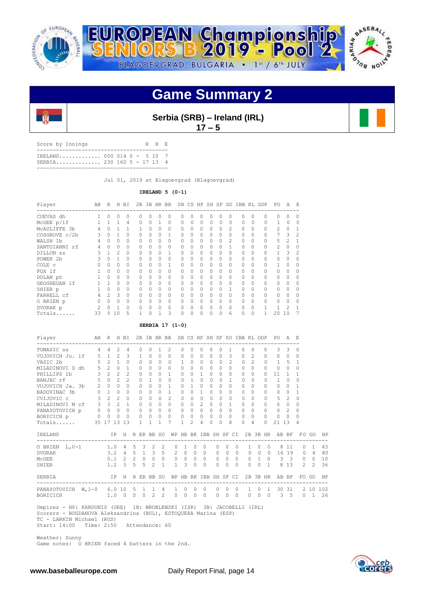





**Serbia (SRB) – Ireland (IRL) 17 – 5** 

| Score by Innings                                         |  |  | R H E |  |
|----------------------------------------------------------|--|--|-------|--|
| IRELAND 000 014 0 - 5 10 7<br>SERBIA 230 160 5 - 17 13 4 |  |  |       |  |
|                                                          |  |  |       |  |

Jul 01, 2019 at Blagoevgrad (Blagoevgrad)

**IRELAND 5 (0-1)**

| Player        | AB             | $\mathbb{R}$   | H              | BI       | 2B           |          | 3B HR BB |              |                 |          |          |          |          |                | SB CS HP SH SF SO IBB KL GDP |          |          | PO             | Α              | F.             |
|---------------|----------------|----------------|----------------|----------|--------------|----------|----------|--------------|-----------------|----------|----------|----------|----------|----------------|------------------------------|----------|----------|----------------|----------------|----------------|
| CUEVAS dh     | 1              | $\Omega$       | $\Omega$       | $\Omega$ | 0            | $\Omega$ | 0        | 0            | 0               | 0        | $\Omega$ | 0        | 0        | 0              | $\Omega$                     | $\Omega$ | $\Omega$ | $\Omega$       | $\Omega$       | Ω              |
| McGEE p/lf    | 1              | $\mathbf{1}$   | $\overline{1}$ | 4        | 0            | $\circ$  | 1        | 0            | 0               | 0        | $\circ$  | 0        | 0        | 0              | $\Omega$                     | $\Omega$ | $\Omega$ | 1              | $\Omega$       | $\Omega$       |
| MCAULIFFE 3b  | $\overline{4}$ | $\Omega$       | $\mathbf{1}$   | 1        | $\mathbf{1}$ | $\Omega$ | $\Omega$ | 0            | $\circ$         | $\Omega$ | $\circ$  | $\Omega$ | $\Omega$ | $\mathfrak{D}$ | $\Omega$                     | $\Omega$ | $\Omega$ | $\mathfrak{D}$ | $\Omega$       |                |
| COSGROVE c/2b | 3              | $\Omega$       | $\mathbf{1}$   | $\Omega$ | $\Omega$     | $\Omega$ | $\Omega$ | 1            | $\Omega$        | $\Omega$ | $\Omega$ | $\Omega$ | 0        | $\Omega$       | $\Omega$                     | $\Omega$ | $\Omega$ | 7              | 3              | $\mathfrak{D}$ |
| WALSH 1b      | 4              | $\bigcap$      | $\Omega$       | 0        | 0            | 0        | $\circ$  | 0            | 0               | 0        | $\circ$  | 0        | 0        | $\mathfrak{D}$ | $\circ$                      | $\Omega$ | 0        | 5              | $\mathfrak{D}$ |                |
| SANTOIANNI rf | 4              | $\Omega$       | $\Omega$       | $\Omega$ | 0            | $\Omega$ | $\Omega$ | $\Omega$     | $\Omega$        | 0        | $\Omega$ | $\Omega$ | $\Omega$ | 1              | $\Omega$                     | $\Omega$ | $\Omega$ | $\overline{c}$ | $\Omega$       |                |
| DILLON SS     | 3              | $\mathbf{1}$   | $\mathfrak{D}$ | $\Omega$ | 0            | $\Omega$ | $\Omega$ | $\mathbf{1}$ | $\Omega$        | $\Omega$ | $\Omega$ | $\Omega$ | 0        | $\Omega$       | $\Omega$                     | $\Omega$ | $\Omega$ | $\mathbf{1}$   | 3              | 2              |
| POWER 2b      | 3              | $\cap$         | $\mathbf{1}$   | $\Omega$ | 0            | $\Omega$ | $\Omega$ | 0            | $\Omega$        | $\Omega$ | $\Omega$ | $\Omega$ | 0        | $\Omega$       | $\Omega$                     | $\Omega$ | $\Omega$ | $\Omega$       | 0              |                |
| COLE C        | $\Omega$       | $\cap$         | $\Omega$       | $\Omega$ | $\Omega$     | $\Omega$ | $\Omega$ | $\mathbf{1}$ | $\Omega$        | $\Omega$ | $\Omega$ | $\Omega$ | 0        | $\Omega$       | $\circ$                      | $\Omega$ | $\Omega$ | $\mathbf{1}$   | $\Omega$       |                |
| FOX lf        | 1              | $\Omega$       | $\Omega$       | 0        | 0            | 0        | 0        | 0            | 0               | 0        | $\circ$  | $\circ$  | 0        | 0              | 0                            | $\Omega$ | 0        | $\circ$        | 0              |                |
| DOLAN ph      | $\mathbf{1}$   | $\Omega$       | $\Omega$       | $\Omega$ | 0            | $\Omega$ | $\Omega$ | 0            | $\Omega$        | $\Omega$ | $\Omega$ | $\Omega$ | 0        | $\Omega$       | $\Omega$                     | $\Omega$ | $\Omega$ | $\Omega$       | 0              |                |
| GEOGHEGAN 1f  | 1              | $\mathbf{1}$   | $\Omega$       | $\Omega$ | 0            | $\Omega$ | $\Omega$ | 0            | $\Omega$        | $\Omega$ | $\Omega$ | $\Omega$ | 0        | $\Omega$       | $\Omega$                     | $\Omega$ | $\Omega$ | $\Omega$       | 0              |                |
| SHIER p       | 1              | $\Omega$       | $\circ$        | 0        | 0            | $\Omega$ | $\Omega$ | 0            | $\Omega$        | 0        | $\Omega$ | $\Omega$ | 0        | 1              | 0                            |          | $\circ$  | $\circ$        | 0              |                |
| FARRELL cf    | 4              | $\mathfrak{D}$ | 3              | $\Omega$ | $\Omega$     | $\Omega$ | $\Omega$ | 0            | $\Omega$        | $\Omega$ | $\Omega$ | $\Omega$ | 0        | $\Omega$       | $\Omega$                     | $\Omega$ | $\Omega$ | $\Omega$       | $\Omega$       |                |
| O BRIEN p     | 0              | $\Omega$       | $\Omega$       | 0        | 0            | $\Omega$ | $\Omega$ | 0            | $\Omega$        | 0        | $\circ$  | $\circ$  | 0        | 0              | $\Omega$                     | $\Omega$ | $\Omega$ | $\Omega$       | $\Omega$       | Ω              |
| DVORAK p      | $\overline{c}$ | $\Omega$       | $\overline{1}$ | $\circ$  | 0            | $\circ$  | $\circ$  | 0            | 0               | 0        | $\circ$  | $\circ$  | 0        | 0              | $\circ$                      | $\Omega$ | 1        | 1              | $\mathcal{L}$  |                |
| Totals        | 33             | 5              | 10             | 5        | 1.           | $\Omega$ | 1        | 3            | 0               | O        | $\Omega$ | U        | O        | 6              | $\Omega$                     | $\Omega$ | 1        | 20             | 10             |                |
|               |                |                |                |          |              |          |          |              | SERBIA 17 (1-0) |          |          |          |          |                |                              |          |          |                |                |                |
| Player        | AB             | R              | Н              | BI       | 2B           |          | 3B HR BB |              | SB              | CS HP    |          | SH SF    |          |                | SO IBB                       | KL       | GDP      | PO.            | Α              | E              |

| - - - - - -                   |                |                |                |                         |               |                         |                     |                |                | - 95 99 111 911 91    |               |               |           |          |                |               |                |              |                |                |                |             |                |           |
|-------------------------------|----------------|----------------|----------------|-------------------------|---------------|-------------------------|---------------------|----------------|----------------|-----------------------|---------------|---------------|-----------|----------|----------------|---------------|----------------|--------------|----------------|----------------|----------------|-------------|----------------|-----------|
| TOMASIC ss                    | $\overline{4}$ | $\overline{4}$ | $\mathfrak{D}$ | 4                       |               | $\Omega$                | 0                   | 1              | $\mathcal{L}$  | $\Omega$              | $\Omega$      | 0             | $\Omega$  | $\cap$   | 1.             | $\Omega$      | $\Omega$       |              | 0              | 3              | $\mathcal{L}$  | 0           |                |           |
| VUJOVICH Jo. lf               | 5              | 1              | $\overline{c}$ | 3                       |               | 1                       | $\Omega$            | $\Omega$       | $\Omega$       | $\Omega$              | $\Omega$      | 0             | $\Omega$  | $\Omega$ | 3              | $\Omega$      | 2              |              | $\Omega$       | $\Omega$       | $\Omega$       | $\Omega$    |                |           |
| VASIC 2b                      | 5              | $2^{1}$        | $\mathbf{1}$   | $\Omega$                |               | $\Omega$                | $\Omega$            | $\Omega$       | $\Omega$       | $\mathbf{1}$          | $\Omega$      | $\Omega$      | $\Omega$  | $\Omega$ | $\mathfrak{D}$ | $\Omega$      | $\mathfrak{D}$ |              | $\Omega$       | $\mathbf{1}$   | 5              | 1           |                |           |
| MILADINOVI S dh               | 5              | $2^{1}$        | $\Omega$       | $\mathbf{1}$            |               | $\Omega$                | $\Omega$            | $\Omega$       | $\Omega$       | $\Omega$              | $\Omega$      | $\Omega$      | $\Omega$  | $\Omega$ | $\Omega$       | $\Omega$      | $\bigcap$      |              | $\Omega$       | $\Omega$       | $\Omega$       | 0           |                |           |
| PHILLIPS 1b                   | $\mathbf{3}$   | 2              | $\mathfrak{D}$ | 2                       |               | $\Omega$                | $\Omega$            | $\Omega$       | 1.             | $\Omega$              | $\Omega$      | 1.            | $\cap$    | $\Omega$ | 0              | $\Omega$      | $\Omega$       |              | 0              | 11             |                | 1           |                |           |
| BANJAC rf                     | $5^{\circ}$    | $\Omega$       | $2^{1}$        | $\mathfrak{D}$          |               | $\Omega$                | $\mathbf{1}$        | $\cap$         | $\Omega$       | $\Omega$              | $\mathbf{1}$  | $\Omega$      | $\Omega$  | $\Omega$ | 1              | $\bigcap$     | $\cap$         |              | O.             | $\mathbf{1}$   | $\bigcap$      | $\cap$      |                |           |
| VUJOVICH Ja. 3b               | $2^{1}$        | $\Omega$       | $\Omega$       | $\Omega$                |               | $\cap$                  | $\Omega$            | $\Omega$       | 1.             | $\Omega$              | 1             | 0             | $\cap$    | $\cap$   | $\Omega$       | $\Omega$      | $\Omega$       |              | U              | $\Omega$       | $\Omega$       | 1           |                |           |
| BADOVINAC 3b                  |                | $0\quad1$      | $\Omega$       | $\Omega$                |               | $\Omega$                | $\Omega$            | $\Omega$       | 1              | $\Omega$              | $\bigcap$     | 1             | $\cap$    | $\Omega$ | $\Omega$       | $\Omega$      | $\Omega$       |              | $\cap$         | $\Omega$       | $\bigcap$      | 1           |                |           |
| CVIJOVIC c                    | 3              | 2              | 2              | $\Omega$                |               | $\Omega$                | $\Omega$            | $\bigcap$      | $\mathcal{D}$  | $\Omega$              | $\Omega$      | $\Omega$      | $\Omega$  | $\cap$   | $\Omega$       | $\Omega$      | $\Omega$       |              | $\Omega$       | 5              | $\mathfrak{D}$ | $\Omega$    |                |           |
| MILADINOVI M cf               | $\mathbf{3}$   | $\mathbf{3}$   | $\mathcal{L}$  | $\overline{1}$          |               | $\Omega$                | $\Omega$            | $\Omega$       | $\Omega$       | $\Omega$              | $\Omega$      | $\mathcal{L}$ | $\Omega$  | $\Omega$ | 1              | $\Omega$      | $\Omega$       |              | $\cap$         | $\Omega$       | $\Omega$       | 0           |                |           |
| PANAYOTOVICH p                |                | $0\qquad 0$    | $\overline{0}$ | $\Omega$                |               | 0                       | 0                   | $\Omega$       | $\Omega$       | 0                     | $\Omega$      | $\Omega$      | $\Omega$  | $\Omega$ | $\Omega$       | $\Omega$      | $\Omega$       |              | $\Omega$       | $\Omega$       | $\mathcal{L}$  | 0           |                |           |
| BORICICH p                    | 0              | $\circ$        | 0              | $\Omega$                |               | $\Omega$                | $\Omega$            | $\Omega$       | $\Omega$       | 0                     | $\Omega$      | $\Omega$      | $\bigcap$ | $\Omega$ | $\Omega$       | $\Omega$      | $\Omega$       |              | $\cap$         | $\Omega$       | $\Omega$       | 0           |                |           |
| Totals                        |                | 35 17 13 13    |                |                         |               | $\mathbf{1}$            | 1                   |                | 7              | 1                     | $\mathcal{L}$ | 4             | $\Omega$  | $\Omega$ | 8              | $\Omega$      | 4              |              | $\cap$         | 21             | 13             | 4           |                |           |
| IRELAND                       |                |                | IP H           |                         |               |                         | R ER BB SO          |                |                | WP HB BK IBB SH SF CI |               |               |           |          |                |               |                |              |                | 2B 3B HR AB BF |                | $_{\rm FO}$ | GO             | NF        |
| $O$ BRIEN $L$ , $0-1$         |                | 1.0            |                | $4\overline{4}$         | 5             | $\overline{\mathbf{3}}$ | $\overline{2}$      | $\mathfrak{D}$ | $\Omega$       |                       | $\Omega$      | $\Omega$      |           | $\Omega$ | $\Omega$       | $\Omega$      | $\mathbf{1}$   | $\Omega$     | $\bigcap$      | 8              | 11             | $\Omega$    | 1              | 43        |
| <b>DVORAK</b>                 |                | 3.2            |                | $\overline{4}$          | 5             |                         | $1 \quad 3 \quad 5$ |                | $\overline{2}$ | $\circ$               | $\Omega$      | $\circ$       |           | $\circ$  | 0              | $\circ$       | $\circ$        | $\circ$      | $\Omega$       | 16             | 19             | $\circ$     | $\overline{4}$ | 80        |
| MCGEE                         |                |                | 0.1            | $\overline{2}$          | $\mathcal{L}$ | $\Omega$                | $\circ$             | $\Omega$       | $\Omega$       | $\circ$               | $\Omega$      | $\Omega$      |           | $\Omega$ | $\Omega$       | $\Omega$      | $\Omega$       | $\mathbf{1}$ | $\bigcirc$     |                | 3 <sup>3</sup> | $\circ$     | $\Omega$       | 10        |
| SHIER                         |                |                | $1.2 \quad 3$  |                         | 5             | 5                       | 2                   | $\mathbf{1}$   | $\mathbf{1}$   | 3                     | $\Omega$      | $\Omega$      |           | $\Omega$ | $\Omega$       | $\Omega$      | $\Omega$       | $\Omega$     | $\mathbf{1}$   | 8              | 13             | $2^{\circ}$ | $\mathcal{L}$  | 36        |
| SERBIA                        |                |                | TP.            | $_{\rm H}$<br>--------- |               |                         | R ER BB SO          |                |                | WP HB BK IBB SH SF CI |               |               |           |          |                | ------------- |                |              | 2B 3B HR       |                | AB BF          |             | FO GO          | <b>NP</b> |
| PANAYOTOVICH<br>W, 1-0 6.0 10 |                |                |                |                         | 5             | $\mathbf{1}$            | $\overline{1}$      | 4              | $\mathbf{1}$   | $\Omega$              | $\Omega$      | $\cap$        |           | 0        | <sup>0</sup>   | $\Omega$      | $\mathbf{1}$   | $\Omega$     | $\overline{1}$ | 30             | 31             |             | 2.10           | 102       |
| BORICICH                      |                |                | 1.0            | $\overline{0}$          | 0             | $\circ$                 | 2                   | $\overline{c}$ | 0              | $\mathbf 0$           | $\Omega$      | $\Omega$      |           | 0        | $\Omega$       | $\Omega$      | 0              | 0            | $\Omega$       | 3              | 5              | $\Omega$    | $\mathbf{1}$   | 26        |

 Umpires - HP: KAROUNIS (GRE) 1B: WROBLEWSKI (ISR) 3B: JACOBELLI (IRL) Scorers - BOGDANOVA Aleksandrina (BUL), ESTOQUERA Marina (ESP) TC - LARKIN Michael (RUS) Start: 14:00 Time: 2:50 Attendance: 60

 Weather: Sunny Game notes: O BRIEN faced 4 batters in the 2nd.

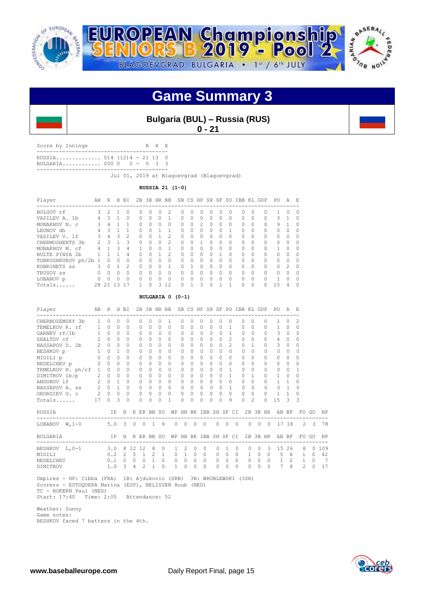



# **Bulgaria (BUL) – Russia (RUS) 0 - 21**

Score by Innings R H E ----------------------------------------- RUSSIA.............. 014 (12)4 - 21 13 0

BULGARIA............ 000 0 0 - 0 3 3 -----------------------------------------

Jul 01, 2019 at Blagoevgrad (Blagoevgrad)

**RUSSIA 21 (1-0)**

| Player               | AB            | R             |        | H BI          |          |          |          | 2B 3B HR BB    |           |              |                |              |              |              | SB CS HP SH SF SO IBB KL GDP |          |          | PO.          | A             | E.           |
|----------------------|---------------|---------------|--------|---------------|----------|----------|----------|----------------|-----------|--------------|----------------|--------------|--------------|--------------|------------------------------|----------|----------|--------------|---------------|--------------|
| BOLGOV rf            | 3             | $\mathcal{P}$ |        | $\Omega$      | O.       | 0        | $\Omega$ | $\mathfrak{D}$ | $\bigcap$ | 0            | O              | $\Omega$     | 0            | <sup>0</sup> | $\Omega$                     | 0        | $\Omega$ | 1.           | <sup>0</sup>  | $\Omega$     |
| VASILEV A. 1b        |               | ς             |        | $\Omega$      | $\Omega$ | O        | $\Omega$ |                | $\Omega$  | 0            | 0              | $\Omega$     | 0            | $\Omega$     | $\Omega$                     | $\Omega$ | $\Omega$ | 3            |               | 0            |
| MONAKHOV N. C        | Κ             | 4             |        |               | $\Omega$ | O        | $\Omega$ | $\Omega$       | $\Omega$  | 0            | $\mathfrak{D}$ | $\bigcap$    | <sup>0</sup> | O            | $\Omega$                     | O        | $\cap$   | 9            |               | ∩            |
| LEONOV dh            |               | २             |        |               | $\Omega$ | O        |          |                | $\Omega$  | Ω            | 0              | $\Omega$     | 0            |              | $\Omega$                     | $\Omega$ | $\Omega$ | $\Omega$     |               |              |
| VASILEV V. 1f        | 3             | 4             | 3      | $\mathcal{P}$ | $\Omega$ | O        |          | $\mathfrak{D}$ | $\Omega$  | 0            | $\Omega$       | $\bigcap$    | <sup>0</sup> | O            | $\Omega$                     | 0        | $\Omega$ | 0            | $\Omega$      | <sup>0</sup> |
| CHERMOSHENTS 3b      | $\mathcal{P}$ | २             |        | $\mathcal{R}$ | $\Omega$ | $\Omega$ | $\Omega$ | $\mathfrak{D}$ | $\Omega$  | 0            |                | $\Omega$     | $\Omega$     | $\Omega$     | $\Omega$                     | $\Omega$ | $\Omega$ | $\Omega$     | <sup>n</sup>  | $\Omega$     |
| MONAKHOV M.<br>.c.f  | 4             |               | 3      | 4             |          | U        | $\Omega$ |                | $\Omega$  | $\Omega$     | $\Omega$       | $\bigcap$    | <sup>0</sup> | 0            | $\Omega$                     | $\Omega$ | $\cap$   |              | $\cap$        | $\Omega$     |
| BULTE PINYA 2b       |               |               |        | 4             | $\Omega$ | O        |          | 2              | $\Omega$  | $\Omega$     | $\Omega$       | $\bigcap$    |              | $\Omega$     | $\Omega$                     | $\Omega$ | $\cap$   | $\Omega$     | $\cap$        | $\Omega$     |
| TONKOSHKUROV ph/2b 1 |               | O             | Ω      | $\Omega$      | $\Omega$ | O        | $\Omega$ | $\Omega$       | $\Omega$  | 0            | 0              | $\Omega$     | <sup>0</sup> | O            | $\Omega$                     | $\Omega$ | $\Omega$ | $\Omega$     | $\Omega$      | ∩            |
| KOBRINETS SS         | Κ             | $\Omega$      |        | $\mathcal{P}$ | $\Omega$ | U        | $\cap$   | 1              | $\cap$    | 1            | $\Omega$       | $\bigcap$    | $\cap$       | $\Omega$     | $\Omega$                     | $\Omega$ | $\cap$   | $\Omega$     | $\mathcal{P}$ | $\cap$       |
| TRUSOV SS            | $\Omega$      | $\Omega$      | 0      | $\Omega$      | $\Omega$ | O        | $\Omega$ | $\Omega$       | $\Omega$  | 0            | 0              | $\Omega$     | 0            | 0            | $\Omega$                     | $\Omega$ | $\Omega$ | $\Omega$     | Λ             | $\Omega$     |
| LOBANOV p            | $\Omega$      | $\Omega$      | $\cap$ | $\Omega$      | $\cap$   | U        | $\Omega$ | $\Omega$       | $\Omega$  | <sup>n</sup> | 0              | $\bigcap$    | ∩            | $\Omega$     | $\Omega$                     | $\Omega$ | $\cap$   | $\mathbf{1}$ | ∩             | $\cap$       |
| Totals               | 28            | $-2.1$        | ς      |               |          | Λ        | 3        | 12             | $\Omega$  |              | 3              | <sup>0</sup> |              |              | 0                            | $\Omega$ | O.       | 15           | 4             | ∩            |

## **BULGARIA 0 (0-1)**

| Player                               | AB R           |             |              | H BI                    |         |               |                 |                | 2B 3B HR BB                          |                             |           |          |              |           |                |            |           | SB CS HP SH SF SO IBB KL GDP |                |   | PO.            | A              | F.            |             |     |
|--------------------------------------|----------------|-------------|--------------|-------------------------|---------|---------------|-----------------|----------------|--------------------------------------|-----------------------------|-----------|----------|--------------|-----------|----------------|------------|-----------|------------------------------|----------------|---|----------------|----------------|---------------|-------------|-----|
| CHERNOZEMSKY 3b                      | $\mathbf{1}$   | $\Omega$    | $\Omega$     | $\Omega$                |         | 0             | 0               | $\Omega$       | 1.                                   | 0                           | $\Omega$  | 0        | 0            |           | 0              |            | $\Omega$  | $\Omega$                     | 0              |   | 1              | $\Omega$       | 2             |             |     |
| TEMELKOV K. rf 1                     |                | $\Omega$    | $\Omega$     | $\Omega$                |         | $\bigcap$     | $\bigcap$       | $\Omega$       | $\Omega$                             | $\Omega$                    | $\Omega$  | $\Omega$ | $\bigcap$    | $\cap$    | 1              |            | $\Omega$  | $\cap$                       | $\Omega$       |   | $\mathbf{1}$   | $\Omega$       | $\Omega$      |             |     |
| GARNEV rf/1b                         | 1              | $\Omega$    | $\Omega$     | $\Omega$                |         | $\Omega$      | $\Omega$        | $\bigcap$      | $\cap$                               | $\Omega$                    | $\cap$    | $\Omega$ | $\cap$       | $\Omega$  | 1              |            | $\Omega$  | $\cap$                       | $\Omega$       |   | 3              | $\Omega$       | $\Omega$      |             |     |
| ZHALTOV cf                           | $\overline{2}$ | $\Omega$    | $\Omega$     | $\Omega$                |         | $\Omega$      | $\Omega$        | $\Omega$       | $\bigcap$                            | $\Omega$                    | $\bigcap$ | $\Omega$ | $\Omega$     | $\Omega$  | $\mathcal{L}$  |            | $\Omega$  | $\Omega$                     | $\Omega$       |   | $\overline{4}$ | $\Omega$       | $\Omega$      |             |     |
| NASSAPOV D. 2b 2                     |                | $\Omega$    | $\Omega$     | $\Omega$                |         | $\Omega$      | 0               | $\Omega$       | $\Omega$                             | 0                           | $\bigcap$ | $\Omega$ | $\bigcap$    | $\bigcap$ | $\mathfrak{D}$ |            | $\Omega$  | $\mathbf{1}$                 | $\bigcap$      |   | 3              | $\Omega$       | 0             |             |     |
| BESHKOV p                            | $1$ $\,$       | $\Omega$    | 1            | <sup>0</sup>            |         | $\Omega$      | $\Omega$        | $\bigcap$      | $\cap$                               | $\Omega$                    | $\cap$    | $\Omega$ | $\cap$       | $\Omega$  | $\cap$         |            | $\Omega$  | $\cap$                       | $\cap$         |   | $\bigcap$      | $\bigcap$      | $\cap$        |             |     |
| MIDILI p                             |                | $0\quad 0$  | $\Omega$     | $\Omega$                |         | $\Omega$      | $\Omega$        | $\Omega$       | $\cap$                               | $\Omega$                    | $\Omega$  | $\Omega$ | $\cap$       | $\bigcap$ | $\Omega$       |            | $\Omega$  | $\Omega$                     | 0              |   | $\Omega$       | $\Omega$       | 0             |             |     |
| NEDELCHEV p                          | $\circ$        | $\Omega$    | $\Omega$     | $\Omega$                |         | 0             | $\Omega$        | $\Omega$       | 0                                    | $\Omega$                    | $\Omega$  | $\Omega$ | <sup>0</sup> | $\Omega$  | 0              |            | $\Omega$  | $\bigcap$                    | <sup>n</sup>   |   | $\Omega$       | $\Omega$       | 0             |             |     |
| TEMELKOV H. ph/rf                    | $\overline{1}$ | $\Omega$    | $\Omega$     | $\Omega$                |         | $\Omega$      | $\Omega$        | $\bigcap$      | $\cap$                               | $\Omega$                    | $\cap$    | $\Omega$ | $\cap$       | $\cap$    | 1              |            | $\cap$    | $\cap$                       | 0              |   | $\bigcap$      | $\Omega$       | 1             |             |     |
| DIMITROV 1b/p                        | $\overline{2}$ | $\Omega$    | $\Omega$     | $\Omega$                |         | $\Omega$      | $\bigcap$       | $\Omega$       | $\cap$                               | $\Omega$                    | $\cap$    | $\Omega$ | $\bigcap$    | $\Omega$  | 1              |            | $\Omega$  | 1                            | $\cap$         |   | $\mathbf{1}$   | $\Omega$       | 0             |             |     |
| ANDONOV 1f                           | $\mathbf{2}$   | $\Omega$    | $\mathbf{1}$ | $\Omega$                |         | $\Omega$      | $\Omega$        | $\Omega$       | $\Omega$                             | $\Omega$                    | $\Omega$  | $\Omega$ | $\Omega$     | $\Omega$  | $\Omega$       |            | $\Omega$  | $\Omega$                     | $\Omega$       |   | $\mathbf{1}$   |                | 0             |             |     |
| NASSAPOV A. ss                       | $2\quad 0$     |             | $\mathbf{1}$ | $\Omega$                |         | $\Omega$      | $\Omega$        | $\Omega$       | $\cap$                               | 0                           | $\Omega$  | $\Omega$ | $\Omega$     | $\Omega$  | $\mathbf{1}$   |            | $\bigcap$ | $\bigcap$                    | $\cap$         |   | $\Omega$       | $\overline{1}$ | $\Omega$      |             |     |
| GEORGIEV G. c 2 0 0                  |                |             |              | $\Omega$                |         | $\circ$       | $\circ$         | $\Omega$       | $\Omega$                             | 0                           | $\Omega$  | 0        | $\Omega$     | $\Omega$  | $\Omega$       |            | $\Omega$  | $\bigcap$                    | $\Omega$       |   | 1              | $\mathbf{1}$   | 0             |             |     |
| Totals                               | 17             | $\Omega$    | 3            | $\Omega$                |         | $\Omega$      | O               | $\Omega$       | 1                                    | 0                           | $\Omega$  | U        | $\Omega$     | $\cap$    | 9              |            | $\cap$    | $\mathfrak{D}$               | $\Omega$       |   | 15             | 3              | 3             |             |     |
| RUSSIA                               |                |             | IP           |                         |         |               | H R ER BB SO    |                | WP HB BK IBB SH SF CI                |                             |           |          |              |           |                |            |           | 2B 3B HR AB BF               |                |   |                |                |               | FO GO       | NP  |
| ----------------<br>LOBANOV $W, 1-0$ |                |             |              |                         |         |               | 5.0 3 0 0 1 9   |                |                                      | $0 \quad 0 \quad 0 \quad 0$ |           |          |              |           | $0 \quad 0$    | $\bigcirc$ |           | $\Omega$                     | $0\quad 0$     |   | 17 18          |                |               | $2 \quad 3$ | 78  |
| BULGARIA                             |                |             |              |                         |         |               | IP H R ER BB SO |                | WP HB BK IBB SH SF CI 2B 3B HR AB BF |                             |           |          |              |           |                |            |           |                              |                |   |                |                |               | FO GO       | NP  |
| BESHKOV L, 0-1                       |                | 3.0 8 12 12 |              |                         |         |               | 8 <sup>8</sup>  | $\circ$        | $\mathbf{1}$                         | 2                           | $\Omega$  |          | $\Omega$     | $\Omega$  | 1              | $\Omega$   |           | $\Omega$<br>$\Omega$         |                | 3 | 15             | 26             | 8             | $\Omega$    | 109 |
| MTDTT.T                              |                |             |              |                         |         |               | $0.2$ 2 5 1 2   | $\overline{1}$ | $\Omega$                             | $\mathbf{1}$                | $\Omega$  | $\Omega$ |              | $\Omega$  | $\Omega$       | $\Omega$   |           | $\circ$<br>$\mathbf{1}$      | $\bigcirc$     |   | 5              | 8              | $\mathbf{1}$  | $\Omega$    | 42  |
| NEDELCHEV                            |                |             |              | $0.1 \quad 0$           | $\circ$ | $\mathbf{0}$  | $\mathbf{1}$    | $\Omega$       | $\circ$                              | $\circ$                     | $\circ$   | $\Omega$ |              | $\circ$   | $\circ$        | $\circ$    |           | $\circ$<br>$\circ$           | $\overline{0}$ |   | 1              | 2              | $\mathbf{1}$  | $\Omega$    | 7   |
| DIMITROV                             |                | 1.0         |              | $\overline{\mathbf{3}}$ | 4       | $\mathcal{L}$ | -1              | $\cap$         | 1                                    | 0                           | $\cap$    |          | $\Omega$     | $\Omega$  | O              | 0          |           | 0<br>$\Omega$                |                | 0 | 7              | 8              | $\mathcal{L}$ | $\cap$      | 17  |
|                                      |                |             |              |                         |         |               |                 |                |                                      |                             |           |          |              |           |                |            |           |                              |                |   |                |                |               |             |     |

 Umpires - HP: Cibba (FRA) 1B: Ajdukovic (SRB) 3B: WROBLEWSKI (ISR) Scorers - ESTOQUERA Marina (ESP), NELISSEN Huub (NED) TC - BOKERN Paul (NED) Start: 17:40 Time: 2:05 Attendance: 52

 Weather: Sunny Game notes: BESHKOV faced 7 batters in the 4th.

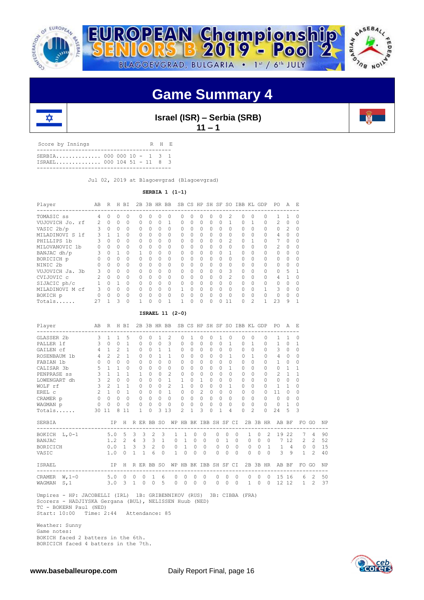





**Israel (ISR) – Serbia (SRB)**

 $11 - 1$ 

Score by Innings R H E ------------------------------------------ SERBIA.............. 000 000 10 - 1 3 1 ISRAEL.............. 000 104 51 - 11 8 3 ------------------------------------------

ᇍ

Jul 02, 2019 at Blagoevgrad (Blagoevgrad)

**SERBIA 1 (1-1)**

| Player          | AB             | R            | H        | BI       |   | 2B 3B HR BB |              |          |          |          |          |          |   |                | SB CS HP SH SF SO IBB KL |                   | GDP       | PO.            | A                 | F. |
|-----------------|----------------|--------------|----------|----------|---|-------------|--------------|----------|----------|----------|----------|----------|---|----------------|--------------------------|-------------------|-----------|----------------|-------------------|----|
| TOMASIC SS      | 4              |              | 0        | 0        | 0 | 0           | Ω            | 0        | Ω        |          |          | Ω        | 0 | 2              | 0                        |                   |           |                |                   |    |
| VUJOVICH Jo. rf | $\mathcal{L}$  | $\bigcap$    | $\Omega$ | $\Omega$ | 0 | $\Omega$    | <sup>0</sup> |          | $\Omega$ | 0        | $\Omega$ | 0        | 0 |                | $\Omega$                 |                   | $\Omega$  | $\mathcal{L}$  | $\Omega$          | O  |
| VASIC 2b/p      | Κ              | $\cap$       | $\Omega$ | $\Omega$ | 0 | $\Omega$    | <sup>0</sup> | $\Omega$ | 0        | 0        | $\Omega$ | 0        | 0 | $\Omega$       | $\Omega$                 | $\Omega$          | $\bigcap$ | $\Omega$       | $\mathcal{D}_{1}$ | O  |
| MILADINOVI S 1f | 3.             |              |          | $\Omega$ | 0 | $\Omega$    | $\Omega$     | $\Omega$ | $\Omega$ | $\Omega$ | $\Omega$ | 0        | 0 | $\Omega$       | $\Omega$                 |                   | $\Omega$  | 4              | $\Omega$          |    |
| PHILLIPS 1b     |                | $\Omega$     | $\Omega$ | $\Omega$ | 0 | $\cap$      | $\Omega$     | $\Omega$ | $\Omega$ | O        | $\Omega$ | 0        | 0 | $\mathfrak{D}$ | $\Omega$                 |                   | $\Omega$  |                | $\Omega$          |    |
| MILOVANOVIC 1b  | 0              | $\cap$       | 0        | $\Omega$ | 0 | $\Omega$    | $\Omega$     | $\Omega$ | $\Omega$ | 0        | $\Omega$ | 0        | 0 | $\Omega$       | $\Omega$                 |                   | $\Omega$  | $\mathfrak{D}$ | $\Omega$          |    |
| BANJAC dh/p     | 3              | $\cap$       |          | $\Omega$ |   | $\Omega$    | <sup>0</sup> | $\Omega$ | $\Omega$ | 0        | $\Omega$ | $\Omega$ | 0 |                | $\Omega$                 | $\Omega$          | $\cap$    | $\bigcap$      | $\Omega$          |    |
| BORICICH p      |                | $\Omega$     | 0        | $\Omega$ | 0 | $\bigcap$   | $\Omega$     | $\Omega$ | $\cap$   | 0        | $\Omega$ | $\Omega$ | 0 | $\Omega$       | $\Omega$                 | $\cap$            | $\Omega$  | $\Omega$       | $\Omega$          |    |
| NINIC 2b        |                | <sup>0</sup> | $\Omega$ | $\Omega$ | 0 | $\bigcap$   | $\Omega$     | $\Omega$ | $\Omega$ | $\Omega$ | $\Omega$ | $\Omega$ | 0 | $\Omega$       | $\Omega$                 | $\Omega$          | $\Omega$  | $\Omega$       | $\Omega$          |    |
| VUJOVICH Ja. 3b | 3              | $\Omega$     | $\Omega$ | $\Omega$ | 0 | $\Omega$    | $\Omega$     | $\Omega$ | $\Omega$ | 0        | $\Omega$ | 0        | 0 | $\mathcal{L}$  | $\Omega$                 |                   | $\Omega$  | $\Omega$       | 5                 |    |
| CVIJOVIC c      | $\mathfrak{D}$ | $\bigcap$    | $\Omega$ | $\Omega$ | 0 | $\Omega$    | $\Omega$     | $\Omega$ | $\Omega$ | 0        | $\Omega$ | 0        | 0 | $\mathfrak{D}$ | $\Omega$                 |                   | $\Omega$  | 4              |                   |    |
| SIJACIC ph/c    |                | $\cap$       |          | $\Omega$ | 0 | $\bigcap$   | $\Omega$     | $\Omega$ | $\Omega$ | Ω        | $\Omega$ | $\Omega$ | 0 | $\Omega$       | $\Omega$                 | $\cap$            | $\cap$    | $\cap$         | Ω                 |    |
| MILADINOVI M cf | ζ              | $\cap$       | $\Omega$ | $\Omega$ | 0 | $\cap$      | $\Omega$     | $\Omega$ |          |          | $\Omega$ | $\Omega$ | 0 | $\Omega$       | $\Omega$                 | <sup>0</sup>      | 1         | Κ              | $\Omega$          |    |
| BOKICH p        |                |              | O        | $\Omega$ | O | $\cap$      | $\Omega$     | $\Omega$ | ∩        | O        | $\cap$   | U        | U | $\Omega$       | $\Omega$                 |                   | $\cap$    | $\bigcap$      | $\Omega$          |    |
| Totals          | 27             |              | 3        | $\Omega$ |   | $\circ$     | 0            |          |          | 0        | $\Omega$ | 0        | 0 | 11             | $\Omega$                 | $\mathcal{D}_{1}$ |           | 23             | 9                 |    |

### **ISRAEL 11 (2-0)**

| Player                        |                | AB R H BI      |                |                       |              |              |                     |              | 2B 3B HR BB               |                                |              |                |           |          |                |                   |           | SB CS HP SH SF SO IBB KL GDP |            | PO.                                                  |     | A F.           |              |                |    |
|-------------------------------|----------------|----------------|----------------|-----------------------|--------------|--------------|---------------------|--------------|---------------------------|--------------------------------|--------------|----------------|-----------|----------|----------------|-------------------|-----------|------------------------------|------------|------------------------------------------------------|-----|----------------|--------------|----------------|----|
| GLASSER 2b                    | 3              | $\mathbf{1}$   | $\mathbf{1}$   | 5                     |              | $\Omega$     | $\Omega$            | 1            | 2                         | $\Omega$                       | $\mathbf{1}$ | $\circ$        | $\Omega$  |          | 1              | $\circ$           | $\Omega$  | $\Omega$                     | $\Omega$   | 1                                                    |     |                | 0            |                |    |
| PALLER 1f                     | 3              | $\Omega$       | $\Omega$       | $\mathbf{1}$          |              | $\Omega$     | $\Omega$            | $\Omega$     | $\mathcal{L}$             | $\Omega$                       | $\Omega$     | $\Omega$       | $\bigcap$ |          | $\Omega$       | $\overline{1}$    | $\Omega$  | $\overline{1}$               | $\Omega$   | $\mathbf{1}$                                         |     | $\circ$        | 1            |                |    |
| GAILEN cf                     | $\overline{4}$ | $\mathbf{1}$   | $\mathfrak{D}$ | $\mathbf{1}$          |              | 0            | $\Omega$            | $\mathbf{1}$ | $\mathbf{1}$              | 0                              | $\Omega$     | 0              | $\Omega$  | $\Omega$ |                | 0                 | $\Omega$  | $\Omega$                     | $\Omega$   | 3                                                    |     | $\circ$        | 0            |                |    |
| ROSENBAUM 1b                  | $4 -$          | $2^{\circ}$    | $2^{1}$        | $\mathbf{1}$          |              | $\Omega$     | $\Omega$            | $\mathbf{1}$ | $\mathbf{1}$              | $\Omega$                       | $\Omega$     | $\Omega$       | $\cap$    |          | $\Omega$       | 1                 | $\bigcap$ | $\mathbf{1}$                 | $\bigcap$  | 4                                                    |     | $\mathbf{0}$   | 0            |                |    |
| FABIAN 1b                     |                | $0 \quad 0$    | $\Omega$       | $\Omega$              |              | $\Omega$     | 0                   | $\Omega$     | $\Omega$                  | $\Omega$                       | $\Omega$     | $\Omega$       | $\bigcap$ |          | $\Omega$       | $\Omega$          | $\cap$    | $\Omega$                     | $\Omega$   | $\mathbf{1}$                                         |     | $\circ$        | $\Omega$     |                |    |
| CALISAR 3b                    | 5              | $\sim$ 1       | $\mathbf{1}$   | $\Omega$              |              | 0            | 0                   | $\Omega$     | $\Omega$                  | 0                              | $\Omega$     | $\Omega$       | $\Omega$  |          | $\Omega$       | $\mathbf{1}$      | $\Omega$  | $\Omega$                     | $\Omega$   | $\circ$                                              |     | <sup>1</sup>   | 1            |                |    |
| PENPRASE ss                   | $\mathbf{3}$   | $\overline{1}$ | $\mathbf{1}$   | $\mathbf{1}$          |              | 1            | $\Omega$            | $\Omega$     | 2                         | 0                              | $\Omega$     | $\circ$        | $\Omega$  |          | $\Omega$       | $\Omega$          | $\Omega$  | $\Omega$                     | $\Omega$   | 2                                                    |     | 1              | $\mathbf{1}$ |                |    |
| LOWENGART dh                  | $\mathsf 3$    | $\mathfrak{D}$ | $\Omega$       | $\Omega$              |              | $\Omega$     | 0                   | $\Omega$     | $\mathbf{1}$              | $\mathbf{1}$                   | $\Omega$     | $\mathbf{1}$   | $\Omega$  | $\Omega$ |                | $\Omega$          | $\Omega$  | $\Omega$                     | $\Omega$   | $\Omega$                                             |     | $\Omega$       | $\Omega$     |                |    |
| WOLF rf                       | $\mathcal{S}$  | 2 1            |                | $\overline{1}$        |              | $\Omega$     | $\Omega$            | $\cap$       | 2                         | $\mathbf{1}$                   | $\cap$       | $\circ$        | $\cap$    |          | $\Omega$       | $\overline{1}$    | $\bigcap$ | $\Omega$                     | $\Omega$   | $\mathbf{1}$                                         |     | $\overline{1}$ | 0            |                |    |
| EREL C                        |                | $2 \quad 1$    | $\circ$        | $\mathbf{1}$          |              | $\circ$      | 0                   | $\Omega$     | $\mathbf{1}$              | 0                              | $\Omega$     | $\overline{2}$ | $\Omega$  |          | $\circ$        | $\Omega$          | $\Omega$  | $\Omega$                     | $\Omega$   | 11                                                   |     | $\circ$        | $\Omega$     |                |    |
| CRAMER p                      |                | $0 \quad 0$    | $\Omega$       | $\Omega$              |              | $\Omega$     | $\Omega$            | $\Omega$     | $\Omega$                  | $\Omega$                       | $\Omega$     | $\Omega$       | $\Omega$  |          | $\Omega$       | $\Omega$          | $\Omega$  | $\Omega$                     | $\Omega$   | $\Omega$                                             |     | $\circ$        | $\Omega$     |                |    |
| WAGMAN p                      | $\circ$        | $\Omega$       | $\Omega$       | $\Omega$              |              | $\circ$      | $\Omega$            | $\Omega$     | $\Omega$                  | 0                              | $\Omega$     | $\circ$        | $\Omega$  |          | $\Omega$       | $\Omega$          | $\Omega$  | $\Omega$                     | $\Omega$   | $\circ$                                              | - 1 |                | $\Omega$     |                |    |
| Totals                        | 30 11          |                | 8              | 11                    |              | $\mathbf{1}$ | $\Omega$            | 3            | 13                        | $\mathfrak{D}$                 | $\mathbf{1}$ | 3              | $\Omega$  |          | 1              | 4                 | $\Omega$  | $\mathfrak{D}$               | $\Omega$   | 24                                                   |     | $\overline{5}$ | 3            |                |    |
| SERBIA                        |                |                |                |                       |              |              |                     |              |                           |                                |              |                |           |          |                |                   |           |                              |            | IP H R ER BB SO WP HB BK IBB SH SF CI 2B 3B HR AB BF |     |                |              | FO GO          | NP |
| BOKICH L, 0-1 5.0 5 3         |                |                |                |                       |              |              | $3 \quad 2 \quad 3$ |              |                           | $\mathbf{1}$<br>$\overline{1}$ | $\circ$      |                | $\circ$   | $\circ$  | $\circ$        | $\Omega$          |           | $\mathbf{1}$<br>$\circ$      |            | 19<br>2                                              |     | 22             | 7            | $\overline{4}$ | 90 |
| <b>BANJAC</b>                 |                |                |                | $1.2$ 2 4 3 3         |              |              |                     |              | $\overline{1}$<br>$\circ$ | $1$ $\,$                       | $\Omega$     |                | $\Omega$  | $\Omega$ | $\overline{1}$ | $\Omega$          |           | $\circ$                      | $0\quad 0$ |                                                      |     | 7 12           | 2            | $\mathcal{L}$  | 52 |
| BORICICH                      |                |                |                | $0.0 \t1 \t3 \t3 \t2$ |              |              |                     |              | $\circ$<br>$\circ$        | $\mathbf{1}$                   | $\Omega$     |                | $\Omega$  |          |                | $0\quad 0\quad 0$ |           | $\circ$                      | $0\quad1$  | $1 \quad 4$                                          |     |                | $\circ$      | $\circ$        | 15 |
| VASIC                         |                | 1.0            |                | $\circ$               | $\mathbf{1}$ |              | $1\quad 6$          | $\Omega$     |                           | 1<br>$\circ$                   | $\Omega$     |                | $\Omega$  | $\Omega$ | $\Omega$       | $\Omega$          |           | $\Omega$<br>$\Omega$         |            | $\Omega$                                             |     | 3 <sup>9</sup> | $\mathbf{1}$ | $\mathfrak{D}$ | 40 |
| ISRAEL                        |                |                |                |                       |              |              |                     |              |                           |                                |              |                |           |          |                |                   |           |                              |            | IP H R ER BB SO WP HB BK IBB SH SF CI 2B 3B HR AB BF |     |                |              | FO GO          | NP |
| CRAMER W, 1-0 5.0 0 0         |                |                |                |                       |              | $\circ$      | $\overline{1}$      |              | 6<br>$\Omega$             | $\Omega$                       | $\Omega$     |                | $\Omega$  | $\Omega$ | $\Omega$       | $\Omega$          |           | $\Omega$<br>$\Omega$         |            | $\Omega$                                             |     | 15 16          |              | 6 2            | 50 |
| S, 1<br>WAGMAN                | 3.0            |                |                | $3\quad1$             |              | $\Omega$     | $\bigcirc$          | 5            | $\Omega$                  | $\Omega$                       | $\Omega$     |                | $\Omega$  | $\Omega$ | $\Omega$       | $\Omega$          |           | $\mathbf{1}$<br>$\Omega$     |            | $\Omega$                                             |     |                | 12 12 1      | $2^{1}$        | 37 |
| Umpires - HP: JACOBELLI (IRL) |                |                |                |                       |              |              |                     |              | 1B: GRIBENNIKOV (RUS)     |                                |              |                |           |          |                | 3B: CIBBA (FRA)   |           |                              |            |                                                      |     |                |              |                |    |

 Scorers - HADJIYSKA Gergana (BUL), NELISSEN Huub (NED) TC - BOKERN Paul (NED) Start: 10:00 Time: 2:44 Attendance: 85

 Weather: Sunny Game notes: BOKICH faced 2 batters in the 6th. BORICICH faced 4 batters in the 7th.



**Little**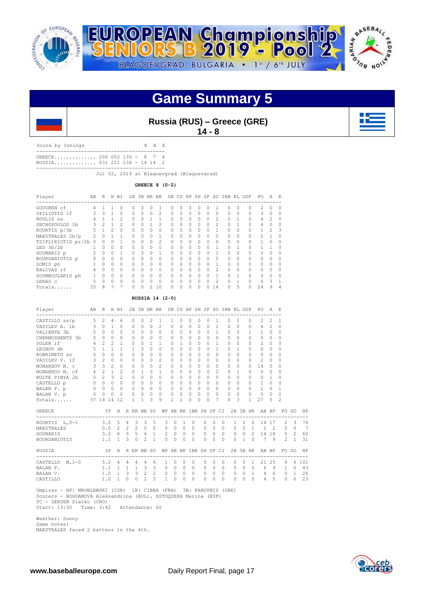

**Russia (RUS) – Greece (GRE)**

**14 - 8**

Score by Innings R H E ------------------------------------------- GREECE.............. 200 002 130 - 8 7 4 RUSSIA.............. 031 221 23X - 14 14 2 -------------------------------------------

Jul 02, 2019 at Blagoevgrad (Blagoevgrad)

**GREECE 8 (0-2)**

| Player               | AB | R        | H        | ВI       | 2B       |          | 3B HR BB |                | <b>SB</b> |          | CS HP SH SF |           |          | SO.            | IBB KL GDP |          |   | PO.            | А              | E.        |
|----------------------|----|----------|----------|----------|----------|----------|----------|----------------|-----------|----------|-------------|-----------|----------|----------------|------------|----------|---|----------------|----------------|-----------|
| GOUOREN cf           | 4  |          |          |          | Ω        | U        |          |                | Λ         | O        | U           | O         | U        |                | $\cap$     | $\Omega$ | Ω | 2              | O              | $\Omega$  |
| SPILIOTIS 1f         |    | 3        |          | $\Omega$ | 0        | $\Omega$ | 0        | $\overline{2}$ | 0         | $\Omega$ | $\Omega$    | $\bigcap$ | $\Omega$ | $\Omega$       | $\Omega$   | $\Omega$ |   | 3              | 0              | $\Omega$  |
| ROULIS SS            |    |          |          | 2        | O.       | $\Omega$ |          |                | $\cap$    | $\Omega$ | $\Omega$    | $\Omega$  | $\Omega$ | 2              | $\Omega$   |          |   | 4              | 2              | $\Omega$  |
| SECHOPOULOS 1b       | 3  | 2        |          | 2        | $\Omega$ | $\Omega$ |          | $\mathfrak{D}$ | $\cap$    | $\Omega$ | $\Omega$    | $\Omega$  | $\Omega$ | $\mathfrak{D}$ | $\Omega$   |          |   | $\overline{4}$ | O              | $\cap$    |
| KOURTIS p/3b         | 5  |          | 2        | $\Omega$ | O.       | 0        | $\Omega$ | $\Omega$       | $\cap$    | 0        | $\Omega$    | $\Omega$  | $\Omega$ |                | $\Omega$   | $\Omega$ |   |                | $\mathfrak{D}$ | 3         |
| MAESTRALES 2b/p      |    | $\cap$   |          |          | Ω        | $\Omega$ | $\cap$   |                | $\cap$    | O        | $\cap$      | $\Omega$  | $\Omega$ | $\cap$         | $\cap$     | $\Omega$ |   | 2              |                | $\cap$    |
| TSIFLIKIOTIS pr/2b 0 |    | Ω        |          |          | 0        | $\Omega$ | $\Omega$ | $\mathfrak{D}$ | $\Omega$  | 0        | $\Omega$    | $\Omega$  | $\Omega$ | $\Omega$       | $\Omega$   | 0        |   |                |                | $\bigcap$ |
| LES 3b/2b            |    | $\Omega$ | 0        | $\Omega$ | $\Omega$ | $\Omega$ | $\Omega$ | $\Omega$       | $\cap$    | $\Omega$ | $\Omega$    | $\bigcap$ | $\Omega$ |                | $\Omega$   |          |   |                |                | $\Omega$  |
| GOUNARIS p           | 2  | $\Omega$ | 0        |          | $\Omega$ | $\cap$   | $\Omega$ | 1              | $\cap$    | $\Omega$ | $\cap$      | $\Omega$  | $\Omega$ |                | $\cap$     | O        |   | $\cap$         | Λ              | $\cap$    |
| BOURDANIOTIS p       |    | $\Omega$ | $\Omega$ | $\Omega$ | O.       | $\cap$   | 0        | $\Omega$       | $\cap$    | O        | $\cap$      | $\Omega$  | $\Omega$ | $\cap$         | $\bigcap$  | $\Omega$ |   | $\cap$         |                | $\cap$    |
| LOMIS ph             |    | 0        | $\Omega$ |          | $\Omega$ | $\Omega$ | $\Omega$ | $\Omega$       | $\cap$    | O        | $\Omega$    | $\Omega$  | $\Omega$ |                | $\Omega$   | $\Omega$ |   | $\cap$         |                | $\cap$    |
| KALIVAS rf           | 4  | $\Omega$ | $\Omega$ | $\Omega$ | O.       | U        | $\Omega$ | $\Omega$       | $\cap$    | O        | $\Omega$    | $\Omega$  | $\Omega$ | 2              | $\Omega$   | $\Omega$ |   | $\Omega$       | O              | $\cap$    |
| ZOUMBOULAKIS ph      |    | $\cap$   | $\cap$   | $\Omega$ | $\Omega$ | $\cap$   | $\Omega$ | $\Omega$       | $\cap$    | O        | $\Omega$    | $\bigcap$ | $\Omega$ |                | $\cap$     |          |   | $\cap$         | O              | $\cap$    |
| LEKAS C              | 5  | $\Omega$ | $\cap$   | $\cap$   | Λ        | U        | $\Omega$ | $\Omega$       | $\cap$    | O        | $\cap$      | $\Omega$  | $\Omega$ | 2              | $\cap$     |          |   | 6              | ς              |           |
| Totals               | 35 | 8        |          |          |          | U        |          | 10             | U         | 0        | $\Omega$    | $\Omega$  | 0        | 14             |            | 5        | 0 | 24             | 9              | 4         |

## **RUSSIA 14 (2-0)**

| Player                             |                                       | AB R H BI                |                |                               |          |              |                 |              | 2B 3B HR BB SB CS HP SH SF SO IBB KL GDP PO |                          |          |                            |          |                |                |                |           |              |          |                     |                                                    | A E            |                     |                |     |
|------------------------------------|---------------------------------------|--------------------------|----------------|-------------------------------|----------|--------------|-----------------|--------------|---------------------------------------------|--------------------------|----------|----------------------------|----------|----------------|----------------|----------------|-----------|--------------|----------|---------------------|----------------------------------------------------|----------------|---------------------|----------------|-----|
| CASTILLO ss/p                      | 5                                     | -------------<br>2       | $\overline{4}$ | 6                             |          | $\Omega$     | $\Omega$        | 2            | $\mathbf{1}$                                | 1                        | $\Omega$ | $\Omega$                   | $\Omega$ | $\Omega$       |                | 1              | $\Omega$  | $\mathbf{1}$ |          | $\Omega$            | $\mathfrak{D}$                                     | $\mathfrak{D}$ | 1                   |                |     |
| VASILEV A. 1b 3 0 1                |                                       |                          |                | $\Omega$                      |          | $\Omega$     | $\Omega$        | $\Omega$     | 2                                           | $\Omega$                 | $\Omega$ | $\Omega$                   | $\Omega$ | $\Omega$       |                | $\overline{1}$ | $\Omega$  | $\bigcirc$   |          | $\Omega$            | $\overline{4}$                                     | 2              | $\Omega$            |                |     |
| VALIENTE 3b                        | $5 -$                                 | $\Omega$                 | $\Omega$       | $\cap$                        |          | $\Omega$     | $\Omega$        | $\Omega$     | $\cap$                                      | $\Omega$                 | $\Omega$ | $\Omega$                   | $\Omega$ |                | $\Omega$       | $\overline{1}$ | $\Omega$  | $\Omega$     |          | $\mathbf{1}$        | $\mathbf{1}$                                       | $\Omega$       | 0                   |                |     |
| CHERMOSHENTS 3b 0                  |                                       |                          | $0 \quad 0$    | $\Omega$                      |          | $\Omega$     | $\Omega$        | $\Omega$     | $\Omega$                                    | $\Omega$                 | $\Omega$ | $\Omega$                   | $\Omega$ | $\Omega$       |                | $\Omega$       | $\Omega$  | $\Omega$     |          | $\Omega$            | $\Omega$                                           | $\overline{0}$ | 0                   |                |     |
| SOLER rf 4 2                       |                                       |                          | $\mathfrak{D}$ | $\mathbf{1}$                  |          | $\Omega$     | $\bigcap$       | 1            | $\mathbf{1}$                                | $\Omega$                 | 1        | $\Omega$                   | $\Omega$ | $\Omega$       |                | $\overline{1}$ | $\cap$    | $\Omega$     |          | $\Omega$            | $\overline{c}$                                     | $\Omega$       | $\Omega$            |                |     |
| LEONOV dh                          |                                       | $5 \quad 1$              | $\mathbf{1}$   | $\mathbf{1}$                  |          | $\mathbf{1}$ | $\bigcap$       | $\Omega$     | $\Omega$                                    | $\Omega$                 | $\cap$   | $\Omega$                   | $\Omega$ | $\Omega$       |                | $\mathbf{1}$   | $\cap$    | $\mathbf{1}$ |          | $\Omega$            | $\bigcap$                                          | $\Omega$       | 0                   |                |     |
| KOBRINETS ss                       |                                       | $0\quad 0\quad 0$        |                | $\Omega$                      |          | $\Omega$     | $\Omega$        | $\Omega$     | $\Omega$                                    | $\Omega$                 | $\Omega$ | $\Omega$                   | $\Omega$ | $\Omega$       |                | $\Omega$       | $\Omega$  | $\Omega$     |          | $\Omega$            | $\Omega$                                           | $\Omega$       | $\Omega$            |                |     |
| VASILEV V. 1f 3 2                  |                                       |                          | $\Omega$       | $\Omega$                      |          | $\Omega$     | $\Omega$        | $\Omega$     | $\overline{c}$                              | $\Omega$                 | $\Omega$ | $\circ$                    | $\Omega$ | $\Omega$       |                | $\Omega$       | $\Omega$  | $\Omega$     |          | $\Omega$            | $\overline{2}$                                     | $\bigcirc$     | $\Omega$            |                |     |
| MONAKHOV N. c $3 \overline{3}$ 3 2 |                                       |                          |                | $\circ$                       |          | $\circ$      | $\circ$         | $\Omega$     | 2                                           | $\circ$                  | $\Omega$ | $\overline{0}$             | $\Omega$ | $\circ$        |                | $\circ$        | $\circ$   | $\circ$      |          | $\circ$             | 14                                                 | $\mathbf{0}$   | 0                   |                |     |
| MONAKHOV M. cf                     | $4 \quad 2$                           |                          | $\mathbf{1}$   | $\overline{2}$                |          | $\Omega$     | $\mathbf{1}$    | $\cap$       | $\mathbf{1}$                                | 0                        | $\Omega$ | $\circ$                    | $\Omega$ | $\Omega$       |                | 2              | $\Omega$  | 1            |          | 0                   | $\circ$                                            | 0              | $\Omega$            |                |     |
| BULTE PINYA 2b                     | $5 -$                                 | $\mathfrak{D}$           | 3              | $\mathfrak{D}$                |          | $\Omega$     | $\Omega$        | $\Omega$     | $\Omega$                                    | $\Omega$                 | $\Omega$ | $\Omega$                   | $\Omega$ | $\cap$         |                | $\cap$         | $\bigcap$ | $\Omega$     |          | $\Omega$            | $\Omega$                                           | $\mathbf{1}$   | 0                   |                |     |
| CASTELLO p                         |                                       | $0\quad 0\quad 0\quad 0$ |                |                               |          | $\Omega$     | $\Omega$        |              | $0 \quad 0$                                 | $\Omega$                 |          | $0 \quad 0$                | $\Omega$ |                | 0 <sub>0</sub> |                | $\Omega$  | $\Omega$     |          | $\Omega$            | $\mathbf{1}$                                       | $\circ$        | $\Omega$            |                |     |
|                                    |                                       | $0\qquad 0\qquad 0$      |                | $0\qquad 0$                   |          |              | $\Omega$        | $\bigcirc$   | $\Omega$                                    | $\Omega$                 | $\Omega$ | $\Omega$                   | $\Omega$ |                | 0 <sub>0</sub> |                | $\Omega$  | $\Omega$     |          | $\Omega$            | $\mathbf{1}$                                       | $\bigcirc$     | $\mathbf{1}$        |                |     |
| BALAN P. p<br>BALAN V. p           |                                       | $0\quad 0$               | $\overline{0}$ | $\bigcirc$                    |          | $\circ$      | $\circ$         | $\circ$      | $\Omega$                                    | $\circ$                  | $\circ$  | $\Omega$                   | $\Omega$ | $\Omega$       |                | $\Omega$       | $\Omega$  | $\Omega$     |          | $\Omega$            | $\circ$                                            | $\bigcirc$     | $\Omega$            |                |     |
| Totals                             |                                       | 37 14 14                 |                | 12                            |          | $\mathbf{1}$ | $\mathbf{1}$    | 3            | 9                                           | $\mathbf{1}$             | 1        | $\Omega$                   | $\cap$   | $\bigcap$      |                | 7              | $\cap$    | 3            |          | $\mathbf{1}$        | 27                                                 | 5              | 2                   |                |     |
| <b>GREECE</b>                      |                                       |                          |                |                               |          |              |                 |              |                                             |                          |          |                            |          |                |                |                |           |              |          |                     | IP H RERBB SO WP HB BK IBB SH SF CI 2B 3B HR AB BF |                |                     | FO GO          | NP  |
| KOURTIS L, 0-1 3.0 5 4 3 3 5       |                                       |                          |                |                               |          |              |                 |              |                                             | 3<br>$\circ$             |          | $\mathbf{1}$               | $\circ$  | $\circ$        | $\Omega$       | $\Omega$       |           | $\mathbf{1}$ | $\circ$  | $\Omega$            | 14 17                                              |                |                     | $2 \quad 3$    | 74  |
| MAESTRALES                         |                                       |                          |                |                               |          |              | $0.0$ 2 2 2 0 0 |              |                                             | $\circ$<br>$\circ$       |          | $0\quad 0$                 |          | $\circ$        | $\Omega$       | $\Omega$       |           |              |          | $0 \quad 0 \quad 1$ |                                                    |                | $2 \quad 2 \quad 0$ | $\Omega$       | 7   |
| GOUNARIS                           |                                       |                          |                |                               |          |              | $3.2 \t6 5 5 4$ |              | $\mathbf{1}$                                | $2 \quad 0$              | $\circ$  | $\overline{0}$             |          | $\overline{0}$ | $\Omega$       | $\bigcirc$     |           |              |          |                     | $0 \t 0 \t 2 \t 14 \t 18 \t 5$                     |                |                     | 2              | 60  |
| BOURDANIOTIS                       |                                       |                          |                | $1.1 \quad 1 \quad 3 \quad 0$ |          |              | $\mathcal{L}$   | $\mathbf{1}$ |                                             | $\Omega$<br>$\Omega$     | $\Omega$ | $\Omega$                   |          | $\Omega$       | $\Omega$       | $\bigcirc$     |           | $\Omega$     |          |                     | $1 \t0 \t7 \t9 \t2$                                |                |                     | $\overline{1}$ | 31  |
| RUSSIA                             |                                       |                          |                |                               |          |              | IP H R ER BB SO |              |                                             | WP HB BK IBB SH SF CI    |          |                            |          |                |                |                |           |              |          |                     | 2B 3B HR AB BF<br>---------------------------      |                | FO.                 | GO             | NP  |
| CASTELLO W, 1-0                    | $5.2 \quad 4 \quad 4 \quad 4 \quad 4$ |                          |                |                               |          |              |                 |              | 6                                           | $\Omega$<br>$\mathbf{1}$ | $\Omega$ |                            | $\Omega$ | 0              | $\Omega$       | $\Omega$       |           | $\Omega$     | $\Omega$ | $\mathbf{1}$        | 21                                                 | 25             | 6                   | 6              | 101 |
| BALAN P.                           |                                       |                          |                |                               |          |              | $1.1$ 1 1 1 3   | 3            |                                             | $\circ$<br>$\mathbf{0}$  |          | $\Omega$<br>$\overline{0}$ |          | 0              | $\Omega$       | $\Omega$       |           | $\circ$      |          | $0 \quad 0$         | 6                                                  | - 9            | 1                   | $\Omega$       | 43  |
| BALAN V.                           |                                       |                          |                | $1.0 \t1 \t3$                 |          |              | $3 \quad 2$     |              | $\overline{2}$                              | $\circ$<br>$\circ$       | $\Omega$ |                            | $\circ$  | $\circ$        | $\Omega$       | $\circ$        |           | $\Omega$     |          | $0\quad1$           | 4                                                  | 6              | $\circ$             | $\mathbf{1}$   | 26  |
| CASTILLO                           |                                       |                          | $1.0 \quad 1$  |                               | $\Omega$ | $\Omega$     | $\mathbf{1}$    | 3            |                                             | $\mathbf{1}$<br>$\Omega$ | $\Omega$ |                            | $\Omega$ | $\Omega$       | $\Omega$       | $\Omega$       |           | $\Omega$     | $\Omega$ | $\Omega$            | $\overline{4}$                                     | 5              | $\Omega$            | $\Omega$       | 23  |

 Umpires - HP: WROBLEWSKI (ISR) 1B: CIBBA (FRA) 3B: KAROUNIS (GRE) Scorers - BOGDANOVA Aleksandrina (BUL), ESTOQUERA Marina (ESP) TC - SERSEN Zlatko (CRO)

Start: 13:30 Time: 3:42 Attendance: 60

 Weather: Sunny Game notes: MAESTRALES faced 2 batters in the 4th.

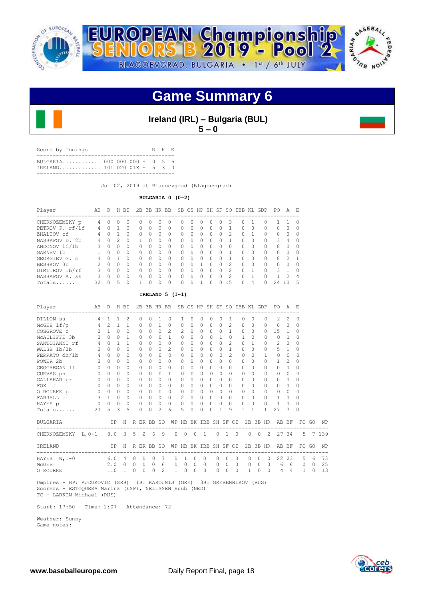



**Ireland (IRL) – Bulgaria (BUL) 5 – 0**

| Score by Innings                                            |  |  | R H F. |  |
|-------------------------------------------------------------|--|--|--------|--|
| BULGARTA 000 000 000 - 0 5 5<br>IRELAND 101 020 01X - 5 3 0 |  |  |        |  |
|                                                             |  |  |        |  |

Jul 02, 2019 at Blagoevgrad (Blagoevgrad)

**BULGARIA 0 (0-2)**

| Player          | AB            | R            | H. | ВI           |          |          | 2B 3B HR BB |          |          |   |   | SB CS HP SH SF |          | SO.           | IBB |   | KL GDP    | PO. | А              | E. |
|-----------------|---------------|--------------|----|--------------|----------|----------|-------------|----------|----------|---|---|----------------|----------|---------------|-----|---|-----------|-----|----------------|----|
| CHERNOZEMSKY p  | 4             | 0            | 0  | $\Omega$     | 0        | $^{(1)}$ | $\Omega$    | $\Omega$ | 0        | n | O | $\cup$         | $\left($ | 3             | 0   |   | 0         |     |                | n  |
| PETROV P. rf/lf | 4             | n.           |    | O            | 0        | n        | O           | 0        | $\Omega$ | ∩ | 0 | 0              | O        |               | Ω   | 0 | $\Omega$  | 0   | $\Omega$       |    |
| ZHALTOV cf      | 4             | n            |    | $\Omega$     | 0        | O        | $\Omega$    | 0        | Ω        |   | 0 | 0              | 0        |               | Ω   |   | 0         | 0   | $\Omega$       |    |
| NASSAPOV D. 2b  | 4             | 0            | 2. | $\Omega$     |          | U        | $\Omega$    |          | 0        |   | 0 | 0              |          |               | Ω   | O | 0         | 3   | 4              |    |
| ANDONOV 1f/1b   |               | 0            | O. | 0            | $\Omega$ | 0        | O           | 0        | 0        | n | 0 | 0              | 0        |               | Ω   | 0 | $\Omega$  | 8   | $\Omega$       |    |
| GARNEV 1b       |               | U            | 0  | $\Omega$     | $\Omega$ | U        | O           | 0        | Ω        | ∩ | Ω | 0              | O        |               | Ω   | 0 | $\bigcap$ | 0   | <sup>0</sup>   |    |
| GEORGIEV G. C   | 4             | O.           |    | $\Omega$     | $\Omega$ | U        | O           | 0        | 0        | ∩ | Ω | 0              | O        |               | Ω   | ∩ | $\cap$    | 8   | $\mathfrak{D}$ | -1 |
| BESHKOV 3b      | $\mathcal{P}$ | <sup>n</sup> | 0  | 0            | $\Omega$ | U        | O           | 0        | $\Omega$ | ∩ |   | O              | O        | $\mathcal{P}$ | O   | 0 | $\cap$    | 0   | $\Omega$       |    |
| DIMITROV 1b/rf  | ζ             | 0            | 0  | <sup>0</sup> | 0        | U        | O           | 0        | Ω        | ∩ | Ω | 0              | 0        |               | Ω   |   | $\bigcap$ | 3   |                |    |
| NASSAPOV A. ss  | 3             | U            | 0  | $\Omega$     | $\Omega$ | U        | O           | 0        | 0        |   | Λ | 0              | O        | っ             | Ω   |   | 0         |     | $\mathcal{D}$  | 4  |
| Totals          | 32            | ∩            | 5  | 0            |          |          | Λ           |          |          |   |   |                |          | 15            | Λ   | 4 | $^{(1)}$  | 24  | - 0            | 5  |

## **IRELAND 5 (1-1)**

| Player                            |                | AB R H BI           |              |                                |                |          | 2B 3B HR BB  |                          |                       |                   |              |                |          |                       |          |                |              | SB CS HP SH SF SO IBB KL GDP |                      | PO.                           | A              | E.           |          |           |
|-----------------------------------|----------------|---------------------|--------------|--------------------------------|----------------|----------|--------------|--------------------------|-----------------------|-------------------|--------------|----------------|----------|-----------------------|----------|----------------|--------------|------------------------------|----------------------|-------------------------------|----------------|--------------|----------|-----------|
| DILLON SS                         | 4              | $\mathbf{1}$        | $\mathbf{1}$ | ------------<br>$\mathfrak{D}$ |                | $\Omega$ | 0            | 1                        | $\Omega$              | 1                 | $\Omega$     | $\Omega$       | $\Omega$ | $\Omega$              |          | 1              | $\Omega$     | $\Omega$                     | $\Omega$             | ------------<br>$\mathcal{L}$ | $\mathfrak{D}$ | $\Omega$     |          |           |
| $McGEE$ lf/p                      | 4              | 2                   | $\mathbf{1}$ | $\mathbf{1}$                   |                | $\circ$  | 0            | 1                        | 0                     | 0                 | 0            | 0              | 0        | $\Omega$              |          | $\overline{c}$ | 0            | $\circ$                      | $\Omega$             | $\circ$                       | $\circ$        | $\circ$      |          |           |
| COSGROVE C                        | $\mathcal{L}$  | 1                   | $\Omega$     | $\Omega$                       |                | $\Omega$ | $\Omega$     | $\Omega$                 | $\mathcal{L}$         | $\mathfrak{D}$    | $\Omega$     | $\Omega$       | $\Omega$ | $\Omega$              |          | 1              | $\Omega$     | $\Omega$                     | $\Omega$             | 15                            | 1              | $\Omega$     |          |           |
| MCAULIFFE 3b                      | $\overline{2}$ | $\Omega$            | $\Omega$     | $\mathbf{1}$                   |                | $\Omega$ | 0            | $\cap$                   | $\mathbf{1}$          | $\Omega$          | $\bigcap$    | $\Omega$       | $\cap$   | $\overline{1}$        |          | $\Omega$       | $\mathbf{1}$ | $\Omega$                     | $\cap$               | $\Omega$                      | $\overline{1}$ | $\Omega$     |          |           |
| SANTOIANNI rf                     | $4 -$          | $\Omega$            | $\mathbf{1}$ | $\mathbf{1}$                   |                | $\Omega$ | 0            | $\Omega$                 | $\Omega$              | $\Omega$          | $\Omega$     | $\Omega$       | $\Omega$ | $\Omega$              |          | $\overline{c}$ | $\Omega$     | $\mathbf{1}$                 | $\Omega$             | $\mathbf{2}$                  | $\Omega$       | $\Omega$     |          |           |
| WALSH 1b/2b                       | 2              | $\Omega$            | $\Omega$     | $\bigcap$                      |                | $\Omega$ | 0            | $\Omega$                 | $\mathcal{L}$         | $\Omega$          | $\cap$       | $\Omega$       | $\Omega$ | $\Omega$              |          | $\mathbf{1}$   | $\Omega$     | $\Omega$                     | $\Omega$             | 5                             | 1              | $\Omega$     |          |           |
| FERRATO dh/1b 4                   |                | $\Omega$            | $\Omega$     | $\bigcap$                      |                | $\Omega$ | 0            | $\bigcap$                | $\Omega$              | $\Omega$          | $\bigcap$    | $\Omega$       | $\cap$   | $\Omega$              |          | $\mathfrak{D}$ | $\Omega$     | $\Omega$                     | 1                    | 0                             | $\Omega$       | $\Omega$     |          |           |
| POWER 2b                          | $2^{\circ}$    | $\Omega$            | $\Omega$     | $\Omega$                       |                | $\Omega$ | 0            | $\Omega$                 | $\Omega$              | $\Omega$          | $\Omega$     | $\Omega$       | $\circ$  | $\Omega$              | $\Omega$ |                | $\Omega$     | $\Omega$                     | $\Omega$             | 1                             | $\mathcal{L}$  | $\Omega$     |          |           |
| GEOGHEGAN 1f                      | $\circ$        | $\Omega$            | $\Omega$     | $\Omega$                       |                | $\Omega$ | 0            | $\Omega$                 | $\Omega$              | $\Omega$          | 0            | $\Omega$       | $\Omega$ | $\Omega$              | $\Omega$ |                | $\Omega$     | $\Omega$                     | <sup>n</sup>         | $\Omega$                      | $\Omega$       | $\Omega$     |          |           |
| CUEVAS ph                         | $\overline{0}$ | $\Omega$            | $\Omega$     | $\Omega$                       |                | $\Omega$ | $\Omega$     | $\cap$                   | $\mathbf{1}$          | $\Omega$          | <sup>n</sup> | $\Omega$       | $\Omega$ | $\Omega$              |          | $\Omega$       | $\Omega$     | $\Omega$                     | $\Omega$             | 0                             | 0              | $\Omega$     |          |           |
| GALLAHAR pr                       | $\circ$        | $\Omega$            | 0            | 0                              |                | $\Omega$ | $\Omega$     | $\Omega$                 | $\Omega$              | $\Omega$          | $\Omega$     | $\Omega$       | $\circ$  | 0                     | $\circ$  |                | $\Omega$     | $\Omega$                     | $\Omega$             | $\Omega$                      | $\Omega$       | $\Omega$     |          |           |
| FOX 1f                            | $\Omega$       | $\Omega$            | $\Omega$     | $\bigcap$                      |                | $\Omega$ | 0            | $\Omega$                 | $\Omega$              | $\Omega$          | $\cap$       | $\Omega$       | $\Omega$ | $\Omega$              | $\Omega$ |                | $\Omega$     | $\Omega$                     | $\cap$               | $\Omega$                      | $\Omega$       | $\Omega$     |          |           |
| O ROURKE p                        | $\overline{0}$ | $\Omega$            | $\Omega$     | $\Omega$                       |                | $\Omega$ | $\Omega$     | $\cap$                   | $\Omega$              | 0                 | $\bigcap$    | $\Omega$       | $\Omega$ | $\Omega$              |          | $\Omega$       | $\Omega$     | $\Omega$                     | $\Omega$             | 0                             | $\Omega$       | $\Omega$     |          |           |
| FARRELL cf                        |                | $3 \quad 1 \quad 0$ |              | $\mathbf 0$                    |                | $\circ$  | $\circ$      | $\Omega$                 | $\circ$               | 2                 | $\Omega$     | $\circ$        | $\circ$  | $\Omega$              | $\Omega$ |                | $\Omega$     | $\Omega$                     | $\Omega$             | 1                             | $\Omega$       | $\Omega$     |          |           |
| HAYES p                           | $\circ$        | $0\quad 0$          |              | $\circ$                        |                | $\circ$  | $\circ$      | $\circ$                  | $\Omega$              | $\circ$           | $\Omega$     | $\circ$        | $\circ$  | $\Omega$              | $\Omega$ |                | $\circ$      | $\mathbf 0$                  | $\Omega$             | $\mathbf{1}$                  | $\Omega$       | $\Omega$     |          |           |
| Totals                            | 27             | 5                   | 3            | 5                              |                | $\Omega$ | $\Omega$     | $\mathcal{L}$            | 6                     | 5.                | 0            | $\Omega$       | $\Omega$ | 1                     |          | 9              | $\mathbf{1}$ | 1                            |                      | 27                            | 7              | <sup>0</sup> |          |           |
| BULGARIA                          |                |                     | IP           | H                              |                |          | R ER BB SO   |                          |                       |                   |              |                |          | WP HB BK IBB SH SF CI |          |                |              | 2B 3B HR                     |                      | AB BF                         |                |              | FO GO    | NP        |
| CHERNOZEMSKY L, 0-1 8.0 3 5 2 6 9 |                |                     |              |                                |                |          |              |                          |                       | $0\quad 0\quad 0$ |              | $\overline{1}$ |          | $0 \quad 1 \quad 0$   |          |                |              | $0\quad 0$                   |                      | 2 27 34                       |                |              |          | 5 7 1 3 9 |
| IRELAND                           |                |                     | IP           |                                |                |          | H R ER BB SO |                          | WP HB BK IBB SH SF CI |                   |              |                |          |                       |          |                |              |                              |                      | 2B 3B HR AB BF                |                |              | FO GO    | NP        |
| HAYES $W, 1-0$                    |                | 6.0                 |              | 4                              | $\circ$        | 0        | $\mathbf{0}$ | 7                        | 0                     | 1                 | $\circ$      |                | 0        | $\mathbf{0}$          | $\Omega$ | $\circ$        |              | $\circ$                      | 0<br>$\circ$         | 22                            | 23             | 5            | 6        | 73        |
| MCGEE                             |                | 2.0                 |              | $\Omega$                       | $\overline{0}$ | $\Omega$ | $\Omega$     | 6                        | $\Omega$              | $\Omega$          | $\Omega$     |                | $\Omega$ | $\Omega$              | $\Omega$ | $\Omega$       |              | $\Omega$                     | $0\quad 0$           | 6                             | 6              | 0            | $\Omega$ | 25        |
| O ROURKE                          |                | 1.0                 |              | 1                              | $\mathbf 0$    | 0        | $\Omega$     | $\overline{\mathcal{L}}$ | 1                     | $\Omega$          | 0            |                | $\Omega$ | $\Omega$              | $\Omega$ | $\Omega$       |              | 1                            | $\Omega$<br>$\Omega$ | 4                             | 4              | $\mathbf{1}$ | $\Omega$ | 13        |

 Umpires - HP: AJDUKOVIC (SRB) 1B: KAROUNIS (GRE) 3B: GREBENNIKOV (RUS) Scorers - ESTOQUERA Marina (ESP), NELISSEN Huub (NED) TC - LARKIN Michael (RUS)

Start: 17:50 Time: 2:07 Attendance: 72

 Weather: Sunny Game notes:

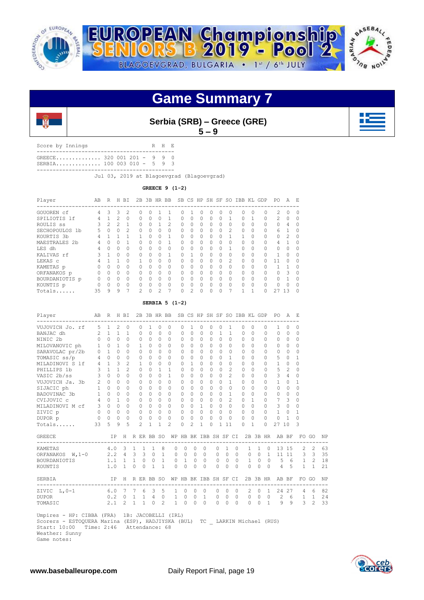



**Serbia (SRB) – Greece (GRE)**

 $5 - 9$ 

| Score by Innings                                           |  |  | R H F. |  |
|------------------------------------------------------------|--|--|--------|--|
| GREECE 320 001 201 - 9 9 0<br>$SERBIA$ 100 003 010 - 5 9 3 |  |  |        |  |
|                                                            |  |  |        |  |

Jul 03, 2019 at Blagoevgrad (Blagoevgrad)

**GREECE 9 (1-2)**

| Player                      | AB | R              | H        | ΒI             | 2B             | 3B           | <b>HR</b>      | <b>BB</b>      |          |          | SB CS HP | SH SF    |          | SO.            | <b>IBB</b> | KL       | GDP                     | PO.           | A             | E.       |
|-----------------------------|----|----------------|----------|----------------|----------------|--------------|----------------|----------------|----------|----------|----------|----------|----------|----------------|------------|----------|-------------------------|---------------|---------------|----------|
| GOUOREN cf                  | 4  | 3              | 3        | $\mathfrak{D}$ | 0              | 0            |                |                | Ω        |          | O        | 0        | 0        | 0              | 0          | 0        | ------------------<br>0 | $\mathcal{L}$ | $\Omega$      | $\Omega$ |
| SPILIOTIS 1f                | 4  |                | 2        | $\Omega$       | 0              | 0            | $\Omega$       |                | 0        | 0        | $\Omega$ | $\cap$   |          | 1              | O          |          | 0                       | $\mathcal{L}$ | $\Omega$      |          |
| ROULIS SS                   | 3  | $\mathfrak{D}$ |          |                | 0              | $\Omega$     |                | $\mathfrak{D}$ | 0        | 0        | $\Omega$ | $\Omega$ |          | $\Omega$       | 0          | $\Omega$ | 0                       | $\Omega$      | 4             |          |
| <b>SECHOPOULOS</b><br>- 1 b | 5  | $\Omega$       | 0        | $\mathcal{P}$  | 0              | 0            | $\Omega$       | $\Omega$       | $\Omega$ | $\Omega$ | $\Omega$ | $\Omega$ | $\Omega$ | $\mathfrak{D}$ | 0          | $\Omega$ | $\Omega$                | 6             |               |          |
| KOURTIS 3b                  | 4  |                |          |                |                | $\Omega$     | $\Omega$       |                | U        | O        | $\Omega$ | $\cap$   |          |                |            | $\Omega$ | 0                       | $\bigcap$     | $\mathcal{P}$ |          |
| MAESTRALES 2b               | 4  | 0              |          |                | 0              | 0            | $\Omega$       |                | 0        | 0        | $\Omega$ | $\Omega$ |          | $\Omega$       | 0          | $\Omega$ | 0                       | 4             |               |          |
| LES dh                      | 4  | $\cap$         | $\Omega$ | $\Omega$       | 0              | <sup>0</sup> | $\Omega$       | $\Omega$       | $\Omega$ | $\Omega$ | $\Omega$ | $\Omega$ | $\Omega$ | 1              | O          | $\Omega$ | $\cap$                  | $\bigcap$     | 0             |          |
| KALIVAS rf                  |    |                | $\Omega$ | $\Omega$       | U              | $\Omega$     | $\Omega$       |                |          |          | $\Omega$ | $\cap$   |          | $\Omega$       | 0          | $\Omega$ | O                       |               | $\Omega$      |          |
| LEKAS C                     |    |                |          | $\Omega$       |                | $\Omega$     | $\Omega$       | $\Omega$       | 0        | 0        | $\Omega$ | $\Omega$ | 0        | $\mathfrak{D}$ | 0          | $\Omega$ | O                       |               | $\Omega$      |          |
| KAMETAS p                   | Ω  | $\cap$         | 0        | $\Omega$       | 0              | $\Omega$     | $\Omega$       | $\Omega$       | $\Omega$ | 0        | $\Omega$ | $\Omega$ | $\Omega$ | $\Omega$       | 0          | $\Omega$ | 0                       |               |               |          |
| ORFANAKOS p                 | 0  | $\Omega$       | $\Omega$ | $\Omega$       | 0              | $\Omega$     | $\Omega$       | $\Omega$       |          | O        | $\Omega$ | $\cap$   |          | $\Omega$       | 0          | $\Omega$ | $\Omega$                | 0             | 3             |          |
| BOURDANIOTIS p              | 0  | $\Omega$       | 0        | $\Omega$       | 0              | 0            | $\Omega$       | $\Omega$       |          | 0        | $\Omega$ | $\cap$   |          | $\Omega$       | 0          | $\Omega$ | 0                       | $\cap$        |               |          |
| KOUNTIS p                   | 0  | $\Omega$       | 0        | $\Omega$       | 0              | 0            | $\Omega$       | 0              | 0        | 0        | $\Omega$ | $\cap$   |          | $\Omega$       | 0          | $\Omega$ | 0                       | $\bigcap$     | ∩             |          |
| Totals                      | 35 | 9              | 9        | 7              | $\mathfrak{D}$ | 0            | $\mathfrak{D}$ | 7              |          | 2        | $\Omega$ | 0        |          | $\overline{ }$ | м          | п        | U                       | 27            | 13            |          |

## **SERBIA 5 (1-2)**

| Player                                                                                                                                                                                                | AB R H BI |                     |              |                             |                |               |                                                    |                                 | 2B 3B HR BB SB CS HP SH SF SO IBB KL GDP             |             |                |                   |           |              |                                                        |                |          |                           |             | PO A E              |                |               |                |           |
|-------------------------------------------------------------------------------------------------------------------------------------------------------------------------------------------------------|-----------|---------------------|--------------|-----------------------------|----------------|---------------|----------------------------------------------------|---------------------------------|------------------------------------------------------|-------------|----------------|-------------------|-----------|--------------|--------------------------------------------------------|----------------|----------|---------------------------|-------------|---------------------|----------------|---------------|----------------|-----------|
| VUJOVICH Jo. rf 5 1                                                                                                                                                                                   |           |                     | 2            | 0                           |                | $\Omega$      | 1                                                  | $\Omega$                        | $\Omega$                                             | $\Omega$    | $\mathbf{1}$   | $\Omega$          | $\Omega$  | 0            | 1                                                      |                | $\Omega$ | $\Omega$                  | 0           | 1                   | 0              | 0             |                |           |
| $2\quad1$<br>BANJAC dh                                                                                                                                                                                |           |                     | $\mathbf{1}$ | $\mathbf{1}$                |                | $\Omega$      | $\Omega$                                           | $\Omega$                        | $\Omega$                                             | $\Omega$    | $\Omega$       | $\Omega$          | $\Omega$  | $\mathbf{1}$ | $\mathbf{1}$                                           |                | $\Omega$ | $\Omega$                  | $\Omega$    | $\Omega$            | $\Omega$       | $\Omega$      |                |           |
| NINIC 2b                                                                                                                                                                                              |           | $0 \quad 0 \quad 0$ |              |                             | $\circ$        | $\circ$       | $\Omega$                                           | $\Omega$                        | $\Omega$                                             | $\Omega$    | $\Omega$       | $\Omega$          | $\bigcap$ | $\Omega$     | $\Omega$                                               |                | $\Omega$ | $\Omega$                  | $\Omega$    | $\Omega$            | $\Omega$       | $\Omega$      |                |           |
| MILOVANOVIC ph                                                                                                                                                                                        |           |                     |              | $1 \quad 0 \quad 1 \quad 0$ |                | 1             | $\Omega$                                           | $\Omega$                        | $\Omega$                                             | $\Omega$    | $\Omega$       | $\Omega$          | $\Omega$  |              | $\Omega$<br>$\Omega$                                   |                | $\Omega$ | $\Omega$                  | $\Omega$    | $\Omega$            | $\bigcirc$     | $\Omega$      |                |           |
| SARAVOLAC pr/2b                                                                                                                                                                                       |           | $0\quad 1\quad 0$   |              | $\overline{0}$              |                | $\Omega$      | $\Omega$                                           | $\Omega$                        | $\Omega$                                             | $\Omega$    | $\Omega$       | $\Omega$          | $\Omega$  | $\Omega$     | $\Omega$                                               |                | $\Omega$ | $\Omega$                  | $\Omega$    | $0\quad 0$          |                | $\Omega$      |                |           |
| TOMASIC ss/p                                                                                                                                                                                          |           | 400                 |              |                             | $\overline{0}$ | $\circ$       | $\bigcap$                                          | $\Omega$                        | $\Omega$                                             | $\Omega$    | $\Omega$       | $\Omega$          | $\bigcap$ | $\Omega$     | $\mathbf{1}$                                           |                | $\Omega$ | $\Omega$                  | $\Omega$    | 5                   | $\bigcirc$     | $\mathbf{1}$  |                |           |
| MILADINOVI S 1f                                                                                                                                                                                       |           | $4 \t1 \t3$         |              | $\overline{2}$              |                | $\mathbf{1}$  | $\Omega$                                           | $\Omega$                        | $\Omega$                                             | $\Omega$    | 1              | $\Omega$          | $\Omega$  | $\Omega$     | $\Omega$                                               |                | $\Omega$ | $\Omega$                  | $\Omega$    | $\mathbf{1}$        | $\bigcirc$     | $\Omega$      |                |           |
| PHILLIPS 1b                                                                                                                                                                                           |           | $3\quad1$           | $\mathbf{1}$ | 2                           |                | $\Omega$      | $\Omega$                                           | $\overline{1}$                  | $\mathbf{1}$                                         | $\Omega$    | $\Omega$       | $\Omega$          | $\Omega$  | $\Omega$     | $\mathfrak{D}$                                         |                | $\Omega$ | $\Omega$                  | $\Omega$    | 5                   | $\overline{2}$ | $\Omega$      |                |           |
| VASIC 2b/ss                                                                                                                                                                                           |           | 300                 |              | $\Omega$                    |                | $\Omega$      | $\Omega$                                           | $\Omega$                        | $\mathbf{1}$                                         | $\Omega$    | $\Omega$       | $\Omega$          | $\Omega$  | $\Omega$     | $\mathfrak{D}$                                         |                | $\Omega$ | $\Omega$                  | $\Omega$    | 3 <sub>4</sub>      |                | $\Omega$      |                |           |
| VUJOVICH Ja. 3b 2 0 0                                                                                                                                                                                 |           |                     |              | $\circ$                     |                | $\circ$       | $\Omega$                                           | $\circ$                         | $\Omega$                                             | $\Omega$    | $\Omega$       | $\Omega$          | $\Omega$  | $\Omega$     | $\mathbf{1}$                                           |                | $\Omega$ | $\Omega$                  | $\Omega$    | $\mathbf{1}$        | $\overline{0}$ | $\mathbf{1}$  |                |           |
|                                                                                                                                                                                                       |           | $1 \quad 0 \quad 0$ |              | $\Omega$                    |                | $\circ$       | $\Omega$                                           | $\circ$                         | $\Omega$                                             | $\Omega$    | $\Omega$       | $\Omega$          | $\Omega$  | $\Omega$     | $\Omega$                                               |                | $\Omega$ | $\Omega$                  | $\Omega$    | $\Omega$            | $\bigcirc$     | $\Omega$      |                |           |
| SIJACIC ph<br>BADOVINAC 3b                                                                                                                                                                            |           | $1 \quad 0$         | $\circ$      | $\Omega$                    |                | $\circ$       | $\Omega$                                           | $\circ$                         | $\Omega$                                             | $\circ$     | $\Omega$       | $\Omega$          | $\Omega$  | $\Omega$     | $\mathbf{1}$                                           |                | $\Omega$ | $\Omega$                  | $\Omega$    | $\circ$             | $\overline{0}$ | $\Omega$      |                |           |
|                                                                                                                                                                                                       |           |                     |              |                             |                | $\circ$       | $\Omega$                                           | $0 \quad 0$                     |                                                      | $\Omega$    | $\Omega$       | $\Omega$          | $\Omega$  | $\Omega$     | $\mathfrak{D}$                                         |                | $\Omega$ | $\overline{1}$            | $\Omega$    | 7 <sup>3</sup>      |                | $\Omega$      |                |           |
| CVIJOVIC C 4 0 1 0<br>MILADINOVI M cf 3 0 0 0<br>ZIVIC p 0 0 0 0                                                                                                                                      |           |                     |              |                             |                | $\Omega$      | $\Omega$                                           | $\begin{matrix}0&0\end{matrix}$ |                                                      | $\Omega$    | $\Omega$       | $\mathbf{1}$      | $\bigcap$ | $\Omega$     | $\Omega$                                               |                | $\Omega$ | $\bigcap$                 | $\Omega$    | $3 \quad 0$         |                | $\Omega$      |                |           |
|                                                                                                                                                                                                       |           |                     |              |                             |                | $\Omega$      | $\begin{array}{ccccccccc}\n0 & 0 & 0\n\end{array}$ |                                 |                                                      | $\Omega$    | $\Omega$       | $\Omega$          | $\Omega$  | $\Omega$     | $\bigcap$                                              |                | $\Omega$ | $\bigcap$                 | $\Omega$    | $1 \quad 0$         |                | $\mathbf{1}$  |                |           |
| DUPOR p                                                                                                                                                                                               |           |                     |              | $0\qquad 0\qquad 0\qquad 0$ |                | $\Omega$      | $\Omega$                                           | $\Omega$                        | $\Omega$                                             | $\Omega$    | $\Omega$       | $\Omega$          | $\Omega$  | $\Omega$     | $\bigcap$                                              |                | $\Omega$ | $\Omega$                  | $\Omega$    | $\Omega$            | $\overline{1}$ | $\Omega$      |                |           |
| Totals                                                                                                                                                                                                | 33        | $5 -$               | $\circ$      | $\overline{5}$              |                | $\mathcal{D}$ | $\mathbf{1}$                                       | $\mathbf{1}$                    | $\mathfrak{D}$                                       | $\Omega$    | $\mathfrak{D}$ | $\mathbf{1}$      | $\Omega$  |              | $1 \t11$                                               |                | $\Omega$ | $\mathbf{1}$              | $\Omega$    | 27 10               |                | 3             |                |           |
| GREECE                                                                                                                                                                                                |           |                     |              |                             |                |               |                                                    |                                 | IP H R ER BB SO WP HB BK IBB SH SF CI 2B 3B HR AB BF |             |                |                   |           |              |                                                        |                |          |                           |             |                     |                |               | FO GO          | <b>NP</b> |
| <b>KAMETAS</b>                                                                                                                                                                                        |           |                     |              |                             |                |               | 4.0 3 1 1 1                                        | 8                               | $\Omega$                                             | $\circ$     | $\circ$        | $\circ$           |           | $\circ$      | $\mathbf{1}$                                           | $\overline{0}$ |          |                           |             |                     |                | 1 1 0 13 15 2 | 2              | 63        |
| ORFANAKOS W, 1-0                                                                                                                                                                                      |           |                     |              |                             |                |               |                                                    |                                 | 2.2 4 3 3 0 1 0 0 0 0 0 0 0 0 0 0 1 11 11 3 3        |             |                |                   |           |              |                                                        |                |          |                           |             |                     |                |               |                | 35        |
| BOURDANIOTIS                                                                                                                                                                                          |           |                     |              |                             |                |               | $1.1 \quad 1 \quad 1 \quad 0 \quad 0$              | $\mathbf{1}$                    |                                                      |             |                | $0 \t1 \t0 \t0$   |           |              | $\begin{array}{ccccccccc}\n0 & 0 & 0 & 0\n\end{array}$ |                |          |                           |             |                     |                | 1 0 0 5 6 1 2 |                | 18        |
| KOUNTIS                                                                                                                                                                                               |           |                     |              | $1.0 \quad 1$               |                |               | $0 \t 0 \t 1$                                      | $\mathbf{1}$                    | $\Omega$                                             | $\Omega$    | $\Omega$       | $\Omega$          |           | $\Omega$     | $\Omega$                                               | $\bigcirc$     |          | $\Omega$                  | $0 \quad 0$ | $4\quad 5$          |                | $\mathbf{1}$  | $\mathbf{1}$   | 21        |
| SERBIA                                                                                                                                                                                                |           |                     |              |                             |                |               |                                                    |                                 | IP H R ER BB SO WP HB BK IBB SH SF CI 2B 3B HR AB BF |             |                |                   |           |              |                                                        |                |          |                           |             |                     |                |               | FO GO          | NP        |
| ZIVIC L, 0-1                                                                                                                                                                                          |           |                     |              |                             |                |               | 6.0 7 7 6 3                                        | 5                               |                                                      | $1 \quad 0$ | $\circ$        | $\circ$           |           | $\circ$      | $\circ$                                                | $\circ$        |          | $\overline{2}$<br>$\circ$ |             |                     |                | 1 24 27 4 6   |                | 82        |
| <b>DUPOR</b>                                                                                                                                                                                          |           |                     |              | $0.2 \quad 0 \quad 1$       |                |               | $1 \quad 4$                                        |                                 | 0                                                    | $1 \quad 0$ |                | $0\quad 1\quad 0$ |           |              |                                                        | $0\quad 0$     |          |                           |             |                     |                | 0 0 0 2 6 1 1 |                | 24        |
| TOMASIC                                                                                                                                                                                               |           | 2.1                 |              | $2^{\circ}$                 | 1              |               | $1 \quad 0$                                        | 2                               |                                                      | $1 \quad 0$ | $\Omega$       | $\bigcirc$        |           | $\Omega$     | $\Omega$                                               | $\bigcirc$     |          | $\Omega$                  | $\circ$     | $1 \quad 9 \quad 9$ |                | 3             | $\mathfrak{D}$ | 33        |
| Umpires - HP: CIBBA (FRA) 1B: JACOBELLI (IRL)<br>Scorers - ESTOQUERA Marina (ESP), HADJIYSKA (BUL) TC LARKIN Michael (RUS)<br>Start: 10:00 Time: 2:46 Attendance: 68<br>Weather: Sunny<br>Game notes: |           |                     |              |                             |                |               |                                                    |                                 |                                                      |             |                |                   |           |              |                                                        |                |          |                           |             |                     |                |               |                |           |

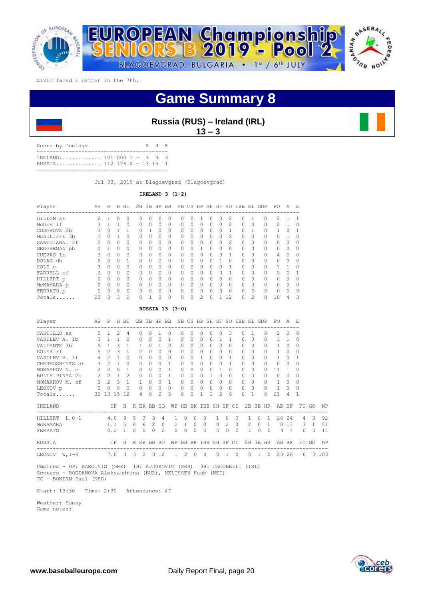

| Russia (RUS) – Ireland (IRL) |  |  |  |
|------------------------------|--|--|--|
|------------------------------|--|--|--|

**13 – 3** 

| Score by Innings                                        |  |  | R H F. |  |
|---------------------------------------------------------|--|--|--------|--|
| TRELAND 101 000 1 - 3 3 3<br>RUSSIA 112 126 X - 13 15 1 |  |  |        |  |
|                                                         |  |  |        |  |

Jul 03, 2019 at Blagoevgrad (Blagoevgrad)

**IRELAND 3 (1-2)**

| Player           | AВ | R        | Н | ВI            | 2В       | 3B       |   | HR BB    |           |          | SB CS HP | SH SF        |    | SO.            | IBB      | KL             | GDP      | PO.           | A        | E.       |
|------------------|----|----------|---|---------------|----------|----------|---|----------|-----------|----------|----------|--------------|----|----------------|----------|----------------|----------|---------------|----------|----------|
| DILLON SS        | 2  |          | Ω | $\bigcap$     | 0        | 0        | 0 | $\Omega$ | n         | 0        |          |              | 0  | 2.             | 0        |                | $\Omega$ | $\mathcal{L}$ |          |          |
| MCGEE 1f         |    |          |   | $\Omega$      | $\Omega$ | $\Omega$ | 0 | 0        | $\Omega$  | O        | Ω        | $\Omega$     | 0  | $\mathfrak{D}$ | $\Omega$ | $\Omega$       | $\Omega$ | $\mathcal{P}$ |          | 0        |
| COSGROVE 2b      |    | 0        |   |               | 0        |          | 0 | 0        | $\Omega$  | 0        | 0        | $\Omega$     | 0  |                | 0        |                | $\Omega$ |               |          |          |
| MCAULIFFE<br>.3b | 3  | $\Omega$ |   | $\cap$        | $\Omega$ | 0        | 0 | $\Omega$ | $\bigcap$ | $\Omega$ | O        | $\Omega$     | 0  | 2              | $\Omega$ | $\Omega$       | $\Omega$ | $\Omega$      |          | $\Omega$ |
| SANTOIANNI rf    | 2  | $\Omega$ | 0 | $\Omega$      | $\Omega$ | $\Omega$ | 0 | $\Omega$ | $\Omega$  | O        | O        | $\bigcap$    | 0  | $\mathcal{P}$  | $\Omega$ | $\Omega$       | $\cap$   | $\bigcap$     | O        |          |
| GEOGHEGAN ph     |    |          | 0 | $\Omega$      | 0        | 0        | 0 | 0        | $\Omega$  | 0        |          | $\Omega$     | 0  | 0              | $\Omega$ | $\Omega$       | $\Omega$ | $\Omega$      | 0        | $\Omega$ |
| CUEVAS 1b        | 3  | $\Omega$ | O | $\bigcap$     | $\Omega$ | $\cap$   | O | $\Omega$ | $\bigcap$ | O        | Ω        | <sup>0</sup> | Ω  |                | $\Omega$ | $\Omega$       | $\Omega$ | 4             | 0        | $\Omega$ |
| DOLAN dh         |    | $\Omega$ | O |               | $\Omega$ | $\Omega$ | 0 | $\Omega$ | $\Omega$  | O        | O        | $\cap$       |    | $\Omega$       | $\Omega$ | $\Omega$       | $\cap$   | $\Omega$      | Ω        | O        |
| COLE c           |    | 0        | 0 | $\Omega$      | 0        | O        | 0 | $\Omega$ | $\bigcap$ | 0        | Ω        | 0            |    |                | $\Omega$ | $\Omega$       | $\Omega$ |               |          | 0        |
| FARRELL cf       | 2  | $\Omega$ | O | $\bigcap$     | $\Omega$ | $\cap$   | O | $\Omega$ | $\cap$    | $\Omega$ | U        | $\bigcap$    | O. |                | $\cap$   | $\Omega$       | $\Omega$ | $\mathcal{L}$ | $\Omega$ | 1        |
| HILLERT p        |    | 0        | 0 | $\Omega$      | $\Omega$ | O        | 0 | $\Omega$ | $\Omega$  | 0        | 0        | $\Omega$     | Ω  | $\Omega$       | $\Omega$ | $\Omega$       |          | $\bigcap$     | Ω        | O        |
| MCNAMARA p       | 0  | 0        | 0 | $\Omega$      | 0        | O        | 0 | $\Omega$ | $\Omega$  | 0        | O        | $\Omega$     | Ω  | $\Omega$       | $\Omega$ | $\Omega$       | $\Omega$ | $\cap$        | O        | 0        |
| FERRATO p        |    | $\cap$   | O | $\bigcap$     | $\Omega$ | O        | O | $\Omega$ | U         | $\Omega$ | U        | $\bigcap$    | 0  | $\Omega$       | $\cap$   | $\Omega$       | $\Omega$ | $\Omega$      | $\cap$   | $\Omega$ |
| Totals           | 23 | 3        | 3 | $\mathcal{D}$ | 0        |          | 0 | $\Omega$ | 0         | 0        | 2        |              |    | 12             | 0        | $\mathfrak{D}$ |          | 18            | 4        | 3        |

## **RUSSIA 13 (3-0)**

| Player<br>------------- | AB             | R              |                         | H BI           | 2B<br>------------- |                |          | 3B HR BB       |                |                                  |              |                    |          |           |                |              | SB CS HP SH SF SO IBB KL GDP |              |              |                | PO.           | $\mathcal{A}$  | F.             |                |       |
|-------------------------|----------------|----------------|-------------------------|----------------|---------------------|----------------|----------|----------------|----------------|----------------------------------|--------------|--------------------|----------|-----------|----------------|--------------|------------------------------|--------------|--------------|----------------|---------------|----------------|----------------|----------------|-------|
| CASTILLO SS             | .5             |                | $\mathcal{L}$           | 4              | 0                   |                |          |                |                | 0.                               |              |                    |          |           |                | 3            | 0                            |              |              | $\Omega$       | $\mathcal{L}$ | 2              | 0              |                |       |
| VASILEV A. 1b           | 3              | $\mathbf{1}$   | $\mathbf{1}$            | $\mathcal{L}$  | $\Omega$            |                | $\Omega$ | $\Omega$       | $\mathbf{1}$   | 0                                | $\Omega$     | $\Omega$           | 0        |           |                | 1            | $\Omega$                     | $\Omega$     |              |                | 3             | $\overline{1}$ | $\Omega$       |                |       |
| VALIENTE 3b             | 5              | $\overline{1}$ | $\mathcal{L}$           | 1              | 1                   |                | 0        | 1.             | $\Omega$       | 0                                | 0            | $\Omega$           | 0        | $\bigcap$ |                | $\Omega$     | $\cap$                       | $\Omega$     |              |                | 1             | $\Omega$       | $\Omega$       |                |       |
| SOLER rf                | 5              | $2^{\circ}$    | $\mathcal{L}$           | $\mathbf{1}$   | $\mathcal{L}$       |                | $\Omega$ |                | $\Omega$       | 0                                | 0            | $\Omega$           | 0        | $\Omega$  |                | $\Omega$     | $\Omega$                     | $\Omega$     |              |                |               | $\Omega$       | 0              |                |       |
| VASILEV V. 1f           | $\overline{4}$ | $2^{1}$        | $\mathbf{1}$            | $\Omega$       | $\Omega$            |                | $\Omega$ | $\Omega$       | $\Omega$       | 0                                |              | $\mathbf{1}$       | $\Omega$ | $\Omega$  |                | 1            | $\Omega$                     | $\Omega$     |              | $\cap$         | $\mathbf{1}$  | $\Omega$       |                |                |       |
| CHERMOSHENTS dh         |                | $3 \quad 2$    | $\mathbf{1}$            | $\Omega$       | $\Omega$            |                | 0        | 0              | 1              | 0                                | $\Omega$     | $\Omega$           | $\Omega$ | $\Omega$  |                | 1            | $\Omega$                     | $\Omega$     |              |                | $\circ$       | $\Omega$       | $\Omega$       |                |       |
| MONAKHOV N. C           | $\overline{2}$ | $\Omega$       | $\Omega$                | 1              | $\Omega$            |                | 0        | <sup>n</sup>   | 1              | 0                                | <sup>n</sup> | $\Omega$           | $\Omega$ |           |                | $\Omega$     | $\Omega$                     | $\Omega$     |              | $\cap$         | 11            |                | 0              |                |       |
| BULTE PINYA 2b          | $\overline{2}$ | $\mathcal{L}$  | $\mathbf{1}$            | $\mathfrak{D}$ | $\Omega$            |                | 0        | O.             |                | 0                                | 0            | $\Omega$           |          | $\Omega$  |                | <sup>0</sup> | $\Omega$                     | $\bigcap$    |              |                | $\cap$        | $\Omega$       | 0              |                |       |
| MONAKHOV M. cf          | $3 \quad 2$    |                | $\overline{\mathbf{3}}$ | $\overline{1}$ | $\overline{1}$      |                | $\Omega$ | $\Omega$       | $\overline{1}$ | 0                                | $\Omega$     | $\Omega$           | 0        | $\Omega$  |                | $\Omega$     | $\cap$                       | $\Omega$     |              | <sup>n</sup>   | $\mathbf{1}$  | $\Omega$       | 0              |                |       |
| LEONOV p                | $\circ$        | $\circ$        | $\Omega$                | $\Omega$       | $\Omega$            |                | $\Omega$ | $\Omega$       | $\Omega$       | 0                                | $\Omega$     | $\Omega$           | $\Omega$ | $\Omega$  |                | $\Omega$     | $\Omega$                     | $\Omega$     |              | $\Omega$       | 1             | $\Omega$       | $\Omega$       |                |       |
| Totals                  |                | 32 13 15 12    |                         |                | 4                   |                | 0        | $\mathcal{L}$  | 5              | 0                                | $\Omega$     |                    |          |           | 2              | 6            | 0                            |              |              | $\Omega$       | 21            | 4              |                |                |       |
| IRELAND                 |                |                | IP                      | H              | R ER BB SO          |                |          |                |                | WP HB BK IBB SH SF CI            |              |                    |          |           |                |              |                              |              |              | 2B 3B HR       | AB BF         |                | FO.            | GO             | NP    |
| HILLERT L, 0-1          |                | 4.0            |                         | - 9            | 5                   | 3 <sup>7</sup> | -3       | $\overline{4}$ | $\mathbf{1}$   | $\begin{array}{c} \n\end{array}$ | $\bigcap$    |                    | $\Omega$ |           | $\bigcap$      |              | $\Omega$                     |              | $\Omega$     | $\overline{1}$ | 20            | 24             | $\overline{4}$ | 3              | 92    |
| MCNAMARA                |                |                | 1.1                     | .5             | 8                   | 6 2            |          | $\Omega$       |                | $2 \quad 1$                      | $\Omega$     |                    | $\Omega$ | $\Omega$  | $\overline{2}$ |              | $\Omega$                     | $2^{\circ}$  | $\Omega$     | $\overline{1}$ |               | 8 1 3          | 3              | $\overline{1}$ | 51    |
| FERRATO                 |                |                | 0.2                     | $\mathbf{1}$   | $\Omega$            | $\bigcap$      | $\Omega$ | $\mathfrak{D}$ | $\Omega$       | $\Omega$                         | $\Omega$     |                    | $\Omega$ | $\Omega$  | $\Omega$       |              | $\Omega$                     | $\mathbf{1}$ | $\Omega$     | $\circ$        | 4             | $\overline{4}$ | $\Omega$       | $\Omega$       | 14    |
| RUSSIA                  |                |                | IP H                    |                | R ER BB SO          |                |          |                | WP             |                                  |              | HB BK IBB SH SF CI |          |           |                |              |                              |              |              | 2B 3B HR       | AB BF         |                |                | FO GO          | NP    |
| LEONOV<br>$W, 1-0$      |                |                | 7.0                     | 3              | 3                   | 2              | $\circ$  | 12             |                | 2                                | $\Omega$     |                    | $\Omega$ | 0         |                |              | $\Omega$                     | 0            | $\mathbf{1}$ | $\circ$        | 23            | 26             | 6              |                | 3 103 |

 Umpires - HP: KAROUNIS (GRE) 1B: AJDUKOVIC (SRB) 3B: JACOBELLI (IRL) Scorers - BOGDANOVA Aleksandrina (BUL), NELISSEN Huub (NED) TC - BOKERN Paul (NED)

Start: 13:30 Time: 2:30 Attendance: 47

 Weather: Sunny Game notes:

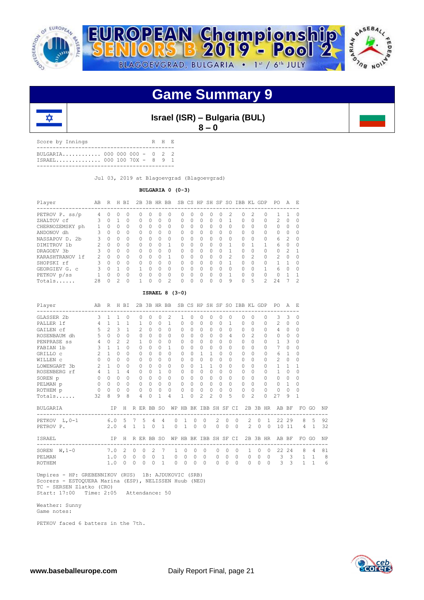



**Israel (ISR) – Bulgaria (BUL) 8 – 0**

Score by Innings R H E ------------------------------------------- BULGARIA............. 000 000 000 - 0 2 2<br>ISRAEL.............. 000 100 70X - 8 9 1 ISRAEL.............. 000 100 70X - 8 9 1 -------------------------------------------

Jul 03, 2019 at Blagoevgrad (Blagoevgrad)

## **BULGARIA 0 (0-3)**

| Player          | AB            | R            | H. | BI       |          |          | 2B 3B HR BB      |               |          |              |          | SB CS HP SH SF |                  |               | SO IBB |               | KL GDP        | PO.           | A             | E.     |
|-----------------|---------------|--------------|----|----------|----------|----------|------------------|---------------|----------|--------------|----------|----------------|------------------|---------------|--------|---------------|---------------|---------------|---------------|--------|
| PETROV P. ss/p  | 4             | 0            | 0  | 0        | 0        | $^{(1)}$ | $\left( \right)$ | 0             | 0        |              | 0        | 0              | $\left( \right)$ |               | 0      | 2             | 0             |               |               |        |
| ZHALTOV cf      | 3             | $\Omega$     |    | $\Omega$ | $\Omega$ | $\Omega$ | $\Omega$         | $\Omega$      | $\Omega$ | <sup>0</sup> | $\Omega$ | $\Omega$       | O                |               | O      | $\Omega$      | $\Omega$      | 2             | $\Omega$      |        |
| CHERNOZEMSKY ph |               | <sup>0</sup> | 0  | 0        | $\cap$   | 0        | 0                | 0             | $\Omega$ | $\cap$       | 0        | <sup>0</sup>   | ∩                | <sup>n</sup>  | Ω      | 0             | $\Omega$      | 0             | $\Omega$      |        |
| ANDONOV dh      |               | 0            | 0  | $\Omega$ | $\Omega$ | 0        | 0                | $\Omega$      | 0        | <sup>0</sup> | 0        | 0              | 0                | 0             | 0      | $\Omega$      | $\Omega$      | 0             | $\Omega$      |        |
| NASSAPOV D. 2b  | ζ             | $\cap$       | 0  | $\Omega$ | $\cap$   | U        | $\Omega$         | $\Omega$      | 0        | $\cap$       | $\Omega$ | $\cap$         | ∩                | $\cap$        | 0      | $\Omega$      | $\Omega$      | 6             | $\mathcal{P}$ | ∩      |
| DIMITROV 1b     |               | $\cap$       | 0  | $\Omega$ | $\cap$   | $\Omega$ | $\Omega$         |               | $\Omega$ | $\Omega$     | 0        | $\cap$         | ∩                |               | O      |               |               | 6             | $\Omega$      | $\cap$ |
| DRAGOEV 3b      |               | $\Omega$     | 0  | $\Omega$ | $\Omega$ | U        | $\Omega$         | $\Omega$      | $\Omega$ | $\cap$       | O        | $\cap$         | $\Omega$         |               | O      | $\Omega$      | $\Omega$      | 0             | $\mathcal{P}$ |        |
| KARASHTRANOV 1f | $\mathcal{P}$ | <sup>n</sup> | 0  | $\Omega$ | $\Omega$ | U        | 0                | 1             | 0        | ∩            | 0        | <sup>0</sup>   | 0                | $\mathcal{P}$ | O      | $\mathcal{P}$ | $\bigcap$     | $\mathcal{P}$ | $\Omega$      | ∩      |
| SHOPSKI rf      |               | $\Omega$     | 0  | $\Omega$ | $\Omega$ | U        | O                | $\Omega$      | 0        | ∩            | O        | 0              | O                |               | O      | $\Omega$      | $\Omega$      |               |               |        |
| GEORGIEV G. C   | 3             | U            |    | $\Omega$ | 1        | U        | $\Omega$         | $\Omega$      | $\Omega$ | ∩            | Ω        | $\Omega$       | $\Omega$         | ∩             | Ω      | $\cap$        | 1             | 6             | $\cap$        |        |
| PETKOV p/ss     |               | U            | 0  | $\Omega$ | $\Omega$ | U        | $\Omega$         | $\Omega$      | $\Omega$ | $\cap$       | O        | $\cap$         | $\Omega$         |               | O      | $\Omega$      | $\Omega$      | O             |               |        |
| Totals          | 28            |              | 2  | $\Omega$ |          |          | 0                | $\mathcal{L}$ | Ω        |              | O        | O              | $\Omega$         | 9             | O      | 5             | $\mathcal{L}$ | 2.4           |               | 2      |

## **ISRAEL 8 (3-0)**

| Player         | AB             | R H BI         |                |                |              |               |                |                | 2B 3B HR BB SB CS HP SH SF SO IBB KL GDP |                       |          |                |           |                |           |                |          |                |          |                | PO.            | A              | - E            |                |    |
|----------------|----------------|----------------|----------------|----------------|--------------|---------------|----------------|----------------|------------------------------------------|-----------------------|----------|----------------|-----------|----------------|-----------|----------------|----------|----------------|----------|----------------|----------------|----------------|----------------|----------------|----|
| GLASSER 2b     | 3              | $\overline{1}$ | 1              | $\Omega$       |              | $\Omega$      | $\Omega$       | $\Omega$       | $\mathfrak{D}$                           | 1                     | $\Omega$ | $\Omega$       | $\Omega$  | $\cap$         |           | $\Omega$       | $\Omega$ | $\bigcap$      |          | 0              | 3              | 3              | 0              |                |    |
| PALLER 1f      | 4              | $\mathbf{1}$   | $\mathbf{1}$   | 1              |              | 1             | $\Omega$       | $\Omega$       | 1                                        | 0                     | $\Omega$ | $\Omega$       | $\bigcap$ | $\Omega$       |           | 1              | $\cap$   | $\Omega$       |          | $\cap$         | $\mathfrak{D}$ | $\Omega$       | $\Omega$       |                |    |
| GAILEN cf      | 5              | $\mathfrak{D}$ | 3              | 1              |              | $\mathcal{L}$ | 0              | $\bigcap$      | $\Omega$                                 | 0                     | $\Omega$ | $\Omega$       | $\bigcap$ | $\Omega$       |           | $\Omega$       | 0        | $\Omega$       |          | O.             | 4              | $\Omega$       | $\Omega$       |                |    |
| ROSENBAUM dh   | 5              | $\bigcap$      | $\Omega$       | $\Omega$       |              | $\mathbf 0$   | $\Omega$       | $\cap$         | $\cap$                                   | $\Omega$              | $\cap$   | $\Omega$       | $\Omega$  | $\cap$         |           | $\overline{4}$ | $\cap$   | 2              |          | $\Omega$       | $\Omega$       | $\Omega$       | $\Omega$       |                |    |
| PENPRASE ss    | $\overline{4}$ | $\Omega$       | $\mathfrak{D}$ | $\mathcal{L}$  |              | 1             | 0              | $\Omega$       | $\Omega$                                 | 0                     | $\Omega$ | $\Omega$       | $\bigcap$ | $\Omega$       |           | $\Omega$       | $\Omega$ | $\cap$         |          | <sup>0</sup>   | $\mathbf{1}$   | 3              | 0              |                |    |
| FABIAN 1b      | 3              | $\overline{1}$ | $\mathbf{1}$   | 0              |              | $\Omega$      | 0              | $\cap$         | 1                                        | 0                     | $\Omega$ | $\Omega$       | $\Omega$  | $\Omega$       |           | 0              | 0        | $\bigcap$      |          | 0              | 7              | $\Omega$       | $\Omega$       |                |    |
| GRILLO C       | $\overline{2}$ | 1              | $\Omega$       | 0              |              | $\Omega$      | $\Omega$       | $\bigcap$      | $\Omega$                                 | $\Omega$              | $\cap$   | 1              | 1         | $\Omega$       |           | $\Omega$       | $\cap$   | $\bigcap$      |          | O              | 6              | 1              | 0              |                |    |
| WILLEN C       | $\Omega$       | $\bigcap$      | $\Omega$       | 0              |              | 0             | 0              | $\Omega$       | $\Omega$                                 | 0                     | $\Omega$ | $\Omega$       | $\Omega$  | $\Omega$       |           | $\Omega$       | 0        | $\Omega$       |          | 0              | $\mathfrak{D}$ | $\Omega$       | $\Omega$       |                |    |
| LOWENGART 3b   | $\overline{2}$ | $\mathbf{1}$   | $\Omega$       | 0              |              | $\Omega$      | 0              | $\Omega$       | $\Omega$                                 | 0                     | $\Omega$ | $\mathbf{1}$   | 1         | $\Omega$       |           | $\Omega$       | $\Omega$ | $\bigcap$      |          | <sup>0</sup>   | 1              | 1              |                |                |    |
| ROSENBERG rf   | $\overline{4}$ | $\overline{1}$ | 1              | 4              |              | $\Omega$      | $\Omega$       | 1              | $\Omega$                                 | $\Omega$              | $\cap$   | $\Omega$       | $\Omega$  | $\Omega$       |           | $\Omega$       | $\cap$   | $\bigcap$      |          | O              | 1              | $\Omega$       | $\Omega$       |                |    |
| SOREN p        | $\Omega$       | $\Omega$       | $\Omega$       | $\Omega$       |              | $\Omega$      | 0              | $\bigcap$      | $\Omega$                                 | 0                     | $\Omega$ | $\Omega$       | $\Omega$  | $\Omega$       |           | $\Omega$       | $\Omega$ | $\bigcap$      |          | $\Omega$       | $\Omega$       | $\Omega$       | $\Omega$       |                |    |
| PELMAN p       | $\Omega$       | $\Omega$       | $\Omega$       | $\Omega$       |              | $\Omega$      | 0              | $\Omega$       | $\Omega$                                 | 0                     | $\Omega$ | $\Omega$       | $\Omega$  | $\Omega$       |           | $\Omega$       | $\Omega$ | $\Omega$       |          | <sup>0</sup>   | $\Omega$       | $\overline{1}$ | 0              |                |    |
| ROTHEM p       | 0              | $\Omega$       | $\Omega$       | $\Omega$       |              | $\Omega$      | $\Omega$       | $\Omega$       | $\Omega$                                 | $\Omega$              | $\Omega$ | $\circ$        | $\Omega$  | $\Omega$       |           | $\Omega$       | $\cap$   | $\bigcap$      |          | $\Omega$       | $\Omega$       | $\Omega$       | $\Omega$       |                |    |
| Totals         | 32             | 8              | 9              | 8              |              | 4             | 0              | 1              | 4                                        | 1.                    | $\Omega$ | $\mathfrak{D}$ | 2         | $\Omega$       |           | 5              | 0        | $\mathfrak{D}$ |          | $\Omega$       | 27             | 9              | 1              |                |    |
| BULGARIA       |                | IP             |                | H              |              |               | R ER BB SO     |                |                                          | WP HB BK IBB SH SF CI |          |                |           |                |           |                |          |                |          | 2B 3B HR       | AB BF          |                |                | FO GO          | NP |
| PETKOV L, 0-1  | 6.05           |                |                |                |              |               | 7 5 4          | $\overline{4}$ | $\Omega$                                 | $\overline{1}$        | $\Omega$ |                | $\circ$   | $\overline{2}$ | $\Omega$  | $\Omega$       |          | $\mathcal{L}$  | $\Omega$ | $\overline{1}$ |                | 22 29          | 8              | $-5$           | 92 |
| PETROV P.      |                | 2.0            |                | $\overline{4}$ | $\mathbf{1}$ | 1             | $\Omega$       | $\mathbf{1}$   | $\Omega$                                 | $\mathbf{1}$          | $\Omega$ |                | $\Omega$  | $\Omega$       | $\Omega$  | $\Omega$       |          | $\mathfrak{D}$ | $\Omega$ | $\Omega$       |                | 10 11          | $\overline{4}$ | $\mathbf{1}$   | 32 |
| ISRAEL         |                |                | IP             | H              |              |               | R ER BB SO     |                |                                          | WP HB BK IBB SH SF CI |          |                |           |                |           |                | ----     |                |          | 2B 3B HR       | AB BF          |                | FO.            | GO             | NP |
| SOREN $W, 1-0$ |                | 7.0            |                | 2              | $\Omega$     | $\Omega$      | $\mathfrak{D}$ | 7              | $\mathbf{1}$                             | $\Omega$              | $\Omega$ |                | $\bigcap$ | $\Omega$       | $\bigcap$ | $\Omega$       |          | $\mathbf{1}$   | $\Omega$ | $\bigcap$      | 22             | 2.4            | 8              | $\overline{a}$ | 81 |
| PELMAN         |                | 1.0            |                | $\Omega$       | $\Omega$     | $\Omega$      | $\Omega$       | 1              | $\circ$                                  | $\Omega$              | $\Omega$ |                | $\Omega$  | 0              | $\Omega$  | $\Omega$       |          | 0              | $\circ$  | $\Omega$       | 3              | 3              | 1              | 1              | 8  |
| <b>ROTHEM</b>  |                | 1.0            |                | $\Omega$       | $\Omega$     | $\Omega$      | $\Omega$       | $\mathbf{1}$   | $\Omega$                                 | $\Omega$              | $\Omega$ |                | $\Omega$  | $\Omega$       | $\Omega$  | $\Omega$       |          | $\Omega$       | $\Omega$ | $\Omega$       | 3              | 3              | 1              | 1              | 6  |

 Umpires - HP: GREBENNIKOV (RUS) 1B: AJDUKOVIC (SRB) Scorers - ESTOQUERA Marina (ESP), NELISSEN Huub (NED) TC - SERSEN Zlatko (CRO) Start: 17:00 Time: 2:05 Attendance: 50

 Weather: Sunny Game notes:

PETKOV faced 6 batters in the 7th.

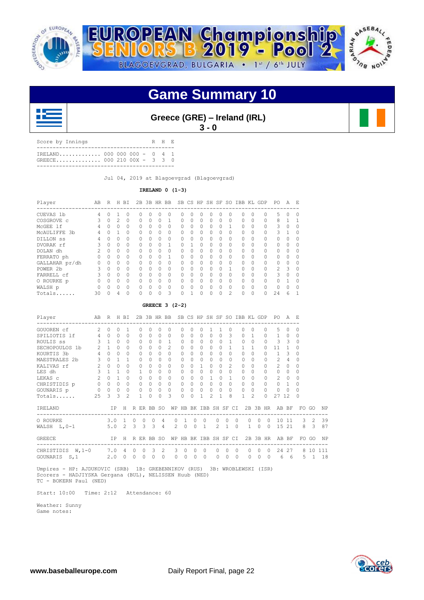





|  | Greece (GRE) - Ireland (IRL) |  |
|--|------------------------------|--|
|  | $3 - 0$                      |  |

| Score by Innings |                                                             |  |  | R H E |  |
|------------------|-------------------------------------------------------------|--|--|-------|--|
|                  | $TRE$ LAND000 000 000 - 0 4 1<br>GREECE 000 210 00X - 3 3 0 |  |  |       |  |
|                  |                                                             |  |  |       |  |

Jul 04, 2019 at Blagoevgrad (Blagoevgrad)

## **IRELAND 0 (1-3)**

| Player          | AВ            | R        | Н  | BI       | 2B       | 3B       |          | HR BB    |          | SB CS HP     |   |        | SH SF    | S0             | IBB | KL       | GDP      | PO.           | А        | E.       |
|-----------------|---------------|----------|----|----------|----------|----------|----------|----------|----------|--------------|---|--------|----------|----------------|-----|----------|----------|---------------|----------|----------|
| CUEVAS 1b       | 4             | O.       |    | 0        | 0        | O        | O        | 0        | Ω        | $\Omega$     | 0 | 0      | 0        |                | Ω   | 0        | $\Omega$ | 5.            | $\Omega$ | $\Omega$ |
| COSGROVE C      |               | O.       | 2. | $\Omega$ | 0        | O        | $\Omega$ | 1        | Ω        | $\Omega$     | 0 | 0      | 0        | 0              | 0   | $\Omega$ | $\Omega$ | 8             |          |          |
| MCGEE 1f        | 4             | 0        | 0  | $\Omega$ | $\Omega$ | 0        | $\Omega$ | 0        | 0        | ∩            | 0 | 0      | 0        |                | 0   | 0        | 0        | 3             | $\Omega$ |          |
| MCAULIFFE<br>3b | 4             | O.       |    | $\Omega$ | $\Omega$ | $\Omega$ | $\Omega$ | $\Omega$ | $\Omega$ | <sup>0</sup> | 0 | 0      | O        | 0              | 0   | $\Omega$ | $\Omega$ | 3             |          |          |
| DILLON SS       |               |          | 0  | $\Omega$ | O        | $\Omega$ | $\Omega$ | $\Omega$ | O        | $\Omega$     | 0 | 0      | $\Omega$ | 0              | O   | $\Omega$ | $\Omega$ | 0             | $\Omega$ |          |
| DVORAK rf       |               | 0        | 0  | $\Omega$ | $\Omega$ | 0        | $\Omega$ |          | 0        |              | 0 | 0      | 0        |                | 0   | $\Omega$ | $\Omega$ | 0             | $\Omega$ |          |
| DOLAN dh        | $\mathcal{P}$ | $\cap$   | 0  | $\Omega$ | $\Omega$ | 0        | 0        | $\Omega$ | $\Omega$ | <sup>0</sup> | 0 | 0      | O        | 0              | 0   | $\Omega$ | $\Omega$ | 0             | $\Omega$ |          |
| FERRATO ph      |               | $\Omega$ | 0  | $\Omega$ | 0        | U        | $\Omega$ | 1        | Ω        | $\Omega$     | O | O      | $\Omega$ |                | O   | $\Omega$ | $\Omega$ | 0             | $\Omega$ |          |
| GALLAHAR pr/dh  | 0             | 0        | 0  | $\Omega$ | $\Omega$ | 0        | $\Omega$ | $\Omega$ | 0        | $\Omega$     | 0 | 0      | 0        |                | 0   | $\Omega$ | 0        | 0             | $\Omega$ |          |
| POWER 2b        | 3             | $\cap$   | 0  | $\Omega$ | $\Omega$ | $\Omega$ | $\Omega$ | $\Omega$ | $\Omega$ | <sup>0</sup> | O | $\cap$ | O        |                | O   | $\Omega$ | $\Omega$ | $\mathcal{L}$ | 3        | $\Omega$ |
| FARRELL cf      |               | $\Omega$ | 0  | $\Omega$ | O        | U        | $\Omega$ | $\Omega$ | O        | $\Omega$     | O | O      | $\Omega$ |                | O   | $\Omega$ | $\Omega$ | 3             | $\Omega$ |          |
| O ROURKE p      |               | U        | 0  | $\Omega$ | $\Omega$ | O        | $\Omega$ | 0        | 0        | $\Omega$     | 0 | 0      | $\Omega$ |                | O   | $\Omega$ | $\Omega$ | 0             |          |          |
| WALSH p         | $\Omega$      | $\Omega$ | 0  | $\Omega$ | $\Omega$ | U        | $\Omega$ | $\Omega$ | $\Omega$ | ∩            | O | O      | O        | 0              | O   | $\Omega$ | $\Omega$ | O             | $\Omega$ | $\cap$   |
| Totals          | 30            |          | 4  | $\Omega$ | 0        |          | $\Omega$ | 3        |          |              |   | 0      | $\Omega$ | $\mathfrak{D}$ | 0   | O        | 0        | 24            | ี        |          |

## **GREECE 3 (2-2)**

| Player                                | AB R H BI     |                       |                |                 |                    | 2B           |                        |                   | 3B HR BB SB CS HP SH SF SO IBB KL GDP |                        |               |                      |                                  |                      |                 |                      |          |                     |                     |                          | PO.                               | A F.                     |                      |             |           |
|---------------------------------------|---------------|-----------------------|----------------|-----------------|--------------------|--------------|------------------------|-------------------|---------------------------------------|------------------------|---------------|----------------------|----------------------------------|----------------------|-----------------|----------------------|----------|---------------------|---------------------|--------------------------|-----------------------------------|--------------------------|----------------------|-------------|-----------|
| GOUOREN cf                            | $\mathcal{L}$ | $\Omega$              | $\Omega$       | $\mathbf{1}$    |                    | $\Omega$     | 0                      | $\Omega$          | 0                                     | 0                      | $\Omega$      | 0                    |                                  |                      |                 | $\Omega$             | $\Omega$ | $\Omega$            |                     | $\Omega$                 | 5                                 | $\Omega$                 | 0                    |             |           |
| SPILIOTIS 1f                          | $4 -$         | $\Omega$              | $\circ$        | $\Omega$        |                    | $\Omega$     | $\Omega$               | $\Omega$          | $\Omega$                              | $\Omega$               | $\Omega$      | 0                    | $\Omega$                         | $\Omega$             | 3               |                      | $\Omega$ | $\overline{1}$      |                     | $\Omega$                 | $\mathbf{1}$                      | $\circ$                  | $\Omega$             |             |           |
| ROULIS SS                             |               | $3 \quad 1 \quad 0$   |                | $\Omega$        |                    | $\Omega$     | $\circ$                | $\Omega$          | 1                                     | 0                      | $\Omega$      | $\circ$              | $\Omega$                         | $\Omega$             |                 | 1                    | $\Omega$ | $\Omega$            |                     | $\Omega$                 | 3                                 | $\overline{\phantom{a}}$ | 0                    |             |           |
| SECHOPOULOS 1b                        | $2 \quad 1$   |                       | $\Omega$       | $\Omega$        |                    | $\Omega$     | $\Omega$               | $\Omega$          | $\mathcal{L}$                         | $\Omega$               | $\Omega$      | $\Omega$             | $\Omega$                         | $\Omega$             |                 |                      | 1        | $\overline{1}$      |                     | $\bigcap$                | 11                                |                          | $\Omega$             |             |           |
| KOURTIS 3b                            | $4 -$         | $\Omega$              | $\Omega$       | $\Omega$        |                    | $\Omega$     | $\Omega$               | $\Omega$          | $\cap$                                | $\Omega$               | $\Omega$      | $\Omega$             | $\bigcap$                        | $\cap$               | $\Omega$        |                      | $\cap$   | $\bigcap$           |                     | $\cap$                   | $\mathbf{1}$                      | 3                        | 0                    |             |           |
| MAESTRALES 2b                         | $\mathbf{3}$  | $\Omega$              | $\overline{1}$ | $\overline{1}$  |                    | 0            | $\Omega$               | $\Omega$          | <sup>n</sup>                          | $\Omega$               | $\Omega$      | $\Omega$             | $\Omega$                         | $\Omega$             | $\Omega$        |                      | $\Omega$ | $\Omega$            |                     | $\Omega$                 | $\mathfrak{D}$                    | $\overline{4}$           | 0                    |             |           |
| KALIVAS rf                            | 2             | $\Omega$              | $\Omega$       | $\Omega$        |                    | $\Omega$     | $\mathbf{0}$           | $\Omega$          | $\cap$                                | $\Omega$               | $\Omega$      | $\mathbf{1}$         | $\Omega$                         | $\Omega$             |                 | $\mathcal{L}$        | $\Omega$ | $\Omega$            |                     |                          | $\mathfrak{D}$                    | $\Omega$                 | 0                    |             |           |
| LES dh                                | $\mathbf{3}$  |                       | $\mathbf{1}$   | $\Omega$        |                    | $\mathbf{1}$ | $\Omega$               | $\Omega$          | $\Omega$                              | 0                      | $\Omega$      | 0                    | $\begin{array}{c} \n\end{array}$ |                      | 0               |                      | $\Omega$ | $\Omega$            |                     |                          | $\Omega$                          | $\Omega$                 | 0                    |             |           |
| LEKAS C                               | $2^{1}$       | $\Omega$              | 1              | $\Omega$        |                    | $\Omega$     | $\Omega$               | $\Omega$          | $\Omega$                              | $\Omega$               | $\bigcap$     | $\Omega$             | 1                                | $\Omega$             |                 | 1                    | $\Omega$ | $\Omega$            |                     | $\Omega$                 | $\mathfrak{D}$                    | $\bigcap$                | $\Omega$             |             |           |
| CHRISTIDIS p                          |               | $0\qquad 0\qquad 0$   |                | $\circ$         |                    | $\circ$      | $\overline{0}$         | $\overline{0}$    | $\circ$                               | $\circ$                | $\Omega$      | $\circ$              | $\circ$                          | $\circ$              | 0               |                      | $\circ$  | 0                   |                     | $\Omega$                 | $\circ$                           |                          | 0                    |             |           |
| GOUNARIS p                            |               | $0\qquad 0\qquad 0$   |                | $\circ$         |                    | $\circ$      |                        | $0\quad 0\quad 0$ |                                       | $\circ$                | 0             | $\circ$              | $\circ$                          | $\Omega$             | $\circ$         |                      | $\circ$  | $\Omega$            |                     | $\Omega$                 | $\Omega$                          | $\Omega$                 | $\Omega$             |             |           |
| Totals                                | 25            | $\mathcal{E}$         | 3              | $\mathcal{L}$   |                    | 1            | $\Omega$               | $\Omega$          | 3                                     | $\Omega$               | $\Omega$      | 1                    | $\mathfrak{D}$                   |                      | 8               |                      | 1        | $\mathcal{L}$       |                     | $\Omega$                 | 27                                | 12                       | $\Omega$             |             |           |
| IRELAND                               |               |                       |                | IP H R ER BB SO |                    |              |                        |                   |                                       | WP HB BK IBB SH SF CI  |               |                      |                                  |                      |                 |                      |          |                     |                     |                          | 2B 3B HR AB BF                    |                          |                      | FO GO       | NP        |
| O ROURKE                              |               | $3.0 \quad 1$         |                |                 | $\circ$            |              | $0\quad 0$             | $\overline{4}$    | $\Omega$                              | <sup>1</sup>           | $\circ$       | $\circ$              |                                  | $\circ$              | $\Omega$        | $\Omega$             |          | $\Omega$            | $\Omega$            | $\Omega$                 | 10                                |                          | $11 \quad 3 \quad 2$ |             | 39        |
| WALSH $L, 0-1$                        |               | $5.0 \t2 \t3 \t3 \t3$ |                |                 |                    |              |                        | $\overline{4}$    |                                       | $2 \quad 0$            |               | $0\quad1$            |                                  |                      | $2\quad1\quad0$ |                      |          | $\mathbf{1}$        |                     | $0\quad 0$               |                                   |                          | 15 21                | 8 3         | 87        |
| <b>GREECE</b>                         |               |                       | IP             | H               |                    |              | R ER BB SO             |                   | ___________________________           | WP HB BK IBB SH SF CI  |               |                      |                                  |                      |                 |                      |          |                     |                     | 2B 3B HR                 | --------------------------------- | AB BF                    |                      | FO GO       | NP        |
| CHRISTIDIS W, 1-0<br>GOUNARIS<br>S, 1 | 7.0 4         |                       |                | $2.0 \t 0$      | $\circ$<br>$\circ$ | 0            | $0 \quad 3$<br>$\circ$ | 2<br>$\circ$      |                                       | 3<br>$\circ$<br>0<br>0 | $\Omega$<br>0 | $\Omega$<br>$\Omega$ |                                  | $\Omega$<br>$\Omega$ | $\Omega$<br>0   | $\Omega$<br>$\Omega$ |          | $\Omega$<br>$\circ$ | $\Omega$<br>$\circ$ | $\Omega$<br>$\mathbf{0}$ | 24<br>6                           | 27<br>- 6                |                      | 8 1 0<br>5. | 111<br>18 |
|                                       |               |                       |                |                 |                    |              |                        |                   |                                       |                        |               |                      |                                  |                      |                 |                      |          |                     |                     |                          |                                   |                          |                      |             |           |

 Umpires - HP: AJDUKOVIC (SRB) 1B: GREBENNIKOV (RUS) 3B: WROBLEWSKI (ISR) Scorers - HADJIYSKA Gergana (BUL), NELISSEN Huub (NED) TC - BOKERN Paul (NED)

Start: 10:00 Time: 2:12 Attendance: 60

 Weather: Sunny Game notes:

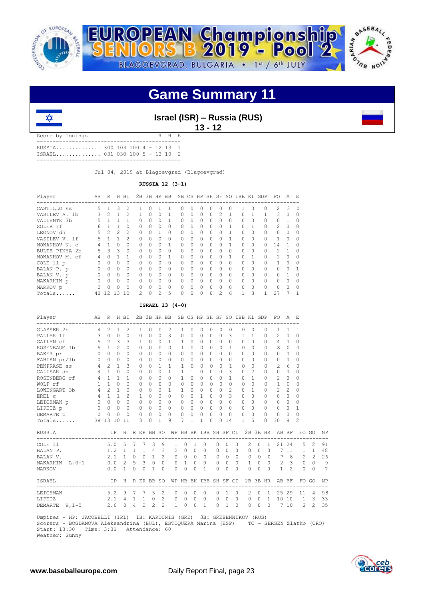



**Israel (ISR) – Russia (RUS) 13 - 12**

Score by Innings R H E --------------------------------------------- RUSSIA.............. 300 103 100 4 - 12 13 1 ISRAEL.............. 031 030 100 5 - 13 10 2 ---------------------------------------------

Jul 04, 2019 at Blagoevgrad (Blagoevgrad)

**RUSSIA 12 (3-1)**

| Player            | AВ | R             | H              | ВI             | 2B             | 3B       | HR BB          |          | SB.                    |          | CS HP    |          | SH SF         | SO.      |           |          | IBB KL GDP                    | PO.            | A        | E.       |
|-------------------|----|---------------|----------------|----------------|----------------|----------|----------------|----------|------------------------|----------|----------|----------|---------------|----------|-----------|----------|-------------------------------|----------------|----------|----------|
| CASTILLO SS       | 5  |               | 3              | $\mathfrak{D}$ |                | 0        |                |          | -----------------<br>Ω | 0        | $\Omega$ | Λ        | 0             | $\Omega$ |           | $\Omega$ | ------------------------<br>O | $\mathcal{L}$  | 3        | $\Omega$ |
| VASILEV A. 1b     |    | $\mathcal{L}$ |                | $\mathcal{P}$  |                | $\Omega$ | $\Omega$       |          | 0                      | $\Omega$ | $\Omega$ | $\Omega$ | $\mathcal{L}$ |          | $\Omega$  |          |                               | 3              | $\Omega$ | $\Omega$ |
| VALIENTE 3b       |    |               |                |                | 0              | 0        | 0              |          | 0                      | $\Omega$ | $\Omega$ | $\Omega$ | $\Omega$      | $\Omega$ | $\Omega$  | $\Omega$ | 0                             | $\Omega$       |          | $\Omega$ |
| SOLER rf          | 6  |               |                | ∩              | 0              | $\Omega$ | $\Omega$       | $\Omega$ | 0                      | $\Omega$ | $\Omega$ | $\Omega$ | $\Omega$      |          | $\Omega$  |          | O                             | $\mathcal{P}$  | $\Omega$ | $\Omega$ |
| LEONOV dh         | 5  | 2             | $\mathfrak{D}$ | 2              | 0              | $\Omega$ |                | $\Omega$ | 0                      | $\Omega$ | $\Omega$ | $\Omega$ | 0             |          | $\bigcap$ | $\Omega$ | $\cap$                        | $\Omega$       | $\Omega$ | $\Omega$ |
| VASILEV V. 1f     | 5. |               |                | 2              | O              | $\Omega$ | $\Omega$       | $\Omega$ | 0                      | $\Omega$ | $\Omega$ | $\Omega$ | $\Omega$      |          | $\Omega$  | $\Omega$ |                               |                | $\Omega$ | $\Omega$ |
| MONAKHOV N. C     |    |               | 0              | $\Omega$       | 0              | 0        | $\Omega$       |          | $\Omega$               | 0        | $\Omega$ | $\Omega$ | 0             |          | $\Omega$  | $\Omega$ |                               | 14             |          | $\Omega$ |
| BULTE PINYA 2b    | 5. | 3             | 3              | $\Omega$       | 0              | 0        | $\Omega$       | $\Omega$ | 0                      | $\Omega$ | $\Omega$ | $\Omega$ | $\Omega$      | $\Omega$ | $\Omega$  | $\Omega$ | 0                             | 2              |          | $\Omega$ |
| MONAKHOV M.<br>сf | 4  | 0             |                |                | O              | $\cap$   | $\Omega$       |          | 0                      | $\Omega$ | $\Omega$ | $\Omega$ | $\Omega$      |          | $\Omega$  |          | $\cap$                        | $\overline{2}$ | $\Omega$ | $\Omega$ |
| COLE 11 p         |    | 0             | 0              | $\Omega$       | 0              | 0        | 0              | $\Omega$ | 0                      | $\Omega$ | $\Omega$ | $\Omega$ | $\Omega$      | $\Omega$ | $\bigcap$ | $\Omega$ |                               |                | ∩        | $\Omega$ |
| BALAN P. p        |    | 0             | $\Omega$       | $\Omega$       | O              | $\Omega$ | $\Omega$       | $\Omega$ | 0                      | $\Omega$ | $\Omega$ | $\Omega$ | $\Omega$      | $\Omega$ | $\Omega$  | $\Omega$ |                               | $\cap$         | $\cap$   |          |
| BALAN V. p        |    | $\Omega$      | $\Omega$       | $\Omega$       | 0              | 0        | $\Omega$       | $\Omega$ | $\Omega$               | $\Omega$ | $\Omega$ | $\Omega$ | $\Omega$      | $\Omega$ | $\bigcap$ | $\Omega$ | $\cap$                        | 0              |          | $\Omega$ |
| MAKARKIN p        |    | $\bigcap$     | <sup>0</sup>   | <sup>0</sup>   | O              | $\Omega$ | $\Omega$       | $\Omega$ | 0                      | 0        | $\Omega$ | $\cap$   | $\Omega$      | $\Omega$ | $\bigcap$ | $\Omega$ | $\cap$                        | $\bigcap$      | $\Omega$ | $\Omega$ |
| MARKOV p          |    | 0             | ∩              |                | O              | $\Omega$ | $\Omega$       | $\Omega$ | 0                      | $\Omega$ | $\Omega$ | $\cap$   | $\Omega$      | $\Omega$ | $\Omega$  | $\Omega$ | $\cap$                        | $\cap$         | ∩        | $\Omega$ |
| Totals            |    | 42 12 13      |                | 10             | $\mathfrak{D}$ | $\Omega$ | $\mathfrak{D}$ | 5        | $\Omega$               | $\Omega$ | $\Omega$ | 0        | 2             | 6        |           | 3        |                               | 27             |          |          |

### **ISRAEL 13 (4-0)**

| Player                                                                                                              |                | AB R H BI         |                |                       |              |                 |                |              |                |                       |              |                |           |           |               |                |              |                           |                | 2B 3B HR BB SB CS HP SH SF SO IBB KL GDP PO A E   |          |                |                |    |
|---------------------------------------------------------------------------------------------------------------------|----------------|-------------------|----------------|-----------------------|--------------|-----------------|----------------|--------------|----------------|-----------------------|--------------|----------------|-----------|-----------|---------------|----------------|--------------|---------------------------|----------------|---------------------------------------------------|----------|----------------|----------------|----|
| GLASSER 2b                                                                                                          | $\overline{4}$ | $\mathfrak{D}$    | $\mathbf{1}$   | $\overline{2}$        |              | 1               | $\Omega$       | $\Omega$     | 2              | 1                     | $\Omega$     | $\Omega$       | $\Omega$  | $\Omega$  | $\Omega$      |                | $\Omega$     | $\Omega$                  | 0              | 1                                                 | 1        | 1              |                |    |
| PALLER 1f                                                                                                           | 3              | $\Omega$          | $\Omega$       | $\Omega$              |              | $\Omega$        | $\bigcap$      | $\Omega$     | 3              | $\Omega$              | $\Omega$     | $\Omega$       | $\cap$    | $\bigcap$ | 3             |                | $\mathbf{1}$ | $\overline{1}$            | $\Omega$       | 2                                                 | $\Omega$ | $\Omega$       |                |    |
| GAILEN Cf                                                                                                           | 5              | $\mathcal{L}$     | 3              | 3                     |              | $\mathbf{1}$    | $\Omega$       | $\Omega$     | $\overline{1}$ | $\mathbf{1}$          | $\Omega$     | $\Omega$       | $\Omega$  | $\Omega$  | $\Omega$      |                | $\Omega$     | $\Omega$                  | $\Omega$       | 4                                                 | $\circ$  | 0              |                |    |
| ROSENBAUM 1b                                                                                                        |                | $5 \quad 1$       | $\mathfrak{D}$ | $\Omega$              |              | $\Omega$        | $\Omega$       | $\Omega$     | $\Omega$       | 1                     | $\Omega$     | $\Omega$       | $\cap$    | $\Omega$  | 1             |                | 0            | $\bigcap$                 | 0              | 8                                                 | $\Omega$ | $\Omega$       |                |    |
| BAKER pr                                                                                                            |                | $0 \quad 0$       | $\Omega$       | $\Omega$              |              | $\Omega$        | $\Omega$       | $\Omega$     | $\Omega$       | $\Omega$              | $\Omega$     | $\Omega$       | $\cap$    | $\bigcap$ | $\Omega$      |                | $\Omega$     | $\Omega$                  | $\bigcap$      | $\bigcap$                                         | $\Omega$ | $\Omega$       |                |    |
| FABIAN pr/1b                                                                                                        |                | $0\quad 0$        | $\Omega$       | $\Omega$              |              | 0               | $\Omega$       | $\Omega$     | $\Omega$       | 0                     | $\Omega$     | $\Omega$       | $\cap$    | $\Omega$  | $\Omega$      |                | $\Omega$     | $\Omega$                  | $\Omega$       | $\Omega$                                          | $\Omega$ | 0              |                |    |
| PENPRASE ss                                                                                                         |                | $4 \quad 2$       | $\mathbf{1}$   | 3                     |              | 0               | $\Omega$       | 1            | $\mathbf{1}$   | 1                     | $\Omega$     | $\Omega$       | $\Omega$  | $\Omega$  | 1             |                | $\Omega$     | $\Omega$                  | $\Omega$       | 2                                                 | 6        | $\Omega$       |                |    |
| CALISAR dh                                                                                                          | 4              | $\mathbf{1}$      | $\Omega$       | $\Omega$              |              | $\Omega$        | $\Omega$       | $\Omega$     | $\mathbf{1}$   | $\mathbf{1}$          | $\mathbf{1}$ | $\Omega$       | $\cap$    | $\Omega$  | 3             |                | $\Omega$     | $\overline{c}$            | $\Omega$       | $\Omega$                                          | $\circ$  | $\Omega$       |                |    |
| ROSENBERG rf                                                                                                        |                | $4 \quad 1$       | $\mathbf{1}$   | 1                     |              | $\Omega$        | $\Omega$       | $\Omega$     | $\cap$         | 1                     | $\Omega$     | $\cap$         | $\cap$    | $\bigcap$ | 1             |                | $\Omega$     | 1                         | $\bigcap$      | 2                                                 | $\Omega$ | 0              |                |    |
| WOLF rf                                                                                                             |                | $1 \quad 1$       | $\Omega$       | $\Omega$              |              | $\Omega$        | $\Omega$       | $\Omega$     | $\Omega$       | $\Omega$              | $\Omega$     | $\Omega$       | $\Omega$  | $\Omega$  | $\Omega$      |                | $\Omega$     | $\Omega$                  | $\Omega$       | $\mathbf{1}$                                      | $\Omega$ | $\Omega$       |                |    |
| LOWENGART 3b                                                                                                        |                | $4\quad 2$        | $\mathbf{1}$   | $\Omega$              |              | $\Omega$        | $\Omega$       | $\Omega$     | $\mathbf{1}$   | 1                     | $\Omega$     | $\Omega$       | $\Omega$  | $\Omega$  | 2             |                | $\bigcap$    | $\mathbf{1}$              | $\cap$         | 2                                                 | 2        | 0              |                |    |
| $4 \quad 1$<br>EREL C                                                                                               |                |                   | $\mathbf{1}$   | $\mathfrak{D}$        |              | 1               | $\Omega$       | $\Omega$     | $\Omega$       | $\Omega$              | $\Omega$     | $\mathbf{1}$   | $\bigcap$ | $\Omega$  | $\mathcal{L}$ |                | $\Omega$     | $\Omega$                  | $\Omega$       | 8                                                 | $\Omega$ | $\Omega$       |                |    |
| LEICHMAN p                                                                                                          |                | $0\quad 0\quad 0$ |                | $\circ$               |              | $\circ$         | $\circ$        | $\Omega$     | $\Omega$       | 0                     | $\Omega$     | $\circ$        | $\Omega$  | $\Omega$  | $\Omega$      |                | $\circ$      | $\Omega$                  | $\Omega$       | $\Omega$                                          | $\circ$  | 0              |                |    |
| LIPETZ p                                                                                                            |                | $0\quad 0$        | $\Omega$       | $\Omega$              |              | $\Omega$        | $\Omega$       | $\Omega$     | $\Omega$       | 0                     | $\Omega$     | $\Omega$       | $\Omega$  | $\Omega$  | $\Omega$      |                | $\Omega$     | $\Omega$                  | $\Omega$       | $\Omega$                                          | $\Omega$ | 1              |                |    |
| DEMARTE p                                                                                                           |                | $0\quad 0\quad 0$ |                | $\Omega$              |              | $\circ$         | $\circ$        | 0            | $\Omega$       | 0                     | 0            | $\circ$        | $\Omega$  | $\Omega$  | 0             |                | $\Omega$     | $\bigcap$                 | $\Omega$       | $\circ$                                           | $\circ$  | 0              |                |    |
| Totals                                                                                                              |                | 38 13 10 11       |                |                       |              | 3               | $\Omega$       | $\mathbf{1}$ | 9              | 7                     | $\mathbf{1}$ | $\mathbf{1}$   | $\cap$    | $\Omega$  | 14            |                | $\mathbf{1}$ | 5                         | $\Omega$       | 30                                                | 9        | $\mathcal{D}$  |                |    |
| RUSSIA DE DE CONSTANTA DE LA CONSTANTIA DE LA CONSTANTIA DE LA CONSTANTIA DE LA CONSTANTIACIÓN DE LA CONSTANTI<br>. |                |                   | IP -           |                       |              |                 |                |              |                |                       |              |                |           |           |               |                |              |                           |                | H R ER BB SO WP HB BK IBB SH SF CI 2B 3B HR AB BF |          |                | FO GO          | NP |
| COLE 11                                                                                                             |                |                   |                | $5.0\quad 5$          | 7            | $7\phantom{.0}$ | 3              | 9            | 1              | $\circ$               | 1            | $\circ$        |           | $\circ$   | $\circ$       | $\circ$        |              | $\overline{2}$<br>$\circ$ | 1              | 21                                                | 24       | 5              | 2              | 91 |
| BALAN P.                                                                                                            |                |                   |                | $1.2 \quad 1 \quad 1$ |              |                 | $1 \quad 4$    | 3            | $\overline{2}$ | $\circ$               | $\Omega$     | $\Omega$       |           | $\Omega$  | $\Omega$      | $\Omega$       |              | $\Omega$                  | $0 \quad 0$    | $7\phantom{.0}$                                   |          | $11 \quad 1$   | $\mathbf{1}$   | 48 |
| BALAN V.                                                                                                            |                |                   |                | 2.1 1 0 0 1           |              |                 |                | 2            | $\circ$        | $\circ$               | $\Omega$     | $\bigcirc$     |           |           | $0 \quad 0$   | $\overline{0}$ |              | $0\quad 0\quad 0$         |                | $\overline{7}$                                    | 8        | 2              | $\mathfrak{D}$ | 26 |
| MAKARKIN $L$ , 0-1                                                                                                  |                |                   |                | $0.0$ 2 5             |              |                 | $3 \quad 0$    | $\Omega$     | $\mathbf{0}$   | $\mathbf{1}$          | $\Omega$     | $\overline{0}$ |           | $\circ$   | $\Omega$      | $\Omega$       |              | 1                         | $0\quad 0$     | $2 \quad 3$                                       |          | $\circ$        | $\Omega$       | 9  |
| MARKOV                                                                                                              |                |                   |                | 0.0 1                 | $\Omega$     | $\Omega$        | $\overline{1}$ | $\bigcap$    | $\Omega$       | $\Omega$              | $\Omega$     | $\overline{1}$ |           | $\bigcap$ | $\Omega$      | $\Omega$       | $\Omega$     | $\Omega$                  | $\bigcap$      | $\mathbf{1}$                                      | $2^{1}$  | $\Omega$       | $\Omega$       | 7  |
| ISRAEL                                                                                                              |                |                   | IP             | H                     |              |                 | R ER BB SO     |              |                | WP HB BK IBB SH SF CI |              |                |           |           |               |                |              |                           |                | 2B 3B HR AB BF                                    |          |                | FO GO          | NP |
| LEICHMAN                                                                                                            |                | 5.2               |                | - 9                   | 7            |                 | 7 <sup>3</sup> | 2            | $\circ$        | 0                     | $\circ$      | $\circ$        |           | 0         | 1             | $\overline{0}$ |              | 2<br>$\circ$              | 1              |                                                   | 25 29    | 11             | $\overline{4}$ | 98 |
| LIPETZ                                                                                                              |                |                   | $2.1 \quad 4$  |                       | $\mathbf{1}$ | 1               | $\circ$        | 2            | $\circ$        | $\circ$               | $\Omega$     | $\overline{0}$ |           | $\circ$   | $\circ$       | $\bigcirc$     | $\circ$      | $\circ$                   | $\overline{1}$ | 10                                                | 10       | $\overline{1}$ | 3              | 33 |
| DEMARTE<br>$W, 1-0$                                                                                                 |                |                   |                | $2.0 \t 0 \t 4$       |              | $\overline{2}$  | 2              | 2            |                | $\overline{0}$<br>1   | $\circ$      | $\overline{1}$ |           | $\circ$   |               | $1 \quad 0$    | $\circ$      | $\circ$                   |                | $0 \t 7 \t 10$                                    |          | 2              | $\overline{c}$ | 35 |

 Umpires - HP: JACOBELLI (IRL) 1B: KAROUNIS (GRE) 3B: GREBENNIKOV (RUS) Scorers - BOGDANOVA Aleksandrina (BUL), ESTOQUERA Marina (ESP) TC - SERSEN Zlatko (CRO) Start: 13:30 Time: 3:31 Attendance: 60 Weather: Sunny

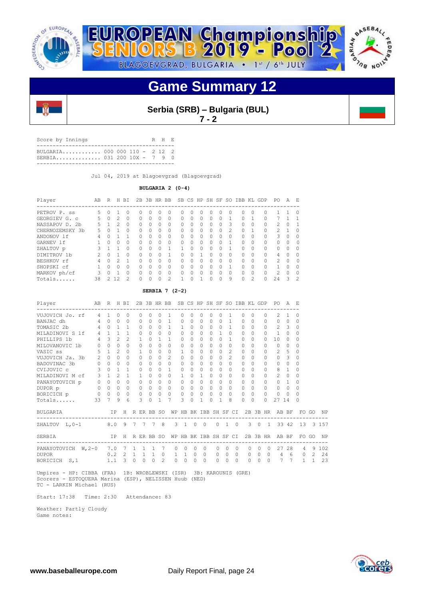





**Serbia (SRB) – Bulgaria (BUL)**

**7 - 2**

Score by Innings R H E -<br>------------------------- BULGARIA............ 000 000 110 - 2 12 2 SERBIA.............. 031 200 10X - 7 9 0 -------------------------------------------

Jul 04, 2019 at Blagoevgrad (Blagoevgrad)

## **BULGARIA 2 (0-4)**

| Player                        | AB | R            | Н  | BI            | 2B       | 3B HR            |   | <b>BB</b>     |   |          |              | SB CS HP SH SF |   | SO.            | IBB      | KL            | GDP      | PO.            | А        | Е        |
|-------------------------------|----|--------------|----|---------------|----------|------------------|---|---------------|---|----------|--------------|----------------|---|----------------|----------|---------------|----------|----------------|----------|----------|
| PETROV P.<br>SS               | 5. |              |    | 0             |          | $\left( \right)$ |   | 0             | Ω | $\Omega$ |              | $^{()}$        | O | $\Omega$       | O        |               |          |                |          | $\Omega$ |
| GEORGIEV G. C                 | 5. |              | 2. | 0             | 0        | $\bigcap$        |   | 0             | 0 | $\Omega$ | <sup>0</sup> | O              | 0 |                | $\Omega$ |               |          |                |          |          |
| NASSAPOV D.<br>2 <sub>b</sub> | 5. |              | っ  | $\Omega$      | $\Omega$ | $\bigcap$        | ∩ | $\Omega$      | 0 | $\Omega$ | $\Omega$     | $\cap$         | 0 | 3              | $\Omega$ | n             | $\cap$   | $\mathcal{L}$  | 0        |          |
| CHERNOZEMSKY<br>.3b           | 5. |              |    | 0             | 0        | $\bigcap$        |   | 0             | 0 | $\Omega$ |              | 0              | 0 | $\mathfrak{D}$ | $\Omega$ |               |          | $\mathcal{L}$  |          | $\Omega$ |
| ANDONOV 1f                    | 4  |              |    |               | O        | $\bigcap$        |   | 0             | 0 | $\Omega$ |              | O              | 0 | $\Omega$       | $\Omega$ |               | $\Omega$ | 3              | $\Omega$ | ∩        |
| GARNEV 1f                     |    | <sup>n</sup> | Ω  | 0             | 0        | $\cap$           | Λ | $\Omega$      | 0 | 0        | $\cap$       | $\cap$         | 0 |                | $\Omega$ |               | $\cap$   | U.             | 0        | $\cap$   |
| ZHALTOV p                     | 3  |              |    | 0             | 0        | $\cap$           |   |               |   | $\Omega$ |              | $\Omega$       | Ω |                | $\Omega$ |               | U        | 0              | $\Omega$ | $\Omega$ |
| DIMITROV 1b                   |    | $\cap$       |    | $\Omega$      | O        | $\cap$           |   |               | O | $\Omega$ |              | $\Omega$       | 0 | $\Omega$       | $\Omega$ |               | $\Omega$ | 4              | $\Omega$ | ∩        |
| BESHKOV rf                    | 4  | ∩            | っ  | 1             | O        | $\cap$           |   | 0             | 0 | $\cap$   | $\cap$       | $\cap$         | 0 | $\Omega$       | $\Omega$ |               | $\cap$   | $\mathcal{P}$  | $\Omega$ | $\cap$   |
| SHOPSKI cf                    |    | <sup>n</sup> | Ω  | 0             | $\Omega$ | $\cap$           |   | 0             | 0 | $\Omega$ |              | O              | Ω |                | $\Omega$ |               | $\cap$   |                | $\Omega$ | ∩        |
| MARKOV ph/cf                  | ς  |              |    | $\Omega$      | O        | $\cap$           |   | $\Omega$      | 0 | ∩        |              | $\Omega$       | 0 | $\Omega$       | $\Omega$ |               | $\Omega$ | $\mathfrak{D}$ | $\Omega$ |          |
| Totals                        | 38 |              | 12 | $\mathcal{D}$ | O        |                  |   | $\mathcal{P}$ | п | ∩        |              | U              | ∩ | 9              | $\Omega$ | $\mathcal{P}$ | Λ        | 2.4            | 3        | 2        |

## **SERBIA 7 (2-2)**

| Player              | AB R H BI<br>-------------------- |                |                |                |              |              |                |                | 2B 3B HR BB SB CS HP SH SF SO IBB KL GDP |              |          |          |           |              |                       |           |          |           |                | PO.<br>-------------                                       | A                       | F.             |               |           |
|---------------------|-----------------------------------|----------------|----------------|----------------|--------------|--------------|----------------|----------------|------------------------------------------|--------------|----------|----------|-----------|--------------|-----------------------|-----------|----------|-----------|----------------|------------------------------------------------------------|-------------------------|----------------|---------------|-----------|
| VUJOVICH Jo. rf     | $\overline{4}$                    | $\mathbf{1}$   | $\Omega$       | $\Omega$       |              | $\Omega$     | 0              | 0              | 1                                        | 0            |          | 0        | 0         | 0            | 1.                    | $\Omega$  |          | $\Omega$  | $\Omega$       | 2.                                                         | 1                       | 0              |               |           |
| BANJAC dh           | 4                                 | $\cap$         | $\Omega$       | 0              |              | $\Omega$     | $\Omega$       | $\Omega$       | $\overline{1}$                           | 0            | $\Omega$ | $\Omega$ | $\Omega$  | $\Omega$     | 1                     | $\Omega$  |          | $\Omega$  | $\Omega$       | 0                                                          | $\Omega$                | $\Omega$       |               |           |
| TOMASIC 2b          | 4                                 | $\Omega$       | $\mathbf{1}$   | 1              |              | $\Omega$     | $\Omega$       | $\Omega$       | $\mathbf{1}$                             | 1            | $\Omega$ | $\Omega$ | $\Omega$  | $\Omega$     | 1                     | $\Omega$  |          | $\Omega$  | $\cap$         | $\mathcal{L}$                                              | $\overline{\mathbf{3}}$ | $\Omega$       |               |           |
| MILADINOVI S 1f     | $4\phantom{0}$                    | $\overline{1}$ | $\mathbf{1}$   | 1              |              | $\Omega$     | $\Omega$       | $\Omega$       | $\Omega$                                 | $\Omega$     | $\Omega$ | $\Omega$ | $\bigcap$ | $\mathbf{1}$ | $\cap$                | $\Omega$  |          | $\Omega$  | $\bigcap$      | $\mathbf{1}$                                               | $\Omega$                | $\Omega$       |               |           |
| PHILLIPS 1b         | $\overline{4}$                    | 3              | $\mathfrak{D}$ | $\mathfrak{D}$ |              | $\mathbf{1}$ | $\bigcap$      | 1              | $\mathbf{1}$                             | 0            | $\Omega$ | $\Omega$ | $\Omega$  | $\Omega$     | 1.                    | $\Omega$  |          | $\Omega$  | $\cap$         | 10 <sup>°</sup>                                            | $\Omega$                | $\Omega$       |               |           |
| MILOVANOVIC 1b      | $\circ$                           | $\Omega$       | $\Omega$       | $\Omega$       |              | $\Omega$     | $\bigcap$      | $\Omega$       | $\Omega$                                 | $\Omega$     | $\Omega$ | $\Omega$ | $\Omega$  | $\Omega$     | $\Omega$              | $\Omega$  |          | $\Omega$  | <sup>0</sup>   | $\Omega$                                                   | $\Omega$                | $\Omega$       |               |           |
| VASIC ss            | 5                                 | $\mathbf{1}$   | $\mathfrak{D}$ | $\Omega$       |              | $\mathbf{1}$ | $\Omega$       | $\Omega$       | $\Omega$                                 | $\mathbf{1}$ | $\Omega$ | $\Omega$ | $\bigcap$ | $\Omega$     | $\mathfrak{D}$        | $\bigcap$ |          | $\Omega$  | $\cap$         | $\overline{2}$                                             | $\overline{5}$          | $\Omega$       |               |           |
| VUJOVICH Ja. 3b     | 2                                 | $\Omega$       | $\Omega$       | $\Omega$       |              | $\Omega$     | $\Omega$       | $\cap$         | $\mathcal{L}$                            | 0            | $\Omega$ | $\Omega$ | $\Omega$  | $\Omega$     | $\mathcal{L}$         | $\Omega$  |          | $\Omega$  | $\cap$         | $\Omega$                                                   | 3                       | $\Omega$       |               |           |
| BADOVINAC 3b        | $\circ$                           | $\Omega$       | $\Omega$       | $\Omega$       |              | $\Omega$     | $\Omega$       | $\bigcap$      | $\Omega$                                 | $\Omega$     | $\Omega$ | $\Omega$ | $\Omega$  | $\Omega$     | $\cap$                | $\Omega$  |          | $\Omega$  | $\cap$         | 0                                                          | $\Omega$                | $\Omega$       |               |           |
| CVIJOVIC c          | 3                                 | $\Omega$       | $\mathbf{1}$   | 1              |              | $\Omega$     | $\Omega$       | $\Omega$       | 1                                        | $\Omega$     | $\Omega$ | $\Omega$ | $\Omega$  | $\Omega$     | $\Omega$              | $\bigcap$ |          | $\Omega$  | $\cap$         | 8                                                          | $\mathbf{1}$            | $\Omega$       |               |           |
| MILADINOVI M cf     | 3                                 | $\mathbf{1}$   | $\mathcal{D}$  | 1              |              | 1            | $\Omega$       | 0              | $\Omega$                                 | 1.           | $\Omega$ | 1        | $\Omega$  | <sup>0</sup> | 0                     | $\Omega$  |          | $\Omega$  | $\cap$         | $\overline{c}$                                             | $\Omega$                | $\Omega$       |               |           |
| PANAYOTOVICH p      | $\circ$                           | $\Omega$       | $\Omega$       | $\Omega$       |              | $\Omega$     | $\bigcap$      | $\Omega$       | $\Omega$                                 | $\Omega$     | $\Omega$ | $\Omega$ | $\Omega$  | $\Omega$     | $\cap$                | $\Omega$  |          | $\Omega$  | $\cap$         | $\Omega$                                                   | $\overline{1}$          | $\Omega$       |               |           |
| DUPOR p             | $\Omega$                          | $\Omega$       | $\Omega$       | $\bigcap$      |              | $\Omega$     | $\Omega$       | $\cap$         | $\Omega$                                 | $\Omega$     | $\Omega$ | $\Omega$ | $\Omega$  | $\Omega$     | $\Omega$              | $\Omega$  |          | $\bigcap$ | $\Omega$       | 0                                                          | $\Omega$                | $\Omega$       |               |           |
| BORICICH p          | 0                                 | $\Omega$       | $\Omega$       | $\Omega$       |              | $\Omega$     | $\Omega$       | $\Omega$       | $\Omega$                                 | $\Omega$     | $\Omega$ | $\Omega$ | $\Omega$  | $\Omega$     | $\Omega$              | $\Omega$  |          | $\Omega$  | $\Omega$       | $\Omega$                                                   | $\Omega$                | $\Omega$       |               |           |
| Totals              | 33                                | 7              | 9              | 6              |              | 3            | $\cap$         | 1              |                                          | ζ            | $\Omega$ |          | $\Omega$  | 1            | 8                     | $\Omega$  |          | $\Omega$  | $\Omega$       | 27                                                         | 14                      | $\Omega$       |               |           |
| BULGARIA            |                                   | IP             |                |                |              |              |                |                | H R ER BB SO WP HB BK IBB SH SF CI       |              |          |          |           |              |                       |           |          |           | 2B 3B HR       | AB BF                                                      |                         |                | FO GO         | <b>NP</b> |
| ZHALTOV L, 0-1      |                                   |                |                |                |              |              | 8.0 9 7 7 7 8  |                |                                          |              |          | 3 1 0 0  |           |              | $0\quad 1\quad 0$     |           |          |           |                | ----------------------------------<br>3 0 1 33 42 13 3 157 |                         |                |               |           |
| SERBIA              |                                   |                | IP.            |                |              |              | H R ER BB SO   |                |                                          |              |          |          |           |              | WP HB BK IBB SH SF CI |           |          |           |                | 2B 3B HR AB BF                                             |                         |                | FO GO         | NP        |
| PANAYOTOVICH W, 2-0 |                                   | 7.0            |                | 7              | $\mathbf{1}$ | $\mathbf{1}$ | $\overline{1}$ | 7              | $\circ$                                  | $\Omega$     | $\Omega$ | $\Omega$ |           | $\Omega$     | $\Omega$              | $\Omega$  | $\Omega$ | $\Omega$  | $\Omega$       | 27                                                         | 28                      | $\overline{4}$ |               | 9 102     |
| <b>DUPOR</b>        |                                   | 0.2            |                | 2              | $\mathbf{1}$ |              | $1 \quad 1$    | $\Omega$       | $\mathbf{1}$                             | $\mathbf{1}$ | $\Omega$ | $\Omega$ |           | $\Omega$     | $\Omega$              | $\Omega$  | $\Omega$ | $\Omega$  | $\overline{0}$ | 4                                                          | 6                       | $\Omega$       | $\mathcal{L}$ | 24        |
| BORICICH S, 1       |                                   | 1.1            |                | 3              | $\Omega$     | $\Omega$     | $\Omega$       | $\mathfrak{D}$ | $\Omega$                                 | $\Omega$     | $\Omega$ | $\Omega$ |           | $\Omega$     | $\bigcap$             | $\Omega$  | $\Omega$ | $\bigcap$ | $\Omega$       | $\overline{7}$                                             | 7                       | $\mathbf{1}$   | $\mathbf{1}$  | 23        |

 Umpires - HP: CIBBA (FRA) 1B: WROBLEWSKI (ISR) 3B: KAROUNIS (GRE) Scorers - ESTOQUERA Marina (ESP), NELISSEN Huub (NED) TC - LARKIN Michael (RUS)

Start: 17:38 Time: 2:30 Attendance: 83

 Weather: Partly Cloudy Game notes:

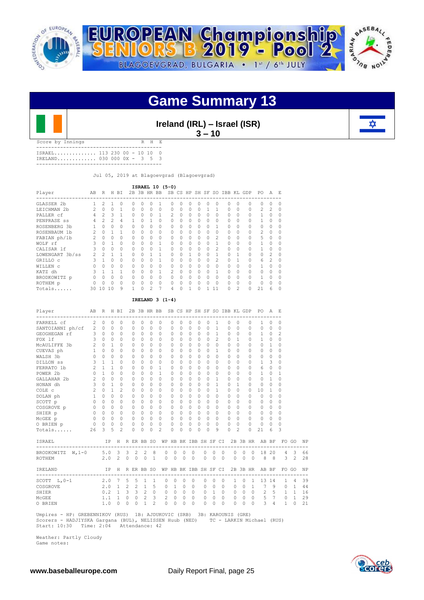



**Ireland (IRL) – Israel (ISR)**

**3 – 10** 

| Score by Innings            |  |  | R H E |  |
|-----------------------------|--|--|-------|--|
|                             |  |  |       |  |
| ISRAEL 113 230 00 - 10 10 0 |  |  |       |  |
| IRELAND 030 000 0X - 3 5 3  |  |  |       |  |

------------------------------------------

Jul 05, 2019 at Blagoevgrad (Blagoevgrad)

|                 |                |                |                |          |    |           |   | ISRAEL 10 (5-0) |                |          |          |          |          |                |                        |                                                                                                                                                                                                                                                                                                                                                                                                                            |          |                |                |    |
|-----------------|----------------|----------------|----------------|----------|----|-----------|---|-----------------|----------------|----------|----------|----------|----------|----------------|------------------------|----------------------------------------------------------------------------------------------------------------------------------------------------------------------------------------------------------------------------------------------------------------------------------------------------------------------------------------------------------------------------------------------------------------------------|----------|----------------|----------------|----|
| Player          | AB             | R              |                | H BI     |    |           |   | 2B 3B HR BB     | SB.            | CS.      |          |          |          |                | HP SH SF SO IBB KL GDP |                                                                                                                                                                                                                                                                                                                                                                                                                            |          | PO.            | A              | E. |
| GLASSER 2b      |                | 2              |                | 0        | 0  | $\Omega$  | 0 |                 | 0              | 0        | 0        | 0        | 0        | $\Omega$       | 0                      | 0                                                                                                                                                                                                                                                                                                                                                                                                                          | 0        | 0              | 0              | 0  |
| LEICHMAN 2b     |                |                | $\Omega$       |          | 0  | $\Omega$  | 0 | $\Omega$        | $\Omega$       | $\Omega$ | $\Omega$ | $\Omega$ |          |                | $\bigcap$              |                                                                                                                                                                                                                                                                                                                                                                                                                            | $\Omega$ | $\mathcal{L}$  | $\mathfrak{D}$ | 0  |
| PALLER cf       |                | $\mathfrak{D}$ | 3              |          | 0  | $\Omega$  | 0 |                 | $\mathfrak{D}$ | $\Omega$ | $\Omega$ | $\Omega$ | 0        | $\cap$         | $\cap$                 |                                                                                                                                                                                                                                                                                                                                                                                                                            | 0        |                |                |    |
| PENPRASE ss     | 4              | $\mathfrak{D}$ | $\mathfrak{D}$ | 4        |    | $\Omega$  |   | $\Omega$        | $\Omega$       | $\Omega$ | $\Omega$ | $\Omega$ | $\Omega$ | $\Omega$       | $\cap$                 |                                                                                                                                                                                                                                                                                                                                                                                                                            | 0        |                | O              |    |
| ROSENBERG 3b    |                |                | $\Omega$       | $\Omega$ | 0  |           | O | 0               | $\Omega$       | $\Omega$ | $\Omega$ | $\Omega$ | 0        |                | $\cap$                 |                                                                                                                                                                                                                                                                                                                                                                                                                            | 0        | $\cap$         |                |    |
| ROSENBAUM 1b    |                | $\Omega$       |                |          | 0  | $\cap$    | 0 | $\Omega$        | $\Omega$       | $\Omega$ | $\Omega$ | $\Omega$ | $\Omega$ | $\cap$         | $\cap$                 |                                                                                                                                                                                                                                                                                                                                                                                                                            | 0        | $\mathfrak{D}$ | O              |    |
| FABIAN ph/1b    |                | $\Omega$       | $\Omega$       | $\Omega$ | 0  | $\Omega$  | 0 | 0               | $\Omega$       | $\Omega$ | $\Omega$ | $\Omega$ | $\Omega$ | $\mathfrak{D}$ | $\Omega$               |                                                                                                                                                                                                                                                                                                                                                                                                                            | 0        | 5              | O              |    |
| WOLF rf         |                | $\Omega$       |                | $\Omega$ | 0  | $\Omega$  | 0 |                 | $\Omega$       | $\Omega$ | $\Omega$ | $\Omega$ | 0        |                | $\cap$                 |                                                                                                                                                                                                                                                                                                                                                                                                                            | 0        |                |                |    |
| CALISAR 1f      |                | $\Omega$       | $\Omega$       | $\Omega$ | O. | $\Omega$  | 0 |                 | $\cap$         | $\Omega$ | $\Omega$ | $\Omega$ | 0        | $\mathfrak{D}$ | $\cap$                 |                                                                                                                                                                                                                                                                                                                                                                                                                            | 0        |                | O              |    |
| LOWENGART 3b/ss | $\mathfrak{D}$ | $\mathfrak{D}$ |                |          | 0  | $\cap$    |   |                 | $\Omega$       |          |          | $\Omega$ | 0        |                | $\cap$                 |                                                                                                                                                                                                                                                                                                                                                                                                                            | 0        | 0              | $\mathcal{L}$  |    |
| GRILLO C        |                |                | $\Omega$       | $\Omega$ | 0  | $\Omega$  | 0 |                 | $\Omega$       | $\Omega$ | $\Omega$ | $\Omega$ | 0        | $\mathfrak{D}$ | $\cap$                 |                                                                                                                                                                                                                                                                                                                                                                                                                            | 0        | 6              |                |    |
| WILLEN C        |                |                | $\Omega$       | $\Omega$ | O. |           | 0 | 0               | $\cap$         | $\cap$   | $\Omega$ | $\Omega$ | U        | $\cap$         | $\cap$                 |                                                                                                                                                                                                                                                                                                                                                                                                                            |          |                |                |    |
| KATZ dh         |                |                |                |          | O. |           |   |                 | $\mathfrak{D}$ | $\cap$   | $\cap$   | $\Omega$ | U        |                | $\cap$                 |                                                                                                                                                                                                                                                                                                                                                                                                                            |          | $\Omega$       |                |    |
| BRODKOWITZ p    |                | $\Omega$       | $\Omega$       | $\Omega$ | O. | $\bigcap$ | O | 0               | $\Omega$       | $\Omega$ | $\Omega$ | $\Omega$ | Ω        | $\bigcap$      | $\cap$                 |                                                                                                                                                                                                                                                                                                                                                                                                                            | 0        |                | O              |    |
| ROTHEM p        |                |                | $\Omega$       | $\Omega$ | O. | $\bigcap$ | O | 0               | $\cap$         | O        | $\Omega$ | $\cap$   |          | $\cap$         | $\cap$                 |                                                                                                                                                                                                                                                                                                                                                                                                                            | O        | $\cap$         | U              |    |
| Totals          | 30             | 10             | 10             | 9        |    |           |   |                 |                | O        |          |          |          | 11             |                        | $\mathfrak{D}_{1}^{2}(\mathfrak{D}_{1})=\mathfrak{D}_{2}^{2}(\mathfrak{D}_{2})=\mathfrak{D}_{2}^{2}(\mathfrak{D}_{1})=\mathfrak{D}_{2}^{2}(\mathfrak{D}_{2})=\mathfrak{D}_{2}^{2}(\mathfrak{D}_{1})=\mathfrak{D}_{2}^{2}(\mathfrak{D}_{1})=\mathfrak{D}_{2}^{2}(\mathfrak{D}_{1})=\mathfrak{D}_{2}^{2}(\mathfrak{D}_{1})=\mathfrak{D}_{2}^{2}(\mathfrak{D}_{1})=\mathfrak{D}_{2}^{2}(\mathfrak{D}_{1})=\mathfrak{D}_{2}^{$ |          | 21             | 6              |    |

## **IRELAND 3 (1-4)**

| $\mathfrak{D}$<br>$\Omega$<br>$\mathbf{0}$<br>$\Omega$<br>$\Omega$<br>$\Omega$<br>FARRELL cf<br>$\Omega$<br>$\Omega$<br>$\mathbf 0$<br>$\Omega$<br>$\Omega$<br>$\Omega$<br>$\Omega$<br>1<br>$\Omega$<br>$\Omega$<br>0<br>1<br>$\Omega$<br>$\Omega$<br>$\Omega$<br>$\Omega$<br>$\Omega$<br>0<br>$\mathbf{1}$<br>$\Omega$<br>SANTOIANNI ph/cf<br>$\Omega$<br>$\mathbf{0}$<br>$\Omega$<br>$\Omega$<br>$\Omega$<br>$\Omega$<br>$\Omega$<br>$\Omega$<br>$\Omega$<br>2<br>$\circ$<br>$\circ$<br>$\circ$<br>$\circ$<br>GEOGHEGAN rf 3<br>$\circ$<br>$\Omega$<br>$\Omega$<br>$\mathbf{1}$<br>$\Omega$<br>$\overline{c}$<br>$\circ$<br>$\circ$<br>$\circ$<br>$\circ$<br>0<br>0<br>$\circ$<br>$\circ$<br>0<br>0<br>0<br>1<br>0<br>$\mathbf{3}$<br>$\Omega$<br>$\mathfrak{D}$<br>FOX 1f<br>$\mathbf{0}$<br>$\circ$<br>0<br>0<br>$\Omega$<br>0<br>$\circ$<br>$\Omega$<br>$\Omega$<br>0<br>0<br>$\Omega$<br>1<br>$\circ$<br>0<br>$\Omega$<br>1<br>$\overline{c}$<br>MCAULIFFE 3b<br>$\Omega$<br>$\Omega$<br>1<br>$\Omega$<br>$\Omega$<br>$\Omega$<br>$\Omega$<br>$\Omega$<br>0<br>$\Omega$<br>$\Omega$<br>$\Omega$<br>$\Omega$<br>$\mathbf{1}$<br>$\Omega$<br>$\Omega$<br>$\Omega$<br>$\Omega$<br>0<br>$\mathbf{1}$<br>CUEVAS ph<br>$\Omega$<br>$\Omega$<br>$\Omega$<br>$\Omega$<br>$\Omega$<br>$\Omega$<br>$\Omega$<br>$\Omega$<br>$\Omega$<br>$\Omega$<br>$\Omega$<br>$\Omega$<br>$\Omega$<br>0<br>$\mathbf{1}$<br>$\Omega$<br>$\Omega$<br>0<br>$\Omega$<br>$\Omega$<br>WALSH 3b<br>$\Omega$<br>$\Omega$<br>$\Omega$<br>$\Omega$<br>0<br>$\Omega$<br>$\Omega$<br>$\Omega$<br>$\Omega$<br>$\Omega$<br>$\Omega$<br>$\Omega$<br>$\Omega$<br>$\Omega$<br>$\Omega$<br>$\Omega$<br>$\Omega$<br>$\Omega$<br>0<br>3<br>$\mathbf{1}$<br>$\mathbf{1}$<br>$\Omega$<br>$\Omega$<br>$\Omega$<br>$\Omega$<br>3<br>$\Omega$<br>DILLON SS<br>$\Omega$<br>$\Omega$<br>$\Omega$<br>$\Omega$<br>$\Omega$<br>$\Omega$<br>0<br>$\Omega$<br>$\Omega$<br>$\Omega$<br>1<br>$\mathfrak{D}$<br>$\mathbf{1}$<br>$\mathbf{1}$<br>$\Omega$<br>$\mathbf{1}$<br>$\Omega$<br>$\Omega$<br>$\Omega$<br>$\Omega$<br>$\Omega$<br>FERRATO 1b<br>$\Omega$<br>$\Omega$<br>$\Omega$<br>$\Omega$<br>$\Omega$<br>0<br>$\Omega$<br>$\bigcap$<br>$\Omega$<br>6<br>$\Omega$<br>POWER 2b<br>$\cap$<br>$\mathbf{1}$<br>$\Omega$<br>$\mathbf{1}$<br>$\Omega$<br>$\Omega$<br>$\Omega$<br>$\Omega$<br>$\cap$<br>0<br>$\cap$<br>$\Omega$<br>1<br>$\Omega$<br>$\Omega$<br>$\Omega$<br>0<br>$\Omega$<br>1<br>$\overline{c}$<br>$\Omega$<br>$\Omega$<br>$\Omega$<br>GALLAHAR 2b<br>$\Omega$<br>$\Omega$<br>$\Omega$<br>$\Omega$<br>$\Omega$<br>1<br>$\Omega$<br>$\Omega$<br>$\Omega$<br>1<br>$\Omega$<br>$\Omega$<br>$\Omega$<br>$\Omega$<br>0<br>$\Omega$<br>3<br>HONAN dh<br>$\Omega$<br>1<br>$\Omega$<br>$\Omega$<br>$\Omega$<br>$\Omega$<br>$\Omega$<br>$\Omega$<br>$\Omega$<br>0<br>1<br>$\Omega$<br>1<br>$\Omega$<br>$\Omega$<br>$\Omega$<br>$\Omega$<br>$\Omega$<br>$\Omega$<br>$\overline{c}$<br>COLE c<br>$\Omega$<br>$\mathbf{1}$<br>$\overline{c}$<br>$\mathbf{1}$<br>$\Omega$<br>$\Omega$<br>$\Omega$<br>$\Omega$<br>$\Omega$<br>$\Omega$<br>$\Omega$<br>$\Omega$<br>0<br>$\Omega$<br>$\Omega$<br>$\Omega$<br>10<br>$\mathbf{1}$<br>$\Omega$<br>$\mathbf{1}$<br>$\Omega$<br>$\Omega$<br>$\Omega$<br>$\Omega$<br>$\Omega$<br>$\cap$<br>$\cap$<br>$\Omega$<br>$\Omega$<br>$\Omega$<br>DOLAN ph<br>$\Omega$<br>$\Omega$<br>$\Omega$<br>$\Omega$<br>$\Omega$<br>0<br>$\Omega$<br>$\Omega$<br>$\Omega$<br>0<br>$\Omega$<br>$\Omega$<br>$\Omega$<br>$\Omega$<br>$\Omega$<br>$\Omega$<br>SCOTT p<br>$\Omega$<br>0<br>$\Omega$<br>$\Omega$<br>0<br>$\Omega$<br>$\Omega$<br>0<br>$\Omega$<br>$\Omega$<br>$\Omega$<br>$\Omega$<br>$\Omega$<br>$\bigcirc$<br>$\Omega$<br>$\Omega$<br>COSGROVE p<br>0<br>$\Omega$<br>$\Omega$<br>$\mathbf 0$<br>$\Omega$<br>$\Omega$<br>$\Omega$<br>$\Omega$<br>$\Omega$<br>$\Omega$<br>$\Omega$<br>$\Omega$<br>$\Omega$<br>$\Omega$<br>$\Omega$<br>$\Omega$<br>$\Omega$<br>$\Omega$<br>$\Omega$<br>$\Omega$<br>$\Omega$<br>$\circ$<br>$\bigcirc$<br>$\Omega$<br>$\circ$<br>$\Omega$<br>$\Omega$<br>$\Omega$<br>$\Omega$<br>$\Omega$<br>$\circ$<br>$\Omega$<br>$\Omega$<br>SHIER p<br>$\Omega$<br>0<br>0<br>$\Omega$<br>$\Omega$<br>$0\quad 0$<br>$\circ$<br>$\circ$<br>$\circ$<br>$\circ$<br>$\Omega$<br>$\Omega$<br>$\Omega$<br>McGEE p<br>0<br>$\circ$<br>0<br>$\Omega$<br>$\Omega$<br>$\Omega$<br>$\Omega$<br>0<br>$\Omega$<br>$\Omega$<br>$\Omega$<br>O BRIEN p<br>$\bigcirc$<br>$\mathbf{0}$<br>$\circ$<br>$\Omega$<br>$\Omega$<br>0<br>$\Omega$<br>$\circ$<br>$\Omega$<br>0<br>$\Omega$<br>0<br>$\Omega$<br>$\Omega$<br>$\Omega$<br>$\Omega$<br>$\Omega$<br>0<br>$\Omega$<br>5<br>$\overline{c}$<br>$\overline{\mathfrak{Z}}$<br>$\mathfrak{D}$<br>3<br>Totals<br>3<br>$\Omega$<br>$\cap$<br>$\cap$<br>O<br>9<br>$\Omega$<br>$\Omega$<br>21<br>26<br>$\Omega$<br>$\Omega$<br>$\cap$<br>O.<br>6<br>2B 3B HR AB BF<br><b>ISRAEL</b><br>H R ER BB SO WP HB BK IBB SH SF CI<br>IP<br>FO GO<br>BRODKOWITZ W, 1-0<br>$5.0 \quad 3$<br>3<br>2<br>$\overline{c}$<br>18 20<br>3<br>8<br>$\Omega$<br>$\Omega$<br>$\Omega$<br>$\Omega$<br>0<br>$\circ$<br>$\Omega$<br>$\Omega$<br>$\Omega$<br>$\Omega$<br>$\overline{4}$<br>8<br>2.0<br>$\overline{2}$<br>$\Omega$<br>$\circ$<br>$\Omega$<br>$\mathbf{1}$<br>$\circ$<br>$\circ$<br>$\Omega$<br>$\circ$<br>$\Omega$<br>$\hspace{0.1cm} 0$<br>3<br>2<br>$\Omega$<br>$\Omega$<br>$\Omega$<br>$\Omega$<br>- 8<br>ROTHEM<br>R ER BB SO WP HB BK IBB SH SF CI<br>2B 3B HR<br>AB BF<br>IRELAND<br>IP.<br>H<br>FO GO<br>---------------------------------<br>SCOTT $L, 0-1$<br>2.0<br>$\overline{7}$<br>5<br>5<br>$\mathbf{0}$<br>$\Omega$<br>$\circ$<br>13<br>1<br>1<br>0<br>$\Omega$<br>0<br>$\Omega$<br>$\mathbf{1}$<br>$\circ$<br>1<br>14<br>$\mathbf{1}$<br>4<br>7<br>$\overline{1}$<br>$\mathbf{1}$<br>$\mathbf{1}$<br>$\mathbf{1}$<br>COSGROVE<br>2.0<br>$\overline{2}$<br>$\overline{2}$<br>5<br>$\circ$<br>$\Omega$<br>$\Omega$<br>$\circ$<br>$\circ$<br>$\Omega$<br>$\Omega$<br>$\Omega$<br>9<br>$\Omega$<br>$\overline{1}$<br>3<br>3 <sup>2</sup><br>$\Omega$<br>$1 \quad 0$<br>2<br>5<br>$\circ$<br>$\circ$<br>$\Omega$<br>$\Omega$<br>$\overline{0}$<br>$\overline{0}$<br>$\mathbf{1}$<br>$\mathbf{1}$<br>0.2<br>$\overline{1}$<br>$\circ$<br>$\circ$<br>SHIER<br>5<br>$\overline{c}$<br>$\mathbf{1}$<br>3<br>$\circ$<br>$\circ$<br>$7\phantom{.0}$<br>2<br>$\circ$<br>$\circ$<br>$\circ$<br>1.1<br>$\circ$<br>$\circ$<br>$\circ$<br>$\mathbf{0}$<br>$\circ$<br>$\circ$<br>MCGEE<br>$\mathbf{1}$<br>$\circ$<br>3<br>$\overline{\mathfrak{Z}}$<br>4<br>$\mathbf{1}$<br>$\Omega$<br>1.0<br>$\Omega$<br>$\Omega$<br>$\Omega$<br>$\Omega$<br>$\cap$<br>$\Omega$<br>$\Omega$<br>$\Omega$<br>$\mathbf{1}$<br>$\Omega$<br>O BRIEN<br>0<br>$\Omega$<br>$\cap$<br>$\bigcap$ | Player | AB R H BI |  |  |  | 2B 3B HR BB SB CS HP SH SF SO IBB KL GDP |  |  |  |  |  | PO. | A E |  |    |
|------------------------------------------------------------------------------------------------------------------------------------------------------------------------------------------------------------------------------------------------------------------------------------------------------------------------------------------------------------------------------------------------------------------------------------------------------------------------------------------------------------------------------------------------------------------------------------------------------------------------------------------------------------------------------------------------------------------------------------------------------------------------------------------------------------------------------------------------------------------------------------------------------------------------------------------------------------------------------------------------------------------------------------------------------------------------------------------------------------------------------------------------------------------------------------------------------------------------------------------------------------------------------------------------------------------------------------------------------------------------------------------------------------------------------------------------------------------------------------------------------------------------------------------------------------------------------------------------------------------------------------------------------------------------------------------------------------------------------------------------------------------------------------------------------------------------------------------------------------------------------------------------------------------------------------------------------------------------------------------------------------------------------------------------------------------------------------------------------------------------------------------------------------------------------------------------------------------------------------------------------------------------------------------------------------------------------------------------------------------------------------------------------------------------------------------------------------------------------------------------------------------------------------------------------------------------------------------------------------------------------------------------------------------------------------------------------------------------------------------------------------------------------------------------------------------------------------------------------------------------------------------------------------------------------------------------------------------------------------------------------------------------------------------------------------------------------------------------------------------------------------------------------------------------------------------------------------------------------------------------------------------------------------------------------------------------------------------------------------------------------------------------------------------------------------------------------------------------------------------------------------------------------------------------------------------------------------------------------------------------------------------------------------------------------------------------------------------------------------------------------------------------------------------------------------------------------------------------------------------------------------------------------------------------------------------------------------------------------------------------------------------------------------------------------------------------------------------------------------------------------------------------------------------------------------------------------------------------------------------------------------------------------------------------------------------------------------------------------------------------------------------------------------------------------------------------------------------------------------------------------------------------------------------------------------------------------------------------------------------------------------------------------------------------------------------------------------------------------------------------------------------------------------------------------------------------------------------------------------------------------------------------------------------------------------------------------------------------------------------------------------------------------------------------------------------------------------------------------------------------------------------------------------------------------------------------------------------------------------------------------------------------------------------------------------------------------------------------------------------------------------------------------------------------------------------------------------------------------------------------------------------------------------------------------------------------------------------------------------------------------------------------------------------------------------------------------------------------------------------------------------------------------------------------------------------------------------------------------------------------------------------------------------------------------------------------------------------------------------------------------------------------------------------------------------------------------------------------------------------------------------------------------------------------------------------------------------------------------------------------------------------------------------------------------------------------------------------------------------------------------------------------------------------------------------------------------------------------------------------------------------------------------------------------------------------------------------------------------------------------------------------------------------------------------------------------------------------------------------------------------------------------------------|--------|-----------|--|--|--|------------------------------------------|--|--|--|--|--|-----|-----|--|----|
|                                                                                                                                                                                                                                                                                                                                                                                                                                                                                                                                                                                                                                                                                                                                                                                                                                                                                                                                                                                                                                                                                                                                                                                                                                                                                                                                                                                                                                                                                                                                                                                                                                                                                                                                                                                                                                                                                                                                                                                                                                                                                                                                                                                                                                                                                                                                                                                                                                                                                                                                                                                                                                                                                                                                                                                                                                                                                                                                                                                                                                                                                                                                                                                                                                                                                                                                                                                                                                                                                                                                                                                                                                                                                                                                                                                                                                                                                                                                                                                                                                                                                                                                                                                                                                                                                                                                                                                                                                                                                                                                                                                                                                                                                                                                                                                                                                                                                                                                                                                                                                                                                                                                                                                                                                                                                                                                                                                                                                                                                                                                                                                                                                                                                                                                                                                                                                                                                                                                                                                                                                                                                                                                                                                                                                                                                                                                                                                                                                                                                                                                                                                                                                                                                                                                                                                    |        |           |  |  |  |                                          |  |  |  |  |  |     |     |  |    |
|                                                                                                                                                                                                                                                                                                                                                                                                                                                                                                                                                                                                                                                                                                                                                                                                                                                                                                                                                                                                                                                                                                                                                                                                                                                                                                                                                                                                                                                                                                                                                                                                                                                                                                                                                                                                                                                                                                                                                                                                                                                                                                                                                                                                                                                                                                                                                                                                                                                                                                                                                                                                                                                                                                                                                                                                                                                                                                                                                                                                                                                                                                                                                                                                                                                                                                                                                                                                                                                                                                                                                                                                                                                                                                                                                                                                                                                                                                                                                                                                                                                                                                                                                                                                                                                                                                                                                                                                                                                                                                                                                                                                                                                                                                                                                                                                                                                                                                                                                                                                                                                                                                                                                                                                                                                                                                                                                                                                                                                                                                                                                                                                                                                                                                                                                                                                                                                                                                                                                                                                                                                                                                                                                                                                                                                                                                                                                                                                                                                                                                                                                                                                                                                                                                                                                                                    |        |           |  |  |  |                                          |  |  |  |  |  |     |     |  |    |
|                                                                                                                                                                                                                                                                                                                                                                                                                                                                                                                                                                                                                                                                                                                                                                                                                                                                                                                                                                                                                                                                                                                                                                                                                                                                                                                                                                                                                                                                                                                                                                                                                                                                                                                                                                                                                                                                                                                                                                                                                                                                                                                                                                                                                                                                                                                                                                                                                                                                                                                                                                                                                                                                                                                                                                                                                                                                                                                                                                                                                                                                                                                                                                                                                                                                                                                                                                                                                                                                                                                                                                                                                                                                                                                                                                                                                                                                                                                                                                                                                                                                                                                                                                                                                                                                                                                                                                                                                                                                                                                                                                                                                                                                                                                                                                                                                                                                                                                                                                                                                                                                                                                                                                                                                                                                                                                                                                                                                                                                                                                                                                                                                                                                                                                                                                                                                                                                                                                                                                                                                                                                                                                                                                                                                                                                                                                                                                                                                                                                                                                                                                                                                                                                                                                                                                                    |        |           |  |  |  |                                          |  |  |  |  |  |     |     |  |    |
|                                                                                                                                                                                                                                                                                                                                                                                                                                                                                                                                                                                                                                                                                                                                                                                                                                                                                                                                                                                                                                                                                                                                                                                                                                                                                                                                                                                                                                                                                                                                                                                                                                                                                                                                                                                                                                                                                                                                                                                                                                                                                                                                                                                                                                                                                                                                                                                                                                                                                                                                                                                                                                                                                                                                                                                                                                                                                                                                                                                                                                                                                                                                                                                                                                                                                                                                                                                                                                                                                                                                                                                                                                                                                                                                                                                                                                                                                                                                                                                                                                                                                                                                                                                                                                                                                                                                                                                                                                                                                                                                                                                                                                                                                                                                                                                                                                                                                                                                                                                                                                                                                                                                                                                                                                                                                                                                                                                                                                                                                                                                                                                                                                                                                                                                                                                                                                                                                                                                                                                                                                                                                                                                                                                                                                                                                                                                                                                                                                                                                                                                                                                                                                                                                                                                                                                    |        |           |  |  |  |                                          |  |  |  |  |  |     |     |  |    |
|                                                                                                                                                                                                                                                                                                                                                                                                                                                                                                                                                                                                                                                                                                                                                                                                                                                                                                                                                                                                                                                                                                                                                                                                                                                                                                                                                                                                                                                                                                                                                                                                                                                                                                                                                                                                                                                                                                                                                                                                                                                                                                                                                                                                                                                                                                                                                                                                                                                                                                                                                                                                                                                                                                                                                                                                                                                                                                                                                                                                                                                                                                                                                                                                                                                                                                                                                                                                                                                                                                                                                                                                                                                                                                                                                                                                                                                                                                                                                                                                                                                                                                                                                                                                                                                                                                                                                                                                                                                                                                                                                                                                                                                                                                                                                                                                                                                                                                                                                                                                                                                                                                                                                                                                                                                                                                                                                                                                                                                                                                                                                                                                                                                                                                                                                                                                                                                                                                                                                                                                                                                                                                                                                                                                                                                                                                                                                                                                                                                                                                                                                                                                                                                                                                                                                                                    |        |           |  |  |  |                                          |  |  |  |  |  |     |     |  |    |
|                                                                                                                                                                                                                                                                                                                                                                                                                                                                                                                                                                                                                                                                                                                                                                                                                                                                                                                                                                                                                                                                                                                                                                                                                                                                                                                                                                                                                                                                                                                                                                                                                                                                                                                                                                                                                                                                                                                                                                                                                                                                                                                                                                                                                                                                                                                                                                                                                                                                                                                                                                                                                                                                                                                                                                                                                                                                                                                                                                                                                                                                                                                                                                                                                                                                                                                                                                                                                                                                                                                                                                                                                                                                                                                                                                                                                                                                                                                                                                                                                                                                                                                                                                                                                                                                                                                                                                                                                                                                                                                                                                                                                                                                                                                                                                                                                                                                                                                                                                                                                                                                                                                                                                                                                                                                                                                                                                                                                                                                                                                                                                                                                                                                                                                                                                                                                                                                                                                                                                                                                                                                                                                                                                                                                                                                                                                                                                                                                                                                                                                                                                                                                                                                                                                                                                                    |        |           |  |  |  |                                          |  |  |  |  |  |     |     |  |    |
|                                                                                                                                                                                                                                                                                                                                                                                                                                                                                                                                                                                                                                                                                                                                                                                                                                                                                                                                                                                                                                                                                                                                                                                                                                                                                                                                                                                                                                                                                                                                                                                                                                                                                                                                                                                                                                                                                                                                                                                                                                                                                                                                                                                                                                                                                                                                                                                                                                                                                                                                                                                                                                                                                                                                                                                                                                                                                                                                                                                                                                                                                                                                                                                                                                                                                                                                                                                                                                                                                                                                                                                                                                                                                                                                                                                                                                                                                                                                                                                                                                                                                                                                                                                                                                                                                                                                                                                                                                                                                                                                                                                                                                                                                                                                                                                                                                                                                                                                                                                                                                                                                                                                                                                                                                                                                                                                                                                                                                                                                                                                                                                                                                                                                                                                                                                                                                                                                                                                                                                                                                                                                                                                                                                                                                                                                                                                                                                                                                                                                                                                                                                                                                                                                                                                                                                    |        |           |  |  |  |                                          |  |  |  |  |  |     |     |  |    |
|                                                                                                                                                                                                                                                                                                                                                                                                                                                                                                                                                                                                                                                                                                                                                                                                                                                                                                                                                                                                                                                                                                                                                                                                                                                                                                                                                                                                                                                                                                                                                                                                                                                                                                                                                                                                                                                                                                                                                                                                                                                                                                                                                                                                                                                                                                                                                                                                                                                                                                                                                                                                                                                                                                                                                                                                                                                                                                                                                                                                                                                                                                                                                                                                                                                                                                                                                                                                                                                                                                                                                                                                                                                                                                                                                                                                                                                                                                                                                                                                                                                                                                                                                                                                                                                                                                                                                                                                                                                                                                                                                                                                                                                                                                                                                                                                                                                                                                                                                                                                                                                                                                                                                                                                                                                                                                                                                                                                                                                                                                                                                                                                                                                                                                                                                                                                                                                                                                                                                                                                                                                                                                                                                                                                                                                                                                                                                                                                                                                                                                                                                                                                                                                                                                                                                                                    |        |           |  |  |  |                                          |  |  |  |  |  |     |     |  |    |
| NP<br>66<br>NP<br>39<br>44<br>16                                                                                                                                                                                                                                                                                                                                                                                                                                                                                                                                                                                                                                                                                                                                                                                                                                                                                                                                                                                                                                                                                                                                                                                                                                                                                                                                                                                                                                                                                                                                                                                                                                                                                                                                                                                                                                                                                                                                                                                                                                                                                                                                                                                                                                                                                                                                                                                                                                                                                                                                                                                                                                                                                                                                                                                                                                                                                                                                                                                                                                                                                                                                                                                                                                                                                                                                                                                                                                                                                                                                                                                                                                                                                                                                                                                                                                                                                                                                                                                                                                                                                                                                                                                                                                                                                                                                                                                                                                                                                                                                                                                                                                                                                                                                                                                                                                                                                                                                                                                                                                                                                                                                                                                                                                                                                                                                                                                                                                                                                                                                                                                                                                                                                                                                                                                                                                                                                                                                                                                                                                                                                                                                                                                                                                                                                                                                                                                                                                                                                                                                                                                                                                                                                                                                                   |        |           |  |  |  |                                          |  |  |  |  |  |     |     |  |    |
|                                                                                                                                                                                                                                                                                                                                                                                                                                                                                                                                                                                                                                                                                                                                                                                                                                                                                                                                                                                                                                                                                                                                                                                                                                                                                                                                                                                                                                                                                                                                                                                                                                                                                                                                                                                                                                                                                                                                                                                                                                                                                                                                                                                                                                                                                                                                                                                                                                                                                                                                                                                                                                                                                                                                                                                                                                                                                                                                                                                                                                                                                                                                                                                                                                                                                                                                                                                                                                                                                                                                                                                                                                                                                                                                                                                                                                                                                                                                                                                                                                                                                                                                                                                                                                                                                                                                                                                                                                                                                                                                                                                                                                                                                                                                                                                                                                                                                                                                                                                                                                                                                                                                                                                                                                                                                                                                                                                                                                                                                                                                                                                                                                                                                                                                                                                                                                                                                                                                                                                                                                                                                                                                                                                                                                                                                                                                                                                                                                                                                                                                                                                                                                                                                                                                                                                    |        |           |  |  |  |                                          |  |  |  |  |  |     |     |  |    |
|                                                                                                                                                                                                                                                                                                                                                                                                                                                                                                                                                                                                                                                                                                                                                                                                                                                                                                                                                                                                                                                                                                                                                                                                                                                                                                                                                                                                                                                                                                                                                                                                                                                                                                                                                                                                                                                                                                                                                                                                                                                                                                                                                                                                                                                                                                                                                                                                                                                                                                                                                                                                                                                                                                                                                                                                                                                                                                                                                                                                                                                                                                                                                                                                                                                                                                                                                                                                                                                                                                                                                                                                                                                                                                                                                                                                                                                                                                                                                                                                                                                                                                                                                                                                                                                                                                                                                                                                                                                                                                                                                                                                                                                                                                                                                                                                                                                                                                                                                                                                                                                                                                                                                                                                                                                                                                                                                                                                                                                                                                                                                                                                                                                                                                                                                                                                                                                                                                                                                                                                                                                                                                                                                                                                                                                                                                                                                                                                                                                                                                                                                                                                                                                                                                                                                                                    |        |           |  |  |  |                                          |  |  |  |  |  |     |     |  |    |
|                                                                                                                                                                                                                                                                                                                                                                                                                                                                                                                                                                                                                                                                                                                                                                                                                                                                                                                                                                                                                                                                                                                                                                                                                                                                                                                                                                                                                                                                                                                                                                                                                                                                                                                                                                                                                                                                                                                                                                                                                                                                                                                                                                                                                                                                                                                                                                                                                                                                                                                                                                                                                                                                                                                                                                                                                                                                                                                                                                                                                                                                                                                                                                                                                                                                                                                                                                                                                                                                                                                                                                                                                                                                                                                                                                                                                                                                                                                                                                                                                                                                                                                                                                                                                                                                                                                                                                                                                                                                                                                                                                                                                                                                                                                                                                                                                                                                                                                                                                                                                                                                                                                                                                                                                                                                                                                                                                                                                                                                                                                                                                                                                                                                                                                                                                                                                                                                                                                                                                                                                                                                                                                                                                                                                                                                                                                                                                                                                                                                                                                                                                                                                                                                                                                                                                                    |        |           |  |  |  |                                          |  |  |  |  |  |     |     |  |    |
|                                                                                                                                                                                                                                                                                                                                                                                                                                                                                                                                                                                                                                                                                                                                                                                                                                                                                                                                                                                                                                                                                                                                                                                                                                                                                                                                                                                                                                                                                                                                                                                                                                                                                                                                                                                                                                                                                                                                                                                                                                                                                                                                                                                                                                                                                                                                                                                                                                                                                                                                                                                                                                                                                                                                                                                                                                                                                                                                                                                                                                                                                                                                                                                                                                                                                                                                                                                                                                                                                                                                                                                                                                                                                                                                                                                                                                                                                                                                                                                                                                                                                                                                                                                                                                                                                                                                                                                                                                                                                                                                                                                                                                                                                                                                                                                                                                                                                                                                                                                                                                                                                                                                                                                                                                                                                                                                                                                                                                                                                                                                                                                                                                                                                                                                                                                                                                                                                                                                                                                                                                                                                                                                                                                                                                                                                                                                                                                                                                                                                                                                                                                                                                                                                                                                                                                    |        |           |  |  |  |                                          |  |  |  |  |  |     |     |  |    |
|                                                                                                                                                                                                                                                                                                                                                                                                                                                                                                                                                                                                                                                                                                                                                                                                                                                                                                                                                                                                                                                                                                                                                                                                                                                                                                                                                                                                                                                                                                                                                                                                                                                                                                                                                                                                                                                                                                                                                                                                                                                                                                                                                                                                                                                                                                                                                                                                                                                                                                                                                                                                                                                                                                                                                                                                                                                                                                                                                                                                                                                                                                                                                                                                                                                                                                                                                                                                                                                                                                                                                                                                                                                                                                                                                                                                                                                                                                                                                                                                                                                                                                                                                                                                                                                                                                                                                                                                                                                                                                                                                                                                                                                                                                                                                                                                                                                                                                                                                                                                                                                                                                                                                                                                                                                                                                                                                                                                                                                                                                                                                                                                                                                                                                                                                                                                                                                                                                                                                                                                                                                                                                                                                                                                                                                                                                                                                                                                                                                                                                                                                                                                                                                                                                                                                                                    |        |           |  |  |  |                                          |  |  |  |  |  |     |     |  |    |
|                                                                                                                                                                                                                                                                                                                                                                                                                                                                                                                                                                                                                                                                                                                                                                                                                                                                                                                                                                                                                                                                                                                                                                                                                                                                                                                                                                                                                                                                                                                                                                                                                                                                                                                                                                                                                                                                                                                                                                                                                                                                                                                                                                                                                                                                                                                                                                                                                                                                                                                                                                                                                                                                                                                                                                                                                                                                                                                                                                                                                                                                                                                                                                                                                                                                                                                                                                                                                                                                                                                                                                                                                                                                                                                                                                                                                                                                                                                                                                                                                                                                                                                                                                                                                                                                                                                                                                                                                                                                                                                                                                                                                                                                                                                                                                                                                                                                                                                                                                                                                                                                                                                                                                                                                                                                                                                                                                                                                                                                                                                                                                                                                                                                                                                                                                                                                                                                                                                                                                                                                                                                                                                                                                                                                                                                                                                                                                                                                                                                                                                                                                                                                                                                                                                                                                                    |        |           |  |  |  |                                          |  |  |  |  |  |     |     |  |    |
|                                                                                                                                                                                                                                                                                                                                                                                                                                                                                                                                                                                                                                                                                                                                                                                                                                                                                                                                                                                                                                                                                                                                                                                                                                                                                                                                                                                                                                                                                                                                                                                                                                                                                                                                                                                                                                                                                                                                                                                                                                                                                                                                                                                                                                                                                                                                                                                                                                                                                                                                                                                                                                                                                                                                                                                                                                                                                                                                                                                                                                                                                                                                                                                                                                                                                                                                                                                                                                                                                                                                                                                                                                                                                                                                                                                                                                                                                                                                                                                                                                                                                                                                                                                                                                                                                                                                                                                                                                                                                                                                                                                                                                                                                                                                                                                                                                                                                                                                                                                                                                                                                                                                                                                                                                                                                                                                                                                                                                                                                                                                                                                                                                                                                                                                                                                                                                                                                                                                                                                                                                                                                                                                                                                                                                                                                                                                                                                                                                                                                                                                                                                                                                                                                                                                                                                    |        |           |  |  |  |                                          |  |  |  |  |  |     |     |  |    |
|                                                                                                                                                                                                                                                                                                                                                                                                                                                                                                                                                                                                                                                                                                                                                                                                                                                                                                                                                                                                                                                                                                                                                                                                                                                                                                                                                                                                                                                                                                                                                                                                                                                                                                                                                                                                                                                                                                                                                                                                                                                                                                                                                                                                                                                                                                                                                                                                                                                                                                                                                                                                                                                                                                                                                                                                                                                                                                                                                                                                                                                                                                                                                                                                                                                                                                                                                                                                                                                                                                                                                                                                                                                                                                                                                                                                                                                                                                                                                                                                                                                                                                                                                                                                                                                                                                                                                                                                                                                                                                                                                                                                                                                                                                                                                                                                                                                                                                                                                                                                                                                                                                                                                                                                                                                                                                                                                                                                                                                                                                                                                                                                                                                                                                                                                                                                                                                                                                                                                                                                                                                                                                                                                                                                                                                                                                                                                                                                                                                                                                                                                                                                                                                                                                                                                                                    |        |           |  |  |  |                                          |  |  |  |  |  |     |     |  |    |
|                                                                                                                                                                                                                                                                                                                                                                                                                                                                                                                                                                                                                                                                                                                                                                                                                                                                                                                                                                                                                                                                                                                                                                                                                                                                                                                                                                                                                                                                                                                                                                                                                                                                                                                                                                                                                                                                                                                                                                                                                                                                                                                                                                                                                                                                                                                                                                                                                                                                                                                                                                                                                                                                                                                                                                                                                                                                                                                                                                                                                                                                                                                                                                                                                                                                                                                                                                                                                                                                                                                                                                                                                                                                                                                                                                                                                                                                                                                                                                                                                                                                                                                                                                                                                                                                                                                                                                                                                                                                                                                                                                                                                                                                                                                                                                                                                                                                                                                                                                                                                                                                                                                                                                                                                                                                                                                                                                                                                                                                                                                                                                                                                                                                                                                                                                                                                                                                                                                                                                                                                                                                                                                                                                                                                                                                                                                                                                                                                                                                                                                                                                                                                                                                                                                                                                                    |        |           |  |  |  |                                          |  |  |  |  |  |     |     |  |    |
|                                                                                                                                                                                                                                                                                                                                                                                                                                                                                                                                                                                                                                                                                                                                                                                                                                                                                                                                                                                                                                                                                                                                                                                                                                                                                                                                                                                                                                                                                                                                                                                                                                                                                                                                                                                                                                                                                                                                                                                                                                                                                                                                                                                                                                                                                                                                                                                                                                                                                                                                                                                                                                                                                                                                                                                                                                                                                                                                                                                                                                                                                                                                                                                                                                                                                                                                                                                                                                                                                                                                                                                                                                                                                                                                                                                                                                                                                                                                                                                                                                                                                                                                                                                                                                                                                                                                                                                                                                                                                                                                                                                                                                                                                                                                                                                                                                                                                                                                                                                                                                                                                                                                                                                                                                                                                                                                                                                                                                                                                                                                                                                                                                                                                                                                                                                                                                                                                                                                                                                                                                                                                                                                                                                                                                                                                                                                                                                                                                                                                                                                                                                                                                                                                                                                                                                    |        |           |  |  |  |                                          |  |  |  |  |  |     |     |  |    |
|                                                                                                                                                                                                                                                                                                                                                                                                                                                                                                                                                                                                                                                                                                                                                                                                                                                                                                                                                                                                                                                                                                                                                                                                                                                                                                                                                                                                                                                                                                                                                                                                                                                                                                                                                                                                                                                                                                                                                                                                                                                                                                                                                                                                                                                                                                                                                                                                                                                                                                                                                                                                                                                                                                                                                                                                                                                                                                                                                                                                                                                                                                                                                                                                                                                                                                                                                                                                                                                                                                                                                                                                                                                                                                                                                                                                                                                                                                                                                                                                                                                                                                                                                                                                                                                                                                                                                                                                                                                                                                                                                                                                                                                                                                                                                                                                                                                                                                                                                                                                                                                                                                                                                                                                                                                                                                                                                                                                                                                                                                                                                                                                                                                                                                                                                                                                                                                                                                                                                                                                                                                                                                                                                                                                                                                                                                                                                                                                                                                                                                                                                                                                                                                                                                                                                                                    |        |           |  |  |  |                                          |  |  |  |  |  |     |     |  |    |
|                                                                                                                                                                                                                                                                                                                                                                                                                                                                                                                                                                                                                                                                                                                                                                                                                                                                                                                                                                                                                                                                                                                                                                                                                                                                                                                                                                                                                                                                                                                                                                                                                                                                                                                                                                                                                                                                                                                                                                                                                                                                                                                                                                                                                                                                                                                                                                                                                                                                                                                                                                                                                                                                                                                                                                                                                                                                                                                                                                                                                                                                                                                                                                                                                                                                                                                                                                                                                                                                                                                                                                                                                                                                                                                                                                                                                                                                                                                                                                                                                                                                                                                                                                                                                                                                                                                                                                                                                                                                                                                                                                                                                                                                                                                                                                                                                                                                                                                                                                                                                                                                                                                                                                                                                                                                                                                                                                                                                                                                                                                                                                                                                                                                                                                                                                                                                                                                                                                                                                                                                                                                                                                                                                                                                                                                                                                                                                                                                                                                                                                                                                                                                                                                                                                                                                                    |        |           |  |  |  |                                          |  |  |  |  |  |     |     |  |    |
|                                                                                                                                                                                                                                                                                                                                                                                                                                                                                                                                                                                                                                                                                                                                                                                                                                                                                                                                                                                                                                                                                                                                                                                                                                                                                                                                                                                                                                                                                                                                                                                                                                                                                                                                                                                                                                                                                                                                                                                                                                                                                                                                                                                                                                                                                                                                                                                                                                                                                                                                                                                                                                                                                                                                                                                                                                                                                                                                                                                                                                                                                                                                                                                                                                                                                                                                                                                                                                                                                                                                                                                                                                                                                                                                                                                                                                                                                                                                                                                                                                                                                                                                                                                                                                                                                                                                                                                                                                                                                                                                                                                                                                                                                                                                                                                                                                                                                                                                                                                                                                                                                                                                                                                                                                                                                                                                                                                                                                                                                                                                                                                                                                                                                                                                                                                                                                                                                                                                                                                                                                                                                                                                                                                                                                                                                                                                                                                                                                                                                                                                                                                                                                                                                                                                                                                    |        |           |  |  |  |                                          |  |  |  |  |  |     |     |  |    |
|                                                                                                                                                                                                                                                                                                                                                                                                                                                                                                                                                                                                                                                                                                                                                                                                                                                                                                                                                                                                                                                                                                                                                                                                                                                                                                                                                                                                                                                                                                                                                                                                                                                                                                                                                                                                                                                                                                                                                                                                                                                                                                                                                                                                                                                                                                                                                                                                                                                                                                                                                                                                                                                                                                                                                                                                                                                                                                                                                                                                                                                                                                                                                                                                                                                                                                                                                                                                                                                                                                                                                                                                                                                                                                                                                                                                                                                                                                                                                                                                                                                                                                                                                                                                                                                                                                                                                                                                                                                                                                                                                                                                                                                                                                                                                                                                                                                                                                                                                                                                                                                                                                                                                                                                                                                                                                                                                                                                                                                                                                                                                                                                                                                                                                                                                                                                                                                                                                                                                                                                                                                                                                                                                                                                                                                                                                                                                                                                                                                                                                                                                                                                                                                                                                                                                                                    |        |           |  |  |  |                                          |  |  |  |  |  |     |     |  | 28 |
|                                                                                                                                                                                                                                                                                                                                                                                                                                                                                                                                                                                                                                                                                                                                                                                                                                                                                                                                                                                                                                                                                                                                                                                                                                                                                                                                                                                                                                                                                                                                                                                                                                                                                                                                                                                                                                                                                                                                                                                                                                                                                                                                                                                                                                                                                                                                                                                                                                                                                                                                                                                                                                                                                                                                                                                                                                                                                                                                                                                                                                                                                                                                                                                                                                                                                                                                                                                                                                                                                                                                                                                                                                                                                                                                                                                                                                                                                                                                                                                                                                                                                                                                                                                                                                                                                                                                                                                                                                                                                                                                                                                                                                                                                                                                                                                                                                                                                                                                                                                                                                                                                                                                                                                                                                                                                                                                                                                                                                                                                                                                                                                                                                                                                                                                                                                                                                                                                                                                                                                                                                                                                                                                                                                                                                                                                                                                                                                                                                                                                                                                                                                                                                                                                                                                                                                    |        |           |  |  |  |                                          |  |  |  |  |  |     |     |  |    |
|                                                                                                                                                                                                                                                                                                                                                                                                                                                                                                                                                                                                                                                                                                                                                                                                                                                                                                                                                                                                                                                                                                                                                                                                                                                                                                                                                                                                                                                                                                                                                                                                                                                                                                                                                                                                                                                                                                                                                                                                                                                                                                                                                                                                                                                                                                                                                                                                                                                                                                                                                                                                                                                                                                                                                                                                                                                                                                                                                                                                                                                                                                                                                                                                                                                                                                                                                                                                                                                                                                                                                                                                                                                                                                                                                                                                                                                                                                                                                                                                                                                                                                                                                                                                                                                                                                                                                                                                                                                                                                                                                                                                                                                                                                                                                                                                                                                                                                                                                                                                                                                                                                                                                                                                                                                                                                                                                                                                                                                                                                                                                                                                                                                                                                                                                                                                                                                                                                                                                                                                                                                                                                                                                                                                                                                                                                                                                                                                                                                                                                                                                                                                                                                                                                                                                                                    |        |           |  |  |  |                                          |  |  |  |  |  |     |     |  |    |
|                                                                                                                                                                                                                                                                                                                                                                                                                                                                                                                                                                                                                                                                                                                                                                                                                                                                                                                                                                                                                                                                                                                                                                                                                                                                                                                                                                                                                                                                                                                                                                                                                                                                                                                                                                                                                                                                                                                                                                                                                                                                                                                                                                                                                                                                                                                                                                                                                                                                                                                                                                                                                                                                                                                                                                                                                                                                                                                                                                                                                                                                                                                                                                                                                                                                                                                                                                                                                                                                                                                                                                                                                                                                                                                                                                                                                                                                                                                                                                                                                                                                                                                                                                                                                                                                                                                                                                                                                                                                                                                                                                                                                                                                                                                                                                                                                                                                                                                                                                                                                                                                                                                                                                                                                                                                                                                                                                                                                                                                                                                                                                                                                                                                                                                                                                                                                                                                                                                                                                                                                                                                                                                                                                                                                                                                                                                                                                                                                                                                                                                                                                                                                                                                                                                                                                                    |        |           |  |  |  |                                          |  |  |  |  |  |     |     |  |    |
|                                                                                                                                                                                                                                                                                                                                                                                                                                                                                                                                                                                                                                                                                                                                                                                                                                                                                                                                                                                                                                                                                                                                                                                                                                                                                                                                                                                                                                                                                                                                                                                                                                                                                                                                                                                                                                                                                                                                                                                                                                                                                                                                                                                                                                                                                                                                                                                                                                                                                                                                                                                                                                                                                                                                                                                                                                                                                                                                                                                                                                                                                                                                                                                                                                                                                                                                                                                                                                                                                                                                                                                                                                                                                                                                                                                                                                                                                                                                                                                                                                                                                                                                                                                                                                                                                                                                                                                                                                                                                                                                                                                                                                                                                                                                                                                                                                                                                                                                                                                                                                                                                                                                                                                                                                                                                                                                                                                                                                                                                                                                                                                                                                                                                                                                                                                                                                                                                                                                                                                                                                                                                                                                                                                                                                                                                                                                                                                                                                                                                                                                                                                                                                                                                                                                                                                    |        |           |  |  |  |                                          |  |  |  |  |  |     |     |  |    |
|                                                                                                                                                                                                                                                                                                                                                                                                                                                                                                                                                                                                                                                                                                                                                                                                                                                                                                                                                                                                                                                                                                                                                                                                                                                                                                                                                                                                                                                                                                                                                                                                                                                                                                                                                                                                                                                                                                                                                                                                                                                                                                                                                                                                                                                                                                                                                                                                                                                                                                                                                                                                                                                                                                                                                                                                                                                                                                                                                                                                                                                                                                                                                                                                                                                                                                                                                                                                                                                                                                                                                                                                                                                                                                                                                                                                                                                                                                                                                                                                                                                                                                                                                                                                                                                                                                                                                                                                                                                                                                                                                                                                                                                                                                                                                                                                                                                                                                                                                                                                                                                                                                                                                                                                                                                                                                                                                                                                                                                                                                                                                                                                                                                                                                                                                                                                                                                                                                                                                                                                                                                                                                                                                                                                                                                                                                                                                                                                                                                                                                                                                                                                                                                                                                                                                                                    |        |           |  |  |  |                                          |  |  |  |  |  |     |     |  | 29 |
|                                                                                                                                                                                                                                                                                                                                                                                                                                                                                                                                                                                                                                                                                                                                                                                                                                                                                                                                                                                                                                                                                                                                                                                                                                                                                                                                                                                                                                                                                                                                                                                                                                                                                                                                                                                                                                                                                                                                                                                                                                                                                                                                                                                                                                                                                                                                                                                                                                                                                                                                                                                                                                                                                                                                                                                                                                                                                                                                                                                                                                                                                                                                                                                                                                                                                                                                                                                                                                                                                                                                                                                                                                                                                                                                                                                                                                                                                                                                                                                                                                                                                                                                                                                                                                                                                                                                                                                                                                                                                                                                                                                                                                                                                                                                                                                                                                                                                                                                                                                                                                                                                                                                                                                                                                                                                                                                                                                                                                                                                                                                                                                                                                                                                                                                                                                                                                                                                                                                                                                                                                                                                                                                                                                                                                                                                                                                                                                                                                                                                                                                                                                                                                                                                                                                                                                    |        |           |  |  |  |                                          |  |  |  |  |  |     |     |  | 21 |

 Umpires - HP: GREBENNIKOV (RUS) 1B: AJDUKOVIC (SRB) 3B: KAROUNIS (GRE) Scorers - HADJIYSKA Gargana (BUL), NELISSEN Huub (NED) TC - LARKIN Michael (RUS) Start: 10:30 Time: 2:04 Attendance: 42

 Weather: Partly Cloudy Game notes:

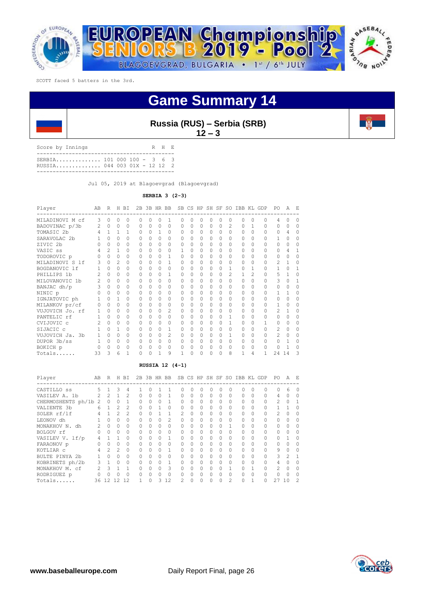



| Score by Innings                                           |  |  | R H E |  |
|------------------------------------------------------------|--|--|-------|--|
| SERBIA 101 000 100 - 3 6 3<br>RUSSTA 044 003 01X - 12 12 2 |  |  |       |  |
|                                                            |  |  |       |  |

Jul 05, 2019 at Blagoevgrad (Blagoevgrad)

**SERBIA 3 (2-3)**

| Player          | AB             | R        | Н | <b>BI</b> | 2B       |          | 3B HR BB |          | SB |              |          | CS HP SH SF |          | SO       | IBB KL |               | GDP      | PO | Α      | F.     |
|-----------------|----------------|----------|---|-----------|----------|----------|----------|----------|----|--------------|----------|-------------|----------|----------|--------|---------------|----------|----|--------|--------|
| MILADINOVI M cf | ς              | $\cap$   | 0 | $\Omega$  | $\Omega$ | O        | $\Omega$ | 1        | O  | $\Omega$     | $\Omega$ | O           | $\Omega$ | Ω        | O      | 0             | $\cap$   | 4  |        |        |
| BADOVINAC p/3b  | $\mathfrak{D}$ | $\cap$   | O | $\Omega$  | $\Omega$ | $\Omega$ | $\Omega$ | $\Omega$ | O  | $\Omega$     | $\Omega$ | $\Omega$    | $\Omega$ | 2        | O      | 1             | $\cap$   | O  | $\cap$ | $\cap$ |
| TOMASIC 2b      |                | 1        | 1 |           | $\Omega$ | $\Omega$ | 1        | 0        | 0  | $\Omega$     | $\Omega$ | 0           | $\Omega$ | $\Omega$ | O      | 0             | $\cap$   | 0  | 4      | Λ      |
| SARAVOLAC 2b    |                | $\cap$   | 0 | $\Omega$  | $\Omega$ | U        | $\Omega$ | $\Omega$ | Ω  | $\cap$       | $\Omega$ | $\Omega$    | $\Omega$ | U        | O      | $\cap$        | 0        | 1  | ∩      |        |
| ZIVIC 2b        |                | U        | 0 | $\Omega$  | $\Omega$ | 0        | $\Omega$ | $\Omega$ | Ω  | ∩            | $\Omega$ | 0           | 0        | 0        | Ω      | U             | $\cap$   | 0  | ∩      |        |
| VASIC ss        |                | 2        | 1 | $\Omega$  | $\Omega$ | U        | $\Omega$ | $\Omega$ |    | ∩            | $\cap$   | U           | ∩        | U        | Ω      | Λ             | U        | O  | Δ      |        |
| TODOROVIC p     |                | U        | O | $\Omega$  | $\Omega$ | 0        | $\Omega$ | 1        | 0  | <sup>0</sup> | $\Omega$ | 0           | 0        | 0        | Ω      | Λ             | 0        | O  |        |        |
| MILADINOVI S 1f |                | U        | 2 | $\Omega$  | $\Omega$ | O        | $\Omega$ | 1        | Ω  | ∩            | $\cap$   | Λ           | $\Omega$ | Λ        | Ω      | Λ             | $\Omega$ | 2  |        | Λ      |
| BOGDANOVIC 1f   |                | O.       | 0 | $\Omega$  | $\Omega$ | 0        | $\Omega$ | $\Omega$ | Ω  | ∩            | $\Omega$ | 0           | O        | 1        | O      | 1             | $\cap$   | 1  | $\cap$ |        |
| PHILLIPS 1b     |                | $\cap$   | O | $\Omega$  | $\Omega$ | O        | $\Omega$ | 1        | Ω  | ∩            | $\cap$   | Λ           | $\Omega$ | 2        | 1      | $\mathcal{D}$ | O        | 5  |        |        |
| MILOVANOVIC 1b  |                | U        | 0 | $\Omega$  | $\Omega$ | 0        | $\Omega$ | $\Omega$ | Ω  | ∩            | $\Omega$ | 0           | $\Omega$ | $\Omega$ | O      | $\cap$        | 0        | 3  |        |        |
| BANJAC dh/p     |                | U        | O | 0         | $\Omega$ | O        | $\Omega$ | $\Omega$ | Ω  | ∩            | $\Omega$ | O           | $\Omega$ | Λ        | O      | U             | 0        | O  | ∩      | Ω      |
| NINIC p         |                | U        | O | 0         | $\Omega$ | 0        | $\Omega$ | $\Omega$ | 0  | <sup>0</sup> | $\Omega$ | 0           | 0        | 0        | Ω      | O             | 0        | 1  |        |        |
| IGNJATOVIC ph   |                | U        | 1 | $\Omega$  | $\Omega$ | U        | $\Omega$ | O        | Ω  | ∩            | Ω        | Λ           | $\Omega$ | Ω        | Ω      | Λ             | 0        | O  |        | Λ      |
| MILANKOV pr/cf  |                | U        | 0 | 0         | 0        | 0        | $\Omega$ | 0        | 0  | <sup>0</sup> | $\Omega$ | 0           | 0        | 0        | Ω      | 0             | 0        | 1  | ∩      | Λ      |
| VUJOVICH Jo. rf |                | U        | O | $\Omega$  | $\Omega$ | O        | $\Omega$ | 2        | Ω  | ∩            | $\Omega$ | O           | $\Omega$ | Ω        | Ω      | U             | U        | 2  |        |        |
| PANTELIC rf     |                | 0        | 0 | 0         | $\Omega$ | 0        | $\Omega$ | $\Omega$ | Ω  | ∩            | $\Omega$ | 0           | O        | 1        | Ω      | Λ             | 0        | 0  | ∩      |        |
| CVIJOVIC c      |                | $\cap$   | O | $\Omega$  | $\cap$   | O        | $\Omega$ | 0        | U  | ∩            | 0        | O           | $\Omega$ |          | O      | Ω             |          | 0  | ∩      | Ω      |
| SIJACIC c       |                | U        | 1 | $\Omega$  | $\Omega$ | 0        | $\Omega$ | 1        | 0  | <sup>0</sup> | $\Omega$ | 0           | $\Omega$ | $\Omega$ | O      | 0             | O        | 2  | ∩      |        |
| VUJOVICH Ja. 3b |                | U        | 0 | $\Omega$  | $\Omega$ | U        | $\Omega$ | 2        | Ω  | ∩            | Ω        | Λ           | ∩        |          | O      | Ω             | U        | 2  |        |        |
| DUPOR 3b/ss     | 1              | $\Omega$ | 0 | $\Omega$  | $\Omega$ | 0        | $\Omega$ | 0        | 0  | $\Omega$     | $\Omega$ | 0           | $\Omega$ | $\Omega$ | O      | 0             | $\Omega$ | 0  |        | Ω      |
| BOKICH p        |                | U        | O | $\Omega$  | $\Omega$ | U        | 0        | $\Omega$ | Ω  | ∩            | Ω        | Λ           | $\Omega$ |          | O      |               | $\cap$   | O  |        |        |
| Totals          | 33             | 3        | 6 |           | O        |          |          | 9        |    |              |          | O           |          | 8        | 1      | 4             | 1        | 24 | -14    | 3      |

## **RUSSIA 12 (4-1)**

| Player               | AB                | R         | Н | BI             |          |          | 2B 3B HR BB |          |           |          |   |           |   |          |          |          | SB CS HP SH SF SO IBB KL GDP | PO.            | A             | $F_{i}$  |
|----------------------|-------------------|-----------|---|----------------|----------|----------|-------------|----------|-----------|----------|---|-----------|---|----------|----------|----------|------------------------------|----------------|---------------|----------|
| CASTILLO ss          | 5.                |           | 3 | 4              |          |          |             |          |           | O        |   |           |   |          |          |          |                              |                | 6             |          |
| VASILEV A. 1b        | $\mathcal{L}$     | 2         |   | $\mathfrak{D}$ | 0        | $\Omega$ | 0           |          | $\Omega$  | 0        | 0 | $\Omega$  | 0 | 0        | $\Omega$ | $\Omega$ | $\Omega$                     | 4              | Ω             | 0        |
| CHERMOSHENTS ph/1b 2 |                   | 0         | 0 |                | $\Omega$ | $\Omega$ | 0           |          | $\Omega$  | 0        | 0 | $\Omega$  | 0 | 0        | $\Omega$ | $\Omega$ |                              | $\mathfrak{D}$ | Ω             |          |
| VALIENTE 3b          | 6                 |           | 2 | $\mathcal{L}$  | 0        | $\Omega$ |             | $\Omega$ | $\bigcap$ | $\Omega$ | 0 | $\Omega$  | 0 | 0        | $\Omega$ | $\Omega$ | $\Omega$                     |                |               | 0        |
| SOLER rf/lf          | 4                 |           | 2 | $\mathfrak{D}$ | 0        | $\Omega$ |             |          | 2         | $\Omega$ | 0 | $\bigcap$ | 0 | $\Omega$ | $\Omega$ | $\Omega$ |                              | 2              | Ω             | $\Omega$ |
| LEONOV dh            |                   | $\Omega$  | 0 | $\Omega$       | $\Omega$ | $\Omega$ | 0           | 2        | $\bigcap$ | $\Omega$ | 0 | $\Omega$  | 0 | $\Omega$ | $\Omega$ | $\Omega$ |                              | $\cap$         | O             | $\Omega$ |
| MONAKHOV N.<br>dh    | $\mathcal{P}$     | $\bigcap$ | 0 | $\Omega$       | 0        | $\cap$   | $\Omega$    | $\Omega$ |           | $\Omega$ | 0 | $\bigcap$ | 0 |          | $\Omega$ | $\Omega$ | $\cap$                       | $\cap$         | Ω             | $\Omega$ |
| BOLGOV rf            |                   | $\cap$    | 0 | $\Omega$       | $\Omega$ | $\Omega$ | 0           | $\Omega$ | $\bigcap$ | 0        | 0 | $\bigcap$ | 0 | 0        | $\Omega$ | $\Omega$ |                              | $\cap$         | Ω             | ∩        |
| VASILEV V. lf/p      | 4                 |           | 1 | $\Omega$       | $\Omega$ | $\Omega$ | 0           |          | $\bigcap$ | 0        | Ω | $\Omega$  | 0 | $\Omega$ | $\Omega$ | $\Omega$ |                              | $\cap$         |               | ∩        |
| FARAONOV p           |                   | $\Omega$  | Ω | $\Omega$       | 0        | $\cap$   | Ω           | $\Omega$ | 0         | 0        | Ω | $\Omega$  | 0 | $\Omega$ | $\Omega$ | $\Omega$ | $\Omega$                     | $\cap$         | O             | ∩        |
| KOTLIAR C            |                   | 2         | 2 | $\Omega$       | 0        | O        | Ω           |          | 0         | 0        | Ω | $\Omega$  | 0 | Ω        | $\Omega$ | $\Omega$ | $\Omega$                     | 9              | Ω             | ∩        |
| BULTE PINYA 2b       |                   | $\Omega$  | 0 | $\Omega$       | Λ        | O        | Ω           | $\Omega$ |           | Λ        | 0 | $\Omega$  | Ω | O        | 0        | $\Omega$ |                              | 3              | $\mathcal{P}$ |          |
| KOBRINETS ph/2b      | 3                 |           | Ω | $\cap$         | Λ        | O        | Ω           |          |           | Λ        | Ω |           |   | Ω        | 0        | $\Omega$ |                              | 4              |               | ∩        |
| MONAKHOV M. cf       | $\mathcal{D}_{1}$ | Κ         |   |                | 0        | O        | 0           | 3        | U         | $\cap$   | Ω | $\bigcap$ | Λ |          | 0        |          |                              | 2              |               | ∩        |
| RODRIGUEZ p          |                   |           |   |                | Λ        | O        | Ω           | $\Omega$ |           | Λ        | Ω | $\bigcap$ | Ω | Ω        | 0        | $\Omega$ |                              | $\cap$         |               | ∩        |
| Totals               | 36                | 12.       | 2 | 12             |          | 0        | 3           | 12       |           | $\Omega$ | 0 |           |   | 2        | O        |          |                              | 27             | 10            | 2        |

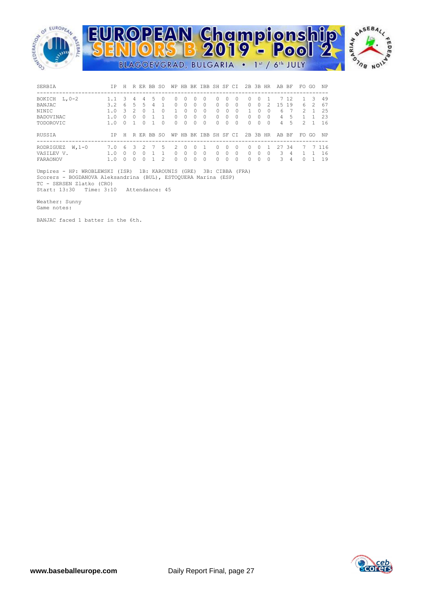

| SERBIA                                         | T P        | H |    |                        |   | R ER BB SO   |                    |               |             | WP HB BK IBB SH SF CI |                                  |                           |               | 2B 3B HR                  |             |              | AB BF          |               | FO.    | - GO  | NP                |
|------------------------------------------------|------------|---|----|------------------------|---|--------------|--------------------|---------------|-------------|-----------------------|----------------------------------|---------------------------|---------------|---------------------------|-------------|--------------|----------------|---------------|--------|-------|-------------------|
| BOKICH L, 0-2                                  |            | 3 | 4  | 4                      | 5 | $\bigcap$    | 0                  | $\Omega$      | $\bigcap$   | $\Omega$              | $\Omega$                         | $\bigcap$                 | n             | $\Omega$                  | $\Omega$    |              |                | 7 12          |        | -3    | 49                |
| BANJAC                                         | 3.2        | 6 | .5 | 5.                     | 4 |              | $\Omega$           | $\Omega$      | 0           | $\Omega$              | $\Omega$                         | $\Omega$                  | $\Omega$      | $\Omega$                  | 0           | 2            | 1.5            | 19            | 6      | 2     | 67                |
| <b>NTNTC</b>                                   | 1.0        | Κ |    | $\cap$                 |   | <sup>0</sup> |                    | $\bigcap$     | 0           | 0                     | $\Omega$                         | $\Omega$                  | $\Omega$      |                           | 0           | <sup>0</sup> | 6              |               | 2      |       | 2.5               |
| BADOVINAC                                      | 1.0        | n |    | 0                      |   |              | 0                  | 0             | 0           | <sup>0</sup>          | $\Omega$                         | 0                         | <sup>0</sup>  | $\Omega$                  | 0           | ∩            | 4              | 5             |        |       | 23                |
| TODOROVIC                                      | 1.0        | U |    | $\cap$                 |   | <sup>0</sup> | $\Omega$           | $\Omega$      | 0           | $\Omega$              | $\Omega$                         | 0                         | <sup>0</sup>  | $\Omega$                  | 0           | <sup>0</sup> | $\overline{4}$ | 5             | 2      |       | 16                |
| RUSSIA                                         | TP.        | H |    |                        |   | R ER BB SO   |                    |               |             | WP HB BK IBB SH SF CI |                                  |                           |               | 2B 3B HR                  |             |              | AB BF          |               |        | FO GO | NP.               |
| RODRIGUEZ<br>$W.1-0$<br>VASILEV V.<br>FARAONOV | 7.0<br>1.0 | 6 | 3  | 2<br><sup>0</sup><br>O |   | 5.<br>2      | 2<br>$\Omega$<br>0 | $\Omega$<br>0 | 0<br>0<br>O | $\Omega$              | $\Omega$<br>$\Omega$<br>$\Omega$ | $\Omega$<br>$\Omega$<br>O | n<br>$\Omega$ | $\Omega$<br>$\Omega$<br>O | 0<br>0<br>O | <sup>0</sup> | 27<br>3<br>3   | -34<br>4<br>4 | 7<br>0 |       | 7 116<br>16<br>19 |

 Umpires - HP: WROBLEWSKI (ISR) 1B: KAROUNIS (GRE) 3B: CIBBA (FRA) Scorers - BOGDANOVA Aleksandrina (BUL), ESTOQUERA Marina (ESP) TC - SERSEN Zlatko (CRO) Start: 13:30 Time: 3:10 Attendance: 45

Weather: Sunny

Game notes:

BANJAC faced 1 batter in the 6th.

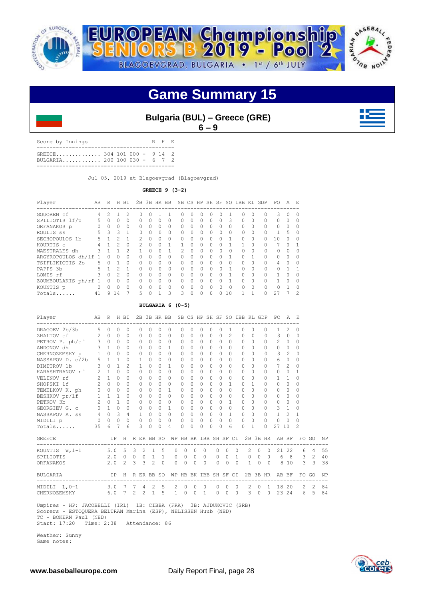

| <b>Bulgaria (BUL) - Greece (GRE)</b> |         |  |
|--------------------------------------|---------|--|
|                                      | $6 - 9$ |  |

Score by Innings R H E ------------------------------------------- GREECE.............. 304 101 000 - 9 14 2 BULGARIA............ 200 100 030 - 6 7 2 -------------------------------------------

Jul 05, 2019 at Blagoevgrad (Blagoevgrad)

## **GREECE 9 (3-2)**

| Player               | AB       | R        | Н  | ВI            |          |          | 2B 3B HR BB  |          |               |              |        |           |              | SB CS HP SH SF SO | IBB KL    |          | GDP                         | PO.       | A            | F.           |
|----------------------|----------|----------|----|---------------|----------|----------|--------------|----------|---------------|--------------|--------|-----------|--------------|-------------------|-----------|----------|-----------------------------|-----------|--------------|--------------|
| GOUOREN cf           | 4        | 2        |    | 2             | O.       | O        |              |          | n             | <sup>0</sup> | O      |           | 0            |                   | $\bigcap$ | 0        | ----------------------<br>0 | 3         | $\Omega$     | $\Omega$     |
| SPILIOTIS lf/p       |          | 0        | 0  | $\Omega$      | $\Omega$ | 0        | 0            | $\Omega$ | $\Omega$      | 0            | 0      | $\Omega$  | 0            | Κ                 | $\Omega$  | $\Omega$ | $\Omega$                    | $\Omega$  | <sup>n</sup> | ∩            |
| ORFANAKOS p          |          | 0        | 0  | $\Omega$      | $\Omega$ | 0        | $\Omega$     | $\Omega$ | $\Omega$      | Ω            | 0      | $\Omega$  | 0            | $\Omega$          | 0         | $\Omega$ | $\Omega$                    | $\Omega$  |              | O            |
| ROULIS SS            | 5.       | 3        | 3  |               | $\cap$   | $\Omega$ | <sup>0</sup> | $\Omega$ | $\cap$        | <sup>0</sup> | $\cap$ | $\bigcap$ | <sup>0</sup> | $\cap$            | $\bigcap$ | $\Omega$ | $\Omega$                    | 1         | 5            | $\Omega$     |
| SECHOPOULOS 1b       | 5.       |          | っ  |               | 2        | U        | $\Omega$     | $\Omega$ | $\Omega$      | U            | 0      | $\cap$    | ∩            |                   | $\Omega$  | $\Omega$ | $\cap$                      | 10        |              | ∩            |
| KOURTIS C            |          |          |    | $\Omega$      | 2        | O        | 0            |          |               |              | O      | $\Omega$  |              |                   |           | $\Omega$ |                             |           |              |              |
| MAESTRALES dh        | 3        |          |    | $\mathcal{P}$ |          | $\Omega$ | ∩            |          | $\mathcal{P}$ | U            | $\cap$ | $\bigcap$ | O            | $\cap$            | $\bigcap$ | $\Omega$ | $\bigcap$                   | $\cap$    | U            | <sup>0</sup> |
| ARGYROPOULOS dh/lf 1 |          | $\Omega$ | O  | $\Omega$      | $\Omega$ | Λ        | $\Omega$     | $\Omega$ | $\Omega$      | U            | O      | $\cap$    | $\cap$       |                   | 0         |          | $\cap$                      | $\cap$    |              | ∩            |
| TSIFLIKIOTIS 2b      | 5.       | O        |    | $\Omega$      | $\Omega$ | O        | 0            | $\Omega$ | $\Omega$      | Ω            | 0      | $\Omega$  | 0            | $\Omega$          | 0         | $\Omega$ | $\Omega$                    | 4         |              | O            |
| PAPPS 3b             | 5.       |          | っ  |               | $\Omega$ | $\Omega$ | <sup>0</sup> | $\Omega$ | $\bigcap$     | Λ            | $\cap$ | $\bigcap$ | U            |                   | $\cap$    | $\Omega$ | $\cap$                      | $\bigcap$ |              |              |
| LOMIS rf             |          | $\Omega$ | 2  | $\Omega$      | $\cap$   | U        | $\Omega$     | $\Omega$ | $\Omega$      | Ω            | 0      | $\Omega$  | $\cap$       |                   | $\Omega$  | $\Omega$ | $\cap$                      |           |              | ∩            |
| ZOUMBOULAKIS ph/rf   |          | ∩        | O  | $\Omega$      | $\Omega$ | U        | 0            | $\Omega$ | $\Omega$      | Ω            | O      | $\Omega$  | 0            |                   | $\Omega$  | $\Omega$ | $\cap$                      |           |              | Ω            |
| KOUNTIS p            | $\Omega$ | $\cap$   | 0  | $\Omega$      | $\Omega$ | 0        | <sup>0</sup> | $\cap$   | $\bigcap$     | Λ            | $\cap$ | $\bigcap$ | Λ            | $\cap$            | $\cap$    | $\Omega$ | $\cap$                      | $\cap$    |              | $\Omega$     |
| Totals               | 41       | 9        | 14 |               | 5        | O        | 1            | 3        | 3             | 0            | 0      | $\Omega$  | U            | 10                |           |          |                             | 27        |              | 2            |

### **BULGARIA 6 (0-5)**

| Player                                                                                                                                                       | AB R H BI |                             |                |                |                |              |               |                | 2B 3B HR BB SB CS HP SH SF SO IBB KL GDP |                |          |                          |           |                |                   |               |                |              |         |                | PO A E                                               |                |               |                |    |
|--------------------------------------------------------------------------------------------------------------------------------------------------------------|-----------|-----------------------------|----------------|----------------|----------------|--------------|---------------|----------------|------------------------------------------|----------------|----------|--------------------------|-----------|----------------|-------------------|---------------|----------------|--------------|---------|----------------|------------------------------------------------------|----------------|---------------|----------------|----|
| DRAGOEV 2b/3b 5 0                                                                                                                                            |           |                             | $\Omega$       | $\circ$        |                | 0            | $\Omega$      | $\Omega$       | 0                                        | $\Omega$       | $\Omega$ | $\circ$                  | $\circ$   | $\Omega$       |                   | $\mathbf{1}$  | $\Omega$       | $\Omega$     |         | $\Omega$       | $\mathbf{1}$                                         | $\mathcal{L}$  | 0             |                |    |
| 2HALTOV cf<br>2 0 0 0<br>PETROV P. ph/cf<br>3 0 0 0<br>ANDONOV dh<br>3 1 0 0                                                                                 |           |                             |                |                |                | $\circ$      | $\Omega$      | $\Omega$       | $\Omega$                                 | $\Omega$       | $\Omega$ | $\Omega$                 | $\Omega$  | $\Omega$       |                   | $\mathcal{L}$ | $\Omega$       | $\bigcirc$   |         | $\Omega$       | 3                                                    | $\bigcirc$     | $\Omega$      |                |    |
|                                                                                                                                                              |           |                             |                |                |                | $\circ$      | $\Omega$      |                | $0\quad 0$                               | $\Omega$       | $\Omega$ | $\bigcirc$               | $\Omega$  | $\Omega$       |                   | $\Omega$      | $\Omega$       | $\bigcirc$   |         | $\Omega$       | $\mathfrak{D}$                                       | $\bigcirc$     | $\Omega$      |                |    |
|                                                                                                                                                              |           |                             |                |                |                | $\circ$      | $\Omega$      | $\circ$        | $\mathbf{1}$                             | 0              |          | $0\quad 0$               | $\Omega$  |                | $\Omega$          | $\Omega$      | $\Omega$       | $\bigcirc$   |         | $\Omega$       | $0\quad 0$                                           |                | 0             |                |    |
| CHERNOZEMSKY p 1 0 0                                                                                                                                         |           |                             |                | $\overline{0}$ |                | $\circ$      | $\Omega$      | $\Omega$       | $\Omega$                                 | $\Omega$       | $\Omega$ | $\Omega$                 | $\Omega$  | $\Omega$       |                   | $\Omega$      | $\Omega$       | $\Omega$     |         | $\Omega$       | 3                                                    | $\mathfrak{D}$ | $\Omega$      |                |    |
| NASSAPOV D. $c/2b$ 5 1 1 0 1                                                                                                                                 |           |                             |                |                |                |              | $\Omega$      | $\Omega$       | $\Omega$                                 | $\Omega$       | $\Omega$ | $\Omega$                 | $\Omega$  |                | $\Omega$          | $\Omega$      | $\Omega$       | $\Omega$     |         | $\Omega$       | 6                                                    | $\circ$        | $\Omega$      |                |    |
| $3 \t0 \t1$<br>DIMITROV 1b                                                                                                                                   |           |                             |                |                | $\overline{2}$ | $\mathbf{1}$ | $\Omega$      | $\Omega$       | $\mathbf{1}$                             | $\Omega$       | $\Omega$ | $\circ$                  | $\Omega$  | $\Omega$       |                   | $\Omega$      | $\Omega$       | $\Omega$     |         | $\Omega$       | 72                                                   |                | 0             |                |    |
|                                                                                                                                                              |           |                             |                | $\Omega$       |                | $\Omega$     | $\Omega$      | $\cap$         | $\Omega$                                 | $\Omega$       | $\Omega$ | $\Omega$                 | $\bigcap$ | $\Omega$       |                   | $\Omega$      | $\Omega$       | $\Omega$     |         | $\Omega$       | $\Omega$                                             | $\Omega$       | $\mathbf{1}$  |                |    |
|                                                                                                                                                              |           |                             |                | $\Omega$       |                | $\circ$      | $\Omega$      |                | $0 \quad 0$                              | $\circ$        | $\Omega$ | $\circ$                  | $\Omega$  | $\Omega$       |                   | 0             | $\Omega$       | $\Omega$     |         | $\mathbf{0}$   | $\mathbf{1}$                                         | $\overline{1}$ | 0             |                |    |
|                                                                                                                                                              |           |                             |                | $\Omega$       |                | $\Omega$     | $\Omega$      | $\Omega$       | $\Omega$                                 | $\Omega$       | $\Omega$ | $\Omega$                 | $\Omega$  |                | $\Omega$          | $\mathbf{1}$  | $\Omega$       | $\mathbf{1}$ |         | $\Omega$       | $\Omega$                                             | $\bigcirc$     | $\Omega$      |                |    |
| TEMELKOV K. ph 0 0 0                                                                                                                                         |           |                             |                | $\overline{0}$ |                | $\circ$      | $\Omega$      |                | $0\quad1$                                | 0              | $\Omega$ | $\circ$                  | $\Omega$  |                | $\Omega$          | $\Omega$      | $\cap$         | $\Omega$     |         | $\Omega$       | $\Omega$                                             | $\circ$        | $\Omega$      |                |    |
|                                                                                                                                                              |           |                             |                |                |                |              |               |                |                                          | $\Omega$       |          | $0\quad 0$               | $\Omega$  |                | $\Omega$          | $\circ$       | $\Omega$       | $\Omega$     |         | $\Omega$       | $0\quad 0$                                           |                | $\Omega$      |                |    |
|                                                                                                                                                              |           |                             |                |                |                |              |               |                |                                          | $\Omega$       | $\cap$   | $\Omega$                 | $\cap$    |                | $\Omega$          | $\mathbf{1}$  | $\Omega$       | $\Omega$     |         | $\Omega$       | $0 \quad 0$                                          |                | $\Omega$      |                |    |
|                                                                                                                                                              |           |                             |                |                |                |              |               |                |                                          | $\circ$        |          | $0\quad 0$               | $\Omega$  |                | $\Omega$          | $\Omega$      | $\Omega$       | $\bigcirc$   |         | $\circ$        | 3 <sub>1</sub>                                       |                | 0             |                |    |
|                                                                                                                                                              |           |                             |                |                |                |              |               |                |                                          | $\circ$        |          | $0 \quad 0$              |           | $\overline{0}$ | $0\quad1$         |               | $0\quad 0$     |              |         | $\Omega$       | $1 \quad 2$                                          |                | $\mathbf{1}$  |                |    |
| MIDILI p                                                                                                                                                     |           | $0\qquad 0\qquad 0\qquad 0$ |                |                |                | $\circ$      | $\Omega$      | $\Omega$       | $\Omega$                                 | $\Omega$       | $\Omega$ | $\Omega$                 | $\Omega$  | $\Omega$       |                   | $\Omega$      | $\Omega$       | $\Omega$     |         | $\Omega$       | $\circ$                                              | $\bigcirc$     | $\Omega$      |                |    |
| Totals                                                                                                                                                       | 35        | 6                           | $\overline{7}$ | 6              |                | 3            | $\Omega$      | $\Omega$       | 4                                        | $\Omega$       | $\Omega$ | $\Omega$                 | $\cap$    | $\Omega$       |                   | 6             | $\Omega$       | $\mathbf{1}$ |         | $\Omega$       | 27 10                                                |                | $\mathcal{D}$ |                |    |
| <b>GREECE</b>                                                                                                                                                |           |                             |                |                |                |              |               |                |                                          |                |          |                          |           |                |                   |               |                |              |         |                | IP H R ER BB SO WP HB BK IBB SH SF CI 2B 3B HR AB BF |                |               | FO GO          | NP |
| KOUNTIS W.1-1 5.0 5 3 2 1 5                                                                                                                                  |           |                             |                |                |                |              |               |                |                                          | $0 \quad 0$    |          | $\Omega$                 | $\Omega$  |                | $0\quad 0\quad 0$ |               |                |              |         |                | 2 0 0 21 22                                          |                |               | 6 4            | 55 |
| SPILIOTIS                                                                                                                                                    |           |                             |                |                |                |              | 2.0 0 0 0 1 1 |                |                                          | $0\quad 0$     |          | $0\quad 0$               |           |                |                   |               |                |              |         |                | 0 0 1 0 0 0 6 8 3 2                                  |                |               |                | 40 |
| ORFANAKOS                                                                                                                                                    |           |                             |                | $2.0 \quad 2$  |                |              | $3 \t3 \t2$   | $\Omega$       |                                          | $0 \quad 0$    | $\Omega$ | $\bigcirc$               |           | $\Omega$       |                   | $0 \quad 0$   |                | $\sim$ 1     |         |                | 0 0 8 10                                             |                |               | 3 <sup>3</sup> | 38 |
| BULGARIA                                                                                                                                                     |           |                             |                |                |                |              |               |                |                                          |                |          |                          |           |                |                   |               |                |              |         |                | IP H R ER BB SO WP HB BK IBB SH SF CI 2B 3B HR AB BF |                |               | FO GO          | NP |
| MIDILI L, 0-1                                                                                                                                                |           |                             |                |                |                |              | 3.0 7 7 4 2 5 |                | 2                                        | $\overline{0}$ | $\circ$  | $\overline{\phantom{0}}$ |           | $\circ$        | $\circ$           | $\Omega$      |                | 2            | $\circ$ | $\overline{1}$ | 18 20                                                |                |               | $2 \quad 2$    | 84 |
| CHERNOZEMSKY 6.0 7 2 2 1                                                                                                                                     |           |                             |                |                |                |              |               | $\overline{5}$ |                                          | $1 \quad 0$    | $\Omega$ | $\overline{1}$           |           | $\Omega$       | $\Omega$          | $\bigcirc$    | $\overline{3}$ |              |         | $0 \quad 0$    |                                                      | 23 24          |               | 6 5 84         |    |
| Umpires - HP: JACOBELLI (IRL) 1B: CIBBA (FRA) 3B: AJDUKOVIC (SRB)<br>Scorers - ESTOOUERA BELTRAN Marina (ESP), NELISSEN Huub (NED)<br>TC - BOKERN Paul (NED) |           |                             |                |                |                |              |               |                |                                          |                |          |                          |           |                |                   |               |                |              |         |                |                                                      |                |               |                |    |

Start: 17:20 Time: 2:38 Attendance: 86

 Weather: Sunny Game notes:

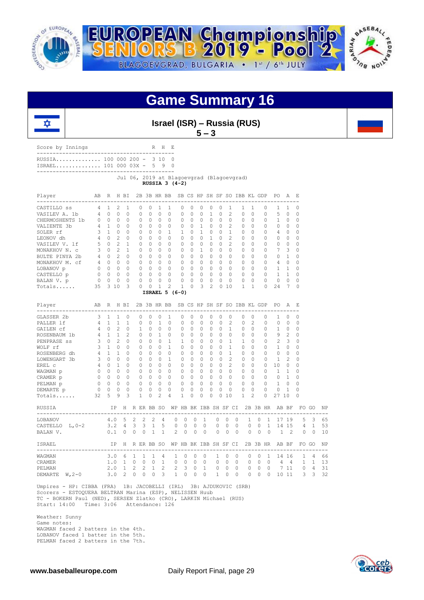



|  | Israel (ISR) – Russia (RUS) |  |
|--|-----------------------------|--|
|  | $5 - 3$                     |  |

| Score by Innings                                          |  |  | R H F. |  |
|-----------------------------------------------------------|--|--|--------|--|
| RUSSTA 100 000 200 - 3 10 0<br>ISRAEL 101 000 03X - 5 9 0 |  |  |        |  |
|                                                           |  |  |        |  |

 Jul 06, 2019 at Blagoevgrad (Blagoevgrad) **RUSSIA 3 (4-2)**

| Player                                       | AB             | $\mathbb{R}$   |                | H BI           |              |                                |                |                 |                          |          |              |                |              |                | 2B 3B HR BB SB CS HP SH SF SO IBB KL GDP |                |          |              | PO.                                                 | Α              | Ε              |                |    |
|----------------------------------------------|----------------|----------------|----------------|----------------|--------------|--------------------------------|----------------|-----------------|--------------------------|----------|--------------|----------------|--------------|----------------|------------------------------------------|----------------|----------|--------------|-----------------------------------------------------|----------------|----------------|----------------|----|
| CASTILLO ss                                  | 4              | $\mathbf{1}$   | $\overline{2}$ | 1              | 0            | 0                              | 1              | 1               | 0                        | $\circ$  | 0            | 0              | $\circ$      | 1              | 1                                        | 1              |          | 0            | $\mathbf{1}$                                        | 1              | 0              |                |    |
| VASILEV A. 1b                                | 4              | $\Omega$       | $\Omega$       | 0              | 0            | $\Omega$                       | $\circ$        | 0               | $\Omega$                 | $\Omega$ | $\Omega$     | 1              | $\Omega$     | 2              | 0                                        | $\Omega$       |          | 0            | 5                                                   | $\Omega$       | $\Omega$       |                |    |
| CHERMOSHENTS 1b                              | $\Omega$       | $\Omega$       | $\Omega$       | $\Omega$       | 0            | $\Omega$                       | $\Omega$       | $\Omega$        | $\Omega$                 | $\Omega$ | $\Omega$     | $\Omega$       | $\Omega$     | $\Omega$       | $\Omega$                                 | $\Omega$       |          | $\Omega$     | $\mathbf{1}$                                        | $\circ$        | $\Omega$       |                |    |
| VALIENTE 3b                                  | 4              | $\mathbf{1}$   | $\Omega$       | $\Omega$       | $\Omega$     | $\Omega$                       | $\Omega$       | $\Omega$        | $\Omega$                 | $\Omega$ | 1            | $\Omega$       | $\Omega$     | $\overline{c}$ | $\Omega$                                 | $\Omega$       |          | 0            | $\Omega$                                            | $\Omega$       | $\Omega$       |                |    |
| SOLER rf                                     | 3              | $\mathbf{1}$   | $\Omega$       | $\Omega$       | $\Omega$     | $\Omega$                       | $\Omega$       | 1               | 1                        | $\Omega$ | 1            | $\Omega$       | $\Omega$     | $\mathbf{1}$   | $\Omega$                                 | $\Omega$       |          | 0            | 4                                                   | $\Omega$       | $\Omega$       |                |    |
| LEONOV dh                                    | 4              | $\Omega$       | $\overline{2}$ | $\Omega$       | $\Omega$     | $\cap$                         | $\Omega$       | $\Omega$        | $\Omega$                 | $\Omega$ | $\Omega$     | 1              | $\Omega$     | $\overline{c}$ | $\Omega$                                 | $\Omega$       |          | 0            | 0                                                   | $\Omega$       | 0              |                |    |
| VASILEV V. 1f                                | 5              | $\Omega$       | $\overline{2}$ | $\mathbf{1}$   | 0            | $\Omega$                       | $\Omega$       | $\Omega$        | $\Omega$                 | $\Omega$ | $\Omega$     | $\Omega$       | $\Omega$     | 2              | $\Omega$                                 | $\Omega$       |          | 0            | $\Omega$                                            | $\circ$        | 0              |                |    |
| MONAKHOV N. C                                | 3              | $\Omega$       | $\overline{c}$ | $\mathbf{1}$   | $\Omega$     | $\Omega$                       | $\Omega$       | $\Omega$        | 0                        | $\circ$  | $\mathbf{1}$ | $\Omega$       | $\Omega$     | 0              | $\Omega$                                 | $\Omega$       |          | 0            | 7                                                   | 3              | 0              |                |    |
| BULTE PINYA 2b                               | 4              | $\circ$        | $\mathfrak{D}$ | 0              | 0            | $\Omega$                       | $\Omega$       | 0               | 0                        | $\Omega$ | 0            | 0              | $\Omega$     | $\Omega$       | $\Omega$                                 | $\Omega$       |          | 0            | $\Omega$                                            | 1              | 0              |                |    |
| MONAKHOV M. cf                               | 4              | $\bigcirc$     | $\Omega$       | $\Omega$       | $\Omega$     | $\Omega$                       | $\Omega$       | $\Omega$        | $\Omega$                 | $\Omega$ | 0            | $\Omega$       | $\Omega$     | $\Omega$       | $\Omega$                                 | $\Omega$       |          | $\Omega$     | 4                                                   | $\overline{0}$ | 0              |                |    |
| LOBANOV p                                    |                | $0 \quad 0$    | $\circ$        | 0              | $\circ$      | $\Omega$                       | $\circ$        | $\Omega$        | 0                        | $\circ$  | $\circ$      | $\Omega$       | $\Omega$     | $\Omega$       | $\Omega$                                 | $\Omega$       |          | $\Omega$     | $\mathbf{1}$                                        | 1              | 0              |                |    |
| CASTELLO p                                   | $\circ$        | $\overline{0}$ | $\circ$        | $\circ$        | 0            | $\Omega$                       | $\circ$        | $\Omega$        | 0                        | $\Omega$ | $\circ$      | $\Omega$       | $\Omega$     | $\Omega$       | $\Omega$                                 | $\Omega$       |          | $\Omega$     | $\mathbf{1}$                                        | $\mathbf{1}$   | 0              |                |    |
| BALAN V. p                                   | $\circ$        | $\mathbf{0}$   | 0              | $\Omega$       | 0            | $\Omega$                       | $\mathbf 0$    | $\Omega$        | 0                        | $\Omega$ | $\Omega$     | 0              | $\Omega$     | $\Omega$       | $\Omega$                                 | $\Omega$       |          | 0            | $\circ$                                             | $\Omega$       | $\Omega$       |                |    |
| Totals                                       | 35             |                | 3 10           | 3              | 0            | $\Omega$                       | 1              | 2               | $\mathbf{1}$             | $\Omega$ | 3            | $\overline{2}$ |              | 0, 10          | 1                                        | 1              |          | $\Omega$     | 24                                                  | 7              | $\Omega$       |                |    |
|                                              |                |                |                |                |              |                                |                | ISRAEL $5(6-0)$ |                          |          |              |                |              |                |                                          |                |          |              |                                                     |                |                |                |    |
| Player                                       | AВ             | R              |                | H BI           |              |                                |                |                 |                          |          |              |                |              |                | 2B 3B HR BB SB CS HP SH SF SO IBB KL GDP |                |          |              | PO.                                                 | А              | Ε              |                |    |
| GLASSER 2b                                   | 3              | $\mathbf{1}$   | $\mathbf{1}$   | $\circ$        | $\circ$      | $\circ$                        | $\mathbf 0$    | $\mathbf{1}$    | 0                        | $\circ$  | $\circ$      | 0              | $\circ$      | $\circ$        | $\circ$                                  | 0              |          | 0            | $\mathbf{1}$                                        | $\circ$        | 0              |                |    |
| PALLER 1f                                    | 4              | $\mathbf{1}$   | $\mathbf{1}$   | $\mathbf{1}$   | $\circ$      | 0                              | $\mathbf{1}$   | 0               | $\circ$                  | $\circ$  | 0            | $\circ$        | $\circ$      | 2              | 0                                        | $\overline{c}$ |          | 0            | 0                                                   | $\Omega$       | $\Omega$       |                |    |
| GAILEN Cf                                    | 4              | $\Omega$       | $\overline{c}$ | $\circ$        | 1            | $\Omega$                       | $\circ$        | $\Omega$        | 0                        | $\circ$  | 0            | $\Omega$       | 0            | $\mathbf{1}$   | 0                                        | $\Omega$       |          | 0            | $\mathbf{1}$                                        | $\circ$        | $\Omega$       |                |    |
| ROSENBAUM 1b                                 | $\overline{4}$ | $\mathbf{1}$   | $\mathbf{1}$   | 2              | $\Omega$     | $\Omega$                       | 1              | $\Omega$        | 0                        | $\Omega$ | $\Omega$     | $\Omega$       | $\Omega$     | $\Omega$       | $\Omega$                                 | $\Omega$       |          | $\Omega$     | 9                                                   | $\overline{c}$ | 0              |                |    |
| PENPRASE ss                                  | 3              | $\Omega$       | $\mathfrak{D}$ | $\Omega$       | $\Omega$     | $\Omega$                       | $\Omega$       | 1               | 1                        | $\Omega$ | $\Omega$     | $\Omega$       | $\Omega$     | 1              | 1                                        | $\cap$         |          | $\Omega$     | $\overline{c}$                                      | 3              | $\cap$         |                |    |
| WOLF rf                                      | 3              | $\mathbf{1}$   | $\Omega$       | $\Omega$       | $\Omega$     | $\Omega$                       | $\circ$        | $\mathbf{1}$    | $\Omega$                 | $\Omega$ | $\Omega$     | $\Omega$       | $\Omega$     | $\mathbf{1}$   | $\Omega$                                 | $\Omega$       |          | $\Omega$     | $\mathbf{1}$                                        | $\circ$        | 0              |                |    |
| ROSENBERG dh                                 | 4              | 1              | 1              | 0              | 0            | $\Omega$                       | 0              | $\Omega$        | 0                        | 0        | 0            | 0              | $\Omega$     | 1              | 0                                        | $\Omega$       |          | $\Omega$     | $\Omega$                                            | $\circ$        | 0              |                |    |
| LOWENGART 3b                                 | 3              | $\overline{0}$ | $\circ$        | 0              | 0            | $\circ$                        | $\circ$        | 1               | 0                        | $\circ$  | 0            | 0              | 0            | $\overline{c}$ | $\Omega$                                 | $\Omega$       |          | 0            | $\mathbf{1}$                                        | $\overline{c}$ | 0              |                |    |
| EREL C                                       | $\sim$ 4       | $\bigcirc$     | 1              | $\Omega$       | $\Omega$     | $\Omega$                       | $\Omega$       | $\Omega$        | $\Omega$                 | $\Omega$ | $\Omega$     | $\Omega$       | $\Omega$     | $\overline{c}$ | $\Omega$                                 | $\Omega$       |          | $\Omega$     | 10                                                  | $\circ$        | 0              |                |    |
| WAGMAN p                                     | $\circ$        | $\bigcirc$     | $\circ$        | $\circ$        | $\circ$      | $\circ$                        | $\circ$        | $\Omega$        | 0                        | $\Omega$ | $\circ$      | $\Omega$       | $\Omega$     | $\Omega$       | $\Omega$                                 | $\Omega$       |          | $\Omega$     | $\mathbf{1}$                                        | $\mathbf{1}$   | 0              |                |    |
| CRAMER p                                     |                | $0\quad 0$     | $\mathbf 0$    | 0              | $\circ$      | $\circ$                        | 0              | 0               | 0                        | 0        | $\circ$      | 0              | $\circ$      | 0              | 0                                        | 0              |          | 0            | 0                                                   | <sup>1</sup>   | 0              |                |    |
| PELMAN p                                     | 0              | $\overline{0}$ | $\mathbf 0$    | $\circ$        | 0            | $\circ$                        | $\circ$        | 0               | 0                        | $\circ$  | 0            | 0              | $\mathbf 0$  | $\Omega$       | $\Omega$                                 | $\circ$        |          | 0            | $\mathbf{1}$                                        | $\circ$        | 0              |                |    |
| DEMARTE p                                    | 0              | $\Omega$       | $\Omega$       | $\Omega$       | 0            | $\Omega$                       | $\Omega$       | $\Omega$        | $\Omega$                 | $\Omega$ | $\Omega$     | $\Omega$       | $\Omega$     | $\Omega$       | $\Omega$                                 | $\Omega$       |          | $\Omega$     | 0                                                   | -1             | 0              |                |    |
| Totals                                       | 32             | 5              | 9              | 3              | 1            | 0                              | $\overline{c}$ | 4               | 1                        | 0        | $\Omega$     | 0              | $\Omega$     | 10             | 1                                        | $\overline{c}$ |          | $\Omega$     | 27 10                                               |                | 0              |                |    |
| RUSSIA                                       |                |                | IP.            |                | H R ER BB SO |                                | ---            |                 |                          |          |              |                |              |                | ----------                               |                |          |              | WP HB BK IBB SH SF CI 2B 3B HR AB BF<br>$- - - - -$ |                | -------------- | FO GO          | ΝP |
| ---------------------------------<br>LOBANOV |                | 4.0            |                | 5              | 2            | 2<br>2                         | 4              |                 | $\circ$<br>0             | 0        | 1            |                | 0            | $\circ$        | 0                                        | $\mathbf{1}$   | $\circ$  | $\mathbf{1}$ | 17                                                  | 19             | 5              | 3              | 65 |
| CASTELLO L, 0-2                              |                | 3.2            |                | 4              | 3            | 3<br>$\mathbf{1}$              | 5              |                 | 0<br>0                   | 0        |              | $\circ$        | 0            | $\mathbf{0}$   | 0                                        | $\mathbb O$    | $\circ$  | 1            | 14                                                  | 15             | 4              | $\mathbf{1}$   | 53 |
| BALAN V.                                     |                | 0.1            |                | $\circ$        | 0            | $\circ$<br>$\mathbf{1}$        | 1              |                 | 2<br>$\circ$             | $\circ$  |              | $\circ$        | 0            | $\mathbf 0$    | 0                                        | 0              | $\circ$  | $\circ$      | $\mathbf{1}$                                        | 2              | 0              | $\circ$        | 10 |
| <b>ISRAEL</b>                                |                |                | ΙP             | Н              | R ER BB SO   |                                |                |                 | WP HB BK IBB SH SF CI    |          |              |                |              |                |                                          | 2B 3B HR       |          |              |                                                     | AB BF          |                | FO GO          | NP |
| ---------------------------<br>WAGMAN        |                | 3.0            |                | 6              | $\mathbf{1}$ | 1<br>1                         | 4              |                 | $\circ$<br>1             | 0        |              | 0              | $\mathbf{1}$ | $\circ$        | 0                                        | 0              | $\circ$  | 1            |                                                     | 14 16          | 1              | 4              | 66 |
| CRAMER                                       |                | 1.0            |                | 1              | $\Omega$     | $\Omega$<br>$\Omega$           | 1              |                 | $\Omega$<br>$\Omega$     | 0        | $\Omega$     |                | $\Omega$     | $\Omega$       | $\Omega$                                 | $\Omega$       | $\Omega$ | $\Omega$     | 4                                                   | 4              | 1              | 1              | 13 |
| PELMAN                                       |                | 2.0            |                | $\mathbf{1}$   | 2            | $\overline{c}$<br>$\mathbf{1}$ | $\overline{c}$ |                 | $\overline{c}$<br>3      | $\Omega$ | $\mathbf{1}$ |                | $\Omega$     | $\Omega$       | 0                                        | $\Omega$       | $\Omega$ | $\Omega$     |                                                     | 7 11           | $\circ$        | $\overline{4}$ | 31 |
| $W, 2-0$<br>DEMARTE                          |                | 3.0            |                | $\overline{c}$ | 0            | $\Omega$<br>$\Omega$           | 3              |                 | $\mathbf{1}$<br>$\Omega$ | $\Omega$ |              | $\Omega$       | $\mathbf{1}$ | $\Omega$       | $\Omega$                                 | $\Omega$       | $\Omega$ | 0            |                                                     | 10 11          | 3              | 3              | 32 |

 Umpires - HP: CIBBA (FRA) 1B: JACOBELLI (IRL) 3B: AJDUKOVIC (SRB) Scorers - ESTOQUERA BELTRAN Marina (ESP), NELISSEN Huub TC - BOKERN Paul (NED), SERSEN Zlatko (CRO), LARKIN Michael (RUS) Start: 14:00 Time: 3:06 Attendance: 126

 Weather: Sunny Game notes: WAGMAN faced 2 batters in the 4th. LOBANOV faced 1 batter in the 5th. PELMAN faced 2 batters in the 7th.

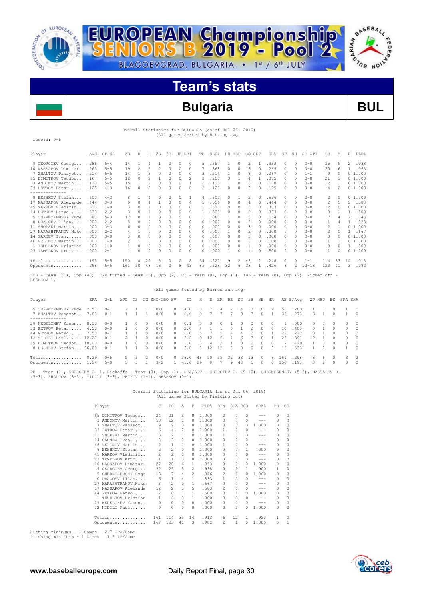

阜

R



# **Team's stats**

# **Bulgaria BUL**

 Overall Statistics for BULGARIA (as of Jul 06, 2019) (All games Sorted by Batting avg)

record: 0-5

| Player               | AVG          | $GP - GS$          | AB             | R              | Н        | 2B       | 3B     | HR RBI   |          | TB       | SLG%         |         | BB HBP              | SO GDP   |               | OB%          | SF                 | SH       | $SB-ATT$             | PO.                      | Α        | E             | FLD%         |
|----------------------|--------------|--------------------|----------------|----------------|----------|----------|--------|----------|----------|----------|--------------|---------|---------------------|----------|---------------|--------------|--------------------|----------|----------------------|--------------------------|----------|---------------|--------------|
| 9 GEORGIEV Georgi    | .286         | $5 - 4$            | 14             |                | 4        |          | 0      | $\Omega$ | $\Omega$ | 5.       | .357         |         | $\circ$             | 2        |               | .333         | $\mathcal{O}$      | $\Omega$ | $0 - 0$              | 25                       | 5        | $\mathcal{L}$ | .938         |
| 10 NASSAPOV Dimitar  | .263         | $5 - 5$            | 19             | $\overline{c}$ | 5        | 2        | 0      | $\Omega$ | $\Omega$ |          | .368         | 0       | $\Omega$            | 6        |               | .263         | $\Omega$           | $\Omega$ | $0 - 0$              | 20                       | 6        |               | .963         |
| 7 ZHALTOV Panayot    | .214         | $5 - 5$            | 14             |                | 3        | $\Omega$ | 0      | $\Omega$ | 0        | 3        | .214         |         | $\Omega$            | 8        |               | .267         | $\Omega$           | $\Omega$ | $1 - 1$              | 9                        | $\Omega$ |               | 01.000       |
| 65 DIMITROV Teodor.  | .167         | $5 - 5$            | 12             | <sup>0</sup>   | 2        |          | 0      | 0        | 2        | 3        | .250         | 3       |                     | 4        |               | .375         |                    | $\cap$   | $0 - 0$              | 21                       | 3        |               | 01.000       |
| 3 ANDONOV Martin     | .133         | $5 - 5$            | 15             |                | 2        | 0        | 0      | 0        |          | 2        | .133         |         | $\Omega$            | 0        |               | .188         | 0                  | $\Omega$ | $0 - 0$              | 12                       |          |               | 01.000       |
| 33 PETROV Petar      | .125         | $4 - 3$            | 16             | $\Omega$       | 2        | $\Omega$ | 0      | 0        | $\Omega$ | 2        | .125         | 0       | $\Omega$            | 3        | $\Omega$      | .125         | $\Omega$           | $\Omega$ | $0 - 0$              | 4                        | 2        |               | 01.000       |
| -------------        |              |                    |                |                |          |          |        |          |          |          |              |         |                     |          |               |              |                    |          |                      |                          |          |               |              |
| 8 BESHKOV Stefan     | .500         | $4 - 3$            | 8.             |                | 4        |          | 0      | 0        |          | 4        | .500         | 0       |                     | 2        | $\Box$        | .556         | $\Omega$           | $\cap$   | $0 - 0$              | 2                        | $\Omega$ |               | 01.000       |
| 17 NASSAPOV Alexande | .444         | $3 - 3$            | 9              | $\Omega$       | 4        |          | 0      | 0        | 4        | 5.       | .556         | 0       | $\Omega$            | 4        |               | .444         |                    | 0        | $0 - 0$              | 2                        | 5.       | 5.            | .583         |
| 45 MARKOV Vladimir.  | .333         | $1 - 0$            | 3              | O              |          | $\cap$   | 0      | 0        | 0        |          | .333         | U       | $\Omega$            | n        |               | .333         | $\cap$             | $\cap$   | $0 - 0$              | 2                        | $\Omega$ |               | 01.000       |
| 44 PETKOV Petyo      | .333         | $2 - 2$            | 3              | <sup>0</sup>   |          | $\Omega$ | 0      | $\Omega$ | $\Omega$ |          | .333         | 0       | $\Omega$            |          |               | .333         | $\mathcal{O}$      | $\Omega$ | $0 - 0$              | 0                        |          |               | .500         |
| 5 CHERNOZEMSKY Evge  | .083         | $5 - 3$            | 12             | O              |          | $\Omega$ | 0      | 0        | 0        |          | .083         |         | $\Omega$            |          |               | .154         | $\cap$             | $\Omega$ | $0 - 0$              |                          | 4        | 2             | .846         |
| 0 DRAGOEV Ilian      | .000         | $2 - 2$            | 8              | $\Omega$       | 0        | $\Omega$ | 0      | $\Omega$ | $\Omega$ | 0        | .000         | 0       | $\Omega$            |          |               | .000         | $\Omega$           | $\Omega$ | $0 - 0$              |                          | 4        |               | .833         |
| 11 SHOPSKI Martin    | .000         | $3 - 3$            | 6.             | <sup>0</sup>   | 0        |          | 0      | U        | 0        | $\Omega$ | .000         | 0       | $\Omega$            | 3        |               | .000         | $\cap$             | $\Omega$ | $0 - 0$              | $\overline{\mathcal{L}}$ |          |               | 01.000       |
| 27 KARASHTRANOV Niko | .000         | $2 - 2$            | 4              |                | U        |          | 0      | 0        | 0        | $\Omega$ | .000         |         | $\Omega$            |          |               | .200         | 0                  | $\cap$   | $0 - 0$              | 2                        | $\Omega$ |               | .667         |
| 14 GARNEV Ivan       | .000         | $3 - 0$            | 3              | $\Omega$       | 0        | $\Omega$ | 0      | 0        | 0        | $\Omega$ | .000         | 0       | 0                   |          |               | .000         | $\Omega$           | $\Omega$ | $0 - 0$              | 3                        | $\Omega$ |               | 01.000       |
| 46 VELINOV Martin    | .000         | $1 - 0$            | $\mathfrak{D}$ |                | 0        | $\Omega$ | 0      | $\Omega$ | $\Omega$ | 0        | .000         | 0       | $\Omega$            | 0        |               | .000         | $\Omega$           | $\Omega$ | $0 - 0$              |                          |          |               | 01.000       |
| 1 TEMELKOV Hristian  | .000         | $1 - 0$            |                | $\Omega$       | 0        | $\Omega$ | 0      | $\Omega$ | $\Omega$ | $\Omega$ | .000         | 0       | $\Omega$            |          | $\Omega$      | .000         | $\mathcal{O}$      | $\Omega$ | $0 - 0$              | 0                        | $\Omega$ | 1.            | .000         |
| 23 TEMELKOV Krum     | .000         | $2 - 1$            |                | $\Omega$       | 0        | $\Omega$ | O      | n        | 0        | 0        | .000         |         | $\Omega$            |          |               | .500         | <sup>n</sup>       | $\cap$   | $0 - 0$              |                          | $\Omega$ |               | 01.000       |
| Totals<br>Opponents  | .193<br>.298 | $5 - 5$<br>$5 - 5$ | 150<br>161     | 8<br>50        | 29<br>48 | 5<br>13  | 0<br>0 | 0<br>8   | 8<br>43  | 34<br>85 | .227<br>.528 | 9<br>32 | $\mathfrak{D}$<br>6 | 48<br>33 | $\mathcal{D}$ | .248<br>.426 | $\mathcal{O}$<br>3 | $\cap$   | $1 - 1$<br>$12 - 13$ | 114<br>123               | 33<br>41 | 14<br>3.      | .913<br>.982 |

LOB - Team (31), Opp (40). DPs turned - Team (6), Opp (2). CI - Team (0), Opp (1). IBB - Team (0), Opp (2). Picked off - BESHKOV 1.

|                                                                                                                                             |              |                                                                |               |                          |                                                                |                                        |                                                                      | (All games Sorted by Earned run avg)   |                  |                         |               |         |               |                                    |                                                              |                       |                       |                                               |                                              |        |                                              |                                                      |                                                 |
|---------------------------------------------------------------------------------------------------------------------------------------------|--------------|----------------------------------------------------------------|---------------|--------------------------|----------------------------------------------------------------|----------------------------------------|----------------------------------------------------------------------|----------------------------------------|------------------|-------------------------|---------------|---------|---------------|------------------------------------|--------------------------------------------------------------|-----------------------|-----------------------|-----------------------------------------------|----------------------------------------------|--------|----------------------------------------------|------------------------------------------------------|-------------------------------------------------|
| Player                                                                                                                                      | ERA          | $W-L$                                                          | APP           | GS                       |                                                                | CG SHO/CBO SV                          |                                                                      | IP.                                    | H                |                         | R ER          | BB      | <b>SO</b>     | 2B                                 | 3B                                                           | HR                    |                       | AB B/Avq                                      | WP HBP                                       |        | BK                                           | SFA SHA                                              |                                                 |
| 5 CHERNOZEMSKY Evge<br>7 ZHALTOV Panayot 7.88                                                                                               | 2.57         | $0 - 1$<br>$0 - 1$                                             | 2             |                          |                                                                | 0/0<br>0/0                             | $\Box$<br>$\circ$                                                    | 14.0<br>8.0                            | 10<br>9          |                         | 4             |         | -4<br>8       | 3.                                 | $\Omega$<br>$\cap$                                           | 2                     | 50<br>33              | .200<br>.273                                  | 3.                                           |        | n.<br>$\cap$                                 |                                                      | $\Box$<br>$\cap$                                |
| 29 NEDELCHEV Yasen<br>33 PETROV Petar<br>44 PETKOV Petyo 7.50<br>12 MIDILI Paul 12.27<br>65 DIMITROV Teodor 18.00<br>8 BESHKOV Stefan 36.00 | 0.00<br>4.50 | $0 - 0$<br>$0 - 0$<br>$0 - 1$<br>$0 - 1$<br>$0 - 0$<br>$0 - 1$ | $\mathcal{P}$ | O.<br>$\Omega$<br>$\cap$ | n.<br>$\Omega$<br>$\Omega$<br>$\cap$<br>$\cap$<br><sup>n</sup> | 0/0<br>0/0<br>0/0<br>0/0<br>0/0<br>0/0 | $\Box$<br>$\Omega$<br>$\Omega$<br>$\mathbf{r}$<br>$\cap$<br>$\Omega$ | 0.1<br>2.0<br>6.0<br>3.2<br>1.0<br>3.0 | 0<br>9<br>3<br>8 | $\cap$<br>12<br>4<br>12 | O.<br>5<br>12 | 4<br>8  | 6<br>$\Omega$ | 0<br>3<br><sup>n</sup><br>$\Omega$ | $\Box$<br>$\cap$<br>$\Omega$<br>$\cap$<br>$\Omega$<br>$\cap$ | $\Box$<br>$\cap$<br>3 | 10<br>22<br>23<br>1.5 | .000.<br>.400<br>.227<br>.391<br>.429<br>.533 | $^{\circ}$<br>$\cap$<br>$^{\circ}$<br>$\sim$ | $\cap$ | 0<br>n.<br>0<br>$\cap$<br>$\cap$<br>$\Omega$ | $\Omega$<br>$\Omega$<br>$\Omega$<br>$\cap$<br>$\cap$ | - 0<br>$\Omega$<br>$\cap$<br>$\cap$<br>$\Omega$ |
| Totals<br>Opponents 1.54                                                                                                                    | 8.29         | $0 - 5$<br>$5 - 0$                                             | 5.            | 5                        | 2                                                              | 0/0<br>3/2                             | $\Box$                                                               | 38.0<br>41.0                           | 48<br>29         | 50<br>8.                | -35           | 32<br>9 | 33<br>48      | 13<br>5.                           | $\Omega$<br>0                                                | 8                     | 161<br>150            | .298<br>.193                                  | 8.<br>3.                                     | 6.     | n.<br>$\cap$                                 | 0                                                    | $\Omega$                                        |

PB - Team (1), GEORGIEV G. 1. Pickoffs - Team (0), Opp (1). SBA/ATT - GEORGIEV G. (9-10), CHERNOZEMSKY (5-5), NASSAPOV D.<br>(3-3), ZHALTOV (3-3), MIDILI (3-3), PETKOV (1-1), BESHKOV (0-1).

# Overall Statistics for BULGARIA (as of Jul 06, 2019) (All games Sorted by Fielding pct)

|          | Player               | C              | PO             | A            | F.            | FLD%  | DPs            | SBA CSB      |              | SBA%    | PB            | C1       |
|----------|----------------------|----------------|----------------|--------------|---------------|-------|----------------|--------------|--------------|---------|---------------|----------|
|          | 65 DIMITROV Teodor   | 24             | 21             | 3            | $\Omega$      | 1,000 | 2              | 0            | $\Omega$     |         | $\Omega$      | $\Omega$ |
|          | 3 ANDONOV Martin     | 13             | 12             | 1            | 0             | 1,000 | 3              | 0            | 0            | ---     | 0             | $\Omega$ |
| 7        | ZHALTOV Panayot      | 9              | 9              | 0            | 0             | 1,000 | 0              | 3            | 0            | 1,000   | 0             | 0        |
|          | 33 PETROV Petar      | 6              | $\overline{4}$ | 2            | $\Omega$      | 1,000 | 1              | $\circ$      | 0            | ---     | 0             | $\Omega$ |
| 11       | SHOPSKI Martin       | 3              | $\overline{2}$ | $\mathbf{1}$ | $\Omega$      | 1,000 | 1              | $\Omega$     | 0            | ---     | 0             | $\Omega$ |
|          | 14 GARNEV Ivan       | 3              | $\overline{3}$ | $\circ$      | 0             | 1,000 | n              | 0            | 0            |         | 0             | $\Omega$ |
|          | 46 VELINOV Martin    | 2              | $\mathbf{1}$   | $\mathbf{1}$ | $\Omega$      | 1,000 | 1.             | 0            | 0            | $- - -$ | 0             | $\Omega$ |
| 8.       | BESHKOV Stefan       | 2              | $\overline{2}$ | $\Omega$     | 0             | 1,000 | $\Omega$       | $\Omega$     | 1.           | .000    | $\Omega$      | $\Omega$ |
|          | 45 MARKOV Vladimir   | $\overline{2}$ | $\overline{2}$ | $\Box$       | 0.            | 1,000 | <sup>n</sup>   | 0            | 0            | ---     | 0             | $\Omega$ |
| 23       | TEMELKOV Krum        | $\mathbf{1}$   | $\mathbf{1}$   | $\Omega$     | 0             | 1,000 | 0              | 0            | 0            | $- - -$ | 0             | $\Omega$ |
|          | 10 NASSAPOV Dimitar. | 27             | 20             | 6.           | 1.            | .963  | 3              | 3            | 0            | 1,000   | $\mathcal{O}$ | $\Omega$ |
|          | 9 GEORGIEV Georgi    | 32             | 25             | 5            | $2^{1}$       | .938  | $\Omega$       | 9            | 1            | .900    | 1             | $\Omega$ |
|          | 5 CHERNOZEMSKY Evge  | 13             | 7              | 4            | $\mathcal{L}$ | .846  | $\mathfrak{D}$ | 5            | 0            | 1,000   | $\mathcal{O}$ | $\Omega$ |
| $\Omega$ | DRAGOEV Ilian        | 6              | $\mathbf{1}$   | 4            | 1.            | .833  | 1              | 0            | <sup>0</sup> | ---     | 0             | $\Omega$ |
|          | 27 KARASHTRANOV Niko | 3              | 2              | $\Omega$     | 1.            | .667  | $\Omega$       | $\Omega$     | 0            | $- - -$ | 0             | $\Omega$ |
|          | NASSAPOV Alexande    | 12             | $\overline{2}$ | 5            | 5             | .583  | $\mathfrak{D}$ | 0            | $\Omega$     | ---     | 0             | $\Omega$ |
|          | 44 PETKOV Petyo      | $\mathbf{2}$   | $\Omega$       | $\mathbf{1}$ | 1             | .500  | $\Omega$       | 1            | 0            | 1,000   | $\mathcal{O}$ | $\Omega$ |
| 1.       | TEMELKOV Hristian    | $\mathbf{1}$   | 0              | $\Omega$     | 1             | .000  | 0              | 0            | 0            | $- - -$ | 0             | $\Omega$ |
|          | 29 NEDELCHEV Yasen   | 0              | 0              | $\circ$      | $\Omega$      | .000  | 0              | 0            | 0            | $- - -$ | 0             | $\Omega$ |
|          | 12 MIDILI Paul       | 0              | 0              | $\Omega$     | 0             | .000  | 0              | 3            | 0            | 1,000   | 0             | $\Omega$ |
|          | Totals               | 161            | 114            | 33           | 14            | .913  | 6              | 12           | 1.           | .923    | 1             | $\Omega$ |
|          | Opponents            | 167            | 123            | 41           | 3             | .982  | $\mathfrak{D}$ | $\mathbf{1}$ | 0            | 1,000   | $\Omega$      |          |

Hitting minimums - 1 Games 2.7 TPA/Game Pitching minimums - 1 Games 1.5 IP/Game

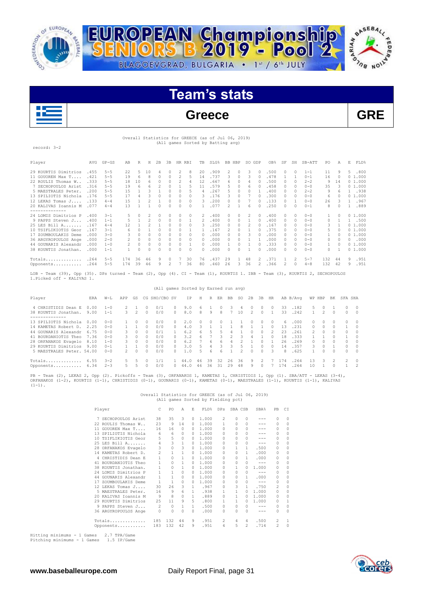



# **Team's stats**

# **Greece GRE**

# Overall Statistics for GREECE (as of Jul 06, 2019) (All games Sorted by Batting avg)

record: 3-2

| Player                                                                                                                                                       | AVG  | $GP - GS$ | AB  | R        | H  | 2B       | 3B |                          | HR RBI       | TB | SLG% |    | BB HBP        | SO GDP   |               | OB <sub>8</sub> | SF            | SH       | $SB-ATT$ | PO  | Α        | E.       | FLD%   |
|--------------------------------------------------------------------------------------------------------------------------------------------------------------|------|-----------|-----|----------|----|----------|----|--------------------------|--------------|----|------|----|---------------|----------|---------------|-----------------|---------------|----------|----------|-----|----------|----------|--------|
| 29 KOURTIS Dimitrios                                                                                                                                         | .455 | $5 - 5$   | 22  | 5.       | 10 |          | 0  |                          | 8            | 20 | .909 | 2  | $\Box$        | 3        | n.            | .500            | $\mathcal{O}$ | $\Omega$ | $1 - 1$  | 11  | 9        | 5        | .800   |
| 11 GOUOREN Max T                                                                                                                                             | .421 | $5 - 5$   | 19  | 6        | 8  | $\Omega$ | 0  | $\mathfrak{D}$           | 5            | 14 | .737 | 3  | $\Box$        | 3        | $\cap$        | .478            |               |          | $0 - 1$  | 16  | $\Omega$ |          | 01.000 |
| 22 ROULIS Thomas W.,                                                                                                                                         | .333 | $5 - 5$   | 18  | 10       | 6  | $\cap$   | 0  | $\overline{\mathcal{L}}$ | 4            | 12 | .667 | 6  | $\Box$        | 4        | O.            | .500            | $\mathcal{O}$ | $\Omega$ | $2 - 2$  | 9   | 14       |          | 01.000 |
| 7 SECHOPOULOS Arist                                                                                                                                          | .316 | $5 - 5$   | 19  | 6        | 6  |          | U  |                          | 5            | 11 | .579 | 5. | $\cap$        | 6        | O.            | .458            | $\Omega$      | $\Omega$ | $0 - 0$  | 35  | 3        |          | 01.000 |
| 5 MAESTRALES Peter.                                                                                                                                          | .200 | $5 - 5$   | 15  |          | 3  |          | 0  | $\Omega$                 | 5            | 4  | .267 | 5  | $\bigcap$     | $\Omega$ |               | .400            | $\Omega$      | $\Omega$ | $2 - 2$  | 9   | 6        |          | 1 .938 |
| 13 SPILIOTIS Nichola                                                                                                                                         | .176 | $5 - 5$   | 17  | 4        | २  |          | O. | $\Omega$                 | <sup>0</sup> | 3  | .176 | २  | $\cap$        |          |               | .300            | $\cap$        | $\cap$   | $0 - 0$  | 6   |          |          | 01.000 |
| 12 LEKAS Tomas J                                                                                                                                             | .133 | $4 - 4$   | 15  |          |    |          | U  | 0                        | $\Omega$     | 3  | .200 | 0  | $\Box$        |          | O.            | .133            | $\mathcal{O}$ |          | $0 - 0$  | 26  | З        |          | .967   |
| 20 KALIVAS Ioannis M                                                                                                                                         | .077 | $4 - 4$   | 1.3 |          |    |          | U  | 0                        | $\Omega$     |    | .077 | 2  |               | 6        |               | .250            | 0             | $\Omega$ | $0 - 1$  | 8   |          |          | .889   |
| -------------                                                                                                                                                |      |           |     |          |    |          |    |                          |              |    |      |    |               |          |               |                 |               |          |          |     |          |          |        |
| 24 LOMIS Dimitrios P                                                                                                                                         | .400 | $3 - 1$   | 5.  | $\Omega$ | 2  |          | U  | 0                        | $\Omega$     | 2  | 400  | 0  | $\mathcal{O}$ |          | O.            | .400            | 0             | 0        | $0 - 0$  |     |          |          | 01.000 |
| 9 PAPPS Steven J                                                                                                                                             | .400 | $1 - 1$   | 5.  |          | 2  |          | 0  | 0                        |              | 2  | .400 | 0  | $\Box$        |          | O.            | .400            | $\Omega$      | $\Omega$ | $0 - 0$  | 0   |          |          | 1 .500 |
| 25 LES Bill A                                                                                                                                                | .167 | $4 - 4$   | 12  |          |    |          |    | $\Omega$                 | 0            | 3  | .250 | 0  | 0             |          |               | .167            | $\Omega$      | $\Omega$ | $0 - 0$  | 3   |          |          | 01.000 |
| 10 TSIFLIKIOTIS Geor                                                                                                                                         | .167 | $3 - 1$   | 6   | $\Omega$ |    |          |    | $\Omega$                 |              |    | .167 |    | $\Omega$      |          |               | .375            | $\Omega$      | $\Omega$ | $0 - 0$  | 5   |          |          | 01.000 |
| 17 ZOUMBOULAKIS Deme                                                                                                                                         | .000 | $3 - 0$   | 3   | $\Omega$ | O. |          | U  | 0                        | <sup>0</sup> | O. | .000 | 0  | $\cap$        | 3        |               | .000            | $\Omega$      | 0        | $0 - 0$  |     | n        |          | 01.000 |
| 36 ARGYROPOULOS Ange                                                                                                                                         | .000 | $2 - 0$   | 2   | $\Omega$ | n  |          |    | $\Omega$                 | $\Omega$     | 0  | .000 | 0  | $\Omega$      |          |               | . 000           | $\Omega$      | $\Omega$ | $0 - 0$  | 0   |          | $\Omega$ | .000   |
| 44 GOUNARIS Alexandr                                                                                                                                         | .000 | $1 - 0$   | 2   | $\Omega$ | 0  |          | 0  | 0                        |              | 0  | .000 |    | 0             |          |               | .333            | $\Omega$      | $\Omega$ | $0 - 0$  |     | O        |          | 01.000 |
| 38 KOUNTIS Jonathan.                                                                                                                                         | .000 | $1 - 1$   |     | $\Omega$ | 0  |          |    | $\Omega$                 | $\Omega$     | 0  | .000 | 0  | $\mathcal{O}$ |          | O.            | .000            | 0             | 0        | $0 - 0$  | 0   |          |          | 01.000 |
| Totals                                                                                                                                                       | .264 | $5 - 5$   | 174 | 36       | 46 | 9        | 0  |                          | 30           | 76 | .437 | 29 |               | 48       | $\mathcal{L}$ | .371            |               | 2        | $5 - 7$  | 132 | 44       | 9        | .951   |
| Opponents                                                                                                                                                    | .264 | $5 - 5$   | 174 | 39       | 46 | 9        | 2  |                          | 36           | 80 | .460 | 26 | 3             | 36       | $\mathcal{L}$ | .366            | 2             | $\Omega$ | $4 - 8$  | 132 | 42       | 9        | .951   |
| Team (39), Opp (35). DPs turned - Team (2), Opp (4). CI - Team (1), KOURTIS 1. IBB - Team (3), KOURTIS 2, SECHOPOULOS<br>LOB -<br>1. Picked off - KALIVAS 1. |      |           |     |          |    |          |    |                          |              |    |      |    |               |          |               |                 |               |          |          |     |          |          |        |

## (All games Sorted by Earned run avg)

| Player                                       | ERA          | $W-L$              | APP           | GS            |                | CG SHO/CBO SV |               | ΙP           | Η  | R   | ER | BB | SO. | 2B            | 3B             | HR               |          | AB B/Aνα       | WP HBP        |        | BK       | SFA SHA        |                        |
|----------------------------------------------|--------------|--------------------|---------------|---------------|----------------|---------------|---------------|--------------|----|-----|----|----|-----|---------------|----------------|------------------|----------|----------------|---------------|--------|----------|----------------|------------------------|
| 4 CHRISTIDIS Dean E<br>38 KOUNTIS Jonathan.  | 0.00<br>9.00 | $1 - 0$<br>$1 - 1$ | 3.            |               | O.<br>$\Omega$ | 0/1<br>0/0    | 0<br>$\Omega$ | 9.0<br>8.0   | 8  | 9   | 8  |    | 10  | $\mathcal{L}$ | n.<br>$\Omega$ | $\Box$           | 33<br>33 | .182<br>.242   | 5.            | O.     | $\Omega$ | 0              | $\circ$<br>$\sim$ 0    |
| .                                            |              |                    |               |               |                |               |               |              |    |     |    |    |     |               |                |                  |          |                |               |        |          |                |                        |
| 13 SPILIOTIS Nichola<br>14 KAMETAS Robert D. | 0.00<br>2.25 | $0 - 0$<br>$0 - 0$ |               |               | n              | 0/0<br>0/0    | $\cap$        | 2.0<br>4.0   |    |     |    |    |     |               |                | $\Box$<br>$\cap$ | 6.<br>13 | . 000<br>. 231 | 0.<br>$\cap$  | O.     |          |                | $\Omega$<br>$\bigcirc$ |
| 44 GOUNARIS Alexandr                         | 6.75         | $0 - 0$            | $\mathcal{R}$ | $\mathcal{O}$ | $\cap$         | 0/1           |               | 6.2          | 6. | 5.  | 5. | 4  |     | $\mathcal{O}$ | $\Omega$       |                  | 23       | .261           | $\mathcal{D}$ | $\cap$ | $\cap$   | O.             | $\Omega$               |
| 41 BOURDANIOTIS Theo                         | 7.36         | $0 - 0$            |               | $\mathcal{O}$ | n.             | 0/0           | ∩.            | 3.2          | h  |     | 3  |    |     | 4             |                | $\Box$           | 18       | .333           |               |        |          |                | $\bigcirc$             |
| 28 ORFANAKOS Evagelo                         | 8.10         | $1 - 0$            | 3             | $\Omega$      | $\cap$         | 0/0           | $\cap$        | 6.2          |    | Б.  | Б. |    |     |               |                |                  | 26       | .269           | $\cap$        | $\cap$ | $\cap$   | $\cap$         | $\sim$ 0               |
| 29 KOURTIS Dimitrios                         | 9.00         | $0 - 1$            |               |               | n              | 0/0           | $\cap$        | 3.0          |    |     |    |    |     |               | $\cap$         | $\Box$           | 14       | .357           | 3.            | $\cap$ |          | <sup>n</sup>   | $\cap$                 |
| 5 MAESTRALES Peter. 54.00                    |              | $0 - 0$            | $\mathcal{P}$ | $\mathcal{O}$ | n              | 0/0           | $\cap$        | 1.0          | 5  | Б.  | 6  |    |     | $\mathcal{O}$ | <sup>n</sup>   | 3                | 8        | .625           |               | $\cap$ | $\cap$   | O.             | $\Omega$               |
| $Totals$ $6.55$                              |              | $3 - 2$            |               |               |                |               |               | $\cap$<br>44 | 46 | 39  | 32 | 26 | 36  | 9             |                |                  | 74       | .264           | 13            | २      |          | $\mathfrak{D}$ | $\bigcirc$             |
| Opponents                                    | 6.34         | $2 - 3$            | $\sim$        | ь             | n              | 0/0           |               | 44.0         | 46 | 36. | 31 | 29 | 48  | 9             |                |                  | 174      | 264            | 10            |        |          |                | $\overline{2}$         |

PB - Team (2), LEKAS 2, Opp (2). Pickoffs - Team (3), ORFANAKOS 1, KAMETAS 1, CHRISTIDIS 1, Opp (1). SBA/ATT - LEKAS (3-4),<br>ORFANAKOS (1-2), KOURTIS (1-1), CHRISTIDIS (0-1), GOUNARIS (0-1), KAMETAS (0-1), MAESTRALES (1-1),  $(1-1)$ .

# Overall Statistics for GREECE (as of Jul 06, 2019) (All games Sorted by Fielding pct)

|    | Player               |                | PO           | Α        | E.       | FLD%  | DPs           | SBA CSB      |                | SBA%    | PB             | C1       |
|----|----------------------|----------------|--------------|----------|----------|-------|---------------|--------------|----------------|---------|----------------|----------|
| 7  | SECHOPOULOS Arist    | 38             | 35           | 3        | 0        | 1.000 | 2             | 0            | 0              |         | n              | $\Omega$ |
|    | 22 ROULIS Thomas W   | 23             | 9            | 14       | 0        | 1,000 | 1             | 0            | 0              |         | 0              | $\Omega$ |
|    | 11 GOUOREN Max T     | 16             | 16           | $\Omega$ | 0        | 1,000 | 0             | <sup>0</sup> | 0              |         | 0              | $\Omega$ |
|    | 13 SPILIOTIS Nichola | 6              | 6            | $\Omega$ | 0        | 1,000 | n             | n            | 0              |         | $\cap$         | $\Omega$ |
|    | 10 TSIFLIKIOTIS Geor | 5              | 5            | 0        | 0        | 1,000 | n             | 0            | 0              | ---     | $\Omega$       | $\Omega$ |
|    | 25 LES Bill A        | 4              | 3            | 1        | 0        | 1,000 | n             | 0            | 0              | $- - -$ | $\Omega$       | $\Omega$ |
|    | 28 ORFANAKOS Evagelo | 3              | 0            | 3        | 0        | 1,000 | 0             | 1            | 1              | .500    | $\mathcal{O}$  | $\Omega$ |
|    | 14 KAMETAS Robert D. | $\overline{c}$ | $\mathbf{1}$ | 1        | 0        | 1,000 | 0             | $\Omega$     | 1              | .000    | $\mathcal{O}$  | $\Omega$ |
| 4  | CHRISTIDIS Dean E    |                | 0            |          | 0        | 1,000 | n             | n            | 1              | .000    | 0              | 0        |
| 41 | BOURDANIOTIS Theo    | 1              | 0            | 1        | 0        | 1,000 | n             | 0            | 0              | $- - -$ | $\Omega$       | $\Omega$ |
|    | 38 KOUNTIS Jonathan. |                | 0            | 1        | $\Omega$ | 1,000 | n             |              | O.             | 1,000   | $\Omega$       | 0        |
|    | 24 LOMIS Dimitrios P |                | 1            | $\Omega$ | 0        | 1,000 | n             | 0            | 0              | $- - -$ | 0              | $\Omega$ |
|    | 44 GOUNARIS Alexandr |                | 1            | 0        | 0        | 1,000 | n             | n            | 1              | .000    | 0              | $\Omega$ |
| 17 | ZOUMBOULAKIS Deme    |                | 1            | 0        | $\Omega$ | 1,000 | n             | 0            | 0              | $- - -$ | 0              | $\Omega$ |
|    | 12 LEKAS Tomas J     | 30             | 26           | 3        | 1        | .967  | n             | 3            | 1              | .750    | $\mathfrak{D}$ | $\Omega$ |
|    | 5 MAESTRALES Peter.  | 16             | 9            | 6        | 1.       | .938  | 1             | 1            | 0              | 1,000   | 0              | $\Omega$ |
|    | 20 KALIVAS Toannis M | 9              | 8            | 0        | 1.       | .889  | 0             |              | 0              | 1,000   | $\Omega$       | $\Omega$ |
|    | 29 KOURTIS Dimitrios | 25             | 11           | 9        | 5.       | .800  | 1             | 1            | 0              | 1,000   | 0              | 1        |
|    | 9 PAPPS Steven J     | 2              | 0            |          | 1        | .500  | 0             | 0            | 0              | $- - -$ | 0              | $\Omega$ |
|    | 36 ARGYROPOULOS Ange | 0              | 0            | 0        | 0        | .000  | 0             | 0            | 0              | $- - -$ | 0              | $\Omega$ |
|    | Totals               | 185            | 132          | 44       | 9        | .951  | $\mathcal{P}$ | 4            | 4              | .500    | 2              | 1        |
|    | Opponents            | 183            | 132          | 42       | 9        | .951  | 4             | 5            | $\mathfrak{D}$ | .714    | $\mathcal{P}$  | $\Omega$ |

Hitting minimums - 1 Games 2.7 TPA/Game Pitching minimums - 1 Games 1.5 IP/Game

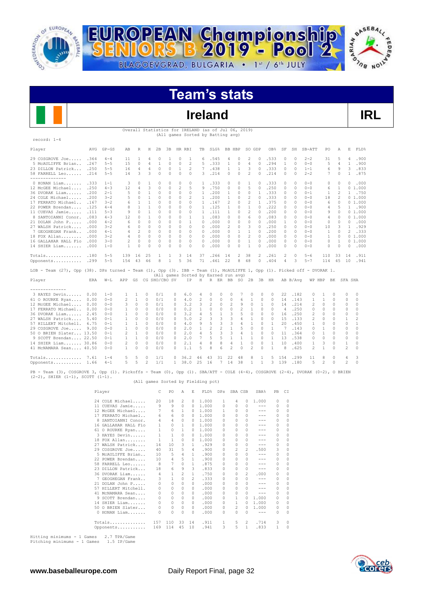



# **Team's stats**

# **Ireland IRL**

ίĘD

|                                                                                                                                                                            | Overall Statistics for IRELAND (as of Jul 06, 2019)<br>(All games Sorted by Batting avg) |                                           |                      |                     |                      |                     |                    |                                                                       |                         |              |                 |                     |                          |                          |                                                                                                                                                                                                                                                                                                                                                                                                                     |                           |                                |               |                    |                                |                      |                      |                      |
|----------------------------------------------------------------------------------------------------------------------------------------------------------------------------|------------------------------------------------------------------------------------------|-------------------------------------------|----------------------|---------------------|----------------------|---------------------|--------------------|-----------------------------------------------------------------------|-------------------------|--------------|-----------------|---------------------|--------------------------|--------------------------|---------------------------------------------------------------------------------------------------------------------------------------------------------------------------------------------------------------------------------------------------------------------------------------------------------------------------------------------------------------------------------------------------------------------|---------------------------|--------------------------------|---------------|--------------------|--------------------------------|----------------------|----------------------|----------------------|
| record: 1-4                                                                                                                                                                |                                                                                          |                                           |                      |                     |                      |                     |                    |                                                                       |                         |              |                 |                     |                          |                          |                                                                                                                                                                                                                                                                                                                                                                                                                     |                           |                                |               |                    |                                |                      |                      |                      |
| Player                                                                                                                                                                     |                                                                                          | AVG GP-GS                                 | AB                   | R                   | Η                    | 2B                  |                    | 3B HR RBI                                                             |                         | TB SLG%      |                 | BB HBP              |                          | SO GDP                   |                                                                                                                                                                                                                                                                                                                                                                                                                     | OB%                       | SF                             | SH            | SB-ATT             | PO                             | A                    |                      | E FLD%               |
| 29 COSGROVE Joe .364                                                                                                                                                       |                                                                                          | $4 - 4$                                   | 11                   | 1                   | 4                    | $\circ$             | 1                  | 0                                                                     | 1                       | 6            | .545            | 4                   | 0                        | 2                        | 0                                                                                                                                                                                                                                                                                                                                                                                                                   | .533                      | 0                              | $\circ$       | $2 - 2$            | 31                             | 5                    | 4                    | .900                 |
| 5 MCAULIFFE Brian                                                                                                                                                          | .267                                                                                     | $5 - 5$                                   | 15                   | 0                   | 4                    | 1                   | 0                  | 0                                                                     | 2<br>5                  |              | .333            | 1                   | 0                        | 4                        | 0                                                                                                                                                                                                                                                                                                                                                                                                                   | .294                      | 1                              | 0             | $0 - 0$            | 5                              | 4                    | $\mathbf{1}$         | .900                 |
| 23 DILLON Patrick .250<br>58 FARRELL Leo .214<br>--------------                                                                                                            |                                                                                          | $5 - 5$<br>$5 - 5$                        | 16<br>14             | $\overline{4}$<br>3 | $\overline{4}$<br>3  | $\circ$<br>0        | 0<br>0             | 1<br>0                                                                | 2<br>0                  | 7<br>3       | .438<br>.214    | 1<br>0              | $\mathbf{1}$<br>$\Omega$ | 3<br>2                   | $\circ$<br>$\Omega$                                                                                                                                                                                                                                                                                                                                                                                                 | .333<br>.214              | $\Omega$<br>0                  | 0<br>0        | $1 - 1$<br>$2 - 2$ | 6<br>7                         | 9<br>$\Omega$        | 3<br>$\mathbf{1}$    | .833<br>.875         |
| 0 HONAN Liam .333                                                                                                                                                          |                                                                                          | $1 - 1$                                   | 3                    | 0                   | 1                    | 0                   | 0                  | $\circ$                                                               | 0<br>-1                 |              | .333            | 0                   | $\circ$                  | 1                        | $\bigcap$                                                                                                                                                                                                                                                                                                                                                                                                           | .333                      | $\circ$                        | $\Omega$      | $0 - 0$            | $\circ$                        | 0                    | $\circ$              | .000                 |
| 12 McGEE Michael .250                                                                                                                                                      |                                                                                          | $4 - 3$                                   | 12                   | 4                   | 3                    | $\circ$             | 0                  | 2                                                                     | 5<br>9                  |              | .750            | 0                   | $\circ$                  | 5                        | $\circ$                                                                                                                                                                                                                                                                                                                                                                                                             | .250                      | $\Box$                         | $\Omega$      | $0 - 0$            | 6                              | 1                    |                      | 01.000               |
| 36 DVORAK Liam .200                                                                                                                                                        |                                                                                          | $2 - 1$                                   | 5                    | 0                   | 1                    | $\circ$             | 0                  | 0                                                                     | 1<br>0                  |              | .200            | 1                   | 0                        | 0                        | 1                                                                                                                                                                                                                                                                                                                                                                                                                   | .333                      | $\Omega$                       | 0             | $0 - 1$            | $\overline{1}$                 | 2                    |                      | 1 .750               |
| 24 COLE Michael .200<br>17 FERRATO Michael . 167                                                                                                                           |                                                                                          | $3 - 2$<br>$3 - 2$                        | 5<br>6               | 0<br>1              | 1<br>1               | 0<br>$\circ$        | 0<br>0             | 0<br>0                                                                | 2<br>1<br>0             | 1            | .200<br>.167    | -1<br>2             | 0<br>0                   | 2<br>2                   | 0<br>$\mathbf{1}$                                                                                                                                                                                                                                                                                                                                                                                                   | .333<br>.375              | 0<br>0                         | 0<br>0        | $0 - 0$<br>$0 - 0$ | 18<br>6                        | 2<br>$\Omega$        |                      | 01.000<br>01.000     |
| 22 POWER Brendan . 125                                                                                                                                                     |                                                                                          | $4 - 4$                                   | 8                    | $\mathbf{1}$        | 1                    | $\circ$             | 0                  | $\Omega$                                                              | 0<br>$\mathbf{1}$       |              | .125            | 1                   | $\Box$                   | 1                        | $\circ$                                                                                                                                                                                                                                                                                                                                                                                                             | .222                      | 0                              | $\Omega$      | $0 - 0$            | $\overline{4}$                 | 5                    |                      | 1 .900               |
| 11 CUEVAS Jamie . 111                                                                                                                                                      |                                                                                          | $5 - 3$                                   | 9                    | $\Omega$            | $\mathbf{1}$         | $\circ$             | 0                  | 0                                                                     | 0                       | $\mathbf{1}$ | .111            | 1                   | 0                        | 2                        | $\circ$                                                                                                                                                                                                                                                                                                                                                                                                             | .200                      | 0                              | $\circ$       | $0 - 0$            | 9                              | 0                    |                      | 01.000               |
| 8 SANTOIANNI Conor. . 083                                                                                                                                                  |                                                                                          | $4 - 3$                                   | 12                   | 0                   | 1                    | 0                   | 0                  | 0                                                                     | 1                       | $\mathbf{1}$ | .083            | 0                   | 0                        | 6                        | $\circ$                                                                                                                                                                                                                                                                                                                                                                                                             | .083                      | $\circ$                        | 0             | $0 - 0$            | 4                              | 0                    |                      | 01.000               |
| 21 DOLAN John P .000                                                                                                                                                       |                                                                                          | $4 - 2$                                   | -6                   | $\circ$             | $\circ$              | $\overline{0}$      | $\circ$            | $\circ$                                                               | $\circ$<br>-1           |              | .000            | $\circ$             | $\circ$                  | $\circ$                  | $\circ$                                                                                                                                                                                                                                                                                                                                                                                                             | .000                      | $\overline{1}$                 | $\circ$       | $0 - 0$            | $\circ$                        | $\circ$              |                      | 0.000                |
| 27 WALSH Patrick . 000                                                                                                                                                     |                                                                                          | $3 - 2$                                   | 6                    | $\circ$             | 0                    | $\overline{0}$      | $\circ$            | 0                                                                     | 0<br>$\Omega$           |              | .000            | 2                   | $\Box$                   | 3                        | $\circ$                                                                                                                                                                                                                                                                                                                                                                                                             | .250                      | 0                              | 0             | $0 - 0$            | 10                             | 3                    |                      | 1.929                |
| 7 GEOGHEGAN Frank . 000<br>18 FOX Allan                                                                                                                                    | .000                                                                                     | $4 - 1$<br>$3 - 2$                        | 4<br>4               | 2<br>0              | $\circ$<br>0         | $\overline{0}$<br>0 | 0<br>0             | 0<br>0                                                                | 0<br>$\Omega$<br>0<br>0 |              | .000<br>.000    | 0<br>0              | $\mathbf{1}$<br>0        | 1<br>2                   | $\circ$<br>0                                                                                                                                                                                                                                                                                                                                                                                                        | .200<br>.000              | $\Omega$<br>0                  | $\Omega$<br>0 | $0 - 0$<br>$0 - 0$ | $\overline{1}$<br>$\mathbf{1}$ | 0<br>0               |                      | 2 .333<br>01.000     |
| 16 GALLAHAR HALL Fio                                                                                                                                                       | .000                                                                                     | $3 - 0$                                   | 2                    | $\circ$             | $\circ$              | $\circ$             | $\circ$            | $\circ$                                                               | $\circ$<br>$\Omega$     |              | .000            | 0                   | $\circ$                  | 1                        | $\circ$                                                                                                                                                                                                                                                                                                                                                                                                             | .000                      | $\Omega$                       | $\circ$       | $0 - 0$            | $\circ$                        | $\mathbf{1}$         |                      | 01.000               |
| 14 SHIER Liam .000                                                                                                                                                         |                                                                                          | $1 - 0$                                   | 1                    | 0                   | 0                    | 0                   | 0                  | 0                                                                     | 0<br>$\Omega$           |              | .000            | 0                   | 0                        | 1                        | 0                                                                                                                                                                                                                                                                                                                                                                                                                   | .000                      | 0                              | 0             | $0 - 0$            | 0                              | 0                    | 0                    | .000                 |
| Totals .180                                                                                                                                                                |                                                                                          | $5 - 5$                                   | 139                  | 16                  | 25                   | 1                   | 1                  | 3<br>14                                                               | 37                      |              | .266            | 14                  | 2                        | 38                       | 2                                                                                                                                                                                                                                                                                                                                                                                                                   | .261                      | $\overline{2}$                 | 0             | $5 - 6$            | 110                            | 33                   | 14                   | .911                 |
| Opponents .299                                                                                                                                                             |                                                                                          | $5 - 5$                                   | 154                  | 43                  | 46                   | 8                   | 1                  | 5<br>36                                                               | 71                      |              | .461            | 22                  | 8                        | 48                       | 0                                                                                                                                                                                                                                                                                                                                                                                                                   | .404                      | 4                              | 3             | $5 - 7$            | 114                            | 45                   | 10                   | .941                 |
| LOB - Team (27), Opp (38). DPs turned - Team (1), Opp (3). IBB - Team (1), McAULIFFE 1, Opp (1). Picked off - DVORAK 1.                                                    |                                                                                          |                                           |                      |                     |                      |                     |                    | (All games Sorted by Earned run avg)                                  |                         |              |                 |                     |                          |                          |                                                                                                                                                                                                                                                                                                                                                                                                                     |                           |                                |               |                    |                                |                      |                      |                      |
| Player                                                                                                                                                                     | ERA                                                                                      | W-L                                       | APP GS CG SHO/CBO SV |                     |                      |                     |                    | ΙP                                                                    | H                       |              |                 | R ER BB SO 2B 3B HR |                          |                          |                                                                                                                                                                                                                                                                                                                                                                                                                     |                           |                                | AB B/Avg      |                    | WP HBP BK SFA SHA              |                      |                      |                      |
| --------------                                                                                                                                                             |                                                                                          |                                           |                      |                     |                      |                     |                    |                                                                       |                         |              |                 |                     |                          |                          |                                                                                                                                                                                                                                                                                                                                                                                                                     |                           |                                |               |                    |                                |                      |                      |                      |
| 3 HAYES Devin 0.00                                                                                                                                                         |                                                                                          | $1 - 0$                                   | $\mathbf{1}$         | 1                   | $\Omega$             | 0/1                 |                    | 6.0<br>$\Omega$                                                       | 4                       | $\circ$      | $\circ$         | $\circ$             | 7                        | $\Box$                   | $\Omega$                                                                                                                                                                                                                                                                                                                                                                                                            | $\bigcap$                 | 22                             | .182          | $\Omega$           | $\overline{1}$                 | $\Omega$             | $\circ$              | 0                    |
| 61 O ROURKE Ryan 0.00                                                                                                                                                      |                                                                                          | $0 - 0$                                   | 2                    | 1                   | 0                    | 0/1                 |                    | 0<br>4.0                                                              | 2                       | 0            | 0               | 0                   | 6                        | 1                        | 0                                                                                                                                                                                                                                                                                                                                                                                                                   | 0                         | 14                             | .143          | 1                  | 1                              | 0                    | $\Omega$             | $\Omega$             |
| 12 McGEE Michael 0.00<br>17 FERRATO Michael 0.00                                                                                                                           |                                                                                          | $0 - 0$<br>$0 - 0$                        | 3<br>1               | 0<br>0              | $\Omega$<br>0        | 0/1<br>0/0          |                    | 3.2<br>$\Omega$<br>0<br>0.2                                           | 3<br>1                  | 2<br>0       | 0<br>0          | 2<br>0              | 9<br>2                   | 0<br>1                   | -1.<br>0                                                                                                                                                                                                                                                                                                                                                                                                            | $\bigcap$<br>0            | 14<br>$\frac{4}{3}$            | .214<br>.250  | 2<br>0             | $\Omega$<br>$\circ$            | $\Omega$<br>0        | $\Omega$<br>0        | $\Omega$<br>0        |
| 36 DVORAK Liam 2.45                                                                                                                                                        |                                                                                          | $0 - 0$                                   | $\mathbf{1}$         | $\circ$             | $\circ$              | 0/0                 |                    | 0<br>3.2                                                              | 4                       | 5            | -1              | 3                   | 5                        | $\circ$                  | $\circ$                                                                                                                                                                                                                                                                                                                                                                                                             | $\circ$                   | 16                             | .250          | 2                  | $\circ$                        | $\circ$              | $\circ$              | 0                    |
| 27 WALSH Patrick 5.40                                                                                                                                                      |                                                                                          | $0 - 1$                                   | 1                    | 0                   | $\Omega$             | 0/0                 |                    | 0<br>5.0                                                              | 2                       | 3            | 3               | 3                   | 4                        | 1                        | 0                                                                                                                                                                                                                                                                                                                                                                                                                   | 0                         | 15                             | .133          | 2                  | 0                              | 0                    | 1                    | 2                    |
| 57 HILLERT Mitchell. 6.75                                                                                                                                                  |                                                                                          | $0 - 1$                                   | -1                   | 1                   | 0                    | 0/0                 |                    | 4.0<br>0                                                              | 9                       | 5            | 3               | 3                   | 4                        | 1                        | 0                                                                                                                                                                                                                                                                                                                                                                                                                   | -1                        | 20                             | .450          | -1                 | 0                              | 0                    | 0                    | 1                    |
| 29 COSGROVE Joe 9.00                                                                                                                                                       |                                                                                          | $0 - 0$                                   | 1                    | 0                   | $\Omega$             | 0/0                 |                    | $\bigcap$<br>2.0                                                      | 1                       | 2            | 2               | $\mathbf{1}$        | -5                       | 0                        | 0                                                                                                                                                                                                                                                                                                                                                                                                                   | 1                         | 7                              | .143          | 0                  | 1                              | $\Omega$             | $\Omega$             | $\Omega$             |
| 50 O BRIEN Slater 13.50                                                                                                                                                    |                                                                                          | $0 - 1$<br>$0 - 1$                        | 2<br>1               | -1<br>1             | $\Omega$<br>$\Omega$ | 0/0<br>0/0          |                    | $\Omega$<br>2.0<br>$\Omega$<br>2.0                                    | 4<br>7                  | 5<br>5       | 3<br>5          | 3<br>$\mathbf{1}$   | $-4$<br>1                | 1<br>1                   | $\circ$<br>0                                                                                                                                                                                                                                                                                                                                                                                                        | $\circ$<br>1              | 11<br>13                       | .364<br>.538  | 0<br>0             | $\overline{1}$<br>$\circ$      | $\Omega$<br>$\Omega$ | $\Omega$<br>$\Omega$ | $\Omega$<br>$\Omega$ |
| 9 SCOTT Brendan 22.50<br>14 SHIER Liam 30.86                                                                                                                               |                                                                                          | $0 - 0$                                   | 2                    | 0                   | 0                    | 0/0                 |                    | 0<br>2.1                                                              | 4                       | 8            | 8               | 4                   | -1                       | 0                        | 0                                                                                                                                                                                                                                                                                                                                                                                                                   | 1                         | 10                             | .400          | -1                 | 3                              | 0                    | $\mathbf{1}$         | 0                    |
| 41 McNAMARA Sean 40.50                                                                                                                                                     |                                                                                          | $0 - 0$                                   | -1                   | $\circ$             | 0                    | 0/0                 |                    | $\Omega$<br>1.1                                                       | 5                       | 8            | 6               | 2                   | $\circ$                  | 2                        | $\circ$                                                                                                                                                                                                                                                                                                                                                                                                             | $\mathbf{1}$              | 8                              | .625          | 2                  | 1                              | 0                    | 2                    | $\Omega$             |
| $Totals$ 7.61                                                                                                                                                              |                                                                                          | $1 - 4$                                   | 5                    | 5                   | 0                    | 1/1                 |                    | 36.2<br>0                                                             | 46                      | 43           | 31              | 22                  | 48                       | 8                        | $\mathbf{1}$                                                                                                                                                                                                                                                                                                                                                                                                        | 5                         | 154                            | .299          | 11                 | 8                              | $\Omega$             | 4                    | 3                    |
| Opponents 1.66                                                                                                                                                             |                                                                                          | $4 - 1$                                   | 5                    | 5                   | 2                    | 1/1                 |                    | $\mathbf{1}$<br>38.0                                                  | 25                      | 16           | $7\phantom{.0}$ | 14                  | 38                       | 1                        | 1                                                                                                                                                                                                                                                                                                                                                                                                                   | 3                         | 139                            | .180          | 5                  | 2                              | 0                    | 2                    | 0                    |
| PB - Team (3), COSGROVE 3, Opp (1). Pickoffs - Team (0), Opp (1). SBA/ATT - COLE (4-4), COSGROVE (2-4), DVORAK (0-2), O BRIEN<br>$(2-2)$ , SHIER $(1-1)$ , SCOTT $(1-1)$ . |                                                                                          |                                           |                      |                     |                      |                     |                    |                                                                       |                         |              |                 |                     |                          |                          |                                                                                                                                                                                                                                                                                                                                                                                                                     |                           |                                |               |                    |                                |                      |                      |                      |
|                                                                                                                                                                            |                                                                                          |                                           |                      |                     |                      |                     |                    | (All games Sorted by Fielding pct)                                    |                         |              |                 |                     |                          |                          |                                                                                                                                                                                                                                                                                                                                                                                                                     |                           |                                |               |                    |                                |                      |                      |                      |
|                                                                                                                                                                            |                                                                                          | Player                                    |                      |                     |                      | С                   | PO                 | Α                                                                     | Ε                       | FLD% DPs     |                 |                     | SBA CSB                  |                          | SBA%                                                                                                                                                                                                                                                                                                                                                                                                                | PB                        | C1                             |               |                    |                                |                      |                      |                      |
|                                                                                                                                                                            |                                                                                          | 24 COLE Michael                           |                      |                     |                      | 20                  | 18                 | 2                                                                     | 0                       | 1.000        |                 | 1                   | 4                        | 0                        | 1.000                                                                                                                                                                                                                                                                                                                                                                                                               | 0                         | $\Omega$                       |               |                    |                                |                      |                      |                      |
|                                                                                                                                                                            |                                                                                          | 11 CUEVAS Jamie                           |                      |                     |                      | 9                   | 9                  | $\circ$                                                               | $\circ$                 | 1.000        |                 | 0                   | $\circ$                  | $\Omega$                 | $\frac{1}{2} \frac{1}{2} \frac{1}{2} \frac{1}{2} \frac{1}{2} \frac{1}{2} \frac{1}{2} \frac{1}{2} \frac{1}{2} \frac{1}{2} \frac{1}{2} \frac{1}{2} \frac{1}{2} \frac{1}{2} \frac{1}{2} \frac{1}{2} \frac{1}{2} \frac{1}{2} \frac{1}{2} \frac{1}{2} \frac{1}{2} \frac{1}{2} \frac{1}{2} \frac{1}{2} \frac{1}{2} \frac{1}{2} \frac{1}{2} \frac{1}{2} \frac{1}{2} \frac{1}{2} \frac{1}{2} \frac{$                        | 0                         | $\Omega$                       |               |                    |                                |                      |                      |                      |
|                                                                                                                                                                            |                                                                                          | 12 McGEE Michael                          |                      |                     |                      | 7                   | 6                  | 1                                                                     | $\Omega$                | 1.000        |                 | 1                   | 0                        | $\Omega$                 | $---$                                                                                                                                                                                                                                                                                                                                                                                                               | 0                         | $\Omega$                       |               |                    |                                |                      |                      |                      |
|                                                                                                                                                                            |                                                                                          | 17 FERRATO Michael<br>8 SANTOIANNI Conor. |                      |                     |                      | 6<br>4              | 6<br>4             | 0<br>$\overline{0}$                                                   | 0 1.000<br>0 1.000      |              |                 | $\circ$<br>0        | 0<br>$\circ$             | 0<br>$\bigcap$           | $\frac{1}{2} \frac{1}{2} \frac{1}{2} \frac{1}{2} \frac{1}{2} \frac{1}{2} \frac{1}{2} \frac{1}{2} \frac{1}{2} \frac{1}{2} \frac{1}{2} \frac{1}{2} \frac{1}{2} \frac{1}{2} \frac{1}{2} \frac{1}{2} \frac{1}{2} \frac{1}{2} \frac{1}{2} \frac{1}{2} \frac{1}{2} \frac{1}{2} \frac{1}{2} \frac{1}{2} \frac{1}{2} \frac{1}{2} \frac{1}{2} \frac{1}{2} \frac{1}{2} \frac{1}{2} \frac{1}{2} \frac{$<br>$\qquad \qquad - -$ | 0<br>0                    | 0<br>$\Omega$                  |               |                    |                                |                      |                      |                      |
|                                                                                                                                                                            |                                                                                          | 16 GALLAHAR HALL Fio                      |                      |                     |                      | 1                   | $\circ$            | $\overline{1}$                                                        | 0 1.000                 |              |                 | 0                   | 0                        | $\Omega$                 | $\frac{1}{2} \frac{1}{2} \frac{1}{2} \frac{1}{2} \frac{1}{2} \frac{1}{2} \frac{1}{2} \frac{1}{2} \frac{1}{2} \frac{1}{2} \frac{1}{2} \frac{1}{2} \frac{1}{2} \frac{1}{2} \frac{1}{2} \frac{1}{2} \frac{1}{2} \frac{1}{2} \frac{1}{2} \frac{1}{2} \frac{1}{2} \frac{1}{2} \frac{1}{2} \frac{1}{2} \frac{1}{2} \frac{1}{2} \frac{1}{2} \frac{1}{2} \frac{1}{2} \frac{1}{2} \frac{1}{2} \frac{$                        | 0                         | $\Omega$                       |               |                    |                                |                      |                      |                      |
|                                                                                                                                                                            |                                                                                          | 61 O ROURKE Ryan                          |                      |                     |                      | 1                   | $\Omega$           | $\overline{1}$                                                        | 0 1.000                 |              |                 | $\Omega$            | $\circ$                  | $\bigcap$                | $\frac{1}{2} \frac{1}{2} \frac{1}{2} \frac{1}{2} \frac{1}{2} \frac{1}{2} \frac{1}{2} \frac{1}{2} \frac{1}{2} \frac{1}{2} \frac{1}{2} \frac{1}{2} \frac{1}{2} \frac{1}{2} \frac{1}{2} \frac{1}{2} \frac{1}{2} \frac{1}{2} \frac{1}{2} \frac{1}{2} \frac{1}{2} \frac{1}{2} \frac{1}{2} \frac{1}{2} \frac{1}{2} \frac{1}{2} \frac{1}{2} \frac{1}{2} \frac{1}{2} \frac{1}{2} \frac{1}{2} \frac{$                        | $\Omega$                  | $\Omega$                       |               |                    |                                |                      |                      |                      |
|                                                                                                                                                                            |                                                                                          | 3 HAYES Devin                             |                      |                     |                      | 1                   | 1                  | 0                                                                     | 0                       | 1.000        |                 | 0                   | 0                        | 0                        | $- - -$                                                                                                                                                                                                                                                                                                                                                                                                             | 0                         | 0                              |               |                    |                                |                      |                      |                      |
|                                                                                                                                                                            |                                                                                          | 18 FOX Allan                              |                      |                     |                      | 1                   | 1                  | $\circ$                                                               | $\circ$                 | 1.000        |                 | $\circ$             | $\circ$                  | $\circ$                  | $-- -$                                                                                                                                                                                                                                                                                                                                                                                                              | 0                         | $\Omega$                       |               |                    |                                |                      |                      |                      |
|                                                                                                                                                                            |                                                                                          | 27 WALSH Patrick<br>29 COSGROVE Joe       |                      |                     |                      | 14<br>40            | 10<br>31           | 3<br>-5                                                               | $\overline{1}$<br>4     | .929<br>.900 |                 | 0<br>0              | $\circ$<br>2             | $\circ$                  | $\sim$ $\sim$ $\sim$<br>.500                                                                                                                                                                                                                                                                                                                                                                                        | $\Omega$<br>3             | $\Omega$<br>0                  |               |                    |                                |                      |                      |                      |
|                                                                                                                                                                            |                                                                                          | 5 MCAULIFFE Brian                         |                      |                     |                      | 10                  | -5                 | 4                                                                     | 1                       | .900         |                 | 0                   | 0                        | 0                        | $--\,$                                                                                                                                                                                                                                                                                                                                                                                                              | 0                         | 0                              |               |                    |                                |                      |                      |                      |
|                                                                                                                                                                            |                                                                                          | 22 POWER Brendan                          |                      |                     |                      | 10                  | 4                  | $5 -$                                                                 | $\mathbf{1}$            | .900         |                 | $0 \qquad 0$        | $\circ$                  |                          | $\frac{1}{2} \frac{1}{2} \frac{1}{2} \frac{1}{2} \frac{1}{2} \frac{1}{2} \frac{1}{2} \frac{1}{2} \frac{1}{2} \frac{1}{2} \frac{1}{2} \frac{1}{2} \frac{1}{2} \frac{1}{2} \frac{1}{2} \frac{1}{2} \frac{1}{2} \frac{1}{2} \frac{1}{2} \frac{1}{2} \frac{1}{2} \frac{1}{2} \frac{1}{2} \frac{1}{2} \frac{1}{2} \frac{1}{2} \frac{1}{2} \frac{1}{2} \frac{1}{2} \frac{1}{2} \frac{1}{2} \frac{$                        | $\circ$                   | $\circ$                        |               |                    |                                |                      |                      |                      |
|                                                                                                                                                                            |                                                                                          | 58 FARRELL Leo                            |                      |                     |                      |                     |                    | 8 7 0 1                                                               |                         | .875         |                 | $0\qquad 0$         | $\overline{0}$           |                          | $\sim$ $\sim$ $\sim$                                                                                                                                                                                                                                                                                                                                                                                                | $\circ$                   | $\circ$                        |               |                    |                                |                      |                      |                      |
|                                                                                                                                                                            |                                                                                          | 23 DILLON Patrick                         |                      |                     |                      |                     |                    | 18   6   9   3                                                        |                         | .833         |                 | $0\qquad 0$         | $\overline{0}$           |                          | $\sim$ $\sim$ $\sim$                                                                                                                                                                                                                                                                                                                                                                                                | $\circ$                   | $\circ$                        |               |                    |                                |                      |                      |                      |
|                                                                                                                                                                            |                                                                                          | 36 DVORAK Liam<br>7 GEOGHEGAN Frank       |                      |                     |                      | 4                   |                    | $1 \quad 2$<br>$\begin{array}{ccccccccc}\n3 & & 1 & & 0\n\end{array}$ | $\mathbf{1}$<br>2       | .750<br>.333 |                 | $\circ$<br>$0$ 0    | $\circ$                  | $\overline{2}$<br>$\cap$ | .000<br>$\frac{1}{2} \frac{1}{2} \frac{1}{2} \frac{1}{2} \frac{1}{2} \frac{1}{2} \frac{1}{2} \frac{1}{2} \frac{1}{2} \frac{1}{2} \frac{1}{2} \frac{1}{2} \frac{1}{2} \frac{1}{2} \frac{1}{2} \frac{1}{2} \frac{1}{2} \frac{1}{2} \frac{1}{2} \frac{1}{2} \frac{1}{2} \frac{1}{2} \frac{1}{2} \frac{1}{2} \frac{1}{2} \frac{1}{2} \frac{1}{2} \frac{1}{2} \frac{1}{2} \frac{1}{2} \frac{1}{2} \frac{$                | $\circ$<br>$\overline{0}$ | $\circ$<br>$\Omega$            |               |                    |                                |                      |                      |                      |
|                                                                                                                                                                            |                                                                                          | 21 DOLAN John P                           |                      |                     |                      |                     |                    | $0\qquad 0\qquad 0$                                                   | $\circ$                 | .000         |                 | $0\qquad 0$         |                          | $\circ$                  | $\rightarrow$ $\rightarrow$ $\rightarrow$                                                                                                                                                                                                                                                                                                                                                                           | $\circ$                   | $\circ$                        |               |                    |                                |                      |                      |                      |
|                                                                                                                                                                            |                                                                                          | 57 HILLERT Mitchell.                      |                      |                     |                      |                     |                    | $0\qquad 0\qquad 0$                                                   | $\circ$                 | .000         |                 | $0\qquad 0$         |                          | $\circ$                  | $\frac{1}{2}$                                                                                                                                                                                                                                                                                                                                                                                                       | $\circ$                   | $\circ$                        |               |                    |                                |                      |                      |                      |
|                                                                                                                                                                            |                                                                                          | 41 McNAMARA Sean                          |                      |                     |                      | $\circ$             |                    | $0\qquad 0$                                                           | $\cap$                  | .000         |                 | $\circ$             | $\circ$                  | $\circ$                  | $- - - \,$                                                                                                                                                                                                                                                                                                                                                                                                          | $\circ$                   | $\overline{0}$                 |               |                    |                                |                      |                      |                      |
|                                                                                                                                                                            |                                                                                          | 9 SCOTT Brendan                           |                      |                     |                      |                     |                    | $\begin{matrix} 0 & 0 & 0 \end{matrix}$                               | $\sim$ 0                | .000         |                 | $\overline{0}$      | $\mathbf{1}$             | 0 1.000                  |                                                                                                                                                                                                                                                                                                                                                                                                                     | $\circ$                   | $\sim$ 0                       |               |                    |                                |                      |                      |                      |
|                                                                                                                                                                            |                                                                                          | 14 SHIER Liam                             |                      |                     |                      | $\circ$             | $\circ$            | $\circ$                                                               | $\circ$                 | .000         |                 | $\circ$             | $\mathbf{1}$             | 0 1.000                  |                                                                                                                                                                                                                                                                                                                                                                                                                     | $\circ$                   | $\overline{0}$                 |               |                    |                                |                      |                      |                      |
|                                                                                                                                                                            |                                                                                          | 50 O BRIEN Slater<br>0 HONAN Liam         |                      |                     |                      | $\circ$<br>$\circ$  | $\circ$<br>$\circ$ | $\circ$<br>$\circ$                                                    | $\circ$<br>$\circ$      | .000<br>.000 |                 | 0<br>$\circ$        | 2<br>$\circ$             | $\circ$                  | 0 1.000<br>$\frac{1}{2}$                                                                                                                                                                                                                                                                                                                                                                                            | 0                         | $\Omega$<br>$\circ$<br>$\circ$ |               |                    |                                |                      |                      |                      |

Hitting minimums - 1 Games 2.7 TPA/Game Pitching minimums - 1 Games 1.5 IP/Game

Totals.............. 157 110 33 14 .911 1 5 2 .714 3 0 Opponents........... 169 114 45 10 .941 3 5 1 .833 1 0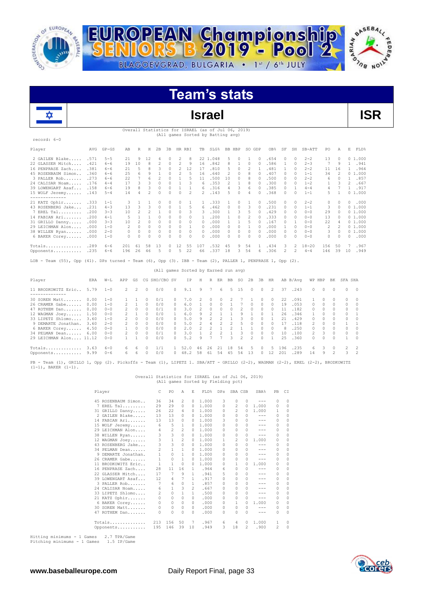

record: 6-0



# **Team's stats**



Overall Statistics for ISRAEL (as of Jul 06, 2019) (All games Sorted by Batting avg)

| Player             | AVG  | $GP - GS$ | AB  | R             | Н  | 2B     | 3B       | HR. | RBI      | TB         | SLG%     | BB.    | HBP      | SO. | GDP       | OB <sub>8</sub> | SF       | SH            | SB-ATT    | PO  | Α        | E        | FLD%   |
|--------------------|------|-----------|-----|---------------|----|--------|----------|-----|----------|------------|----------|--------|----------|-----|-----------|-----------------|----------|---------------|-----------|-----|----------|----------|--------|
| 2 GAILEN Blake     | .571 | $5 - 5$   | 21  | 9             | 12 |        |          | 2   | 8        |            | 22 1.048 | 5.     | 0        |     | 0         | .654            |          | 0             | $2 - 2$   | 13  |          |          | 01.000 |
| 22 GLASSER Mitch   | .421 | $6 - 6$   | 19  | 10            | 8  | 2      | $\cap$   | 2   | 9        | 16         | .842     | 8.     |          | 0   |           | .586            |          | 0             | $2 - 3$   | 7   | 9        |          | .941   |
| 16 PENPRASE Zach   | .381 | $6 - 6$   | 21  | 5             | R  |        | $\cap$   |     | 12       | 17         | .810     | 5.     | $\Omega$ |     |           | .481            |          | n             | $2 - 2$   | 11  | 16       |          | .964   |
| 45 ROSENBAUM Simon | .360 | $6 - 6$   | 25  | 6             |    |        |          |     |          | 16         | .640     |        | O.       |     |           | .407            | 0        | n             | $1 - 1$   | 34  |          |          | 01.000 |
| 3 PALLER Rob       | .273 | $6 - 6$   | 22  |               |    |        |          |     |          | 11         | .500     | 10     | $\cap$   |     |           | .500            |          |               | $2 - 2$   | 6   |          |          | .857   |
| 24 CALISAR Noam    | .176 | $4 - 4$   | 17  | $\mathcal{R}$ |    |        |          |     |          | 6.         | .353     | 2      |          |     |           | .300            | $\Omega$ | n             | $1 - 2$   | 1.  |          | 2        | .667   |
| 39 LOWENGART Asaf  | .158 | $6 - 6$   | 19  | 8             |    |        |          |     |          | 6.         | .316     | 4      | 3        | 6   |           | .385            | $\Omega$ |               | $4 - 4$   | 4   |          |          | .917   |
| 15 WOLF Jeremy     | .143 | $5 - 4$   | 14  |               |    |        |          |     |          | 2          | .143     |        |          | 4   |           | .368            |          | n             | $1 - 1$   | 5.  |          |          | 01.000 |
| --------------     |      |           |     |               |    |        |          |     |          |            |          |        |          |     |           |                 |          |               |           |     |          |          |        |
| 21 KATZ Ophir      | .333 | $1 - 1$   |     |               |    |        |          | 0   |          |            | .333     |        | $\Omega$ |     | $\Box$    | .500            | 0        | n             | $2 - 2$   | 0   |          | 0        | .000   |
| 43 ROSENBERG Jake  | .231 | $4 - 3$   | 13  | $\mathcal{R}$ | R  | $\cap$ | $\cap$   |     |          | 6.         | .462     | $\cap$ | $\cap$   | २   | $\bigcap$ | .231            | $\cap$   | $\cap$        | $1 - 1$   | 3   | $\Box$   |          | 01.000 |
| 7 EREL Tal         | .200 | $3 - 3$   | 10  |               |    |        |          |     |          | 3          | .300     |        | 3        |     | $\Omega$  | .429            | $\cap$   | n             | $0 - 0$   | 29  | $\Omega$ |          | 01.000 |
| 14 FABIAN Ari      | .200 | $4 - 1$   |     |               |    |        |          |     |          |            | .200     |        | $\cap$   |     |           | .333            |          |               | $0 - 0$   | 13  | $\Box$   |          | 01.000 |
| 31 GRILLO Danny    | .000 | $3 - 3$   | 10  |               |    |        |          |     |          | 0          | .000     |        |          |     |           | .167            |          |               | $0 - 0$   | 22  | 4        |          | 01.000 |
| 29 LEICHMAN Alon   | .000 | $1 - 0$   |     | $\Omega$      |    |        |          |     |          | $\Omega$   | .000     |        |          |     |           | .000            |          | n             | $0 - 0$   | 2   |          |          | 01.000 |
| 38 WILLEN Ryan     | .000 | $2 - 0$   |     |               |    |        |          |     |          | $^{\circ}$ | .000     |        | $\Omega$ | 0   |           | .000            | 0        | 0             | $0 - 0$   | 3   | $\Omega$ |          | 01.000 |
| 6 BAKER Corey      | .000 | $1 - 0$   |     |               |    |        |          |     | $\Omega$ | $\Omega$   | .000     |        |          | 0   |           | .000            |          | n             | $0 - 0$   | 0   |          | $\Omega$ | .000   |
| Totals             | .289 | $6 - 6$   | 201 | 61            | 58 | 13     |          | 12  | 55       | 107        | .532     | 45     | 9        | 54  |           | .434            | 3        | 2             | $18 - 20$ | 156 | 50       |          | .967   |
| Opponents          | .235 | $6 - 6$   | 196 | 26            | 46 | 5      | $\Omega$ | .5. | 22       | 66         | .337     | 18     | 3.       | 54  | 6         | .306            | 2        | $\mathcal{P}$ | $4 - 4$   | 146 | 39       | 10       | .949   |
|                    |      |           |     |               |    |        |          |     |          |            |          |        |          |     |           |                 |          |               |           |     |          |          |        |

LOB - Team (55), Opp (41). DPs turned - Team (6), Opp (3). IBB - Team (2), PALLER 1, PENPRASE 1, Opp (2).

## (All games Sorted by Earned run avg)

| Player                 | ERA  | $W-L$   | APP           | GS            |          | CG SHO/CBO SV |            | ΙP   | Н   | R            | ER       | BB. | SO.  | 2B            | 3B           | HR             |     | AB B/Avq | WP HBP        |          | BK       | SFA SHA      |                |
|------------------------|------|---------|---------------|---------------|----------|---------------|------------|------|-----|--------------|----------|-----|------|---------------|--------------|----------------|-----|----------|---------------|----------|----------|--------------|----------------|
| 11 BRODKOWITZ Eric     | 5.79 | $1 - 0$ | 2             | $\mathcal{L}$ | $\Omega$ | 0/0           | $\Omega$   | 9.1  | 9   | 7            | 6        |     | 5 15 | $\Omega$      | $\Omega$     | $\overline{2}$ | 37  | .243     | $\Omega$      | $\Omega$ | $\Omega$ | $\Omega$     | $\bigcirc$     |
| 30 SOREN Matt 0.00     |      | $1 - 0$ |               |               | n        | 0/1           |            | 7.0  | -2. | $\Omega$     | $\Omega$ |     |      |               | $\cap$       | $\Omega$       | 22  | .091     |               |          |          | 0            | $\Omega$       |
| 26 CRAMER Gabe 0.00    |      | $1 - 0$ | $\mathcal{P}$ |               | n        | 0/0           | $\cap$     | 6.0  |     | O.           | $\Omega$ |     |      | $\Omega$      | $\cap$       | $\cap$         | 19  | .053     | $\cap$        | $\cap$   | $\cap$   | $\Omega$     | $\circ$        |
| 47 ROTHEM Dan          | 0.00 | $0 - 0$ | $\mathcal{P}$ | $\cap$        | n        | 0/1           | ∩.         | 3.0  |     | <sup>n</sup> | $\Omega$ |     |      | $\Box$        | $\cap$       | 0              | 11  | .182     | 0.            | $\cap$   | $\cap$   | $\Omega$     | $\bigcirc$     |
| 12 WAGMAN Joey         | 1.50 | $0 - 0$ | $\mathcal{D}$ |               |          | 0/0           |            | 6.0  |     |              |          |     |      |               |              |                | 26  | .346     |               |          |          | <sup>n</sup> |                |
| 33 LIPETZ Shlomo       | 3.60 | $1 - 0$ | $\mathcal{P}$ | $\Box$        | 0        | 0/0           |            | 5.0  | 9   |              |          |     |      | $\Box$        | <sup>n</sup> |                | 21  | .429     | 0             |          | $\cap$   | $\Omega$     | $\bigcirc$     |
| 9 DEMARTE Jonathan.    | 3.60 | $2 - 0$ | $\mathcal{P}$ | $\cap$        | $\cap$   | 0/0           | ∩.         | 5.0  |     |              |          |     | ь.   | $\Box$        | $\cap$       | O.             | 17  | 118      | $\mathcal{D}$ | $\cap$   | $\Box$   |              | $\overline{1}$ |
| 6 BAKER Corey          | 4.50 | $0 - 0$ |               | $\cap$        | $\cap$   | 0/0           | $\cap$     | 2.0  |     |              |          |     |      |               |              | $\cap$         | 8   | .250     | 0             | $\cap$   | $\cap$   | $\cap$       | $\bigcirc$     |
| 34 PELMAN Dean         | 6.00 | $0 - 0$ | $\mathcal{P}$ | $\Omega$      | $\cap$   | 0/1           |            | 3.0  |     |              |          |     |      | $\Box$        | $\cap$       | $\cap$         | 10  | .100     | $\mathcal{P}$ |          | $\cap$   | n            | $\Omega$       |
| 29 LEICHMAN Alon 11.12 |      | $0 - 0$ |               |               | n        | 0/0           | $\cap$     | 5.2  | 9   |              |          | 3   | 2    | $\mathcal{L}$ | $\cap$       |                | 25  | .360     | $\cap$        | $\cap$   | $\Omega$ |              | $\overline{0}$ |
| Totals                 | 3.63 | $6 - 0$ | 6.            | 6             |          |               |            | 52.0 | 46  | 26           | 21       | 18  | 54   | -5            | $\Omega$     | 5.             | 196 | .235     | 6.            | 3        | $\cap$   |              | $\overline{2}$ |
| Opponents              | 9.99 | $0 - 6$ | 6.            | 6             | $\Omega$ | 0/0           | $^{\circ}$ | 48.2 | 58  | 61           | .54      | 45  | 54   | 13            |              | 12             | 201 | .289     | 14            | 9        |          |              | $\overline{2}$ |

PB - Team (1), GRILLO 1, Opp (2). Pickoffs - Team (1), LIPETZ 1. SBA/ATT - GRILLO (2-2), WAGMAN (2-2), EREL (2-2), BRODKOWITZ<br>(1-1), BAKER (1-1).

# Overall Statistics for ISRAEL (as of Jul 06, 2019) (All games Sorted by Fielding pct)

| Player              | C            | PO           | A             | E             | FLD%  | DPs          | SBA CSB  |              | SBA%                                                                                                                                                                                                                                                                                                                                                                                         | PB       | C1       |
|---------------------|--------------|--------------|---------------|---------------|-------|--------------|----------|--------------|----------------------------------------------------------------------------------------------------------------------------------------------------------------------------------------------------------------------------------------------------------------------------------------------------------------------------------------------------------------------------------------------|----------|----------|
| 45 ROSENBAUM Simon  | 36           | 34           | 2             | 0             | 1,000 | 3            | 0        | 0            | $-- -$                                                                                                                                                                                                                                                                                                                                                                                       | 0        | 0        |
| 7 EREL Tal          | 29           | 29           | $\Omega$      | $\Omega$      | 1,000 | 0            | 2        | 0            | 1,000                                                                                                                                                                                                                                                                                                                                                                                        | 0        | $\Omega$ |
| 31 GRILLO Danny     | 26           | 22           | 4             | 0             | 1,000 | 0            | 2        | 0            | 1.000                                                                                                                                                                                                                                                                                                                                                                                        | 1        | 0        |
| 2 GAILEN Blake      | 13           | 13           | 0             | 0             | 1,000 | 0            | 0        | 0            | $\frac{1}{2} \frac{1}{2} \frac{1}{2} \frac{1}{2} \frac{1}{2} \frac{1}{2} \frac{1}{2} \frac{1}{2} \frac{1}{2} \frac{1}{2} \frac{1}{2} \frac{1}{2} \frac{1}{2} \frac{1}{2} \frac{1}{2} \frac{1}{2} \frac{1}{2} \frac{1}{2} \frac{1}{2} \frac{1}{2} \frac{1}{2} \frac{1}{2} \frac{1}{2} \frac{1}{2} \frac{1}{2} \frac{1}{2} \frac{1}{2} \frac{1}{2} \frac{1}{2} \frac{1}{2} \frac{1}{2} \frac{$ | 0        | 0        |
| 14 FABIAN Ari       | 13           | 13           | $\Omega$      | 0             | 1,000 | 3            | 0        | 0            | ---                                                                                                                                                                                                                                                                                                                                                                                          | $\Omega$ | 0        |
| 15 WOLF Jeremy      | 6            | 5            | $\mathbf{1}$  | $\Omega$      | 1,000 | 0            | $\Omega$ | 0            | $- - -$                                                                                                                                                                                                                                                                                                                                                                                      | 0        | $\Omega$ |
| 29 LEICHMAN Alon    | 4            | 2            | 2             | 0             | 1,000 | 0            | $\Omega$ | 0            | $- - -$                                                                                                                                                                                                                                                                                                                                                                                      | 0        | 0        |
| 38 WILLEN Ryan      | 3            | 3            | $\circ$       | $\Omega$      | 1,000 | 0            | $\Omega$ | 0            | $- - -$                                                                                                                                                                                                                                                                                                                                                                                      | $\Omega$ | $\Omega$ |
| 12 WAGMAN Joey      | 3            | $\mathbf 1$  | 2             | 0             | 1,000 | 1.           | 2        | $\Omega$     | 1,000                                                                                                                                                                                                                                                                                                                                                                                        | $\Omega$ | 0        |
| 43 ROSENBERG Jake   | 3            | 3            | $\circ$       | 0             | 1,000 | 0            | $\circ$  | 0            | ---                                                                                                                                                                                                                                                                                                                                                                                          | 0        | $\Omega$ |
| 34 PELMAN Dean      | 2            | $\mathbf{1}$ | $\mathbf{1}$  | 0             | 1,000 | 0            | $\Omega$ | 0            | ---                                                                                                                                                                                                                                                                                                                                                                                          | $\Omega$ | 0        |
| 9 DEMARTE Jonathan. | $\mathbf{1}$ | 0            | 1             | 0             | 1,000 | <sup>n</sup> | $\Omega$ | $\Omega$     | $-- -$                                                                                                                                                                                                                                                                                                                                                                                       | 0        | $\Omega$ |
| 26 CRAMER Gabe      | 1            | 0            | 1             | 0             | 1,000 | 0            | $\Omega$ | 0            | ---                                                                                                                                                                                                                                                                                                                                                                                          | 0        | 0        |
| 11 BRODKOWITZ Eric  | 1            | 1            | $\Omega$      | 0             | 1,000 | <sup>n</sup> | 1        | 0            | 1,000                                                                                                                                                                                                                                                                                                                                                                                        | $\Omega$ | $\Omega$ |
| 16 PENPRASE Zach    | 28           | 11           | 16            | 1.            | .964  | 6            | 0        | 0            | $-- -$                                                                                                                                                                                                                                                                                                                                                                                       | 0        | $\Omega$ |
| 22 GLASSER Mitch    | 17           | 7            | 9             | 1             | .941  | 5            | 0        | 0            | ---                                                                                                                                                                                                                                                                                                                                                                                          | 0        | $\Omega$ |
| 39 LOWENGART Asaf   | 12           | 4            | 7             | 1.            | .917  | 0            | $\Omega$ | 0            | ---                                                                                                                                                                                                                                                                                                                                                                                          | 0        | 0        |
| 3 PALLER Rob        | 7            | 6            | $\Omega$      | 1.            | .857  | <sup>n</sup> | $\Omega$ | 0            | ---                                                                                                                                                                                                                                                                                                                                                                                          | $\Omega$ | $\Omega$ |
| 24 CALISAR Noam     | 6            | $\mathbf{1}$ | 3             | $\mathcal{L}$ | .667  | 0            | $\Omega$ | 0            | ---                                                                                                                                                                                                                                                                                                                                                                                          | 0        | $\Omega$ |
| 33 LIPETZ Shlomo    | 2            | 0            | 1             | 1.            | .500  | n            | $\Omega$ | 0            | $- - -$                                                                                                                                                                                                                                                                                                                                                                                      | $\Omega$ | 0        |
| 21 KATZ Ophir       | 0            | 0            | $\Omega$      | 0             | .000  | 0            | $\Omega$ | 0            | ---                                                                                                                                                                                                                                                                                                                                                                                          | $\Omega$ | $\Omega$ |
| 6 BAKER Corey       | $\circ$      | 0            | $\Omega$      | $\Omega$      | .000  | 0            | 1.       | $\Omega$     | 1,000                                                                                                                                                                                                                                                                                                                                                                                        | $\Omega$ | $\Omega$ |
| 30 SOREN Matt       | $\Omega$     | 0            | $\mathcal{O}$ | $\Omega$      | .000  | 0            | $\Omega$ | 0            | ---                                                                                                                                                                                                                                                                                                                                                                                          | 0        | 0        |
| 47 ROTHEM Dan       | $\Omega$     | O            | $\cap$        | <sup>n</sup>  | .000  | <sup>n</sup> | n        | <sup>0</sup> | ---                                                                                                                                                                                                                                                                                                                                                                                          | $\Omega$ | $\cap$   |
| $Totals$            | 213          | 156          | 50            | 7             | .967  | 6            | 4        | 0            | 1,000                                                                                                                                                                                                                                                                                                                                                                                        | 1        | 0        |
| Opponents           | 195          | 146          | 39            | 10            | .949  | 3            | 18       | 2            | .900                                                                                                                                                                                                                                                                                                                                                                                         | 2        | $\Omega$ |

Hitting minimums - 1 Games 2.7 TPA/Game Pitching minimums - 1 Games 1.5 IP/Game

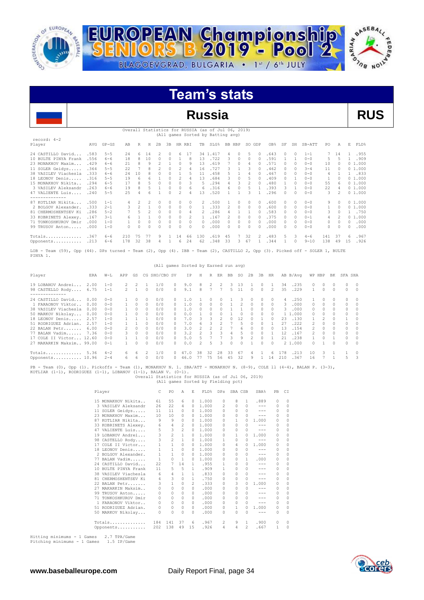

record: 4-2



# **Team's stats**

# **Russia RUS** Overall Statistics for RUSSIA (as of Jul 06, 2019) (All games Sorted by Batting avg) Player AVG GP-GS AB R H 2B 3B HR RBI TB SLG% BB HBP SO GDP OB% SF SH SB-ATT PO A E FLD% 24 CASTILLO David... .583 5-5 24 6 14 2 0 6 17 34 1.417 4 0 5 0 .643 0 0 1-1 7 14 1 .955<br>10 BULTE PINYA Frank .556 6-6 18 8 10 0 0 1 8 13 .722 3 0 0 0 .591 1 1 0-0 5 5 1 .909<br>23 MONAKHOV Maxim.... .484 5-5 22 7 8 2 0 2 4 1 10 BULTE PINYA Frank .556 6-6 18 8 10 0 0 1 8 13 .722 3 0 0 0 .591 1 1 0-0 5 5<br>23 MONAKHOV Maxim... .429 6-6 21 8 9 2 1 0 9 13 .619 7 0 4 0 .571 0 0 0-0 10 0<br>11 SOLER Geidys..... .364 5-5 22 7 8 2 0 2 4 16 .727 3 1 3 0 .46 23 MONAKHOV Maxim... .429 6-6 21 8 9 2 1 0 9 13 .619 7 0 4 0 .571 0 0 0-0 10 0 0 1.000 11 SOLER Geidys..... .364 5-5 22 7 8 2 0 2 4 16 .727 3 1 3 0 .462 0 0 3-4 11 0 0 1.000 38 VASILEV Viachesla .333 6-6 24 10 8 0 0 1 5 11 .458 5 1 4 0 .467 0 0 0-0 4 1 1 .833<br>18 LEONOV Denis..... .316 5-5 19 6 6 1 0 2 4 13 .684 3 0 5 0 .409 0 1 0-0 1 0 01.000<br>15 MONAKHOV Nikita... .294 6-5 17 8 5 1 0 0 6 6 .31 47 VALIENTE Luis.... .240 5-5 25 4 6 1 0 2 4 13 .520 1 1 3 1 .296 0 0 0-0 3 2 0 1.000 -------------<br>20 KOTLIAR Nikita... .500 1-1 4 2 2 0 0 0 2 .500 1 0 0 0.600 0 0 0-0 9 0 0.1.000<br>2 BOLGOV Alexander. .333 2-1 3 2 1 0 0 0 0 1 .333 2 0 0 0.6 33 KOBRINETS Alexey. .167 3-1 6 1 1 0 0 0 2 1 .167 2 0 0 0 .375 0 0 0-1 4 2 0 1.000 71 TONKOSHKUROV Dmir .000 1-0 1 0 0 0 0 0 0 0 .000 0 0 0 0 .000 0 0 0-0 0 0 0 .000 99 TRUSOV Anton..... .000 1-0 0 0 0 0 0 0 0 0 .000 0 0 0 0 .000 0 0 0-0 0 0 0 .000

Totals.............. .367 6-6 210 75 77 9 1 14 66 130 .619 45 7 32 2 .483 5 3 4-6 141 37 6 .967 Opponents........... .213 6-6 178 32 38 4 1 6 24 62 .348 33 3 67 1 .344 1 0 9-10 138 49 15 .926 LOB - Team (59), Opp (44). DPs turned - Team (2), Opp (4). IBB - Team (2), CASTILLO 2, Opp (3). Picked off - SOLER 1, BULTE

PINYA 1.

|                                                                                                                                                                                                       |      |                    |               |                               |           | (All games Sorted by Earned run avg) |                  |            |               |          |                |         |                |                |                      |                                 |                |              |                          |          |          |          |                         |
|-------------------------------------------------------------------------------------------------------------------------------------------------------------------------------------------------------|------|--------------------|---------------|-------------------------------|-----------|--------------------------------------|------------------|------------|---------------|----------|----------------|---------|----------------|----------------|----------------------|---------------------------------|----------------|--------------|--------------------------|----------|----------|----------|-------------------------|
| Player                                                                                                                                                                                                | ERA  | $W-L$              | APP           | GS                            |           | CG SHO/CBO SV                        |                  | TP         | H             | R        | ER             | BB      | SO.            | 2B             | 3B                   | HR                              |                | AB B/Avq     |                          | WP HBP   | BK       | SFA SHA  |                         |
| 19 LOBANOV Andrei<br>98 CASTELLO Rody 6.75<br>--------------                                                                                                                                          | 2.00 | $1 - 0$<br>$1 - 1$ | $2^{\circ}$   | $\overline{2}$<br>$2 \quad 1$ | $\Omega$  | 1/0<br>0/0                           | $\cap$<br>$\cap$ | 9.0<br>9.1 | 8<br>8        | 2<br>7   | 2<br>7         | 3.<br>5 | 13<br>11       | -1<br>$\Omega$ | $\Omega$<br>$\Omega$ | $\overline{1}$<br>$\mathcal{L}$ | 34<br>35       | .235<br>.229 | $\Omega$<br>$\mathbf{1}$ | $\Omega$ | $\Omega$ | $\Omega$ | $0\qquad 0$<br>$\sim$ 0 |
| 24 CASTILLO David                                                                                                                                                                                     | 0.00 | $0 - 0$            |               | $\mathcal{O}$                 | $\bigcap$ | 0/0                                  |                  | 1.0        |               |          |                |         |                |                | $\Omega$             | O.                              | $\overline{a}$ | .250         |                          |          |          | $\Omega$ | $\Omega$                |
| 1 FARAONOV Viktor                                                                                                                                                                                     | 0.00 | $0 - 0$            |               | $\Omega$                      | $\Omega$  | 0/0                                  | $\cap$           | 1.0        | $\Box$        | $\Omega$ | $\Omega$       |         | $\mathfrak{D}$ | $\Omega$       | $\Omega$             | 0                               | $\mathcal{R}$  | .000         | $\Omega$                 | $\Omega$ |          | $\Omega$ | $\circ$                 |
| 38 VASILEV Viachesla                                                                                                                                                                                  | 0.00 | $0 - 0$            | $\mathbf{1}$  | $\Box$                        | $\cap$    | 0/0                                  | ∩.               | 1.0        | $\cap$        | $\Omega$ | $\Omega$       |         |                | $\cap$         | $\cap$               | $\cap$                          | $\mathcal{R}$  | .000         | $\Omega$                 | $\cap$   | $\cap$   | $\Omega$ | $\Omega$                |
| 50 MARKOV Nikolay                                                                                                                                                                                     | 0.00 | $0 - 0$            |               | $\mathcal{O}$                 | $\cap$    | 0/0                                  | ∩.               | 0.0        |               | 0        | <sup>0</sup>   |         | 0              | $\cap$         | $\cap$               | $\cap$                          |                | 1 1,000      | $\Omega$                 | $\cap$   |          | $\Omega$ | $\Omega$                |
| 18 LEONOV Denis                                                                                                                                                                                       | 2.57 | $1 - 0$            |               |                               |           | 0/0                                  |                  | 7.0        | 3             | 3.       | 2              |         | 12             |                |                      | $\cap$                          | 23             | .130         | $\mathbf{1}$             | 2        |          |          | $\circ$                 |
| 51 RODRIGUEZ Adrian.                                                                                                                                                                                  | 2.57 | $1 - 0$            |               |                               |           | 0/0                                  | ∩.               | 7.0        |               |          |                |         | 5              | $\Omega$       | $\cap$               |                                 | 27             | .222         | $\mathfrak{D}$           |          |          | 0        | $\Omega$                |
| 22 BALAN Petr                                                                                                                                                                                         | 6.00 | $0 - 0$            | $\mathcal{L}$ | $\Omega$                      | $\Omega$  | 0/0                                  | $\cap$           | 3.0        | $\mathcal{P}$ | $2^{1}$  | $\mathfrak{D}$ |         | 6              | $\mathcal{O}$  | $\Omega$             | $\Omega$                        | 13             | .154         | $\mathfrak{D}$           | $\Omega$ |          | $\Omega$ | $\circ$                 |
| 77 BALAN Vadim 7.36                                                                                                                                                                                   |      | $0 - 0$            | 3.            | $\Omega$                      | $\Omega$  | 0/0                                  | $\cap$           | 3.2        | $\mathcal{P}$ | 3        | 3              | 4       | 5              | $\mathcal{O}$  | $\cap$               |                                 | 12             | .167         | 2                        | $\Box$   |          | $\Omega$ | $\Omega$                |
| 17 COLE II Victor 12.60                                                                                                                                                                               |      | $0 - 0$            | $\mathbf{1}$  |                               | $\cap$    | 0/0                                  | $\cap$           | 5.0        | 5.            |          |                | 3       | 9              | 2              | $\Omega$             | $\mathbf{1}$                    | 21             | .238         | 1                        | $\cap$   |          | $\Omega$ | $\circ$                 |
| 27 MAKARKIN Maksim 99.00                                                                                                                                                                              |      | $0 - 1$            |               | $\cap$                        | $\cap$    | 0/0                                  | n.               | 0.0        | $\mathcal{P}$ | 5        | ₹              | $\cap$  | $\cap$         | 1.             | $\cap$               | $\cap$                          |                | 2 1,000      | $\cap$                   |          | $\cap$   | $\Omega$ | $\sim$ 0                |
| Totals 5.36                                                                                                                                                                                           |      | $4 - 2$            | 6.            | 6                             | -2        | 1/0                                  |                  | 47.0       | 38            | 32       | 28             | 33      | 67             | 4              |                      | 6                               | 178            | .213         | 10                       | 3        |          |          | $\circ$                 |
| Opponents 10.96                                                                                                                                                                                       |      | $2 - 4$            | 6.            | 6                             | $\Omega$  | 0/0                                  | $\Omega$         | 46.0       | 77            | - 75     | 56             | 45      | 32             | 9              | $\mathbf{1}$         | 14                              | 210            | .367         | 16                       |          |          | 5.       | $\mathbf{3}$            |
| PB - Team (0), Opp (1). Pickoffs - Team (1), MONAKHOV N. 1. SBA/ATT - MONAKHOV N. (8-9), COLE 11 (4-4), BALAN P. (3-3),<br>KOTLIAR $(1-1)$ , RODRIGUEZ $(1-1)$ , LOBANOV $(1-1)$ , BALAN V. $(0-1)$ . |      |                    |               |                               |           |                                      |                  |            |               |          |                |         |                |                |                      |                                 |                |              |                          |          |          |          |                         |

Overall Statistics for RUSSIA (as of Jul 06, 2019) (All games Sorted by Fielding pct)

| Player               | C                           | PO.            | A            | E.           | FLD%  | DPs            | SBA CSB      |   | SBA%    | PB            | CI       |
|----------------------|-----------------------------|----------------|--------------|--------------|-------|----------------|--------------|---|---------|---------------|----------|
|                      |                             |                |              |              |       |                |              |   |         |               |          |
| 15 MONAKHOV Nikita   | 61                          | 55             | 6            | $\Omega$     | 1,000 | 0              | 8            | 1 | .889    | $\mathcal{O}$ | $\Omega$ |
| 3 VASILEV Aleksandr  | 26                          | 22             | 4            | $\Omega$     | 1,000 | $\mathfrak{D}$ | 0            | 0 | $- - -$ | $\Omega$      | $\circ$  |
| 11 SOLER Geidys      | 11                          | 11             | 0            | $\Omega$     | 1,000 | n              | n            | 0 | $- - -$ | 0             | 0        |
| 23 MONAKHOV Maxim    | 10                          | 10             | 0            | 0            | 1,000 | n              | $\Omega$     | 0 | $- - -$ | $\Omega$      | $\Omega$ |
| 87                   | KOTLIAR Nikita<br>9         | 9              | 0            | $\Omega$     | 1,000 | n              | 1            | 0 | 1,000   | $\Omega$      | $\Omega$ |
| 33 KOBRINETS Alexey. | 6                           | 4              | 2            | 0            | 1,000 | n              | 0            | 0 | $- - -$ | $\Omega$      | $\Omega$ |
| 47                   | 5<br>VALIENTE Luis          | 3              | 2            | $\Omega$     | 1,000 | n              | 0            | 0 | $- - -$ | 0             | $\Omega$ |
| 19 LOBANOV Andrei    | 3                           | $\overline{c}$ | $\mathbf{1}$ | $\Omega$     | 1,000 | 0              | 1            | 0 | 1,000   | 0             | 0        |
| 98 CASTELLO Rody     | 3                           | $\overline{c}$ | $\mathbf{1}$ | $\Omega$     | 1,000 | 1              | <sup>0</sup> | 0 | ---     | $\Omega$      | $\Omega$ |
| 17 COLE II Victor    | 1                           | $\mathbf{1}$   | 0            | $\Omega$     | 1,000 | n              | 4            | 0 | 1,000   | $\Omega$      | 0        |
| 18 LEONOV Denis      | 1.                          | $\mathbf{1}$   | 0            | 0            | 1,000 | n              | 0            | 0 | $- - -$ | 0             | $\Omega$ |
| 2 BOLGOV Alexander.  | 1                           | 1              | $\Omega$     | $\Omega$     | 1,000 | n              | 0            | 0 | $- - -$ | $\Omega$      | $\Omega$ |
| 77 BALAN Vadim       | 1                           | $\Omega$       | $\mathbf{1}$ | 0            | 1,000 | n              | 0            | 1 | .000    | $\mathcal{O}$ | $\Omega$ |
| 24 CASTILLO David    | 22                          | 7              | 14           | 1.           | .955  | 1              | 0            | 0 | $-- -$  | $\Omega$      | $\Omega$ |
| 10 BULTE PINYA Frank | 11                          | 5              | 5            | 1.           | .909  | 1              | 0            | 0 | ---     | 0             | $\Omega$ |
| 38 VASILEV Viachesla | 6                           | 4              | 1            | 1.           | .833  | n              | n            | 0 | $- - -$ | $\Omega$      | $\Omega$ |
| 81                   | CHERMOSHENTSEV Ki<br>4      | 3              | $\Omega$     | $\mathbf{1}$ | .750  | n              | 0            | 0 | $- - -$ | $\Omega$      | $\Omega$ |
| 22 BALAN Petr        | 3                           | $\mathbf{1}$   | 0            | 2            | .333  | n              | 3            | 0 | 1,000   | $\Omega$      | 0        |
| 27                   | MAKARKIN Maksim<br>$\Omega$ | $\Omega$       | $\Omega$     | 0            | .000  | n              | 0            | 0 |         | 0             | $\Omega$ |
| 99                   | TRUSOV Anton<br>0           | 0              | 0            | 0            | .000  | 0              | $\Omega$     | 0 | ---     | $\Omega$      | 0        |
|                      | TONKOSHKUROV Dmir<br>0      | $\Omega$       | 0            | 0            | .000  | n              | $\cap$       | 0 | $- - -$ | $\Omega$      | $\Omega$ |
| 1                    | FARAONOV Viktor<br>0        | $\Omega$       | 0            | 0            | .000  | n              | $\Omega$     | 0 | $- - -$ | $\Omega$      | $\Omega$ |
| 51 RODRIGUEZ Adrian. | 0                           | 0              | 0            | 0            | .000  | 0              | 1            | 0 | 1,000   | $\Omega$      | $\Omega$ |
| 50 MARKOV Nikolay    | 0                           | 0              | <sup>0</sup> | 0            | .000  | n              | <sup>0</sup> | 0 | $- - -$ | $\Omega$      | $\Omega$ |
| Totals               | 184                         | 141            | 37           | 6            | .967  | $\mathfrak{D}$ | 9            | 1 | .900    | $\mathcal{O}$ | 0        |
| Opponents            | 202                         | 138            | 49           | 15           | .926  | 4              | 4            | 2 | .667    | 1             | $\Omega$ |

Hitting minimums - 1 Games 2.7 TPA/Game Pitching minimums - 1 Games 1.5 IP/Game

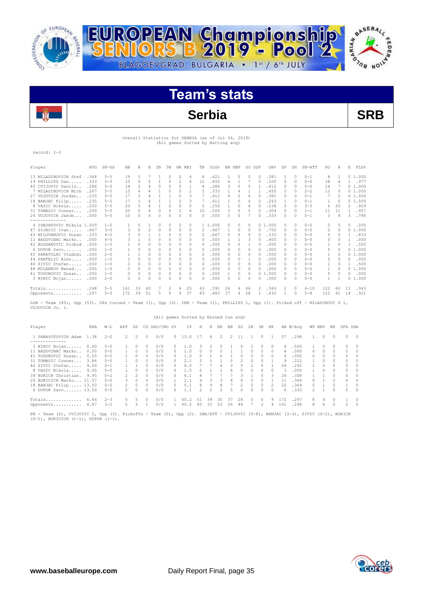



# **Team's stats**

# **Serbia SRB**

# Overall Statistics for SERBIA (as of Jul 06, 2019) (All games Sorted by Batting avg)

record: 2-3

**Fig** 

| Player                    | AVG  | $GP - GS$ | AB  | R            | Н              | 2B           | 3B       | <b>HR</b> | <b>RBI</b>   | TB           | SLG%    | BB | HBP           | SO.          | GDP            | OB%    | SF            | SH       | SB-ATT   | PO  | Α            | E              | FLD%   |
|---------------------------|------|-----------|-----|--------------|----------------|--------------|----------|-----------|--------------|--------------|---------|----|---------------|--------------|----------------|--------|---------------|----------|----------|-----|--------------|----------------|--------|
| 13 MILADINOVICH Stef      | .368 | $5 - 5$   | 19  | 5            |                |              | 0        | 0         | 4            | 8            | .421    |    | 0             | 0            |                | .381   |               | $\Omega$ | $0 - 1$  | 8   |              |                | 01.000 |
| 19 PHILLIPS Dan           | .333 | $5 - 5$   | 15  | 6            | 5              | -1           | 0        | 2         | 6            | 12           | .800    | 4  |               |              |                | .500   | 0             | $\Omega$ | $0 - 0$  | 38  | 4            |                | .977   |
| 40 CVIJOVIC Danilo        | .286 | $5 - 5$   | 14  | 2            | 4              | $\Omega$     | $\Omega$ | $\Omega$  |              | 4            | .286    | 3  | 0             | 5            |                | .412   | 0             | $\Omega$ | $0 - 0$  | 24  |              |                | 01.000 |
| 7 MILADINOVICH Mich       | .267 | $5 - 5$   | 15  | 4            | 4              | -1           | 0        | $\Omega$  | 2            | 5            | .333    |    | 4             |              |                | .450   | 0             | $\Omega$ | $2 - 2$  | 12  | 0            |                | 01.000 |
| 27 VUJOVICH Jordan        | .235 | $5 - 5$   | 17  | ٦            | 4              |              |          | $\Omega$  | 3            |              | .412    | 4  | O.            | 6            |                | .381   | O.            | $\Omega$ | $0 - 1$  |     | 2            |                | 01.000 |
| 18 BANJAC Filip           | .235 | $5 - 5$   | 17  |              | 4              |              |          | $\Omega$  | 3            |              | .412    |    | $\Omega$      | 4            | $\cap$         | .263   | 1             | $\Omega$ | $0 - 1$  |     | 0            |                | 01.000 |
| 8 VASIC Nikola            | .200 | $5 - 5$   | 20  | 5            | 4              | $\mathbf{1}$ | O        | 0         | $\Omega$     | 5            | .250    | 1  | 0             | 6            | $\cap$         | .238   | 0             | $\Omega$ | $3 - 3$  | 6   | 20           | $\mathfrak{D}$ | .929   |
| 31 TOMASIC Conner         | .200 | $5 - 5$   | 20  | 5            | 4              | $\Omega$     | 0        | 2         | 6            | 10           | .500    | 3  | 0             | 5            | n              | .304   | $\mathcal{O}$ | $\Omega$ | $1 - 1$  | 11  | 11           |                | .957   |
| 24 VUJOVICH Jakob         | .000 | $5 - 5$   | 10  | 0            | 0              | $\Omega$     | O        | $\Omega$  | $\Omega$     | $\Omega$     | .000    | 5  | 0             |              | n              | .333   | 0             | $\Omega$ | $0 - 1$  | 3   | 8            | 3              | .786   |
|                           |      |           |     |              |                |              |          |           |              |              |         |    |               |              |                |        |               |          |          |     |              |                |        |
| 4 IGNJATOVIC Nikola 1.000 |      | $1 - 0$   |     | $\Omega$     |                | n            | O        | 0         | $\Omega$     |              | 1 1,000 | 0  | $\mathcal{O}$ | 0            |                | 01.000 | 0             | $\Omega$ | $0 - 0$  | 0   | $\Omega$     | 0              | .000   |
| 47 STJACTC Tyan           | .667 | $3 - 0$   | 3   | $\Omega$     | $\mathfrak{D}$ | $\Omega$     | $\Omega$ | $\Omega$  | $\Omega$     | 2            | 667     |    | 0             | 0            | 0              | .750   | 0             | $\Omega$ | $0 - 0$  | 2   | $\Omega$     | $\Omega$       | 1,000  |
| 43 MTLOVANOVIC Dusan      | .333 | $4-0$     | 3   | <sup>0</sup> |                |              | O        | $\Omega$  | <sup>0</sup> |              | .667    | 0  | <sup>0</sup>  | n            | O.             | .333   | O.            | $\cap$   | $0 - 0$  | 5   | <sup>0</sup> |                | .833   |
| 11 BADOVINAC Marko        | .000 | $4 - 0$   | 3   |              | U              | 0            | O        | $\Omega$  | $\Omega$     | $\Omega$     | .000    |    |               | २            |                | .400   | 0             | $\Omega$ | $0 - 0$  | 0   | $\Omega$     |                | .000   |
| 42 BOGDANOVIC Slobod      | .000 | $1 - 0$   |     | 0            | O.             | $\Omega$     | O        | $\Omega$  | $\Omega$     | 0            | .000    | 0  | 0             |              | $\cap$         | .000   | 0             | $\Omega$ | $0 - 0$  | 1   | $\Omega$     |                | .500   |
| 6 DUPOR Savo              | .000 | $1 - 0$   |     | <sup>0</sup> | O.             | 0            | 0        | $\Omega$  | $\Omega$     | O.           | .000    | 0  | 0             | <sup>0</sup> |                | .000   | 0             | $\Omega$ | $0 - 0$  | 0   |              |                | 01.000 |
| 45 SARAVOLAC Vladimi      | .000 | $2 - 0$   |     |              |                |              | 0        | $\Omega$  | $\Omega$     | 0            | .000    | 0  | 0             | 0            |                | .000   | 0             | $\Omega$ | $0 - 0$  |     | $\Omega$     |                | 01.000 |
| 44 PANTELIC Alen          | .000 | $1 - 0$   |     | 0            | 0              | $\Omega$     | O        | $\Omega$  | 0            | 0            | .000    | 0  | 0             |              | <sup>n</sup>   | . 000  | 0             | $\Omega$ | $0 - 0$  | 0   | 0            | 0              | .000   |
| 46 ZIVIC Stefan           | .000 | $1 - 0$   | 0   | 0            | 0              | 0            | 0        | $\Omega$  | $\Omega$     | 0            | .000    | 0  | 0             | 0            |                | .000   | 0             | $\Omega$ | $0 - 0$  |     | 0            |                | .500   |
| 48 MILANKOV Nenad         | .000 | $1 - 0$   | 0   | 0            | n              |              | n        | $\Omega$  | $\Omega$     | 0            | .000    | O  | 0             | <sup>0</sup> |                | .000   | O.            | $\Omega$ | $0 - 0$  |     | $\Omega$     | $\Omega$       | 1.000  |
| 41 TODOROVIC Dusan        | .000 | $1 - 0$   | 0   | 0            | 0              | $\Omega$     | 0        | $\Omega$  | $\Omega$     | 0            | . 000   |    | 0             | 0            | 0 <sub>1</sub> | . 000  | 0             | $\Omega$ | $0 - 0$  | 0   | 0            | 0              | .000   |
| 3 NINIC Bojan             | .000 | $2 - 0$   | 0   | O            | 0              | n            | n        | n         | $\Omega$     | <sup>0</sup> | .000    | 0  | 0             | <sup>0</sup> | O.             | .000   | 0             | $\Omega$ | $0 - 0$  | 1   |              |                | 01.000 |
| Totals                    | .248 | $5 - 5$   | 161 | 33           | 40             |              | 2        | 4         | 25           | 63           | .391    | 26 | 6             | 46           | 2              | .369   | 2             | $\Omega$ | $6 - 10$ | 122 | 60           | 11             | .943   |
| Opponents                 | .297 | $5 - 5$   | 172 | 39           | 51             | 5            | O        | 9         | 37           | 83           | .483    | 37 | 4             | 28           |                | .430   |               | $\Omega$ | $5 - 8$  | 122 | 41           | 14             | .921   |

LOB - Team (40), Opp (53). DPs turned - Team (1), Opp (2). IBB - Team (1), PHILLIPS 1, Opp (1). Picked off - MILADINOVI S 1, VUJOVICH Jo. 1.

|  |  | (All games Sorted by Earned run avg) |  |  |
|--|--|--------------------------------------|--|--|
|  |  |                                      |  |  |

| Player                                      | ERA  | $W-L$   | APP           | GS            |          | CG SHO/CBO SV |          | ΙP   | H  | R        | ER | <b>BB</b> | SO.           | 2B     | 3B       | HR     |     | AB B/Avq |        | WP HBP   | BK     | SFA SHA     |             |
|---------------------------------------------|------|---------|---------------|---------------|----------|---------------|----------|------|----|----------|----|-----------|---------------|--------|----------|--------|-----|----------|--------|----------|--------|-------------|-------------|
| 1 PANAYOTOVICH Adam 1.38<br>--------------- |      | $2 - 0$ | $\mathcal{L}$ | 2             | $\Omega$ | 0/0           | $\Omega$ | 13.0 | 17 | 6        | 2  |           | 2 11          |        | $\Omega$ |        | 57  | .298     |        | $\Omega$ | $\cap$ |             | $0 \quad 0$ |
| 3 NINIC Bojan                               | 0.00 | $0 - 0$ |               | 0             | $\Omega$ | 0/0           |          | - 0  |    |          |    |           | $\Omega$      |        | n.       | $\Box$ | 6.  | .500     |        | $\Omega$ |        | 0.          | $\bigcirc$  |
| 11 BADOVINAC Marko                          | 0.00 | $0 - 0$ |               | $\cap$        | $\Omega$ | 0/0           | O.       | 1.0  |    | $\Omega$ |    |           |               | O.     | 0        | $\cap$ | 4   | .000     | $\cap$ | $\Omega$ | n      | $\Omega$    | $\Omega$    |
| 41 TODOROVIC Dusan                          | 0.00 | $0 - 0$ |               | $\cap$        | $\cap$   | 0/0           |          | 1.0  |    |          |    |           | $\Box$        | O.     | O.       | $\cap$ | 4   | .000     | $\cap$ | $\Omega$ | $\Box$ | 0.          | $\Omega$    |
| 31 TOMASIC Conner                           | 3.86 | $0 - 0$ |               | $\cap$        | $\Omega$ | 0/0           | O.       | 2.1  |    |          |    |           |               | O.     | O.       |        | 9   | .222     |        | $\Omega$ |        | 0           | $\Omega$    |
| 46 ZIVIC Stefan                             | 9.00 | $0 - 1$ |               |               | $\cap$   | 0/0           | O.       | 6.0  |    |          | h  |           | 5.            |        | 0        |        | 24  | .292     |        | $\cap$   |        | 0.          | $\Omega$    |
| 8 VASIC Nikola                              | 9.00 | $0 - 0$ |               |               | $\cap$   | 0/0           | O.       | 1.0  |    |          |    | Б.        | $\Omega$      | $\cap$ | O.       | $\cap$ | 3   | .000     |        | $\cap$   |        | 0           | $\Omega$    |
| 39 BOKICH Christian.                        | 9.95 | $0 - 2$ | $\mathcal{D}$ | $\mathcal{P}$ | $\cap$   | 0/0           |          | 6.1  |    |          |    |           | $\mathcal{R}$ |        | O.       | 3      | 26  | .308     |        |          |        | 0.          | $\Omega$    |
| 26 BORICICH Marko 11.57                     |      | $0 - 0$ | ₹             |               | $\cap$   | 0/0           |          | 2.1  |    |          |    |           |               |        |          |        |     | . 364    |        |          |        | O.          | $\Omega$    |
| 18 BANJAC Filip 13.50                       |      | $0 - 0$ | 2             | $\cap$        | $\Omega$ | 0/0           |          | 5.1  | R  | q        | R  |           |               | O.     | O.       |        | 22  | .364     | O.     |          |        |             | $\Omega$    |
| 6 DUPOR Savo 13.50                          |      | $0 - 0$ | 2             |               |          | 0/0           |          | 1.7  |    |          |    |           |               |        |          |        | 6   | .333     |        |          |        | O.          | $\Omega$    |
| Totals                                      | 6.64 | $2 - 3$ | 5.            | 5.            |          | 0/0           |          | 40.2 | 51 | 39       | 30 | 37        | 28            | 5      |          | 9      | 172 | .297     | 8      | 4        |        |             | $\Omega$    |
| Opponents 4.87                              |      | $3 - 2$ | 5.            | 5.            |          | 0/0           |          | 40.2 | 40 | 33       | 22 | 26        | 46            |        |          | 4      | 161 | .248     | 8.     | 6.       |        | $2^{\circ}$ | $\Omega$    |
|                                             |      |         |               |               |          |               |          |      |    |          |    |           |               |        |          |        |     |          |        |          |        |             |             |

PB - Team (2), CVIJOVIC 2, Opp (3). Pickoffs - Team (0), Opp (2). SBA/ATT - CVIJOVIC (5-8), BANJAC (3-3), ZIVIC (0-2), BOKICH (0-1), BORICICH (1-1), DUPOR (1-1).

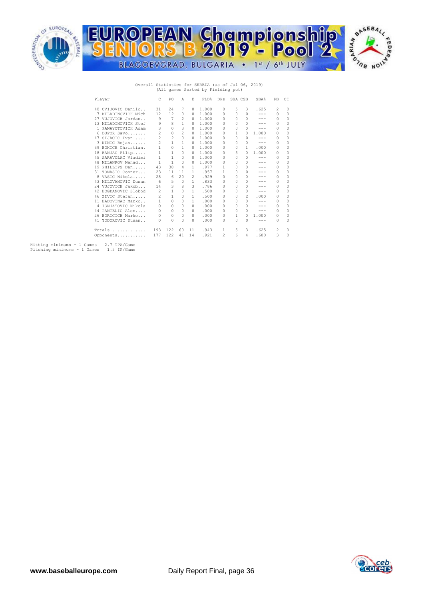

# Overall Statistics for SERBIA (as of Jul 06, 2019) (All games Sorted by Fielding pct)

| Player               | C              | PO             | Α              | E              | FLD%  | <b>DPs</b> | SBA CSB      |                | SBA%                                                                                                                      | PB       | CI           |
|----------------------|----------------|----------------|----------------|----------------|-------|------------|--------------|----------------|---------------------------------------------------------------------------------------------------------------------------|----------|--------------|
| 40 CVIJOVIC Danilo   | 31             | 24             | 7              | 0              | 1,000 | 0          | 5            | 3              | .625                                                                                                                      | 2        | 0            |
| 7 MILADINOVICH Mich  | 12             | 12             | $\mathcal{O}$  | 0              | 1,000 | 0          | 0            | $\cap$         | $- - -$                                                                                                                   | 0        | 0            |
| 27 VUJOVICH Jordan   | 9              | 7              | 2              | 0              | 1,000 | 0          | 0            | $\Omega$       | $- - -$                                                                                                                   | 0        | 0            |
| 13 MILADINOVICH Stef | 9              | 8              | 1              | 0              | 1,000 | $\Omega$   | 0            | $\cap$         | $- - -$                                                                                                                   | 0        | 0            |
| 1 PANAYOTOVICH Adam  | 3              | 0              | 3              | 0              | 1,000 | 0          | 0            | $\Omega$       | $- - -$                                                                                                                   | 0        | 0            |
| 6 DUPOR Savo         | $\overline{c}$ | 0              | $\mathfrak{D}$ | $\Omega$       | 1,000 | 0          | 1.           | $\Omega$       | 1,000                                                                                                                     | 0        | n            |
| 47 SIJACIC Ivan      | $\overline{c}$ | $\overline{c}$ | $\circ$        | $\Omega$       | 1,000 | 0          | 0            | $\Omega$       | $- - -$                                                                                                                   | 0        | 0            |
| 3 NINIC Bojan        | $\overline{2}$ | $\mathbf{1}$   | 1              | 0              | 1,000 | $\Omega$   | 0            | $\Omega$       | $\frac{1}{2} \left( \frac{1}{2} \right) \left( \frac{1}{2} \right) \left( \frac{1}{2} \right) \left( \frac{1}{2} \right)$ | 0        | 0            |
| 39 BOKICH Christian. | 1              | 0              | 1              | 0              | 1,000 | 0          | 0            | 1              | .000                                                                                                                      | 0        | 0            |
| 18 BANJAC Filip      | $\mathbf{1}$   | $\mathbf{1}$   | $\Omega$       | $\Omega$       | 1,000 | 0          | 3            | $\Omega$       | 1,000                                                                                                                     | 0        |              |
| 45 SARAVOLAC Vladimi | 1              | 1              | 0              | $\Omega$       | 1,000 | 0          | 0            | $\Omega$       | $- - -$                                                                                                                   | 0        | 0            |
| 48 MILANKOV Nenad    | 1              | 1              | $\Omega$       | n              | 1,000 | $\Omega$   | 0            | $\cap$         | ---                                                                                                                       | $\Omega$ | O            |
| 19 PHILLIPS Dan      | 43             | 38             | $\overline{4}$ | 1.             | .977  | 1          | 0            | $\Omega$       | $- - -$                                                                                                                   | 0        | 0            |
| 31 TOMASIC Conner    | 23             | 11             | 11             | 1.             | .957  | 1          | 0            | $\mathcal{O}$  | ---                                                                                                                       | $\Omega$ | 0            |
| 8 VASIC Nikola       | 28             | 6              | 20             | $\mathfrak{D}$ | .929  | 0          | 0            | $\Omega$       | $- - -$                                                                                                                   | 0        | 0            |
| 43 MILOVANOVIC Dusan | 6              | 5              | $\Omega$       | 1.             | .833  | $\Omega$   | 0            | $\cap$         | $- - -$                                                                                                                   | 0        | 0            |
| 24 VUJOVICH Jakob    | 14             | 3              | 8              | 3              | .786  | 0          | 0            | $\Omega$       | ---                                                                                                                       | 0        | 0            |
| 42 BOGDANOVIC Slobod | 2              | 1              | $\Omega$       | 1.             | .500  | $\Omega$   | O.           | $\Omega$       | $- - -$                                                                                                                   | 0        | O            |
| 46 ZIVIC Stefan      | 2              | 1              | $\Omega$       | 1.             | .500  | $\Omega$   | 0            | $\mathfrak{D}$ | .000                                                                                                                      | 0        | 0            |
| 11 BADOVINAC Marko   | 1.             | $\Omega$       | $\cap$         | 1.             | .000  | 0          | 0            | O.             | $- - -$                                                                                                                   | 0        | 0            |
| 4 IGNJATOVIC Nikola  | 0              | 0              | $\Omega$       | 0              | .000  | 0          | 0            | $\Omega$       | $- - -$                                                                                                                   | 0        | 0            |
| 44 PANTELIC Alen     | 0              | $\Omega$       | $\Omega$       | $\Omega$       | .000  | 0          | 0            | $\Omega$       | $- - -$                                                                                                                   | 0        | 0            |
| 26 BORICICH Marko    | 0              | 0              | $\Omega$       | $\Omega$       | .000  | 0          | 1            | $\Omega$       | 1,000                                                                                                                     | 0        | 0            |
| 41 TODOROVIC Dusan   | 0              | $\Omega$       | $\cap$         | $\cap$         | .000  | 0          | <sup>0</sup> | $\cap$         | $-- -$                                                                                                                    | 0        | <sup>0</sup> |
| Totals               | 193            | 122            | 60             | 11             | .943  | 1          | 5.           | 3              | .625                                                                                                                      | 2        | 0            |
| Opponents            | 177            | 122            | 41             | 14             | .921  | 2          | 6            | 4              | .600                                                                                                                      | 3        | 0            |

Hitting minimums - 1 Games 2.7 TPA/Game Pitching minimums - 1 Games 1.5 IP/Game

cor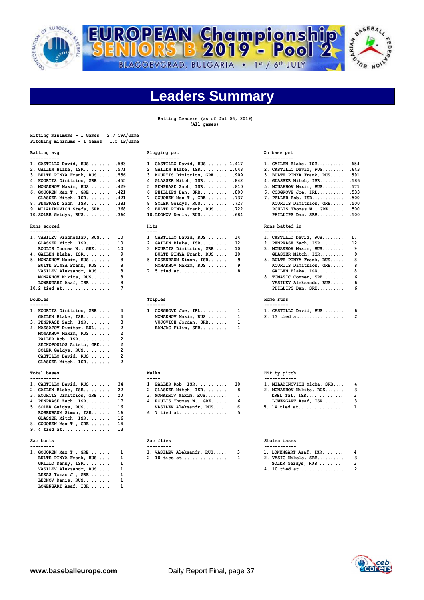

킈

R



# **Leaders Summary**

**Batting Leaders (as of Jul 06, 2019) (All games)**

| Hitting minimums - 1 Games<br>Pitching minimums - 1 Games                                                                                                                                                                                                                                                                                                                                                                                                                                                                                          | 2.7 TPA/Game<br>1.5 IP/Game                                                                                                       |                                                                                                                                                                                                                                                                                                                                                                                                                                                                                     |                                                                                       |                                                                                                                                                                                                                                                                                                                                                                                                                                                                                                                                                                                                                  |                                                                                                                                  |
|----------------------------------------------------------------------------------------------------------------------------------------------------------------------------------------------------------------------------------------------------------------------------------------------------------------------------------------------------------------------------------------------------------------------------------------------------------------------------------------------------------------------------------------------------|-----------------------------------------------------------------------------------------------------------------------------------|-------------------------------------------------------------------------------------------------------------------------------------------------------------------------------------------------------------------------------------------------------------------------------------------------------------------------------------------------------------------------------------------------------------------------------------------------------------------------------------|---------------------------------------------------------------------------------------|------------------------------------------------------------------------------------------------------------------------------------------------------------------------------------------------------------------------------------------------------------------------------------------------------------------------------------------------------------------------------------------------------------------------------------------------------------------------------------------------------------------------------------------------------------------------------------------------------------------|----------------------------------------------------------------------------------------------------------------------------------|
| Batting avg<br>-----------                                                                                                                                                                                                                                                                                                                                                                                                                                                                                                                         |                                                                                                                                   | Slugging pct<br>------------                                                                                                                                                                                                                                                                                                                                                                                                                                                        |                                                                                       | On base pct                                                                                                                                                                                                                                                                                                                                                                                                                                                                                                                                                                                                      |                                                                                                                                  |
| 1. CASTILLO David, RUS<br>2. GAILEN Blake, ISR<br>3. BULTE PINYA Frank, RUS<br>4. KOURTIS Dimitrios, GRE<br>5. MONAKHOV Maxim, RUS<br>6. GOUOREN Max T., GRE<br>GLASSER Mitch, ISR<br>8. PENPRASE Zach, ISR<br>9. MILADINOVICH Stefa, SRB<br>10. SOLER Geidys, RUS<br>Runs scored<br>-----------<br>1. VASILEV Viacheslav, RUS<br>GLASSER Mitch, ISR<br>ROULIS Thomas W., GRE<br>4. GAILEN Blake, ISR<br>5. MONAKHOV Maxim, RUS<br>BULTE PINYA Frank, RUS<br>VASILEV Aleksandr, RUS<br>MONAKHOV Nikita, RUS<br>LOWENGART Asaf, ISR<br>10.2 tied at | .583<br>.571<br>.556<br>.455<br>.429<br>.421<br>.421<br>.381<br>.368<br>.364<br>10<br>10<br>10<br>9<br>8<br>8<br>8<br>8<br>8<br>7 | 1. CASTILLO David, RUS 1.417<br>2. GAILEN Blake, ISR 1.048<br>3. KOURTIS Dimitrios, GRE .909<br>4. GLASSER Mitch, ISR .842<br>5. PENPRASE Zach, ISR<br>6. PHILLIPS Dan, SRB<br>7. GOUOREN Max T., GRE<br>8. SOLER Geidys, RUS<br>9. BULTE PINYA Frank, RUS<br>10. LEONOV Denis, RUS<br>Hits<br>$- - - -$<br>1. CASTILLO David, RUS<br>2. GAILEN Blake, ISR<br>3. KOURTIS Dimitrios, GRE<br>BULTE PINYA Frank, RUS<br>5. ROSENBAUM Simon, ISR<br>MONAKHOV Maxim, RUS<br>7. 5 tied at | .810<br>.800<br>.737<br>.727<br>. 722<br>. 684<br>14<br>12<br>10<br>10<br>9<br>9<br>8 | -----------<br>1. GAILEN Blake, ISR<br>2. CASTILLO David, RUS<br>3. BULTE PINYA Frank, RUS<br>4. GLASSER Mitch, ISR<br>5. MONAKHOV Maxim, RUS<br>$6. \; \text{COSGROVE} \; \text{Joe}, \; \text{IRL}, \ldots, \ldots.$<br>7. PALLER Rob, ISR<br>KOURTIS Dimitrios, GRE<br>ROULIS Thomas W., GRE<br>PHILLIPS Dan, SRB<br>Runs batted in<br>--------------<br>1. CASTILLO David, RUS<br>2. PENPRASE Zach, ISR<br>3. MONAKHOV Maxim, RUS<br>GLASSER Mitch, ISR<br>5. BULTE PINYA Frank, RUS<br>KOURTIS Dimitrios, GRE<br>GAILEN Blake, ISR<br>8. TOMASIC Conner, SRB<br>VASILEV Aleksandr, RUS<br>PHILLIPS Dan, SRB | .654<br>.643<br>.591<br>.586<br>.571<br>.533<br>.500<br>.500<br>.500<br>.500<br>17<br>12<br>9<br>9<br>8<br>8<br>8<br>6<br>6<br>6 |
| Doubles                                                                                                                                                                                                                                                                                                                                                                                                                                                                                                                                            |                                                                                                                                   | Triples                                                                                                                                                                                                                                                                                                                                                                                                                                                                             |                                                                                       | Home runs                                                                                                                                                                                                                                                                                                                                                                                                                                                                                                                                                                                                        |                                                                                                                                  |
| -------<br>1. KOURTIS Dimitrios, GRE<br>GAILEN Blake, ISR<br>3. PENPRASE Zach, ISR<br>4. NASSAPOV Dimitar, BUL<br>MONAKHOV Maxim, RUS<br>PALLER Rob, ISR<br>SECHOPOULOS Aristo, GRE<br>SOLER Geidys, RUS<br>CASTILLO David, RUS<br>GLASSER Mitch, ISR                                                                                                                                                                                                                                                                                              | 4<br>4<br>3<br>$\overline{a}$<br>2<br>$\overline{2}$<br>2<br>$\overline{2}$<br>$\overline{2}$<br>2                                | -------<br>1. COSGROVE Joe, IRL<br>MONAKHOV Maxim, RUS<br>VUJOVICH Jordan, SRB<br>BANJAC Filip, SRB                                                                                                                                                                                                                                                                                                                                                                                 | 1<br>1<br>1<br>1                                                                      | ----------<br>1. CASTILLO David, RUS<br>2. 13 tied at                                                                                                                                                                                                                                                                                                                                                                                                                                                                                                                                                            | 6<br>$\overline{2}$                                                                                                              |
| Total bases<br>-----------                                                                                                                                                                                                                                                                                                                                                                                                                                                                                                                         |                                                                                                                                   | Walks<br>$- - - - -$                                                                                                                                                                                                                                                                                                                                                                                                                                                                |                                                                                       | Hit by pitch<br>------------                                                                                                                                                                                                                                                                                                                                                                                                                                                                                                                                                                                     |                                                                                                                                  |
| 1. CASTILLO David, RUS<br>2. GAILEN Blake, ISR<br>3. KOURTIS Dimitrios, GRE<br>4. PENPRASE Zach, ISR<br>5. SOLER Geidys, RUS<br>ROSENBAUM Simon, ISR<br>GLASSER Mitch, ISR<br>8. GOUOREN Max T., GRE<br>9. 4 tied at                                                                                                                                                                                                                                                                                                                               | 34<br>22<br>20<br>17<br>16<br>16<br>16<br>14<br>13                                                                                | 1. PALLER Rob, ISR<br>2. GLASSER Mitch, ISR<br>3. MONAKHOV Maxim, RUS<br>4. ROULIS Thomas W., GRE<br>VASILEV Aleksandr, RUS<br>6. 7 tied at                                                                                                                                                                                                                                                                                                                                         | 10<br>8<br>7<br>6<br>6<br>5                                                           | 1. MILADINOVICH Micha, SRB<br>2. MONAKHOV Nikita, RUS<br>EREL Tal, $ISR$<br>LOWENGART Asaf, ISR<br>5. 14 tied at                                                                                                                                                                                                                                                                                                                                                                                                                                                                                                 | 4<br>3<br>3<br>3<br>$\mathbf{1}$                                                                                                 |
| Sac bunts<br>---------                                                                                                                                                                                                                                                                                                                                                                                                                                                                                                                             |                                                                                                                                   | Sac flies<br>---------                                                                                                                                                                                                                                                                                                                                                                                                                                                              |                                                                                       | Stolen bases<br>------------                                                                                                                                                                                                                                                                                                                                                                                                                                                                                                                                                                                     |                                                                                                                                  |
| 1. GOUOREN Max T., GRE                                                                                                                                                                                                                                                                                                                                                                                                                                                                                                                             | 1                                                                                                                                 | 1. VASILEV Aleksandr, RUS                                                                                                                                                                                                                                                                                                                                                                                                                                                           | 3                                                                                     | 1. LOWENGART Asaf, ISR                                                                                                                                                                                                                                                                                                                                                                                                                                                                                                                                                                                           | 4                                                                                                                                |

| 1. GOUOREN Max T., GRE | 1 |
|------------------------|---|
| BULTE PINYA Frank, RUS | 1 |
| GRILLO Danny, ISR      | 1 |
| VASILEV Aleksandr, RUS | 1 |
| LEKAS Tomas J., GRE    | 1 |
| LEONOV Denis, RUS      | 1 |
| LOWENGART Asaf, ISR    | 1 |

# **Slugging pct** On base pct

| ------------                   |      |
|--------------------------------|------|
| 1. CASTILLO David, RUS 1.417   |      |
| 2. GAILEN Blake, ISR 1.048     |      |
| 3. KOURTIS Dimitrios, GRE 909  |      |
| 4. GLASSER Mitch, ISR .842     |      |
| 5. PENPRASE Zach, ISR .810     |      |
| 6. PHILLIPS Dan, SRB           | .800 |
| 7. GOUOREN Max T., GRE         | .737 |
| 8. SOLER Geidys, RUS           | .727 |
| 9. BULTE PINYA Frank, RUS .722 |      |
| $10.$ LEONOV Denis. RUS        | .684 |

| 1. CASTILLO David, RUS    | 14 |
|---------------------------|----|
| 2. GAILEN Blake, ISR      | 12 |
| 3. KOURTIS Dimitrios, GRE | 10 |
| BULTE PINYA Frank, RUS    | 10 |
| 5. ROSENBAUM Simon, ISR   | ٩  |
| MONAKHOV Maxim, RUS       | ٩  |
| 7. 5 tied at              | я  |
|                           |    |

|  | 1. COSGROVE Joe, IRL | 1 |
|--|----------------------|---|
|  | MONAKHOV Maxim, RUS  | 1 |
|  | VUJOVICH Jordan, SRB | 1 |
|  | BANJAC Filip, SRB    | 1 |

| 1. PALLER Rob, ISR       | 10 |
|--------------------------|----|
| 2. GLASSER Mitch, ISR    | 8  |
| 3. MONAKHOV Maxim, RUS   | 7  |
| 4. ROULIS Thomas W., GRE | 6  |
| VASILEV Aleksandr, RUS   | 6. |
| 6. 7 tied at             | 5. |

|  | ---------- |                           |  |  |  |  |  |  |
|--|------------|---------------------------|--|--|--|--|--|--|
|  |            | 1. VASILEV Aleksandr, RUS |  |  |  |  |  |  |
|  |            | 2. 10 tied at             |  |  |  |  |  |  |

| . GAILEN Blake, ISR        | .654 |
|----------------------------|------|
| . CASTILLO David, RUS      | .643 |
| . BULTE PINYA Frank, RUS   | .591 |
| . GLASSER Mitch, ISR       | .586 |
| . MONAKHOV Maxim, RUS      | .571 |
| . $COSGROVE$ $Joe$ , $IRL$ | .533 |
| . PALLER Rob, $ISR$        | .500 |
| KOURTIS Dimitrios, GRE     | .500 |
| ROULIS Thomas W., GRE      | .500 |
| PHILLIPS Dan. SRB          | .500 |

## **Runs scored Hits Runs batted in**

| 1. CASTILLO David, RUS    | 17  |
|---------------------------|-----|
| 2. PENPRASE Zach, ISR     | 12  |
| 3. MONAKHOV Maxim, RUS    | 9   |
| GLASSER Mitch, ISR        | - 9 |
| 5. BULTE PINYA Frank, RUS | 8   |
| KOURTIS Dimitrios, GRE    | 8   |
| GAILEN Blake, ISR         | 8   |
| 8. TOMASIC Conner, SRB    | 6   |
| VASILEV Aleksandr, RUS    | 6   |
| PHILLIPS Dan, SRB         | 6   |
|                           |     |
| Home runs                 |     |
|                           |     |

| 1. CASTILLO David, RUS |  |
|------------------------|--|
| 2. 13 tied at          |  |

# **Total bases Walks Hit by pitch**

| 1. MILADINOVICH Micha, SRB | 4 |
|----------------------------|---|
| 2. MONAKHOV Nikita, RUS    | 3 |
| $EREL$ Tal, $ISR$          | 3 |
| LOWENGART Asaf, ISR        | ঽ |
| 5. 14 tied at              | 1 |

## **Sac flies** Stolen bases

| ---------                       |                                   |  |                          |  |  |  |
|---------------------------------|-----------------------------------|--|--------------------------|--|--|--|
| 1. GOUOREN Max T., GRE 1        | 1. VASILEV Aleksandr, RUS       3 |  | $1.$ LOWENGART Asaf, ISR |  |  |  |
| BULTE PINYA Frank, RUS        1 | 2. 10 tied at  1                  |  | 2. VASIC Nikola, SRB     |  |  |  |
| GRILLO Danny, ISR               |                                   |  | SOLER Geidys, RUS        |  |  |  |

 **VASILEV Aleksandr, RUS..... 1 4. 10 tied at................. 2**

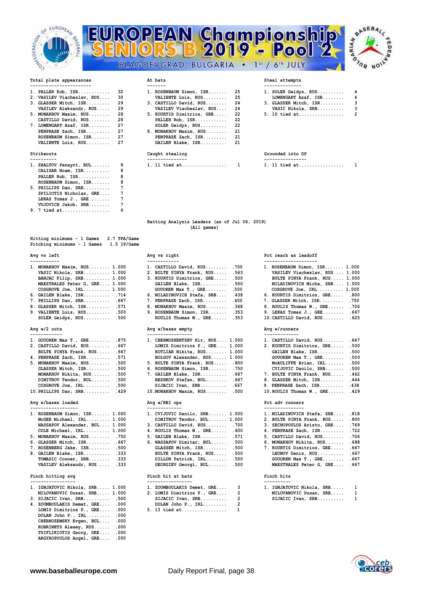





| -------------------- |  |  |  |  |  |  |  |  |  |
|----------------------|--|--|--|--|--|--|--|--|--|
|                      |  |  |  |  |  |  |  |  |  |

- 2. VASILEV Viacheslav, RUS.... 30
- 
- 

| 1. ZHALTOV Panayot, BUL | R |
|-------------------------|---|
| CALISAR Noam, ISR       | R |
| PALLER Rob, ISR         | 8 |
| ROSENBAUM Simon, ISR    | 8 |
| 5. PHILLIPS Dan, SRB    | 7 |
| SPILIOTIS Nicholas, GRE | 7 |
| LEKAS Tomas J., GRE     | 7 |
| VUJOVICH Jakob, SRB     | 7 |
| 9. 7 tied at            |   |

**Hitting minimums - 1 Games 2.7 TPA/Game Pitching minimums - 1 Games 1.5 IP/Game** 

| 1. MONAKHOV Maxim, RUS 1.000  | 1. CASTILLO David, RUS .700      | 1. ROSENBAUM Simon, ISR 1.000   |
|-------------------------------|----------------------------------|---------------------------------|
| VASIC Nikola, SRB 1.000       | 2. BULTE PINYA Frank, RUS .563   | VASILEV Viacheslav, RUS 1.000   |
| BANJAC Filip, SRB 1.000       | 3. KOURTIS Dimitrios, GRE .500   | BULTE PINYA Frank, RUS 1.000    |
| MAESTRALES Peter G, GRE 1.000 | GAILEN Blake, ISR .500           | MILADINOVICH Micha, SRB 1.000   |
| $COSGROVE$ Joe, $IRL$ $1.000$ | GOUOREN Max $T.$ , GRE .500      | $COSGROVE$ Joe, $IRL$ $1.000$   |
| 6. GAILEN Blake, ISR .714     | 6. MILADINOVICH Stefa, SRB . 438 | 6. KOURTIS Dimitrios, GRE .800  |
| 7. PHILLIPS Dan, SRB .667     | 7. PENPRASE Zach, ISR 400        | 7. GLASSER Mitch, ISR .750      |
| 8. GLASSER Mitch, ISR .571    | 8. MONAKHOV Maxim, RUS .368      | 8. ROULIS Thomas W., GRE .700   |
| 9. VALIENTE Luis, $RUS$ .500  | 9. ROSENBAUM Simon, ISR .353     | 9. LEKAS Tomas J., GRE . 667    |
| SOLER Geidys, RUS .500        | ROULIS Thomas $W_{1}$ , GRE .353 | 10. CASTILLO David, RUS . 625   |
|                               | Avg w/bases empty                | Avg w/runners                   |
| Avg $w/2$ outs                |                                  |                                 |
|                               |                                  | -------------                   |
| 1. GOUOREN Max T., GRE .875   | 1. CHERMOSHENTSEV Kir, RUS 1.000 | 1. CASTILLO David, RUS . 647    |
| 2. CASTILLO David, RUS .667   | LOMIS Dimitrios P., GRE 1.000    | 2. KOURTIS Dimitrios, GRE .500  |
| BULTE PINYA Frank, RUS .667   | KOTLIAR Nikita, RUS 1.000        | GAILEN Blake, ISR .500          |
| 4. PENPRASE Zach, ISR .571    | BOLGOV Alexander, RUS 1.000      | GOUOREN Max T., GRE .500        |
| 5. MONAKHOV Maxim, RUS .500   | 5. BULTE PINYA Frank, RUS .800   | McAULIFFE Brian, IRL .500       |
| GLASSER Mitch, ISR .500       | 6. ROSENBAUM Simon, ISR .750     | .500<br>CVIJOVIC Danilo, SRB    |
| MONAKHOV Nikita, RUS .500     | 7. GAILEN Blake, ISR .667        | 7. BULTE PINYA Frank, RUS . 462 |
| DIMITROV Teodor, BUL .500     | BESHKOV Stefan, BUL .667         | 8. GLASSER Mitch, ISR<br>.444   |
| $COSGROVE$ Joe, $IRL$ .500    | SIJACIC Ivan, $SRB$ .667         | 9. PENPRASE Zach, ISR . 438     |

# **Avg w/bases loaded Avg w/RBI ops Pct adv runners**

| 1. ROSENBAUM Simon, ISR 1.000                               |  |
|-------------------------------------------------------------|--|
| $McGEE$ Michael, $IRL$ 1.000                                |  |
| NASSAPOV Alexander, BUL 1.000                               |  |
| COLE Michael, IRL 1.000                                     |  |
| 5. MONAKHOV Maxim, RUS .750                                 |  |
| $\epsilon$ and and $\epsilon$ and $\epsilon$ and $\epsilon$ |  |

- **7. ROSENBERG Jake, ISR........ .500**
- **VASILEV Aleksandr, RUS..... .333**

## Pinch hitting avg

| 1. IGNJATOVIC Nikola, SRB 1.000 | 1. ZOUMBOULAKIS Demet, GRE 3 | 1. IGNJATOVIC Nikola, SRB 1 |  |
|---------------------------------|------------------------------|-----------------------------|--|
| MILOVANOVIC Dusan, SRB 1.000    | 2. LOMIS Dimitrios P., GRE 2 | MILOVANOVIC Dusan, SRB 1    |  |
| $3.$ SIJACIC Ivan, SRB .500     | SIJACIC Ivan, $SRB$ 2        | SIJACIC Ivan, $SRB$ 1       |  |
| 4. ZOUMBOULAKIS Demet, GRE .000 | DOLAN John P., $IRL$ 2       |                             |  |
| LOMIS Dimitrios P., GRE .000    | 5. 13 tied at                |                             |  |
| DOLAN John P., $IRL$ .000       |                              |                             |  |
| CHERNOZEMSKY Evgen, BUL .000    |                              |                             |  |
| KOBRINETS Alexey, RUS .000      |                              |                             |  |
| TSIFLIKIOTIS Georg, GRE .000    |                              |                             |  |
| ARGYROPOULOS Angel, GRE .000    |                              |                             |  |

| 1. PALLER Rob, $ISR$ 32       |  | 1. ROSENBAUM Simon, ISR 25   |  | 1. SOLER Geidys, RUS 4  |     |
|-------------------------------|--|------------------------------|--|-------------------------|-----|
| 2. VASILEV Viacheslav, RUS 30 |  | VALIENTE Luis, RUS 25        |  | LOWENGART Asaf, ISR 4   |     |
| 3. GLASSER Mitch, ISR 29      |  | 3. CASTILLO David, RUS 24    |  | 3. GLASSER Mitch, ISR 3 |     |
| VASILEV Aleksandr, RUS  29    |  | VASILEV Viacheslav, RUS 24   |  | VASIC Nikola, SRB       | - 3 |
| 5. MONAKHOV Maxim, RUS 28     |  | 5. KOURTIS Dimitrios, GRE 22 |  |                         |     |
| CASTILLO David, RUS 28        |  | PALLER Rob, $ISR$ 22         |  |                         |     |
| 7. LOWENGART Asaf, ISR 27     |  | $SOLER$ Geidys, $RUS$ 22     |  |                         |     |
| PENPRASE Zach, ISR 27         |  | 8. MONAKHOV Maxim, RUS 21    |  |                         |     |
| ROSENBAUM Simon, ISR 27       |  | PENPRASE Zach, ISR 21        |  |                         |     |
| VALIENTE Luis, RUS 27         |  | GAILEN Blake, ISR 21         |  |                         |     |
|                               |  |                              |  |                         |     |

| ----------                               | ---------------                       | ----------------     |  |
|------------------------------------------|---------------------------------------|----------------------|--|
| BUL.<br><b>ZHALTOV</b><br>Panavot<br>. . | .<br><b>hart</b><br>.<br><br>.<br>. . | at<br>tied<br>.<br>. |  |

| 1. SOLER Geidys, RUS  | 4 |
|-----------------------|---|
| LOWENGART Asaf, ISR   | 4 |
| 3. GLASSER Mitch, ISR | 3 |
| VASIC Nikola, SRB     | 3 |
| 5. 10 tied at         | 2 |

## **Strikeouts Caught stealing Grounded into DP**

| . .     | --<br>- -<br>- -<br>- -<br>- -<br>- -<br>- - |  |
|---------|----------------------------------------------|--|
| ำ<br>п. | --<br>.                                      |  |

### **Batting Analysis Leaders (as of Jul 06, 2019) (All games)**

| 1. MONAKHOV Maxim, RUS 1.000  | 1. CASTILLO David, RUS .700      | 1. ROSENBAUM Simon,      |
|-------------------------------|----------------------------------|--------------------------|
| VASIC Nikola, SRB 1.000       | 2. BULTE PINYA Frank, RUS .563   | VASILEV Viachesla        |
| BANJAC Filip, SRB 1.000       | 3. KOURTIS Dimitrios, GRE .500   | <b>BULTE PINYA Frank</b> |
| MAESTRALES Peter G, GRE 1.000 | GAILEN Blake, ISR .500           | MILADINOVICH Mich        |
| $COSGROVE$ Joe, $IRL$ $1.000$ | GOUOREN Max $T.$ , GRE .500      | COSGROVE Joe, IRL        |
| $6.$ GAILEN Blake, ISR .714   | 6. MILADINOVICH Stefa, SRB . 438 | 6. KOURTIS Dimitrios     |
| 7. PHILLIPS Dan, SRB .667     | 7. PENPRASE Zach, ISR . 400      | 7. GLASSER Mitch, IS     |
| 8. GLASSER Mitch, ISR .571    | 8. MONAKHOV Maxim, RUS .368      | 8. ROULIS Thomas W.,     |
| 9. VALIENTE Luis, $RUS$ .500  | 9. ROSENBAUM Simon, ISR .353     | 9. LEKAS Tomas J., G     |
| $SOLER$ Geidys, $RUS$ .500    | ROULIS Thomas W., GRE .353       | 10. CASTILLO David, R    |
|                               |                                  |                          |

## Avg w/bases empty **Avg w/runners**

| 1. CHERMOSHENTSEV Kir, RUS 1.000<br>LOMIS Dimitrios P., GRE 1.000<br>KOTLIAR Nikita, RUS 1.000 |      |
|------------------------------------------------------------------------------------------------|------|
| BOLGOV Alexander, RUS 1.000                                                                    |      |
| 5. BULTE PINYA Frank, RUS .800                                                                 |      |
| 6. ROSENBAUM Simon, ISR .750                                                                   |      |
| 7. GAILEN Blake, ISR                                                                           | .667 |
| BESHKOV Stefan, BUL                                                                            | .667 |
| SIJACIC Ivan, $SRB$                                                                            | .667 |
| 10. MONAKHOV Maxim, RUS                                                                        | .500 |

| 1. ROSENBAUM Simon, ISR 1.000                     | 1. CVIJOVIC Danilo, SRB 1.000 | 1. MILADINOVICH Stefa, SRB .818    |  |
|---------------------------------------------------|-------------------------------|------------------------------------|--|
| McGEE Michael, IRL 1.000                          | DIMITROV Teodor, BUL 1.000    | 2. BULTE PINYA Frank, RUS .800     |  |
| NASSAPOV Alexander, BUL 1.000                     | 3. CASTILLO David, RUS .700   | 3. SECHOPOULOS Aristo, GRE .769    |  |
| $COLE$ Michael, $IRL$ 1.000                       | 4. ROULIS Thomas W., GRE .600 | 4. PENPRASE Zach, ISR .722         |  |
| 5. MONAKHOV Maxim, RUS .750                       | 5. GAILEN Blake, ISR .571     | 5. CASTILLO David, RUS .706        |  |
| 6. GLASSER Mitch, $ISR \ldots \ldots \ldots$ .667 | 6. NASSAPOV Dimitar, BUL .500 | 6. MONAKHOV Nikita, RUS . 688      |  |
| 7. ROSENBERG Jake, ISR .500                       | GLASSER Mitch, ISR .500       | 7. KOURTIS Dimitrios, GRE .667     |  |
| 8. GAILEN Blake, ISR .333                         | BULTE PINYA Frank, RUS .500   | LEONOV Denis, RUS .667             |  |
| TOMASIC Conner, SRB .333                          | DILLON Patrick, IRL .500      | GOUOREN Max $T_{\cdot}$ , GRE .667 |  |
| VASILEV Aleksandr, RUS .333                       | GEORGIEV Georgi, BUL .500     | MAESTRALES Peter G, GRE 667        |  |

# Pinch hit at bats **Pinch hits** Pinch hits **Pinch hits**

| 1. ZOUMBOULAKIS Demet, GRE |   |
|----------------------------|---|
| 2. LOMIS Dimitrios P., GRE | 1 |
| SIJACIC Ivan, SRB          | í |
| DOLAN John P., IRL         | 1 |
| $5 \t13$ tied at           |   |

# Avg vs left Avg vs right Pct reach as leadoff **Avg vs right** Pct reach as leadoff

| 1. ROSENBAUM Simon, ISR 1.000  |      |
|--------------------------------|------|
| VASILEV Viacheslav, RUS 1.000  |      |
| BULTE PINYA Frank, RUS 1.000   |      |
| MILADINOVICH Micha, SRB 1.000  |      |
| $COSGROVE$ Joe, $IRL$ $1.000$  |      |
| 6. KOURTIS Dimitrios, GRE .800 |      |
| 7. GLASSER Mitch, ISR .750     |      |
| 8. ROULIS Thomas W., GRE .700  |      |
| $9.$ LEKAS Tomas J., GRE       | .667 |
| 10. CASTILLO David, RUS        | .625 |

| 1. CASTILLO David, RUS    | .647 |
|---------------------------|------|
| 2. KOURTIS Dimitrios, GRE | .500 |
| GAILEN Blake, ISR         | .500 |
| GOUOREN Max T., GRE       | .500 |
| McAULIFFE Brian, IRL      | .500 |
| CVIJOVIC Danilo, SRB      | .500 |
| 7. BULTE PINYA Frank, RUS | .462 |
| 8. GLASSER Mitch, ISR     | .444 |
| 9. PENPRASE Zach, ISR     | .438 |
| 10. ROULIS Thomas W., GRE | .429 |
|                           |      |

| . MILADINOVICH Stefa, SRB  | .818 |
|----------------------------|------|
| . BULTE PINYA Frank, RUS   | .800 |
| 3. SECHOPOULOS Aristo, GRE | .769 |
| 1. PENPRASE Zach, ISR      | .722 |
| 6. CASTILLO David, RUS     | .706 |
| 6. MONAKHOV Nikita, RUS    | .688 |
| 7. KOURTIS Dimitrios, GRE  | .667 |
| LEONOV Denis, RUS          | .667 |
| GOUOREN Max T., GRE        | .667 |
| MAESTRALES Peter G, GRE    | .667 |
|                            |      |

| IGNJATOVIC Nikola, SRB | 1 |
|------------------------|---|
| MILOVANOVIC Dusan, SRB | 1 |
| SIJACIC Ivan, $SRB$    | 1 |

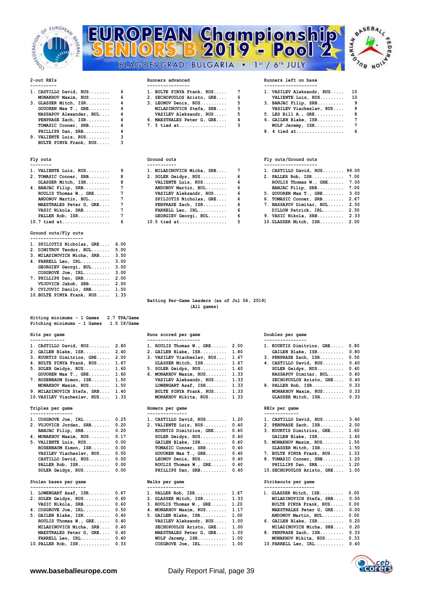





- 
- **MONAKHOV Maxim, RUS........ TOMASIC Conner, SRB........ PHILLIPS Dan, SRB.......... 4 8. 4 tied at.................. 6**
- **9. VALIENTE Luis, RUS......... 3 BULTE PINYA Frank, RUS..... 3**

| 1. VALIENTE Luis, RUS   |   |
|-------------------------|---|
| 2. TOMASIC Conner, SRB  | ۶ |
| GLASSER Mitch, ISR      |   |
| 4. BANJAC Filip, SRB    |   |
| ROULIS Thomas W., GRE   |   |
| ANDONOV Martin, BUL     |   |
| MAESTRALES Peter G, GRE |   |
| VASIC Nikola, SRB       |   |
| PALLER Rob, ISR         |   |
|                         |   |

### **Ground outs/Fly outs**

| 1. SPILIOTIS Nicholas, GRE | 6.00 |
|----------------------------|------|
| 2. DIMITROV Teodor, BUL    | 5.00 |
| 3. MILADINOVICH Micha, SRB | 3.50 |
| 4. FARRELL Leo, IRL        | 3.00 |
| GEORGIEV Georgi, BUL       | 3.00 |
| COSGROVE Joe, IRL          | 3.00 |
| 7. PHILLIPS Dan, SRB       | 2.00 |
| VUJOVICH Jakob, SRB        | 2.00 |
| 9. CVIJOVIC Danilo, SRB    | 1.50 |
| 10. BULTE PINYA Frank, RUS | 1.33 |

| Hitting minimums - 1 Games<br>2.7 TPA/Game<br>Pitching minimums - 1 Games<br>1.5 IP/Game |                                                |                                              |
|------------------------------------------------------------------------------------------|------------------------------------------------|----------------------------------------------|
| Hits per game                                                                            | Runs scored per game                           | Doubles per game                             |
|                                                                                          | --------------------                           | ----------------                             |
| 1. CASTILLO David, RUS 2.80                                                              | 1. ROULIS Thomas $W_{1}$ , GRE 2.00            | 1. KOURTIS Dimitrios, GRE 0.80               |
| 2. GAILEN Blake, ISR<br>2.40                                                             | 2. GAILEN Blake, ISR 1.80                      | GAILEN Blake, ISR<br>0.80                    |
| 3. KOURTIS Dimitrios, GRE 2.00                                                           | 3. VASILEV Viacheslav, RUS 1.67                | 3. PENPRASE Zach, ISR<br>0.50                |
| 4. BULTE PINYA Frank, RUS 1.67                                                           | GLASSER Mitch, ISR 1.67                        | 4. CASTILLO David, RUS<br>0.40               |
| 5. SOLER Geidys, RUS<br>1.60                                                             | 5. SOLER Geidys, RUS 1.40                      | 0.40<br>SOLER Geidys, RUS                    |
| $GOUOREN$ Max $T.$ , $GRE.$<br>1.60                                                      | 6. MONAKHOV Maxim, RUS 1.33                    | 0.40<br>NASSAPOV Dimitar, BUL                |
| 7. ROSENBAUM Simon, ISR<br>1.50                                                          | VASILEV Aleksandr, RUS 1.33                    | 0.40<br>SECHOPOULOS Aristo, GRE              |
| MONAKHOV Maxim, RUS 1.50                                                                 | LOWENGART Asaf, ISR 1.33                       | 8. PALLER Rob, ISR 0.33                      |
| 9. MILADINOVICH Stefa, SRB 1.40                                                          | BULTE PINYA Frank, RUS 1.33                    | 0.33<br>MONAKHOV Maxim, RUS                  |
| 10. VASILEV Viacheslav, RUS 1.33                                                         | MONAKHOV Nikita, RUS 1.33                      | GLASSER Mitch, ISR<br>0.33                   |
| Triples per game                                                                         | Homers per game                                | RBIs per game                                |
| ----------------<br>1. COSGROVE Joe, IRL<br>0.25                                         | ---------------<br>1. CASTILLO David, RUS 1.20 | -------------<br>1. CASTILLO David, RUS 3.40 |
| 0.20<br>2. VUJOVICH Jordan, SRB                                                          | 2. VALIENTE Luis, RUS<br>0.40                  | 2. PENPRASE Zach, ISR 2.00                   |
| 0.20<br>BANJAC Filip, SRB                                                                | KOURTIS Dimitrios, GRE<br>0.40                 | 3. KOURTIS Dimitrios, GRE 1.60               |
| 4. MONAKHOV Maxim, RUS<br>0.17                                                           | SOLER Geidys, RUS<br>0.40                      | 1.60<br>GAILEN Blake, ISR                    |
| 5. VALIENTE Luis, RUS<br>0.00                                                            | GAILEN Blake, ISR<br>0.40                      | 5. MONAKHOV Maxim, RUS<br>1.50               |
| ROSENBAUM Simon, ISR<br>0.00                                                             | TOMASIC Conner, SRB<br>0.40                    | 1.50<br>GLASSER Mitch, ISR                   |
| VASILEV Viacheslav, RUS<br>0.00                                                          | GOUOREN Max $T.$ , GRE<br>0.40                 | 1.33<br>7. BULTE PINYA Frank, RUS            |
| CASTILLO David, RUS<br>0.00                                                              | LEONOV Denis, RUS 0.40                         | 8. TOMASIC Conner, SRB<br>1.20               |
| PALLER Rob, ISR<br>0.00                                                                  | ROULIS Thomas W., GRE<br>0.40                  | PHILLIPS Dan, SRB<br>1.20                    |
| SOLER Geidys, RUS<br>0.00                                                                | PHILLIPS Dan, SRB<br>0.40                      | 1.00<br>10. SECHOPOULOS Aristo, GRE          |
| Stolen bases per game                                                                    | Walks per game                                 | Strikeouts per game                          |
| 1. LOWENGART Asaf, $ISR$ 0.67                                                            | 1. PALLER Rob, ISR $1.67$                      | 1. GLASSER Mitch, ISR 0.00                   |
| 2. SOLER Geidys, RUS 0.60                                                                | 2. GLASSER Mitch, ISR 1.33                     | MILADINOVICH Stefa, SRB 0.00                 |

| 2. SOLER GEIQVS, RUS 0.60        | 2. GLASSER MITCH, ISR 1.33    | MILADINOVICH Stefa, SRB 0.00 |  |
|----------------------------------|-------------------------------|------------------------------|--|
| VASIC Nikola, SRB 0.60           | 3. ROULIS Thomas W., GRE 1.20 | BULTE PINYA Frank, RUS 0.00  |  |
| 4. COSGROVE Joe, IRL 0.50        | 4. MONAKHOV Maxim, RUS 1.17   | MAESTRALES Peter G, GRE 0.00 |  |
| 5. GAILEN Blake, ISR 0.40        | 5. GAILEN Blake, ISR 1.00     | ANDONOV Martin, BUL 0.00     |  |
| ROULIS Thomas W., GRE 0.40       | VASILEV Aleksandr, RUS 1.00   | 6. GAILEN Blake, ISR 0.20    |  |
| MILADINOVICH Micha, SRB 0.40     | SECHOPOULOS Aristo, GRE 1.00  | MILADINOVICH Micha, SRB 0.20 |  |
| MAESTRALES Peter G, GRE 0.40     | MAESTRALES Peter G, GRE 1.00  | 8. PENPRASE Zach, ISR 0.33   |  |
| FARRELL Leo, $IRL$ 0.40          | WOLF Jeremy, $ISR$ $1.00$     | MONAKHOV Nikita, RUS 0.33    |  |
| $10.$ PALLER Rob. $TSR$ . $0.33$ |                               | $10.$ FARRELL Leo. TRL. 0.40 |  |

| 1. CASTILLO David, RUS                  | 1. BULTE PINYA Frank, RUS 7  | 1. VASILEV Aleksandr |
|-----------------------------------------|------------------------------|----------------------|
| MONAKHOV Maxim, RUS 6                   | 2. SECHOPOULOS Aristo, GRE 6 | VALIENTE Luis, RU    |
| 3. GLASSER Mitch, $ISR \ldots \ldots$ 4 | $3.$ LEONOV Denis, RUS 5     | 3. BANJAC Filip, SRB |
| GOUOREN Max T., GRE 4                   | MILADINOVICH Stefa, SRB 5    | VASILEV Viachesla    |
| NASSAPOV Alexander, BUL 4               | VASILEV Aleksandr, RUS 5     | 5. LES Bill A., GRE. |
| PENPRASE Zach, ISR 4                    | 6. MAESTRALES Peter G, GRE 4 | 6. GAILEN Blake, ISR |
| TOMASIC Conner, SRB 4                   | 7. 5 tied at 3               | WOLF Jeremy, ISR.    |

| 1. VASILEV Aleksandr, RUS | 10 |
|---------------------------|----|
| VALIENTE Luis, RUS        | 10 |
| 3. BANJAC Filip, SRB      | ٩  |
| VASILEV Viacheslav, RUS   | ۹  |
| 5. LES Bill A., GRE       | 8  |
| 6. GAILEN Blake, ISR      | 7  |
| WOLF Jeremy, ISR          | 7  |
| .                         |    |

| 1. VALIENTE Luis, $RUS$ 9 | 1. MILADINOVICH Micha, SRB 7  |  | 1. CASTILLO David, RUS 99.00  |
|---------------------------|-------------------------------|--|-------------------------------|
| 2. TOMASIC Conner, SRB 8  | 2. SOLER Geidys, RUS 6        |  | 2. PALLER Rob, ISR 7.00       |
| GLASSER Mitch, ISR 8      | VALIENTE Luis, RUS 6          |  | ROULIS Thomas W., GRE 7.00    |
| 4. BANJAC Filip, SRB 7    | ANDONOV Martin, BUL 6         |  | BANJAC Filip, SRB 7.00        |
| ROULIS Thomas W., $GRE$ 7 | VASILEV Aleksandr, RUS 6      |  | 5. GOUOREN Max T., GRE 3.00   |
| ANDONOV Martin, BUL 7     | SPILIOTIS Nicholas, GRE 6     |  | 6. TOMASIC Conner, SRB 2.67   |
| MAESTRALES Peter G, GRE 7 | PENPRASE Zach, ISR 6          |  | 7. NASSAPOV Dimitar, BUL 2.50 |
| VASIC Nikola, SRB 7       | $\texttt{FARRELL}$ Leo, IRL 6 |  | DILLON Patrick, IRL 2.50      |
|                           | GEORGIEV Georgi, BUL 6        |  | 9. VASIC Nikola, SRB 2.33     |
| $10.7$ tied at 6          |                               |  | 10. GLASSER Mitch, ISR 2.00   |

## Fly outs **Ground outs** Ground outs **Ground outs Fly outs/Ground outs**

| 1. VALIENTE Luis, RUS 9                                                                                                                                                                                                                                                                                                                                            | 1. MILADINOVICH Micha, SRB 7 | 1. CASTILLO David, RUS 99.00  |
|--------------------------------------------------------------------------------------------------------------------------------------------------------------------------------------------------------------------------------------------------------------------------------------------------------------------------------------------------------------------|------------------------------|-------------------------------|
| 2. TOMASIC Conner, SRB 8                                                                                                                                                                                                                                                                                                                                           | 2. SOLER Geidys, RUS 6       | 2. PALLER Rob, ISR 7.00       |
| GLASSER Mitch, ISR 8                                                                                                                                                                                                                                                                                                                                               | VALIENTE Luis, RUS 6         | ROULIS Thomas W., GRE 7.00    |
| 4. BANJAC Filip, SRB 7                                                                                                                                                                                                                                                                                                                                             | ANDONOV Martin, BUL 6        | BANJAC Filip, SRB 7.00        |
| ROULIS Thomas W., $GRE$ 7                                                                                                                                                                                                                                                                                                                                          | VASILEV Aleksandr, RUS 6     | 5. GOUOREN Max T., GRE 3.00   |
| ANDONOV Martin, BUL 7                                                                                                                                                                                                                                                                                                                                              | SPILIOTIS Nicholas, GRE 6    | 6. TOMASIC Conner, SRB 2.67   |
| MAESTRALES Peter G, GRE 7                                                                                                                                                                                                                                                                                                                                          | PENPRASE Zach, ISR 6         | 7. NASSAPOV Dimitar, BUL 2.50 |
| VASIC Nikola, SRB       7                                                                                                                                                                                                                                                                                                                                          | FARRELL Leo, $IRL$ 6         | DILLON Patrick, IRL 2.50      |
|                                                                                                                                                                                                                                                                                                                                                                    | GEORGIEV Georgi, BUL 6       | 9. VASIC Nikola, SRB 2.33     |
| $\overline{10}$ $\overline{7}$ $\overline{10}$ $\overline{21}$ $\overline{21}$ $\overline{21}$ $\overline{21}$ $\overline{21}$ $\overline{21}$ $\overline{21}$ $\overline{21}$ $\overline{21}$ $\overline{21}$ $\overline{21}$ $\overline{21}$ $\overline{21}$ $\overline{21}$ $\overline{21}$ $\overline{21}$ $\overline{21}$ $\overline{21}$ $\overline{21}$ $\$ | $10E$ is a set of $E$        | $10 \text{ C}$ $10 \text{ C}$ |

### **Batting Per-Game Leaders (as of Jul 06, 2019) (All games)**

# **Hits per game Runs scored per game Doubles per game** -----------------------<br>1. ROULIS Thomas W., GRE...... 2.00 1 **1. ROULIS Thomas W., GRE...... 2.00 2. GAILEN Blake, ISR.......... 2.40 2. GAILEN Blake, ISR.......... 1.80 GAILEN Blake, ISR.......... 0.80 3. VASILEV Viacheslav, RUS.... 1.67** 3 **4. BULTE PINYA Frank, RUS..... 1.67 GLASSER Mitch, ISR......... 1.67 4. CASTILLO David, RUS........ 0.40 7. YASILEV Aleksandr, RUS..... 1.33 LOWENGART Asaf, ISR........ 1.33** 8 BULTE PINYA Frank, RUS..... 1.33 **10.VASILEV Viacheslav, RUS.... 1.33 MONAKHOV Nikita, RUS....... 1.33 GLASSER Mitch, ISR......... 0.33 Triples per game RBIS per game** RBIS per game RBIS per game RBIS per game RBIS per game RBIS per game RBIS per game RBIS per game RBIS per game RBIS per game RBIS per game RBIS per game RBIS per game RBIS per game RBIS pe 1. CASTILLO David, RUS........ 1.20 1 **2. VALIENTE Luis, RUS......... 0.40** 2  **KOURTIS Dimitrios, GRE..... 0.40** 3  **TOMASIC Conner, SRB........ 0.40 GOUOREN Max T., GRE........ 0.40 7 LEONOV Denis, RUS.......... 0.40** 8

## Walks per game Strike outs per game Strike outs per game Strike outs per game Strike outs per game Strike outs p<br>Strike outside the Strike outside outside the Strike outside of the Strike outside of the Strike outside of t

| 1. PALLER Rob, ISR       | 1.67 |
|--------------------------|------|
| 2. GLASSER Mitch, ISR    | 1.33 |
| 3. ROULIS Thomas W., GRE | 1.20 |
| 4. MONAKHOV Maxim, RUS   | 1.17 |
| 5. GAILEN Blake, ISR     | 1.00 |
| VASILEV Aleksandr, RUS   | 1.00 |
| SECHOPOULOS Aristo, GRE  | 1.00 |
| MAESTRALES Peter G, GRE  | 1.00 |
| WOLF Jeremy, ISR         | 1.00 |
| $COSGROVE$ Joe. IRL      | 1.00 |

| MAESTRALES Peter G, GRE | 0.00 |
|-------------------------|------|
| ANDONOV Martin, BUL     | 0.00 |
| 6. GAILEN Blake, ISR    | 0.20 |
| MILADINOVICH Micha, SRB | 0.20 |
| 8. PENPRASE Zach, ISR   | 0.33 |
| MONAKHOV Nikita, RUS    | 0.33 |
| 10. FARRELL Leo, IRL    | 0.40 |

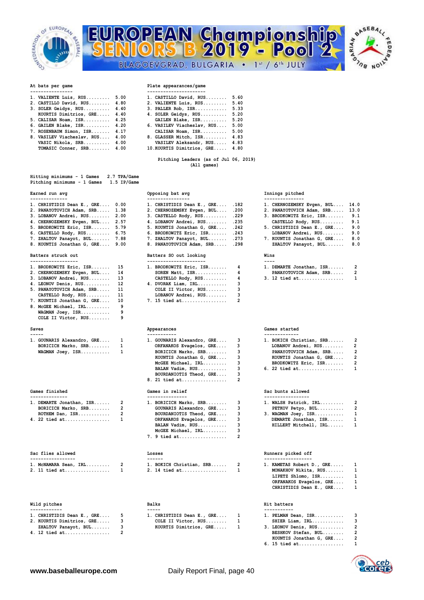



## **At bats per game Plate appearances/game**

| 1. VALIENTE Luis, RUS      | 5.00  | 1. CASTILLO David, RUS. |
|----------------------------|-------|-------------------------|
| 2. CASTILLO David, RUS     | 4.80  | 2. VALIENTE Luis, RUS   |
| 3. SOLER Geidys, RUS       | 4.40  | 3. PALLER Rob, ISR      |
| KOURTIS Dimitrios, GRE     | 4.40  | 4. SOLER Geidys, RUS    |
| 5. CALISAR Noam, ISR       | 4.25  | GAILEN Blake, ISR       |
| 6. GAILEN Blake, ISR       | 4.20  | 6. VASILEV Viacheslav,  |
| 7. ROSENBAUM Simon, ISR    | 4.17  | CALISAR Noam, ISR       |
| 8. VASILEV Viacheslav, RUS | 4.00  | 8. GLASSER Mitch, ISR   |
| $MARTC$ $N+1010$ and       | 4. OO | $\frac{1}{2}$           |

| 2. CASTILLO David, RUS 4.80     | 2. VALIENTE Luis, RUS           | 5.40 |
|---------------------------------|---------------------------------|------|
| $3.$ SOLER Geidys, RUS $4.40$   | 3. PALLER Rob, ISR              | 5.33 |
| KOURTIS Dimitrios, GRE 4.40     | 4. SOLER Geidys, RUS            | 5.20 |
| 5. CALISAR Noam, ISR 4.25       | GAILEN Blake, ISR               | 5.20 |
| 6. GAILEN Blake, ISR 4.20       | 6. VASILEV Viacheslav, RUS      | 5.00 |
| 7. ROSENBAUM Simon, ISR 4.17    | CALISAR Noam, ISR               | 5.00 |
| 8. VASILEV Viacheslav, RUS 4.00 | 8. GLASSER Mitch, ISR 4.83      |      |
| VASIC Nikola, SRB 4.00          | VASILEV Aleksandr, RUS 4.83     |      |
| TOMASIC Conner, SRB 4.00        | 10. KOURTIS Dimitrios, GRE 4.80 |      |
|                                 |                                 |      |

**1. VALIENTE Luis, RUS......... 5.00 1. CASTILLO David, RUS........ 5.60** 

### **Pitching Leaders (as of Jul 06, 2019) (All games)**

| Hitting minimums - 1 Games  |  |  | 2.7 TPA/Game |
|-----------------------------|--|--|--------------|
| Pitching minimums - 1 Games |  |  | 1.5 IP/Game  |

| 1. CHRISTIDIS Dean E., GRE 0.00 |    | 1. CHRISTIDIS Dean E., GRE .182  |   | 1. CHERNOZEMSKY Evgen, BUL | 14.0         |
|---------------------------------|----|----------------------------------|---|----------------------------|--------------|
| 2. PANAYOTOVICH Adam, SRB 1.38  |    | 2. CHERNOZEMSKY Evgen, BUL .200  |   | 2. PANAYOTOVICH Adam, SRB  | 13.0         |
| 3. LOBANOV Andrei, RUS 2.00     |    | $3.$ CASTELLO Rody, RUS .229     |   | 3. BRODKOWITZ Eric, ISR    | 9.1          |
| 4. CHERNOZEMSKY Evgen, BUL 2.57 |    | 4. LOBANOV Andrei, RUS .235      |   | CASTELLO Rody, RUS         | 9.1          |
| 5. BRODKOWITZ Eric, ISR 5.79    |    | 5. KOUNTIS Jonathan G, GRE . 242 |   | 5. CHRISTIDIS Dean E., GRE | 9.0          |
| 6. CASTELLO Rody, $RUS$ 6.75    |    | 6. BRODKOWITZ Eric, ISR .243     |   | LOBANOV Andrei, RUS        | 9.0          |
| 7. ZHALTOV Panayot, BUL 7.88    |    | 7. ZHALTOV Panayot, BUL . 273    |   | 7. KOUNTIS Jonathan G, GRE | 8.0          |
| 8. KOUNTIS Jonathan G, GRE 9.00 |    | 8. PANAYOTOVICH Adam, SRB .298   |   | ZHALTOV Panayot, BUL       | 8.0          |
|                                 |    |                                  |   |                            |              |
| Batters struck out              |    | Batters SO out looking           |   | Wins                       |              |
| ------------------              |    | ----------------------           |   | $- - - -$                  |              |
| 1. BRODKOWITZ Eric, ISR 15      |    | 1. BRODKOWITZ Eric, ISR 4        |   | 1. DEMARTE Jonathan, ISR   | 2            |
| 2. CHERNOZEMSKY Evgen, BUL 14   |    | SOREN Matt, $ISR$ 4              |   | PANAYOTOVICH Adam, SRB 2   |              |
| 3. LOBANOV Andrei, RUS          | 13 | CASTELLO Rody, RUS               | 4 | $3. 12$ tied at            | $\mathbf{1}$ |
| 4. LEONOV Denis, RUS 12         |    | 4. DVORAK Liam, IRL              |   |                            |              |

| CASTELLO Rody, RUS         | 11 |
|----------------------------|----|
| 7. KOUNTIS Jonathan G, GRE | 10 |
| 8. McGEE Michael, IRL      | ۹  |
| WAGMAN Joey, ISR           | ۹  |
| COLE II Victor, RUS        | ۹  |

| ------                     |                        |                            |               |
|----------------------------|------------------------|----------------------------|---------------|
| 1. GOUNARIS Alexandro, GRE |                        | 1. GOUNARIS Alexandro, GRE | 1. BOKICH Chr |
|                            | BORICICH Marko, SRB    | ORFANAKOS Evagelos, GRE    | LOBANOV An    |
|                            | $WAGMAN$ Joey, $ISR$ 1 | BORICICH Marko, SRB        | PANAYOTOVI    |

| Games finished             | Games in relief          | Sac bunts allowed |                   |
|----------------------------|--------------------------|-------------------|-------------------|
|                            |                          |                   |                   |
| 1. DEMARTE Jonathan, ISR 2 | 1. BORICICH Marko, SRB 3 |                   | 1. WALSH Patrick, |
| BORICICH Marko, SRB 2      | GOUNARIS Alexandro, GRE  |                   | PETKOV Petyo,     |
| ROTHEM Dan, $ISR$ 2        | BOURDANIOTIS Theod, GRE  |                   | 3. WAGMAN Joey, I |
| 4. 22 tied at 1            | ORFANAKOS Evagelos, GRE  |                   | DEMARTE Jonath    |
|                            |                          |                   |                   |

| Sac flies allowed       | Losses                     | Runners picked off |                   |
|-------------------------|----------------------------|--------------------|-------------------|
|                         | ------                     |                    |                   |
| 1. MCNAMARA Sean, IRL 2 | 1. BOKICH Christian, SRB 2 |                    | 1. KAMETAS Robert |
| 2. 11 tied at 1         |                            |                    | MONAKHOV Nikita   |

| Wild pitches | <b>Balks</b> | Hit batters |
|--------------|--------------|-------------|
|              |              |             |

|  |                                                                                                                                                                                                                                                                                                                                                                                                                                                                                            |  | -----                      |  |                        |  |
|--|--------------------------------------------------------------------------------------------------------------------------------------------------------------------------------------------------------------------------------------------------------------------------------------------------------------------------------------------------------------------------------------------------------------------------------------------------------------------------------------------|--|----------------------------|--|------------------------|--|
|  | 1. CHRISTIDIS Dean E., GRE                                                                                                                                                                                                                                                                                                                                                                                                                                                                 |  | 1. CHRISTIDIS Dean E., GRE |  | 1. PELMAN D            |  |
|  | 2. KOURTIS Dimitrios, GRE                                                                                                                                                                                                                                                                                                                                                                                                                                                                  |  | COLE II Victor, RUS        |  | SHIER Li               |  |
|  | ZHALTOV Panayot, BUL                                                                                                                                                                                                                                                                                                                                                                                                                                                                       |  | KOURTIS Dimitrios, GRE     |  | 3. LEONOV D            |  |
|  | $\blacksquare$ $\blacksquare$ $\blacksquare$ $\blacksquare$ $\blacksquare$ $\blacksquare$ $\blacksquare$ $\blacksquare$ $\blacksquare$ $\blacksquare$ $\blacksquare$ $\blacksquare$ $\blacksquare$ $\blacksquare$ $\blacksquare$ $\blacksquare$ $\blacksquare$ $\blacksquare$ $\blacksquare$ $\blacksquare$ $\blacksquare$ $\blacksquare$ $\blacksquare$ $\blacksquare$ $\blacksquare$ $\blacksquare$ $\blacksquare$ $\blacksquare$ $\blacksquare$ $\blacksquare$ $\blacksquare$ $\blacks$ |  |                            |  | <b><u>BRAHEASE</u></b> |  |

| -------------- | ---------------- | --------------- |
|----------------|------------------|-----------------|
| וחה<br><br>.   | ۳ د ۱۸۰          |                 |

# **182 1. CRE....** 182 **4. LOBANOV Andrei, RUS........ .235<br>5. KOUNTIS Jonathan G. CBF. 242 CASTELLO RODY** 5. KOUNTIS Jonathan G, GRE.... .242 **6. BRODKOWITZ Eric, ISR....... .243**

## **Batters SO out looking Wins**

| 1. BRODKOWITZ Eric, ISR       | - 15 | 1. BRODKOWITZ Eric, ISR | 4                        |
|-------------------------------|------|-------------------------|--------------------------|
| 2. CHERNOZEMSKY Evgen, BUL    | 14   | SOREN Matt, ISR         | 4                        |
| 3. LOBANOV Andrei, RUS        | 13   | CASTELLO Rody, RUS      | 4                        |
| 4. LEONOV Denis, RUS          | 12   | 4. DVORAK Liam, IRL     | 3                        |
| 5. PANAYOTOVICH Adam, SRB     | 11   | COLE II Victor, RUS     |                          |
| CASTELLO Rody, RUS            | 11   | LOBANOV Andrei, RUS     | 3                        |
| 7. KOUNTIS Jonathan G, GRE 10 |      | 7. 15 tied at           | $\overline{\phantom{a}}$ |

| 1. GOUNARIS Alexandro, GRE | 1. GOUNARIS Alexandro, GRE     |
|----------------------------|--------------------------------|
| BORICICH Marko, SRB        | ORFANAKOS Evagelos, GRE        |
| WAGMAN Joey, ISR           | BORICICH Marko, SRB            |
|                            | KOUNTIS Jonathan G. GRE        |
|                            | McGEE Michael, IRL             |
|                            | BALAN Vadim, RUS               |
|                            | BOURDANIOTIS Theod, GRE        |
|                            | 8. 21 tied at<br>$\mathcal{P}$ |
|                            |                                |

| 1. DEMARTE Jonathan, ISR 2 |  | 1. BORICICH Marko, SRB 3  |  | 1. WALSH Patrick, IRL 2 |  |
|----------------------------|--|---------------------------|--|-------------------------|--|
| BORICICH Marko, SRB 2      |  | GOUNARIS Alexandro, GRE 3 |  | PETKOV Petyo, BUL 2     |  |
|                            |  | BOURDANIOTIS Theod, GRE 3 |  | 3. WAGMAN Joey, ISR 1   |  |
| 4. 22 tied at  1           |  | ORFANAKOS Evagelos, GRE 3 |  | DEMARTE Jonathan, ISR 1 |  |
|                            |  | BALAN Vadim, RUS 3        |  | HILLERT Mitchell, IRL 1 |  |
|                            |  | $McGEE$ Michael, $IRL$ 3  |  |                         |  |
|                            |  | 7. 9 tied at 2            |  |                         |  |
|                            |  |                           |  |                         |  |

## **Losses** Runners picked off

| -----------------     | ------                | ---------------          |
|-----------------------|-----------------------|--------------------------|
| 1. MCNAMARA Sean, IRL | BOKICH Christian, SRB | . KAMETAS Robert D., GRE |
| 2. 11 tied at         | 2. 14 tied at         | MONAKHOV Nikita, RUS     |

|                             | 1. CHRISTIDIS Dean E., GRE 1 | 1. PELMAN Dean, ISR  |  |
|-----------------------------|------------------------------|----------------------|--|
| 2. KOURTIS Dimitrios, GRE 3 | COLE II Victor, $RUS$ 1      | SHIER Liam, IRL      |  |
| ZHALTOV Panayot, BUL 3      | KOURTIS Dimitrios, GRE 1     | 3. LEONOV Denis, RUS |  |

## **Earned run avg Opposing bat avg Innings pitched**

| 1. CHERNOZEMSKY Evgen, BUL | 14.0 |
|----------------------------|------|
| 2. PANAYOTOVICH Adam, SRB  | 13.0 |
| 3. BRODKOWITZ Eric, ISR    | 9.1  |
| CASTELLO Rody, RUS         | 9.1  |
| 5. CHRISTIDIS Dean E., GRE | 9.0  |
| LOBANOV Andrei, RUS        | 9.0  |
| 7. KOUNTIS Jonathan G, GRE | 8.0  |
|                            |      |

ëD

| 1. DEMARTE Jonathan, ISR | $\mathcal{P}$ |
|--------------------------|---------------|
| PANAYOTOVICH Adam, SRB   | 2             |
| 3. 12 tied at            |               |

## **Saves Barrow Saves Constants Appearances Games Games Games Games Games Games Games Games Games Games Games Games Games Games Games Games Games Games Games Games Games Games**

| -----                        |                              |                            |  |
|------------------------------|------------------------------|----------------------------|--|
| 1. GOUNARIS Alexandro, GRE 1 | 1. GOUNARIS Alexandro, GRE 3 | 1. BOKICH Christian, SRB 2 |  |
| BORICICH Marko, SRB 1        | ORFANAKOS Evagelos, GRE 3    | LOBANOV Andrei, RUS 2      |  |
| $WAGMAN$ Joey, $ISR$ 1       | BORICICH Marko, SRB 3        | PANAYOTOVICH Adam, SRB 2   |  |
|                              | KOUNTIS Jonathan G, GRE 3    | KOUNTIS Jonathan G, GRE 2  |  |
|                              | McGEE Michael, IRL 3         | BRODKOWITZ Eric, ISR 2     |  |
|                              | BALAN Vadim, RUS             | 6. 22 tied at 1            |  |
|                              |                              |                            |  |

## **Games finished Games in relief Sac bunts allowed**

| વ | 1. WALSH Patrick, IRL | 2            |
|---|-----------------------|--------------|
| વ | PETKOV Petyo, BUL     | 2            |
| વ | 3. WAGMAN Joey, ISR   | $\mathbf{1}$ |
| વ | DEMARTE Jonathan, ISR | 1            |
| વ | HILLERT Mitchell, IRL | 1.           |

|  | 1. BOKICH Christian, SRB 2                          | 1. KAMETAS Robert D., GRE 1             |  |
|--|-----------------------------------------------------|-----------------------------------------|--|
|  | 2. 11 tied at      1             2. 14 tied at    1 | MONAKHOV Nikita, RUS 1                  |  |
|  |                                                     | LIPETZ Shlomo, $ISR, \ldots, \ldots, 1$ |  |
|  |                                                     | ORFANAKOS Evagelos, GRE 1               |  |
|  |                                                     | CHRISTIDIS Dean E., GRE 1               |  |
|  |                                                     |                                         |  |

| 1. PELMAN Dean, ISR |  |  |  |  |  |  |
|---------------------|--|--|--|--|--|--|
|                     |  |  |  |  |  |  |
| $\cdots$            |  |  |  |  |  |  |

| SHIER Liam, IRL      |   |
|----------------------|---|
| 3. LEONOV Denis, RUS | 2 |
| $\mathbf{r}$         |   |

**4. 12 tied at................. 2 BESHKOV Stefan, BUL........ 2 BESHKOV Stefan, BUL......... 2**<br> **KOUNTIS Jonathan G, GRE.... 2**<br> **15 tied at..................** 1

 **6. 15 tied at................. 1**

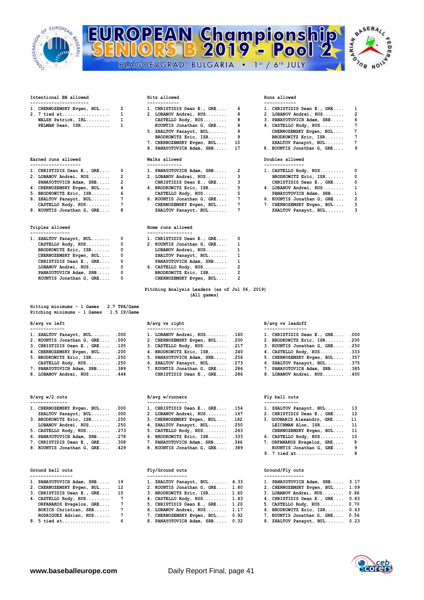



| ----------------------- | ------------- | ------------ |
|-------------------------|---------------|--------------|
|                         |               |              |

| 1. CHERNOZEMSKY Evgen, BUL |
|----------------------------|
| 2. 7 tied at               |
| WALSH Patrick, IRL         |
| PELMAN Dean, ISR.          |

### **Earned runs allowed Doubles allowed Walks allowed**

- 
- 
- 
- 
- 
- **5. BRODKOWITZ Eric, ISR.......**<br>**6. ZHALTOV Panayot**, BUL.......<br>CASTELLO Rody, RUS.........
- **8. KOUNTIS Jonathan G, GRE.... 8 ZHALTOV Panayot, BUL....... 7 ZHALTOV Panayot, BUL....... 3**

| 1. | ZHALTOV Panayot, BUL    | O |
|----|-------------------------|---|
|    | CASTELLO Rody, RUS      | O |
|    | BRODKOWITZ Eric, ISR    | 0 |
|    | CHERNOZEMSKY Evgen, BUL | 0 |
|    | CHRISTIDIS Dean E., GRE | O |
|    | LOBANOV Andrei, RUS     | O |
|    | PANAYOTOVICH Adam, SRB  | 0 |
|    | KOUNTIS Jonathan G, GRE | O |

| Hitting minimums - 1 Games  |  |  | 2.7 TPA/Game |
|-----------------------------|--|--|--------------|
| Pitching minimums - 1 Games |  |  | 1.5 IP/Game  |

| 1. ZHALTOV Panayot, BUL .000    | 1. LOBANOV Andrei, RUS .160     | 1. CHRISTIDIS Dean E., GRE .000  |  |
|---------------------------------|---------------------------------|----------------------------------|--|
| 2. KOUNTIS Jonathan G, GRE .000 | 2. CHERNOZEMSKY Evgen, BUL .200 | 2. BRODKOWITZ Eric, ISR .200     |  |
| 3. CHRISTIDIS Dean E., GRE .105 | 3. CASTELLO Rody, $RUS$ .217    | 3. KOUNTIS Jonathan G, GRE . 250 |  |
| 4. CHERNOZEMSKY Evgen, BUL .200 | 4. BRODKOWITZ Eric, ISR .240    | 4. CASTELLO Rody, RUS .333       |  |
| 5. BRODKOWITZ Eric, ISR .250    | 5. PANAYOTOVICH Adam, SRB .256  | 5. CHERNOZEMSKY Evgen, BUL .357  |  |
| CASTELLO Rody, RUS .250         | 6. ZHALTOV Panayot, BUL . 273   | 6. ZHALTOV Panayot, BUL .375     |  |
| 7. PANAYOTOVICH Adam, SRB .389  | 7. KOUNTIS Jonathan G, GRE .286 | 7. PANAYOTOVICH Adam, SRB .385   |  |
|                                 |                                 |                                  |  |

## $B/avg w/2 outs$

| 1. CHERNOZEMSKY Evgen, BUL .000  | 1. CHRISTIDIS Dean E., GRE .154 | 1. ZHALTOV Pa     |
|----------------------------------|---------------------------------|-------------------|
| ZHALTOV Panayot, BUL .000        | 2. LOBANOV Andrei, RUS . 167    | 2. CHRISTIDIS     |
| 3. BRODKOWITZ Eric, ISR .250     | 3. CHERNOZEMSKY Evgen, BUL .182 | 3. GOUNARIS A     |
| LOBANOV Andrei, RUS .250         | 4. ZHALTOV Panayot, BUL .250    | LEICHMAN A        |
| 5. CASTELLO Rody, RUS .273       | 5. CASTELLO Rody, RUS .263      | <b>CHERNOZEMS</b> |
| 6. PANAYOTOVICH Adam, SRB .278   | 6. BRODKOWITZ Eric, ISR .333    | 6. CASTELLO R     |
| 7. CHRISTIDIS Dean E., GRE .308  | 7. PANAYOTOVICH Adam, SRB .346  | 7. ORFANAKOS 1    |
| 8. KOUNTIS Jonathan G, GRE . 429 | 8. KOUNTIS Jonathan G, GRE .389 | KOUNTIS Jo        |

## Ground ball outs **Fly/Ground outs Ground/Fly outs** Ground/Fly outs

| ----------------              |                |                                 |                 |
|-------------------------------|----------------|---------------------------------|-----------------|
| 1. PANAYOTOVICH Adam, SRB 19  |                | 1. ZHALTOV Panayot, BUL 4.33    | 1. PANAYOTOVICH |
| 2. CHERNOZEMSKY Evgen, BUL 12 |                | 2. KOUNTIS Jonathan G, GRE 1.80 | 2. CHERNOZEMSKY |
| 3. CHRISTIDIS Dean E., GRE 10 |                | 3. BRODKOWITZ Eric, ISR 1.60    | 3. LOBANOV Andr |
| 4. CASTELLO Rody, RUS 7       |                | 4. CASTELLO Rody, RUS 1.43      | 4. CHRISTIDIS D |
| ORFANAKOS Evagelos, GRE 7     |                | 5. CHRISTIDIS Dean E., GRE 1.20 | 5. CASTELLO Rod |
| BOKICH Christian, SRB 7       |                | 6. LOBANOV Andrei, RUS 1.17     | 6. BRODKOWITZ E |
| RODRIGUEZ Adrian, RUS         | $\overline{7}$ | 7. CHERNOZEMSKY Evgen, BUL 0.92 | 7. KOUNTIS Jona |
| 8. 5 tied at                  |                | 8. PANAYOTOVICH Adam, SRB 0.32  | 8. ZHALTOV Pana |

| 1. CHRISTIDIS Dean E., GRE |
|----------------------------|
| 2. LOBANOV Andrei, RUS     |
| CASTELLO Rody, RUS         |
| KOUNTIS Jonathan G, GRE    |
| 5. ZHALTOV Panayot, BUL    |
| BRODKOWITZ Eric, ISR       |
| 7. CHERNOZEMSKY Evgen, BUL |

|  | 1. CHRISTIDIS Dean E., GRE 0                                                                                 |  |  | 1. PANAYOTOVICH Adam, SRB 2 |   | 1. CASTELLO Rody, RUS 0                                                      |                          |  |
|--|--------------------------------------------------------------------------------------------------------------|--|--|-----------------------------|---|------------------------------------------------------------------------------|--------------------------|--|
|  | 2. LOBANOV Andrei, RUS 2                                                                                     |  |  | 2. LOBANOV Andrei, RUS 3    |   | BRODKOWITZ Eric, ISR                                                         | - 0                      |  |
|  | PANAYOTOVICH Adam, SRB 2                                                                                     |  |  | CHRISTIDIS Dean E., GRE 3   |   | CHRISTIDIS Dean E., GRE                                                      | - 0                      |  |
|  | 4. CHERNOZEMSKY Evgen, BUL 4                                                                                 |  |  | 4. BRODKOWITZ Eric, ISR     |   | 4. LOBANOV Andrei, RUS 1                                                     |                          |  |
|  | 5. BRODKOWITZ Eric, ISR 6                                                                                    |  |  | CASTELLO Rody, RUS          | 5 | PANAYOTOVICH Adam, SRB                                                       | $\overline{\phantom{0}}$ |  |
|  | 6. ZHALTOV Panayot, BUL                                                                                      |  |  | 6. KOUNTIS Jonathan G, GRE  |   | 6. KOUNTIS Jonathan G, GRE                                                   | $\overline{\phantom{a}}$ |  |
|  | CASTELLO Rody, RUS 7                                                                                         |  |  | CHERNOZEMSKY Evgen, BUL     |   | 7. CHERNOZEMSKY Evgen, BUL                                                   | - 3                      |  |
|  | $0$ <i>volumin</i> $T_{\text{c}}$ $1_{\text{c}}$ $1_{\text{c}}$ $2_{\text{c}}$ $2_{\text{c}}$ $2_{\text{c}}$ |  |  | $BII37 BAY$ $D$             |   | $B \text{H11} \text{H} \text{O} \text{H1}$ $B \text{H2} \text{H2} \text{H3}$ |                          |  |

**Triples allowed Home runs allowed --------------- -----------------** 

| 1. ZHALTOV Panayot, BUL | 0 | 1. CHRISTIDIS Dean E., GRE | 0             |
|-------------------------|---|----------------------------|---------------|
| CASTELLO Rody, RUS      | 0 | 2. KOUNTIS Jonathan G, GRE |               |
| BRODKOWITZ Eric, ISR    | 0 | LOBANOV Andrei, RUS        |               |
| CHERNOZEMSKY Evgen, BUL | 0 | ZHALTOV Panayot, BUL       |               |
| CHRISTIDIS Dean E., GRE | 0 | PANAYOTOVICH Adam, SRB     |               |
| LOBANOV Andrei, RUS     | 0 | 6. CASTELLO Rody, RUS      |               |
| PANAYOTOVICH Adam, SRB  | 0 | BRODKOWITZ Eric, ISR       | $\mathcal{P}$ |
| KOUNTIS Jonathan G, GRE | 0 | CHERNOZEMSKY Evgen, BUL    |               |
|                         |   |                            |               |

### **Pitching Analysis Leaders (as of Jul 06, 2019) (All games)**

| 1. ZHALTOV Panayot, BUL .000    | 1. LOBANOV Andrei, RUS .160     | 1. CHRISTIDIS De |
|---------------------------------|---------------------------------|------------------|
| 2. KOUNTIS Jonathan G, GRE .000 | 2. CHERNOZEMSKY Evgen, BUL .200 | 2. BRODKOWITZ Er |
| 3. CHRISTIDIS Dean E., GRE .105 | $3.$ CASTELLO Rody, RUS .217    | 3. KOUNTIS Jonat |
| 4. CHERNOZEMSKY Evgen, BUL .200 | 4. BRODKOWITZ Eric, ISR .240    | 4. CASTELLO Rody |
| 5. BRODKOWITZ Eric, ISR .250    | 5. PANAYOTOVICH Adam, SRB .256  | 5. CHERNOZEMSKY  |
| CASTELLO Rody, $RUS$ .250       | 6. ZHALTOV Panayot, BUL . 273   | 6. ZHALTOV Panay |
| 7. PANAYOTOVICH Adam, SRB .389  | 7. KOUNTIS Jonathan G, GRE .286 | 7. PANAYOTOVICH  |
| 8. LOBANOV Andrei, RUS . 444    | CHRISTIDIS Dean E., GRE .286    | 8. LOBANOV Andre |

# **B/avg w/runners** Fly ball outs B-1 outs B-1 outs B-1 outs B-1 outs B-1 outs B-1 outs B-1 outs B-1 outs B-1 outs B-1 outs B-1 outs B-1 outs B-1 outs B-1 outs B-1 outs B-1 outs B-1 outs B-1 outs B-1 outs B-1 outs B-1 outs B

| 1. CHERNOZEMSKY Evgen, BUL .000  | 1. CHRISTIDIS Dean E., GRE .154  | 1. ZHALTOV Panayot, BUL 13    |  |
|----------------------------------|----------------------------------|-------------------------------|--|
| ZHALTOV Panayot, BUL .000        | 2. LOBANOV Andrei, RUS . 167     | 2. CHRISTIDIS Dean E., GRE 12 |  |
| 3. BRODKOWITZ Eric, ISR .250     | 3. CHERNOZEMSKY Evgen, BUL . 182 | 3. GOUNARIS Alexandro, GRE 11 |  |
| LOBANOV Andrei, RUS .250         | 4. ZHALTOV Panayot, BUL .250     | LEICHMAN Alon, ISR 11         |  |
| 5. CASTELLO Rody, RUS .273       | 5. CASTELLO Rody, RUS .263       | CHERNOZEMSKY Evgen, BUL 11    |  |
| 6. PANAYOTOVICH Adam, SRB .278   | 6. BRODKOWITZ Eric, ISR .333     | 6. CASTELLO Rody, RUS 10      |  |
| 7. CHRISTIDIS Dean E., GRE .308  | 7. PANAYOTOVICH Adam, SRB .346   | 7. ORFANAKOS Evagelos, GRE 9  |  |
| 8. KOUNTIS Jonathan G, GRE . 429 | 8. KOUNTIS Jonathan G. GRE .389  | KOUNTIS Jonathan G. GRE 9     |  |

| 1. PANAYOTOVICH Adam, SRB 19  | 1. ZHALTOV Panayot, BUL 4.33    | 1. PANAYOTOVICH Adam, SRB 3.17  |  |
|-------------------------------|---------------------------------|---------------------------------|--|
| 2. CHERNOZEMSKY Evgen, BUL 12 | 2. KOUNTIS Jonathan G, GRE 1.80 | 2. CHERNOZEMSKY Evgen, BUL 1.09 |  |
| 3. CHRISTIDIS Dean E., GRE 10 | 3. BRODKOWITZ Eric, ISR 1.60    | 3. LOBANOV Andrei, RUS 0.86     |  |
| 4. CASTELLO Rody, RUS 7       | 4. CASTELLO Rody, RUS 1.43      | 4. CHRISTIDIS Dean E., GRE 0.83 |  |
| ORFANAKOS Evagelos, GRE 7     | 5. CHRISTIDIS Dean E., GRE 1.20 | 5. CASTELLO Rody, RUS 0.70      |  |
| BOKICH Christian, SRB 7       | 6. LOBANOV Andrei, RUS 1.17     | 6. BRODKOWITZ Eric, ISR 0.63    |  |
| RODRIGUEZ Adrian, RUS 7       | 7. CHERNOZEMSKY Evgen, BUL 0.92 | 7. KOUNTIS Jonathan G, GRE 0.56 |  |
| 8. 5 tied at  6               | 8. PANAYOTOVICH Adam, SRB 0.32  | 8. ZHALTOV Panavot, BUL 0.23    |  |

| 1. CHERNOZEMSKY Evgen, BUL 2 | 1. CHRISTIDIS Dean E., GRE 6  | 1. CHRISTIDIS Dean E., GRE 1 |                |
|------------------------------|-------------------------------|------------------------------|----------------|
| 2. 7 tied at       1         | 2. LOBANOV Andrei, RUS 8      | 2. LOBANOV Andrei, RUS 2     |                |
| WALSH Patrick, IRL 1         | CASTELLO Rody, RUS 8          | 3. PANAYOTOVICH Adam, SRB 6  |                |
| PELMAN Dean, ISR 1           | KOUNTIS Jonathan G, GRE 8     | 4. CASTELLO Rody, RUS 7      |                |
|                              | 5. ZHALTOV Panayot, BUL 9     | CHERNOZEMSKY Evgen, BUL 7    |                |
|                              | BRODKOWITZ Eric, ISR 9        | BRODKOWITZ Eric, ISR         | 7              |
|                              | 7. CHERNOZEMSKY Evgen, BUL 10 | ZHALTOV Panayot, BUL         | $\overline{7}$ |
|                              | 8. PANAYOTOVICH Adam, SRB 17  | 8. KOUNTIS Jonathan G, GRE 9 |                |
| <b>Earned runs allowed</b>   | Walks allowed                 | Doubles allowed              |                |
|                              |                               |                              |                |

ëD

| $\ldots$ CASTELLO Rody, RUS | O |
|-----------------------------|---|
| BRODKOWITZ Eric, ISR        | 0 |
| CHRISTIDIS Dean E., GRE     | O |
| . LOBANOV Andrei, RUS       | 1 |

## B/avg vs left B/avg vs right B/avg vs right B/avg vs leadoff

| 1. CHRISTIDIS Dean E., GRE | .000 |
|----------------------------|------|
| 2. BRODKOWITZ Eric, ISR    | .200 |
| 3. KOUNTIS Jonathan G, GRE | .250 |
| 4. CASTELLO Rody, RUS      | .333 |
| 5. CHERNOZEMSKY Evgen, BUL | .357 |
| 6. ZHALTOV Panayot, BUL    | .375 |
| 7. PANAYOTOVICH Adam, SRB  | .385 |
| 8. LOBANOV Andrei, RUS     | .400 |
|                            |      |

| 1. CHERNOZEMSKY Evgen, BUL .000  | 1. CHRISTIDIS Dean E., GRE .154 | 1. ZHALTOV Panayot, BUL 13    |     |
|----------------------------------|---------------------------------|-------------------------------|-----|
| ZHALTOV Panayot, BUL .000        | 2. LOBANOV Andrei, RUS .167     | 2. CHRISTIDIS Dean E., GRE 12 |     |
| 3. BRODKOWITZ Eric, ISR .250     | 3. CHERNOZEMSKY Evgen, BUL .182 | 3. GOUNARIS Alexandro, GRE 11 |     |
| LOBANOV Andrei, RUS .250         | 4. ZHALTOV Panayot, BUL .250    | LEICHMAN Alon, ISR 11         |     |
| 5. CASTELLO Rody, RUS .273       | 5. CASTELLO Rody, RUS .263      | CHERNOZEMSKY Evgen, BUL 11    |     |
| 6. PANAYOTOVICH Adam, SRB .278   | 6. BRODKOWITZ Eric, ISR .333    | 6. CASTELLO Rody, RUS 10      |     |
| 7. CHRISTIDIS Dean E., GRE .308  | 7. PANAYOTOVICH Adam, SRB .346  | 7. ORFANAKOS Evagelos, GRE    | - 9 |
| 8. KOUNTIS Jonathan G, GRE . 429 | 8. KOUNTIS Jonathan G, GRE .389 | KOUNTIS Jonathan G, GRE 9     |     |
|                                  |                                 | 9. 7 tied at 8                |     |

| 1. PANAYOTOVICH Adam, SRB  | 3.17 |
|----------------------------|------|
| 2. CHERNOZEMSKY Evgen, BUL | 1.09 |
| 3. LOBANOV Andrei, RUS     | 0.86 |
| 4. CHRISTIDIS Dean E., GRE | 0.83 |
| 5. CASTELLO Rody, RUS      | 0.70 |
| 6. BRODKOWITZ Eric, ISR    | 0.63 |
| 7. KOUNTIS Jonathan G, GRE | 0.56 |
| 8. ZHALTOV Panayot, BUL    | 0.23 |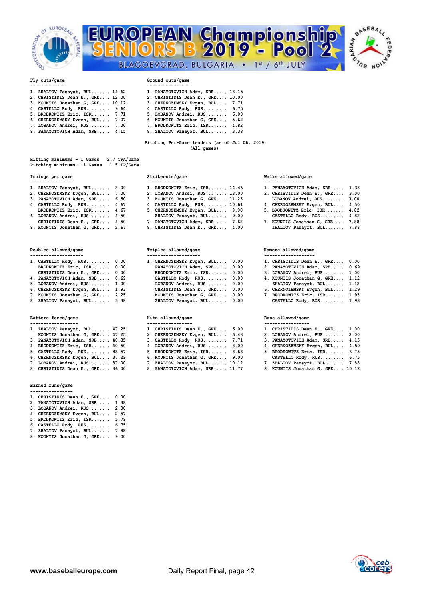



# **Fly outs/game Ground outs/game**

| 1. ZHALTOV Panayot, BUL 14.62                                                                                                                                                                                                      | 1. PANAYOTOVICH Adam, SRB 13.15  |
|------------------------------------------------------------------------------------------------------------------------------------------------------------------------------------------------------------------------------------|----------------------------------|
| 2. CHRISTIDIS Dean E., GRE 12.00                                                                                                                                                                                                   | 2. CHRISTIDIS Dean E., GRE 10.00 |
| 3. KOUNTIS Jonathan G, GRE 10.12                                                                                                                                                                                                   | 3. CHERNOZEMSKY Evgen, BUL 7.71  |
| 4. CASTELLO Rody, RUS 9.64                                                                                                                                                                                                         | 4. CASTELLO Rody, RUS 6.75       |
| 5. BRODKOWITZ Eric, ISR 7.71                                                                                                                                                                                                       | 5. LOBANOV Andrei, RUS 6.00      |
| $\bullet$ , and a set of a set of the set of the set of the set of the set of the set of the set of the set of the set of the set of the set of the set of the set of the set of the set of the set of the set of the set of the s |                                  |

- 
- 
- **4. CASTELLO Rody, RUS......... 9.64 4. CASTELLO Rody, RUS......... 6.75 5. BRODKOWITZ Eric, ISR....... 7.71 5. LOBANOV Andrei, RUS........ 6.00 6. CHERNOZEMSKY Evgen, BUL.... 7.07 6. KOUNTIS Jonathan G, GRE.... 5.62**  7. BRODKOWITZ Eric, ISR....... 4.82 **8. PANAYOTOVICH Adam, SRB..... 4.15 8. ZHALTOV Panayot, BUL....... 3.38**

### **Pitching Per-Game leaders (as of Jul 06, 2019) (All games)**

| Hitting minimums - 1 Games  |  |  | 2.7 TPA/Game |
|-----------------------------|--|--|--------------|
| Pitching minimums - 1 Games |  |  | 1.5 IP/Game  |

| 1. ZHALTOV Panayot, BUL    | 8.00 |
|----------------------------|------|
| 2. CHERNOZEMSKY Evgen, BUL | 7.00 |
| 3. PANAYOTOVICH Adam, SRB  | 6.50 |
| 4. CASTELLO Rody, RUS      | 4.67 |
| BRODKOWITZ Eric, ISR       | 4.67 |
| 6. LOBANOV Andrei, RUS     | 4.50 |
| CHRISTIDIS Dean E., GRE    | 4.50 |
|                            |      |

| 1. CASTELLO Rody, $RUS$ 0.00    | 1. CHERNOZEMSKY Evgen, BUL 0.00 | 1. CHRISTIDIS Dean E., GRE 0.00 |  |
|---------------------------------|---------------------------------|---------------------------------|--|
| BRODKOWITZ Eric, ISR 0.00       | PANAYOTOVICH Adam, SRB 0.00     | 2. PANAYOTOVICH Adam, SRB 0.69  |  |
| CHRISTIDIS Dean E., GRE 0.00    | BRODKOWITZ Eric, ISR 0.00       | 3. LOBANOV Andrei, RUS 1.00     |  |
| 4. PANAYOTOVICH Adam, SRB 0.69  | CASTELLO Rody, RUS 0.00         | 4. KOUNTIS Jonathan G, GRE 1.12 |  |
| 5. LOBANOV Andrei, RUS 1.00     | LOBANOV Andrei, RUS 0.00        | ZHALTOV Panayot, BUL 1.12       |  |
| 6. CHERNOZEMSKY Evgen, BUL 1.93 | CHRISTIDIS Dean E., GRE 0.00    | 6. CHERNOZEMSKY Evgen, BUL 1.29 |  |
| 7. KOUNTIS Jonathan G, GRE 2.25 | KOUNTIS Jonathan G, GRE 0.00    | 7. BRODKOWITZ Eric, ISR 1.93    |  |
|                                 |                                 |                                 |  |

| 1. ZHALTOV Panayot, BUL 47.25    | 1. CHRISTIDIS Dean E., GRE 6.00 | 1. CHRISTIDIS Dean E., GRE 1.00 |  |
|----------------------------------|---------------------------------|---------------------------------|--|
| KOUNTIS Jonathan G, GRE 47.25    | 2. CHERNOZEMSKY Evgen, BUL 6.43 | 2. LOBANOV Andrei, RUS 2.00     |  |
| 3. PANAYOTOVICH Adam, SRB 40.85  | $3.$ CASTELLO Rody, RUS $7.71$  | 3. PANAYOTOVICH Adam, SRB 4.15  |  |
| 4. BRODKOWITZ Eric, ISR 40.50    | 4. LOBANOV Andrei, RUS 8.00     | 4. CHERNOZEMSKY Evgen, BUL 4.50 |  |
| 5. CASTELLO Rody, RUS 38.57      | 5. BRODKOWITZ Eric, ISR 8.68    | 5. BRODKOWITZ Eric, ISR 6.75    |  |
| 6. CHERNOZEMSKY Evgen, BUL 37.29 | 6. KOUNTIS Jonathan G, GRE 9.00 | CASTELLO Rody, RUS 6.75         |  |
| 7. LOBANOV Andrei, RUS 37.00     | 7. ZHALTOV Panayot, BUL 10.12   | 7. ZHALTOV Panayot, BUL 7.88    |  |

- 
- **Earned runs/game ----------------**

| 1. CHRISTIDIS Dean E., GRE | 0.00 |
|----------------------------|------|
| 2. PANAYOTOVICH Adam, SRB  | 1.38 |
| 3. LOBANOV Andrei, RUS     | 2.00 |
| 4. CHERNOZEMSKY Evgen, BUL | 2.57 |
| 5. BRODKOWITZ Eric, ISR    | 5.79 |
| 6. CASTELLO Rody, RUS      | 6.75 |
| 7. ZHALTOV Panayot, BUL    | 7.88 |
| 8. KOUNTIS Jonathan G, GRE | 9.00 |

- 
- 

| ----------------                             |                                             |                                                                                                                                                           |      |
|----------------------------------------------|---------------------------------------------|-----------------------------------------------------------------------------------------------------------------------------------------------------------|------|
| 1. ZHALTOV Panayot, BUL 8.00                 | 1. BRODKOWITZ Eric, ISR 14.46               | 1. PANAYOTOVICH Adam, SRB 1.38                                                                                                                            |      |
| 2. CHERNOZEMSKY Evgen, BUL 7.00              | 2. LOBANOV Andrei, RUS 13.00                | 2. CHRISTIDIS Dean E., GRE 3.00                                                                                                                           |      |
| 3. PANAYOTOVICH Adam, SRB 6.50               | 3. KOUNTIS Jonathan G, GRE 11.25            | LOBANOV Andrei, RUS 3.00                                                                                                                                  |      |
| 4. CASTELLO Rody, RUS 4.67                   | 4. CASTELLO Rody, RUS 10.61                 | 4. CHERNOZEMSKY Evgen, BUL 4.50                                                                                                                           |      |
| BRODKOWITZ Eric, ISR 4.67                    | 5. CHERNOZEMSKY Evgen, BUL 9.00             | 5. BRODKOWITZ Eric, ISR 4.82                                                                                                                              |      |
| 6. LOBANOV Andrei, RUS 4.50                  | ZHALTOV Panayot, BUL 9.00                   | CASTELLO Rody, RUS 4.82                                                                                                                                   |      |
| CHRISTIDIS Dean E., GRE 4.50                 | 7. PANAYOTOVICH Adam, SRB 7.62              | 7. KOUNTIS Jonathan G, GRE 7.88                                                                                                                           |      |
| $\Omega$ EQUINTER Tonothon C CDF $\Omega$ 67 | $\Omega$ CUDTEMINIC Doop F CDF $\Lambda$ 00 | $7U\lambda T$ $\pi$ $\wedge$ $\Upsilon$ $\Gamma$ $\wedge$ $\pi$ $\wedge$ $\pi$ $\wedge$ $\pi$ $\wedge$ $\pi$ $\wedge$ $\pi$ $\wedge$ $\pi$ $\wedge$ $\pi$ | 7.99 |

# **Doubles allowed/game Triples allowed/game Homers allowed/game**

| 1. CASTELLO Rody, $RUS$ 0.00    | 1. CHERNOZEMSKY Evgen, BUL 0.00 | 1. CHRISTIDIS Dean E., GRE 0.00 |  |
|---------------------------------|---------------------------------|---------------------------------|--|
| BRODKOWITZ Eric, ISR 0.00       | PANAYOTOVICH Adam, SRB 0.00     | 2. PANAYOTOVICH Adam, SRB 0.69  |  |
| CHRISTIDIS Dean E., GRE 0.00    | BRODKOWITZ Eric, ISR 0.00       | 3. LOBANOV Andrei, RUS 1.00     |  |
| 4. PANAYOTOVICH Adam, SRB 0.69  | CASTELLO Rody, $RUS$ 0.00       | 4. KOUNTIS Jonathan G, GRE 1.12 |  |
| 5. LOBANOV Andrei, RUS 1.00     | LOBANOV Andrei, RUS 0.00        | ZHALTOV Panayot, BUL 1.12       |  |
| 6. CHERNOZEMSKY Evgen, BUL 1.93 | CHRISTIDIS Dean E., GRE 0.00    | 6. CHERNOZEMSKY Evgen, BUL 1.29 |  |
| 7. KOUNTIS Jonathan G, GRE 2.25 | KOUNTIS Jonathan G, GRE 0.00    | 7. BRODKOWITZ Eric, ISR 1.93    |  |
| 8. ZHALTOV Panayot, BUL 3.38    | ZHALTOV Panayot, BUL 0.00       | CASTELLO Rody, RUS 1.93         |  |
|                                 |                                 |                                 |  |

| 1. ZHALTOV Panayot, BUL 47.25    | 1. CHRISTIDIS Dean E., GRE 6.00 |  | 1. CHRISTIDIS Dea |
|----------------------------------|---------------------------------|--|-------------------|
| KOUNTIS Jonathan G, GRE 47.25    | 2. CHERNOZEMSKY Evgen, BUL 6.43 |  | 2. LOBANOV Andrei |
| 3. PANAYOTOVICH Adam, SRB 40.85  | 3. CASTELLO Rody, RUS 7.71      |  | 3. PANAYOTOVICH A |
| 4. BRODKOWITZ Eric, ISR 40.50    | 4. LOBANOV Andrei, RUS 8.00     |  | 4. CHERNOZEMSKY E |
| 5. CASTELLO Rody, RUS 38.57      | 5. BRODKOWITZ Eric, ISR 8.68    |  | 5. BRODKOWITZ Eri |
| 6. CHERNOZEMSKY Evgen, BUL 37.29 | 6. KOUNTIS Jonathan G, GRE 9.00 |  | CASTELLO Rody,    |
| 7. LOBANOV Andrei, RUS 37.00     | 7. ZHALTOV Panayot, BUL 10.12   |  | 7. ZHALTOV Panayo |
| 8. CHRISTIDIS Dean E., GRE 36.00 | 8. PANAYOTOVICH Adam, SRB 11.77 |  | 8. KOUNTIS Jonath |

### **Innings per game Strikeouts/game Walks allowed/game ---------------- --------------- ------------------**

FEDI

- 2. CHRISTIDIS Dean E., GRE.... 3.00
- **3. PANAYOTOVICH Adam, SRB..... 6.50 3. KOUNTIS Jonathan G, GRE.... 11.25 LOBANOV Andrei, RUS........ 3.00**
- **4. CHERNOZEMSKY Evgen, BUL.... 4.50**
- 
- 7. KOUNTIS Jonathan G, GRE.... 7.88
- **8. KOUNTIS Jonathan G, GRE.... 2.67 8. CHRISTIDIS Dean E., GRE.... 4.00 ZHALTOV Panayot, BUL....... 7.88**

| 1. CHRISTIDIS Dean E., GRE 0.00 |      |
|---------------------------------|------|
| PANAVOTOUICH Adam CPR           | በ 69 |

- 
- 
- **6. CHERNOZEMSKY Evgen, BUL.... 1.93 CHRISTIDIS Dean E., GRE.... 0.00 6. CHERNOZEMSKY Evgen, BUL.... 1.29**
- 7. BRODKOWITZ Eric, ISR....... 1.93

## **Batters faced/game Hits allowed/game Runs allowed/game**

| 1. CHRISTIDIS Dean E., GRE       | 1.00 |
|----------------------------------|------|
| 2. LOBANOV Andrei, RUS           | 2.00 |
| 3. PANAYOTOVICH Adam, SRB        | 4.15 |
| 4. CHERNOZEMSKY Evgen, BUL       | 4.50 |
| 5. BRODKOWITZ Eric, ISR          | 6.75 |
| CASTELLO Rody, RUS               | 6.75 |
| 7. ZHALTOV Panayot, BUL          | 7.88 |
| 8. KOUNTIS Jonathan G. GRE 10.12 |      |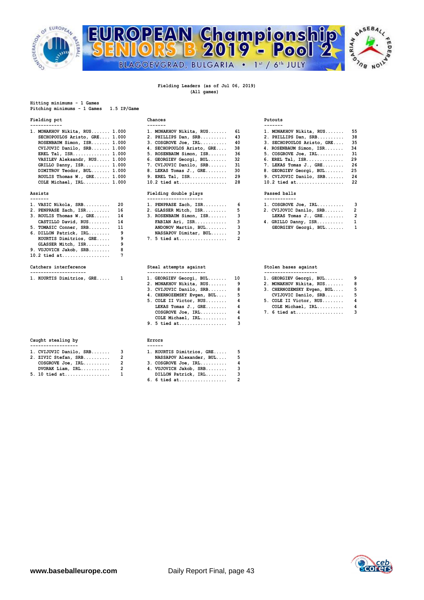



## **Fielding Leaders (as of Jul 06, 2019) (All games)**

**Hitting minimums - 1 Games Pitching minimums - 1 Games 1.5 IP/Game** 

## **Fielding pct Chances Putouts**

| 1. MONAKHOV Nikita, RUS 1.000 | 1. MONAKHOV Nikita, RUS 61                 | 1. MONAKHOV Nikita, RUS 55          |  |
|-------------------------------|--------------------------------------------|-------------------------------------|--|
| SECHOPOULOS Aristo, GRE 1.000 | 2. PHILLIPS Dan, SRB 43                    | 2. PHILLIPS Dan, SRB 38             |  |
| ROSENBAUM Simon, ISR 1.000    | $3. \text{ COSGROVE Joe, IRL}, \ldots, 40$ | 3. SECHOPOULOS Aristo, GRE 35       |  |
| CVIJOVIC Danilo, SRB 1.000    | 4. SECHOPOULOS Aristo, GRE 38              | 4. ROSENBAUM Simon, ISR 34          |  |
| EREL Tal, $ISR$ 1.000         | 5. ROSENBAUM Simon, ISR 36                 | $5. \; \text{COSGROVE}$ Joe, IRL 31 |  |
| VASILEV Aleksandr, RUS 1.000  | 6. GEORGIEV Georgi, BUL 32                 | 6. EREL Tal, ISR 29                 |  |
| GRILLO Danny, ISR 1.000       | 7. CVIJOVIC Danilo, SRB 31                 | 7. LEKAS Tomas J., GRE 26           |  |
| DIMITROV Teodor, BUL 1.000    | 8. LEKAS Tomas J., GRE 30                  | 8. GEORGIEV Georgi, BUL 25          |  |
| ROULIS Thomas W., GRE 1.000   | 9. EREL Tal, ISR 29                        | 9. CVIJOVIC Danilo, SRB 24          |  |
| $COLR$ Michael TRI. 1 000     | $10.2$ tied at $28$                        | $10.2$ tied at $22$                 |  |

| 1. VASIC Nikola, $SRB$ 20   | 1. PENPRASE Zach, $ISR$ 6 | $1. \text{COSGROVE Joe, IRL}, \ldots, \ldots$ 3 |     |
|-----------------------------|---------------------------|-------------------------------------------------|-----|
| 2. PENPRASE Zach, $ISR$ 16  | 2. GLASSER Mitch, ISR 5   | 2. CVIJOVIC Danilo, SRB                         | - 2 |
| 3. ROULIS Thomas W., GRE 14 | 3. ROSENBAUM Simon, ISR 3 | LEKAS Tomas $J.$ , GRE                          | -2  |
| CASTILLO David, RUS 14      |                           | 4. GRILLO Danny, ISR                            | - 1 |
| 5. TOMASIC Conner, SRB 11   | ANDONOV Martin, BUL 3     | GEORGIEV Georgi, BUL 1                          |     |
| 6. DILLON Patrick, IRL 9    | NASSAPOV Dimitar, BUL     |                                                 |     |
| KOURTIS Dimitrios, GRE 9    | $7.5$ tied at             |                                                 |     |
| GLASSER Mitch, ISR          |                           |                                                 |     |
| 9. VUJOVICH Jakob, SRB      |                           |                                                 |     |
| 10.2 tied at                |                           |                                                 |     |
| Catchers interference       | Steal attempts against    | Stolen bases against                            |     |

| 1. KOURTIS Dimitrios, GRE |  | 1. GEORGIEV Georgi, BUL |  | 1. GEORGIEV Georgi, BUL |  |
|---------------------------|--|-------------------------|--|-------------------------|--|
|                           |  |                         |  |                         |  |

| Caught stealing by |             |  |  |
|--------------------|-------------|--|--|
|                    |             |  |  |
| -3                 | 1. KOUR     |  |  |
|                    | <b>NASS</b> |  |  |
|                    |             |  |  |

| 1. 21.10 UCCIUI, UND    | $\ldots$                 |  |
|-------------------------|--------------------------|--|
| $COSGROVE$ Joe, $IRL$   | 3. COSGROVE Joe, IRL     |  |
| $DVORAK$ $Liam,$ $IRL.$ | 4. VUJOVICH Jakob, SRB 3 |  |
| 5. 10 tied at           | DILLON Patrick, IRL 3    |  |

| 1. MONAKHOV Nikita, RUS 1.000  | 1. MONAKHOV Nikita, RUS 61                 | 1. MONAKHOV Nikita, RUS 55          |  |
|--------------------------------|--------------------------------------------|-------------------------------------|--|
| SECHOPOULOS Aristo, GRE 1.000  | 2. PHILLIPS Dan, SRB 43                    | 2. PHILLIPS Dan, SRB 38             |  |
| ROSENBAUM Simon, ISR 1.000     | $3. \text{ COSGROVE Joe, IRL}, \ldots, 40$ | 3. SECHOPOULOS Aristo, GRE 35       |  |
| CVIJOVIC Danilo, SRB 1.000     | 4. SECHOPOULOS Aristo, GRE 38              | 4. ROSENBAUM Simon, ISR<br>34       |  |
| EREL Tal, $ISR$ 1.000          | 5. ROSENBAUM Simon, ISR 36                 | $5. \; \text{COSGROVE}$ Joe, IRL 31 |  |
| VASILEV Aleksandr, RUS 1.000   | 6. GEORGIEV Georgi, BUL 32                 | 6. EREL Tal, ISR 29                 |  |
| GRILLO Danny, ISR 1.000        | 7. CVIJOVIC Danilo, SRB 31                 | 7. LEKAS Tomas J., GRE 26           |  |
| DIMITROV Teodor, BUL 1.000     | 8. LEKAS Tomas J., GRE<br>-30              | 8. GEORGIEV Georgi, BUL 25          |  |
| ROULIS Thomas $W.$ , GRE 1.000 | 9. EREL Tal, ISR 29                        | 9. CVIJOVIC Danilo, SRB 24          |  |
| COLE Michael, $IRL$ $1.000$    | 10.2 tied at<br>-28                        | 10.2 tied at 22                     |  |
|                                |                                            |                                     |  |

## **Assists Fielding double plays Passed balls**

| 1. PENPRASE Zach, ISR 6 |    | 1. COSGROVE Joe, IRL    | - 3          |
|-------------------------|----|-------------------------|--------------|
| 2. GLASSER Mitch, ISR   | -5 | 2. CVIJOVIC Danilo, SRB | - 2          |
| 3. ROSENBAUM Simon, ISR |    | LEKAS Tomas J., GRE     | - 2          |
|                         |    | 4. GRILLO Danny, ISR    | $\mathbf{1}$ |
| ANDONOV Martin, BUL 3   |    | GEORGIEV Georgi, BUL 1  |              |
| NASSAPOV Dimitar, BUL   |    |                         |              |
| 7. 5 tied at 2          |    |                         |              |

## Steal attempts against **Category Stolen bases** against

|  | 1. KOURTIS Dimitrios, GRE 1 |  | 1. GEORGIEV Georgi, BUL 10   |  | 1. GEORGIEV Georgi,   |
|--|-----------------------------|--|------------------------------|--|-----------------------|
|  |                             |  | 2. MONAKHOV Nikita, RUS 9    |  | 2. MONAKHOV Nikita,   |
|  |                             |  | 3. CVIJOVIC Danilo, SRB 8    |  | 3. CHERNOZEMSKY Evge: |
|  |                             |  | 4. CHERNOZEMSKY Evgen, BUL 5 |  | CVIJOVIC Danilo,      |
|  |                             |  | 5. COLE II Victor, RUS 4     |  | 5. COLE II Victor, R  |
|  |                             |  | LEKAS Tomas J., GRE 4        |  | COLE Michael, IRL     |
|  |                             |  | $COSGROVE$ Joe, $IRL$ 4      |  | $7.6$ tied at         |
|  |                             |  | $COLE$ Michael, $IRL$        |  |                       |
|  |                             |  | 9. 5 tied at                 |  |                       |

| 1. KOURTIS Dimitrios, GRE 1 | 1. GEORGIEV Georgi, BUL 10   | 1. GEORGIEV Georgi, BUL 9    |  |
|-----------------------------|------------------------------|------------------------------|--|
|                             | 2. MONAKHOV Nikita, RUS 9    | 2. MONAKHOV Nikita, RUS 8    |  |
|                             | 3. CVIJOVIC Danilo, SRB      | 3. CHERNOZEMSKY Evgen, BUL 5 |  |
|                             | 4. CHERNOZEMSKY Evgen, BUL 5 | CVIJOVIC Danilo, SRB 5       |  |
|                             | 5. COLE II Victor, RUS       | 5. COLE II Victor, RUS 4     |  |
|                             | LEKAS Tomas $J.$ , GRE       | COLE Michael, $IRL$ 4        |  |
|                             | $COSGROVE$ Joe, $IRL$        | 7. 6 tied at 3               |  |

| ٠ | . | n | г. |  |
|---|---|---|----|--|
|   |   |   |    |  |

| 1. CVIJOVIC Danilo, SRB                 |   | 1. KOURTIS Dimitrios, GRE                                             |  |
|-----------------------------------------|---|-----------------------------------------------------------------------|--|
| 2. ZIVIC Stefan, SRB                    |   | NASSAPOV Alexander, BUL                                               |  |
| $COSGROVE$ Joe, $IRL$                   | 2 | $3. \; \text{COSGROVE} \; \text{Joe}, \; \text{IRL}, \ldots, \ldots.$ |  |
| $M$ $M$ $N$ $N$ $T$ $A$ $m$ $T$ $T$ $T$ |   |                                                                       |  |

 **DVORAK Liam, IRL........... 2 4. VUJOVICH Jakob, SRB........ 3 5. 10 tied at................. 1 DILLON Patrick, IRL........ 3 6. 6 tied at.................. 2** 

|  | $^{\circ}$ o $_{\text{D}}$ |  |
|--|----------------------------|--|
|  |                            |  |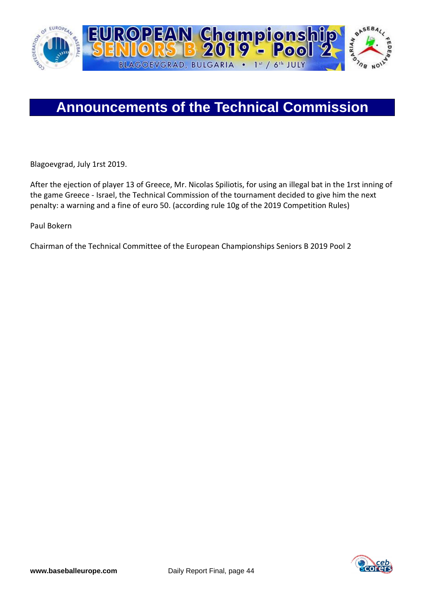

Blagoevgrad, July 1rst 2019.

After the ejection of player 13 of Greece, Mr. Nicolas Spiliotis, for using an illegal bat in the 1rst inning of the game Greece - Israel, the Technical Commission of the tournament decided to give him the next penalty: a warning and a fine of euro 50. (according rule 10g of the 2019 Competition Rules)

Paul Bokern

Chairman of the Technical Committee of the European Championships Seniors B 2019 Pool 2

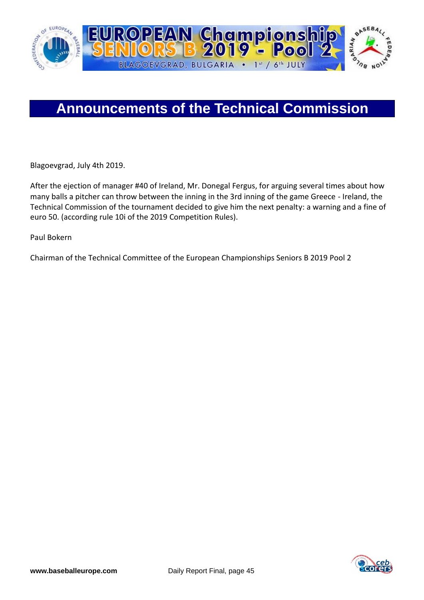

Blagoevgrad, July 4th 2019.

After the ejection of manager #40 of Ireland, Mr. Donegal Fergus, for arguing several times about how many balls a pitcher can throw between the inning in the 3rd inning of the game Greece - Ireland, the Technical Commission of the tournament decided to give him the next penalty: a warning and a fine of euro 50. (according rule 10i of the 2019 Competition Rules).

Paul Bokern

Chairman of the Technical Committee of the European Championships Seniors B 2019 Pool 2

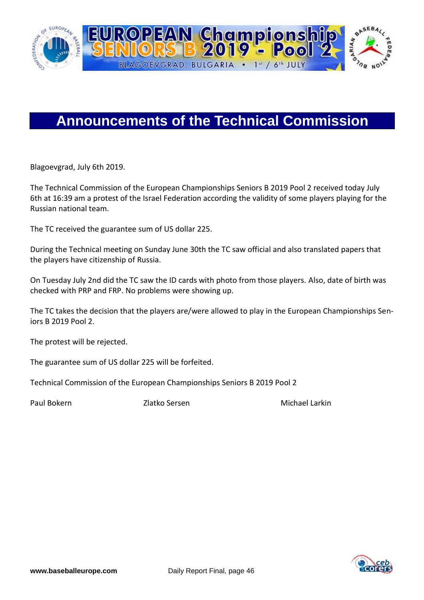

Blagoevgrad, July 6th 2019.

The Technical Commission of the European Championships Seniors B 2019 Pool 2 received today July 6th at 16:39 am a protest of the Israel Federation according the validity of some players playing for the Russian national team.

The TC received the guarantee sum of US dollar 225.

During the Technical meeting on Sunday June 30th the TC saw official and also translated papers that the players have citizenship of Russia.

On Tuesday July 2nd did the TC saw the ID cards with photo from those players. Also, date of birth was checked with PRP and FRP. No problems were showing up.

The TC takes the decision that the players are/were allowed to play in the European Championships Seniors B 2019 Pool 2.

The protest will be rejected.

The guarantee sum of US dollar 225 will be forfeited.

Technical Commission of the European Championships Seniors B 2019 Pool 2

Paul Bokern Zlatko Sersen Michael Larkin

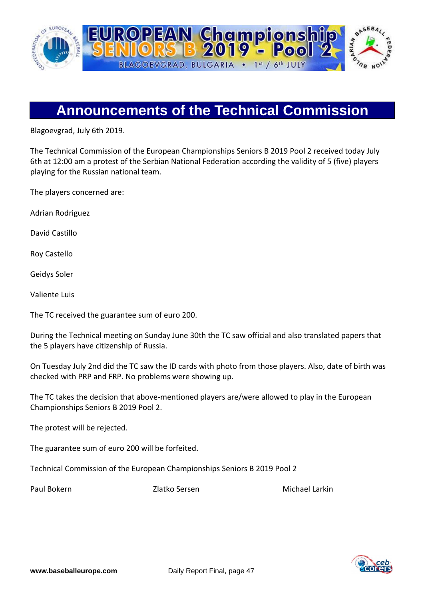

Blagoevgrad, July 6th 2019.

The Technical Commission of the European Championships Seniors B 2019 Pool 2 received today July 6th at 12:00 am a protest of the Serbian National Federation according the validity of 5 (five) players playing for the Russian national team.

The players concerned are:

Adrian Rodriguez

David Castillo

Roy Castello

Geidys Soler

Valiente Luis

The TC received the guarantee sum of euro 200.

During the Technical meeting on Sunday June 30th the TC saw official and also translated papers that the 5 players have citizenship of Russia.

On Tuesday July 2nd did the TC saw the ID cards with photo from those players. Also, date of birth was checked with PRP and FRP. No problems were showing up.

The TC takes the decision that above-mentioned players are/were allowed to play in the European Championships Seniors B 2019 Pool 2.

The protest will be rejected.

The guarantee sum of euro 200 will be forfeited.

Technical Commission of the European Championships Seniors B 2019 Pool 2

Paul Bokern Zlatko Sersen Michael Larkin